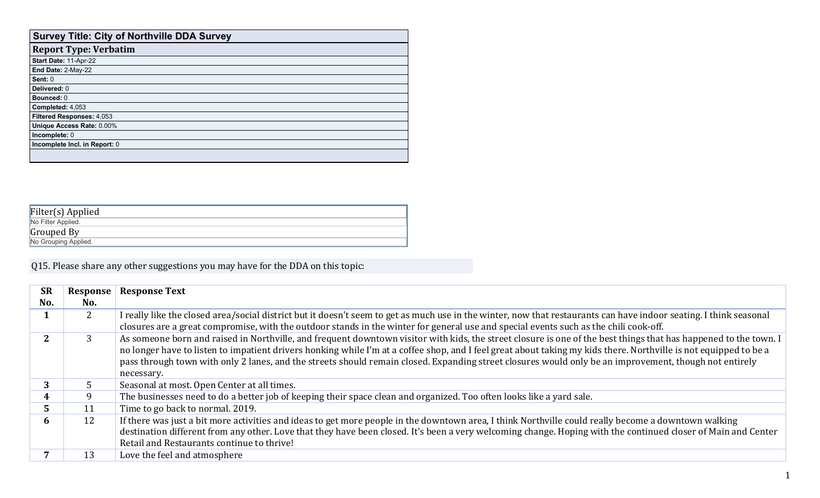| <b>Survey Title: City of Northville DDA Survey</b> |
|----------------------------------------------------|
| <b>Report Type: Verbatim</b>                       |
| Start Date: 11-Apr-22                              |
| End Date: 2-May-22                                 |
| Sent: 0                                            |
| Delivered: 0                                       |
| <b>Bounced: 0</b>                                  |
| Completed: 4,053                                   |
| Filtered Responses: 4,053                          |
| Unique Access Rate: 0.00%                          |
| Incomplete: 0                                      |
| Incomplete Incl. in Report: 0                      |
|                                                    |
|                                                    |

| Filter(s) Applied    |  |
|----------------------|--|
| No Filter Applied.   |  |
| Grouped By           |  |
| No Grouping Applied. |  |

Q15. Please share any other suggestions you may have for the DDA on this topic:

| <b>SR</b> | Response       | <b>Response Text</b>                                                                                                                                                                                                                                                                                                                                                                                                                                                                                          |
|-----------|----------------|---------------------------------------------------------------------------------------------------------------------------------------------------------------------------------------------------------------------------------------------------------------------------------------------------------------------------------------------------------------------------------------------------------------------------------------------------------------------------------------------------------------|
| No.       | No.            |                                                                                                                                                                                                                                                                                                                                                                                                                                                                                                               |
|           | 2 <sup>1</sup> | I really like the closed area/social district but it doesn't seem to get as much use in the winter, now that restaurants can have indoor seating. I think seasonal                                                                                                                                                                                                                                                                                                                                            |
|           |                | closures are a great compromise, with the outdoor stands in the winter for general use and special events such as the chili cook-off.                                                                                                                                                                                                                                                                                                                                                                         |
|           |                | As someone born and raised in Northville, and frequent downtown visitor with kids, the street closure is one of the best things that has happened to the town. I<br>no longer have to listen to impatient drivers honking while I'm at a coffee shop, and I feel great about taking my kids there. Northville is not equipped to be a<br>pass through town with only 2 lanes, and the streets should remain closed. Expanding street closures would only be an improvement, though not entirely<br>necessary. |
|           |                | Seasonal at most. Open Center at all times.                                                                                                                                                                                                                                                                                                                                                                                                                                                                   |
|           |                | The businesses need to do a better job of keeping their space clean and organized. Too often looks like a yard sale.                                                                                                                                                                                                                                                                                                                                                                                          |
|           | 11             | Time to go back to normal. 2019.                                                                                                                                                                                                                                                                                                                                                                                                                                                                              |
| n         | 12             | If there was just a bit more activities and ideas to get more people in the downtown area, I think Northville could really become a downtown walking<br>destination different from any other. Love that they have been closed. It's been a very welcoming change. Hoping with the continued closer of Main and Center<br>Retail and Restaurants continue to thrive!                                                                                                                                           |
|           | 13             | Love the feel and atmosphere                                                                                                                                                                                                                                                                                                                                                                                                                                                                                  |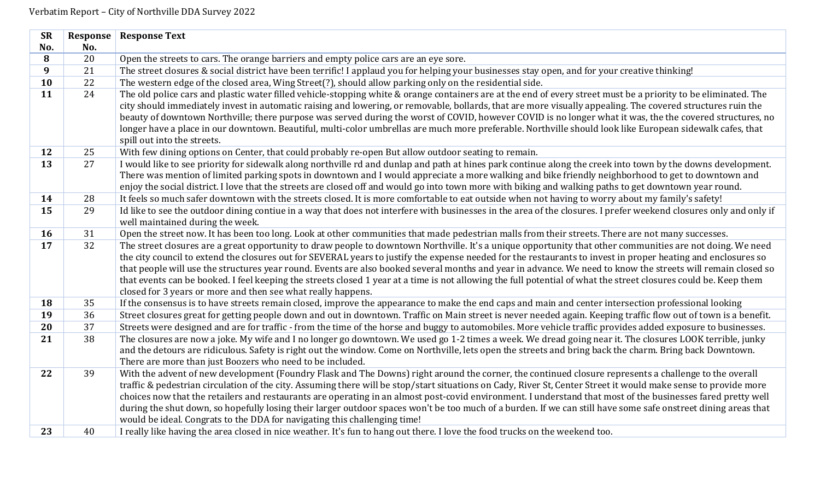| <b>SR</b>       | Response | <b>Response Text</b>                                                                                                                                               |
|-----------------|----------|--------------------------------------------------------------------------------------------------------------------------------------------------------------------|
| No.             | No.      |                                                                                                                                                                    |
| 8               | 20       | Open the streets to cars. The orange barriers and empty police cars are an eye sore.                                                                               |
| 9               | 21       | The street closures & social district have been terrific! I applaud you for helping your businesses stay open, and for your creative thinking!                     |
| 10              | 22       | The western edge of the closed area, Wing Street(?), should allow parking only on the residential side.                                                            |
| 11              | 24       | The old police cars and plastic water filled vehicle-stopping white & orange containers are at the end of every street must be a priority to be eliminated. The    |
|                 |          | city should immediately invest in automatic raising and lowering, or removable, bollards, that are more visually appealing. The covered structures ruin the        |
|                 |          | beauty of downtown Northville; there purpose was served during the worst of COVID, however COVID is no longer what it was, the the covered structures, no          |
|                 |          | longer have a place in our downtown. Beautiful, multi-color umbrellas are much more preferable. Northville should look like European sidewalk cafes, that          |
|                 |          | spill out into the streets.                                                                                                                                        |
| 12              | 25       | With few dining options on Center, that could probably re-open But allow outdoor seating to remain.                                                                |
| $\overline{13}$ | 27       | I would like to see priority for sidewalk along northville rd and dunlap and path at hines park continue along the creek into town by the downs development.       |
|                 |          | There was mention of limited parking spots in downtown and I would appreciate a more walking and bike friendly neighborhood to get to downtown and                 |
|                 |          | enjoy the social district. I love that the streets are closed off and would go into town more with biking and walking paths to get downtown year round.            |
| 14              | 28       | It feels so much safer downtown with the streets closed. It is more comfortable to eat outside when not having to worry about my family's safety!                  |
| 15              | 29       | Id like to see the outdoor dining contiue in a way that does not interfere with businesses in the area of the closures. I prefer weekend closures only and only if |
|                 |          | well maintained during the week.                                                                                                                                   |
| 16              | 31       | Open the street now. It has been too long. Look at other communities that made pedestrian malls from their streets. There are not many successes.                  |
| 17              | 32       | The street closures are a great opportunity to draw people to downtown Northville. It's a unique opportunity that other communities are not doing. We need         |
|                 |          | the city council to extend the closures out for SEVERAL years to justify the expense needed for the restaurants to invest in proper heating and enclosures so      |
|                 |          | that people will use the structures year round. Events are also booked several months and year in advance. We need to know the streets will remain closed so       |
|                 |          | that events can be booked. I feel keeping the streets closed 1 year at a time is not allowing the full potential of what the street closures could be. Keep them   |
|                 |          | closed for 3 years or more and then see what really happens.                                                                                                       |
| 18              | 35       | If the consensus is to have streets remain closed, improve the appearance to make the end caps and main and center intersection professional looking               |
| 19              | 36       | Street closures great for getting people down and out in downtown. Traffic on Main street is never needed again. Keeping traffic flow out of town is a benefit.    |
| 20              | 37       | Streets were designed and are for traffic - from the time of the horse and buggy to automobiles. More vehicle traffic provides added exposure to businesses.       |
| 21              | 38       | The closures are now a joke. My wife and I no longer go downtown. We used go 1-2 times a week. We dread going near it. The closures LOOK terrible, junky           |
|                 |          | and the detours are ridiculous. Safety is right out the window. Come on Northville, lets open the streets and bring back the charm. Bring back Downtown.           |
|                 |          | There are more than just Boozers who need to be included.                                                                                                          |
| 22              | 39       | With the advent of new development (Foundry Flask and The Downs) right around the corner, the continued closure represents a challenge to the overall              |
|                 |          | traffic & pedestrian circulation of the city. Assuming there will be stop/start situations on Cady, River St, Center Street it would make sense to provide more    |
|                 |          | choices now that the retailers and restaurants are operating in an almost post-covid environment. I understand that most of the businesses fared pretty well       |
|                 |          | during the shut down, so hopefully losing their larger outdoor spaces won't be too much of a burden. If we can still have some safe onstreet dining areas that     |
|                 |          | would be ideal. Congrats to the DDA for navigating this challenging time!                                                                                          |
| 23              | 40       | I really like having the area closed in nice weather. It's fun to hang out there. I love the food trucks on the weekend too.                                       |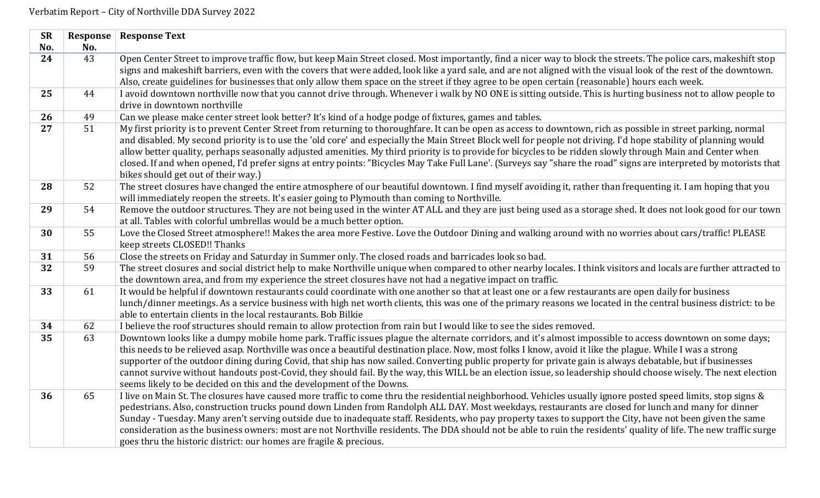| <b>SR</b> | Response | <b>Response Text</b>                                                                                                                                                                                                                                                                                           |
|-----------|----------|----------------------------------------------------------------------------------------------------------------------------------------------------------------------------------------------------------------------------------------------------------------------------------------------------------------|
| No.       | No.      |                                                                                                                                                                                                                                                                                                                |
| 24        | 43       | Open Center Street to improve traffic flow, but keep Main Street closed. Most importantly, find a nicer way to block the streets. The police cars, makeshift stop                                                                                                                                              |
|           |          | signs and makeshift barriers, even with the covers that were added, look like a yard sale, and are not aligned with the visual look of the rest of the downtown.                                                                                                                                               |
| 25        | 44       | Also, create guidelines for businesses that only allow them space on the street if they agree to be open certain (reasonable) hours each week.<br>I avoid downtown northville now that you cannot drive through. Whenever i walk by NO ONE is sitting outside. This is hurting business not to allow people to |
|           |          | drive in downtown northville                                                                                                                                                                                                                                                                                   |
| 26        | 49       | Can we please make center street look better? It's kind of a hodge podge of fixtures, games and tables.                                                                                                                                                                                                        |
| 27        | 51       | My first priority is to prevent Center Street from returning to thoroughfare. It can be open as access to downtown, rich as possible in street parking, normal                                                                                                                                                 |
|           |          | and disabled. My second priority is to use the 'old core' and especially the Main Street Block well for people not driving. I'd hope stability of planning would                                                                                                                                               |
|           |          | allow better quality, perhaps seasonally adjusted amenities. My third priority is to provide for bicycles to be ridden slowly through Main and Center when                                                                                                                                                     |
|           |          | closed. If and when opened, I'd prefer signs at entry points: "Bicycles May Take Full Lane'. (Surveys say "share the road" signs are interpreted by motorists that                                                                                                                                             |
|           |          | bikes should get out of their way.)                                                                                                                                                                                                                                                                            |
| 28        | 52       | The street closures have changed the entire atmosphere of our beautiful downtown. I find myself avoiding it, rather than frequenting it. I am hoping that you                                                                                                                                                  |
|           |          | will immediately reopen the streets. It's easier going to Plymouth than coming to Northville.                                                                                                                                                                                                                  |
| 29        | 54       | Remove the outdoor structures. They are not being used in the winter AT ALL and they are just being used as a storage shed. It does not look good for our town                                                                                                                                                 |
|           |          | at all. Tables with colorful umbrellas would be a much better option.                                                                                                                                                                                                                                          |
| 30        | 55       | Love the Closed Street atmosphere!! Makes the area more Festive. Love the Outdoor Dining and walking around with no worries about cars/traffic! PLEASE                                                                                                                                                         |
|           |          | keep streets CLOSED!! Thanks                                                                                                                                                                                                                                                                                   |
| 31        | 56       | Close the streets on Friday and Saturday in Summer only. The closed roads and barricades look so bad.                                                                                                                                                                                                          |
| 32        | 59       | The street closures and social district help to make Northville unique when compared to other nearby locales. I think visitors and locals are further attracted to                                                                                                                                             |
|           |          | the downtown area, and from my experience the street closures have not had a negative impact on traffic.                                                                                                                                                                                                       |
| 33        | 61       | It would be helpful if downtown restaurants could coordinate with one another so that at least one or a few restaurants are open daily for business                                                                                                                                                            |
|           |          | lunch/dinner meetings. As a service business with high net worth clients, this was one of the primary reasons we located in the central business district: to be                                                                                                                                               |
| 34        | 62       | able to entertain clients in the local restaurants. Bob Bilkie<br>I believe the roof structures should remain to allow protection from rain but I would like to see the sides removed.                                                                                                                         |
| 35        | 63       | Downtown looks like a dumpy mobile home park. Traffic issues plague the alternate corridors, and it's almost impossible to access downtown on some days;                                                                                                                                                       |
|           |          | this needs to be relieved asap. Northville was once a beautiful destination place. Now, most folks I know, avoid it like the plague. While I was a strong                                                                                                                                                      |
|           |          | supporter of the outdoor dining during Covid, that ship has now sailed. Converting public property for private gain is always debatable, but if businesses                                                                                                                                                     |
|           |          | cannot survive without handouts post-Covid, they should fail. By the way, this WILL be an election issue, so leadership should choose wisely. The next election                                                                                                                                                |
|           |          | seems likely to be decided on this and the development of the Downs.                                                                                                                                                                                                                                           |
| 36        | 65       | I live on Main St. The closures have caused more traffic to come thru the residential neighborhood. Vehicles usually ignore posted speed limits, stop signs &                                                                                                                                                  |
|           |          | pedestrians. Also, construction trucks pound down Linden from Randolph ALL DAY. Most weekdays, restaurants are closed for lunch and many for dinner                                                                                                                                                            |
|           |          | Sunday - Tuesday. Many aren't serving outside due to inadequate staff. Residents, who pay property taxes to support the City, have not been given the same                                                                                                                                                     |
|           |          | consideration as the business owners: most are not Northville residents. The DDA should not be able to ruin the residents' quality of life. The new traffic surge                                                                                                                                              |
|           |          | goes thru the historic district: our homes are fragile & precious.                                                                                                                                                                                                                                             |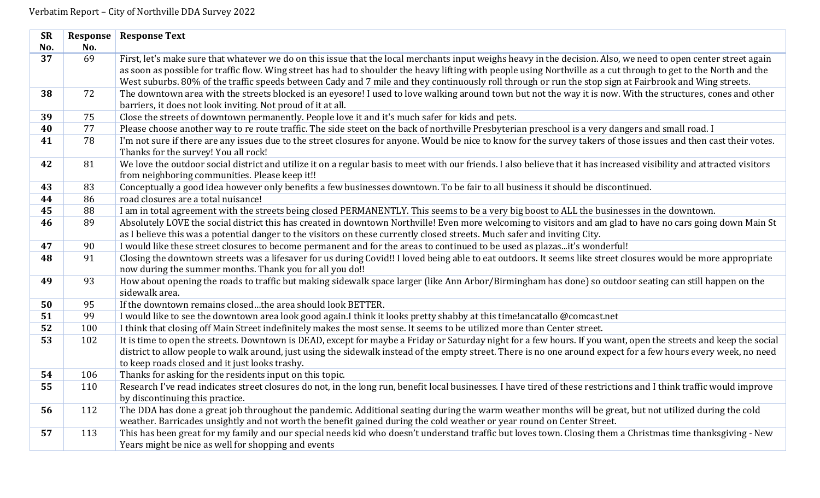| <b>SR</b>       | Response | <b>Response Text</b>                                                                                                                                                   |
|-----------------|----------|------------------------------------------------------------------------------------------------------------------------------------------------------------------------|
| No.             | No.      |                                                                                                                                                                        |
| $\overline{37}$ | 69       | First, let's make sure that whatever we do on this issue that the local merchants input weighs heavy in the decision. Also, we need to open center street again        |
|                 |          | as soon as possible for traffic flow. Wing street has had to shoulder the heavy lifting with people using Northville as a cut through to get to the North and the      |
|                 |          | West suburbs. 80% of the traffic speeds between Cady and 7 mile and they continuously roll through or run the stop sign at Fairbrook and Wing streets.                 |
| 38              | 72       | The downtown area with the streets blocked is an eyesore! I used to love walking around town but not the way it is now. With the structures, cones and other           |
|                 |          | barriers, it does not look inviting. Not proud of it at all.                                                                                                           |
| 39              | 75       | Close the streets of downtown permanently. People love it and it's much safer for kids and pets.                                                                       |
| 40              | 77       | Please choose another way to re route traffic. The side steet on the back of northville Presbyterian preschool is a very dangers and small road. I                     |
| 41              | 78       | I'm not sure if there are any issues due to the street closures for anyone. Would be nice to know for the survey takers of those issues and then cast their votes.     |
|                 |          | Thanks for the survey! You all rock!                                                                                                                                   |
| 42              | 81       | We love the outdoor social district and utilize it on a regular basis to meet with our friends. I also believe that it has increased visibility and attracted visitors |
|                 |          | from neighboring communities. Please keep it!!                                                                                                                         |
| 43              | 83       | Conceptually a good idea however only benefits a few businesses downtown. To be fair to all business it should be discontinued.                                        |
| 44              | 86       | road closures are a total nuisance!                                                                                                                                    |
| 45              | 88       | I am in total agreement with the streets being closed PERMANENTLY. This seems to be a very big boost to ALL the businesses in the downtown.                            |
| 46              | 89       | Absolutely LOVE the social district this has created in downtown Northville! Even more welcoming to visitors and am glad to have no cars going down Main St            |
|                 |          | as I believe this was a potential danger to the visitors on these currently closed streets. Much safer and inviting City.                                              |
| 47              | 90       | I would like these street closures to become permanent and for the areas to continued to be used as plazasit's wonderful!                                              |
| 48              | 91       | Closing the downtown streets was a lifesaver for us during Covid!! I loved being able to eat outdoors. It seems like street closures would be more appropriate         |
|                 |          | now during the summer months. Thank you for all you do!!                                                                                                               |
| 49              | 93       | How about opening the roads to traffic but making sidewalk space larger (like Ann Arbor/Birmingham has done) so outdoor seating can still happen on the                |
|                 |          | sidewalk area.                                                                                                                                                         |
| 50              | 95       | If the downtown remains closedthe area should look BETTER.                                                                                                             |
| 51              | 99       | I would like to see the downtown area look good again.I think it looks pretty shabby at this time!ancatallo @comcast.net                                               |
| 52              | 100      | I think that closing off Main Street indefinitely makes the most sense. It seems to be utilized more than Center street.                                               |
| 53              | 102      | It is time to open the streets. Downtown is DEAD, except for maybe a Friday or Saturday night for a few hours. If you want, open the streets and keep the social       |
|                 |          | district to allow people to walk around, just using the sidewalk instead of the empty street. There is no one around expect for a few hours every week, no need        |
|                 |          | to keep roads closed and it just looks trashy.                                                                                                                         |
| 54              | 106      | Thanks for asking for the residents input on this topic.                                                                                                               |
| 55              | 110      | Research I've read indicates street closures do not, in the long run, benefit local businesses. I have tired of these restrictions and I think traffic would improve   |
|                 |          | by discontinuing this practice.                                                                                                                                        |
| 56              | 112      | The DDA has done a great job throughout the pandemic. Additional seating during the warm weather months will be great, but not utilized during the cold                |
|                 |          | weather. Barricades unsightly and not worth the benefit gained during the cold weather or year round on Center Street.                                                 |
| 57              | 113      | This has been great for my family and our special needs kid who doesn't understand traffic but loves town. Closing them a Christmas time thanksgiving - New            |
|                 |          | Years might be nice as well for shopping and events                                                                                                                    |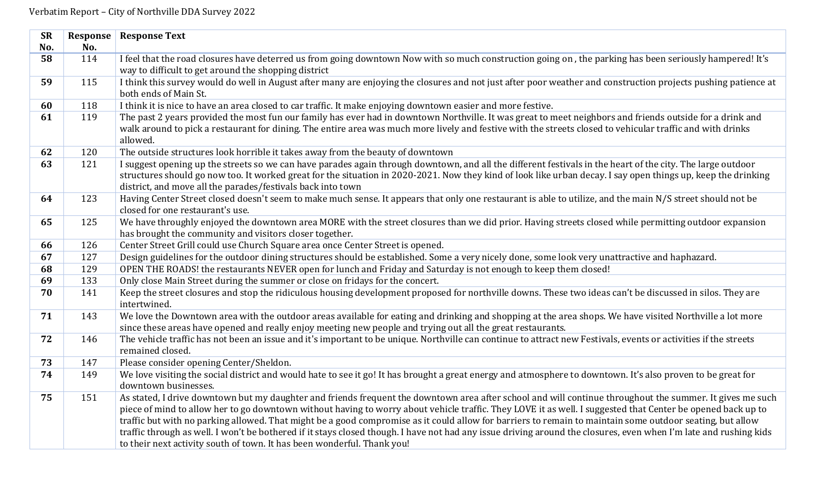| <b>SR</b> | Response | <b>Response Text</b>                                                                                                                                                                                                                                                                                                                                                                                                                                                                                                                                                                                                                                                                                                                  |
|-----------|----------|---------------------------------------------------------------------------------------------------------------------------------------------------------------------------------------------------------------------------------------------------------------------------------------------------------------------------------------------------------------------------------------------------------------------------------------------------------------------------------------------------------------------------------------------------------------------------------------------------------------------------------------------------------------------------------------------------------------------------------------|
| No.       | No.      |                                                                                                                                                                                                                                                                                                                                                                                                                                                                                                                                                                                                                                                                                                                                       |
| 58        | 114      | I feel that the road closures have deterred us from going downtown Now with so much construction going on, the parking has been seriously hampered! It's                                                                                                                                                                                                                                                                                                                                                                                                                                                                                                                                                                              |
|           |          | way to difficult to get around the shopping district                                                                                                                                                                                                                                                                                                                                                                                                                                                                                                                                                                                                                                                                                  |
| 59        | 115      | I think this survey would do well in August after many are enjoying the closures and not just after poor weather and construction projects pushing patience at<br>both ends of Main St.                                                                                                                                                                                                                                                                                                                                                                                                                                                                                                                                               |
| 60        | 118      | I think it is nice to have an area closed to car traffic. It make enjoying downtown easier and more festive.                                                                                                                                                                                                                                                                                                                                                                                                                                                                                                                                                                                                                          |
| 61        | 119      | The past 2 years provided the most fun our family has ever had in downtown Northville. It was great to meet neighbors and friends outside for a drink and<br>walk around to pick a restaurant for dining. The entire area was much more lively and festive with the streets closed to vehicular traffic and with drinks<br>allowed.                                                                                                                                                                                                                                                                                                                                                                                                   |
| 62        | 120      | The outside structures look horrible it takes away from the beauty of downtown                                                                                                                                                                                                                                                                                                                                                                                                                                                                                                                                                                                                                                                        |
| 63        | 121      | I suggest opening up the streets so we can have parades again through downtown, and all the different festivals in the heart of the city. The large outdoor<br>structures should go now too. It worked great for the situation in 2020-2021. Now they kind of look like urban decay. I say open things up, keep the drinking<br>district, and move all the parades/festivals back into town                                                                                                                                                                                                                                                                                                                                           |
| 64        | 123      | Having Center Street closed doesn't seem to make much sense. It appears that only one restaurant is able to utilize, and the main N/S street should not be<br>closed for one restaurant's use.                                                                                                                                                                                                                                                                                                                                                                                                                                                                                                                                        |
| 65        | 125      | We have throughly enjoyed the downtown area MORE with the street closures than we did prior. Having streets closed while permitting outdoor expansion<br>has brought the community and visitors closer together.                                                                                                                                                                                                                                                                                                                                                                                                                                                                                                                      |
| 66        | 126      | Center Street Grill could use Church Square area once Center Street is opened.                                                                                                                                                                                                                                                                                                                                                                                                                                                                                                                                                                                                                                                        |
| 67        | 127      | Design guidelines for the outdoor dining structures should be established. Some a very nicely done, some look very unattractive and haphazard.                                                                                                                                                                                                                                                                                                                                                                                                                                                                                                                                                                                        |
| 68        | 129      | OPEN THE ROADS! the restaurants NEVER open for lunch and Friday and Saturday is not enough to keep them closed!                                                                                                                                                                                                                                                                                                                                                                                                                                                                                                                                                                                                                       |
| 69        | 133      | Only close Main Street during the summer or close on fridays for the concert.                                                                                                                                                                                                                                                                                                                                                                                                                                                                                                                                                                                                                                                         |
| 70        | 141      | Keep the street closures and stop the ridiculous housing development proposed for northville downs. These two ideas can't be discussed in silos. They are<br>intertwined.                                                                                                                                                                                                                                                                                                                                                                                                                                                                                                                                                             |
| 71        | 143      | We love the Downtown area with the outdoor areas available for eating and drinking and shopping at the area shops. We have visited Northville a lot more<br>since these areas have opened and really enjoy meeting new people and trying out all the great restaurants.                                                                                                                                                                                                                                                                                                                                                                                                                                                               |
| 72        | 146      | The vehicle traffic has not been an issue and it's important to be unique. Northville can continue to attract new Festivals, events or activities if the streets<br>remained closed.                                                                                                                                                                                                                                                                                                                                                                                                                                                                                                                                                  |
| 73        | 147      | Please consider opening Center/Sheldon.                                                                                                                                                                                                                                                                                                                                                                                                                                                                                                                                                                                                                                                                                               |
| 74        | 149      | We love visiting the social district and would hate to see it go! It has brought a great energy and atmosphere to downtown. It's also proven to be great for<br>downtown businesses.                                                                                                                                                                                                                                                                                                                                                                                                                                                                                                                                                  |
| 75        | 151      | As stated, I drive downtown but my daughter and friends frequent the downtown area after school and will continue throughout the summer. It gives me such<br>piece of mind to allow her to go downtown without having to worry about vehicle traffic. They LOVE it as well. I suggested that Center be opened back up to<br>traffic but with no parking allowed. That might be a good compromise as it could allow for barriers to remain to maintain some outdoor seating, but allow<br>traffic through as well. I won't be bothered if it stays closed though. I have not had any issue driving around the closures, even when I'm late and rushing kids<br>to their next activity south of town. It has been wonderful. Thank you! |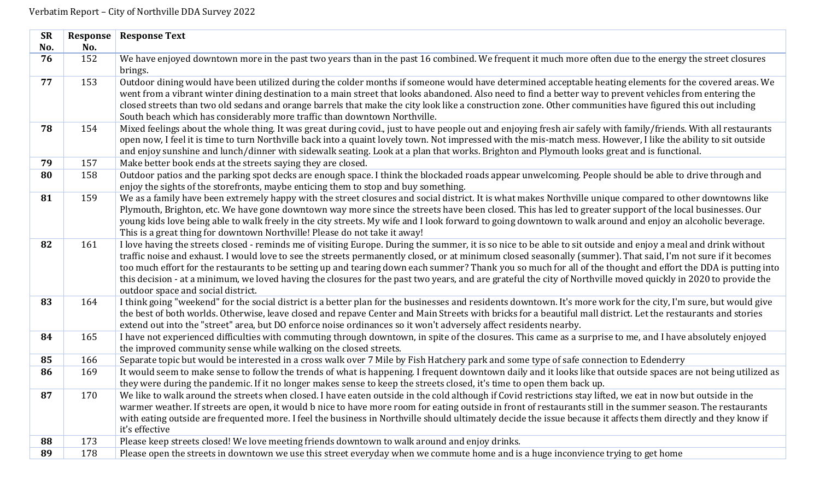| <b>SR</b> | Response | <b>Response Text</b>                                                                                                                                              |
|-----------|----------|-------------------------------------------------------------------------------------------------------------------------------------------------------------------|
| No.       | No.      |                                                                                                                                                                   |
| 76        | 152      | We have enjoyed downtown more in the past two years than in the past 16 combined. We frequent it much more often due to the energy the street closures            |
|           |          | brings.                                                                                                                                                           |
| 77        | 153      | Outdoor dining would have been utilized during the colder months if someone would have determined acceptable heating elements for the covered areas. We           |
|           |          | went from a vibrant winter dining destination to a main street that looks abandoned. Also need to find a better way to prevent vehicles from entering the         |
|           |          | closed streets than two old sedans and orange barrels that make the city look like a construction zone. Other communities have figured this out including         |
|           |          | South beach which has considerably more traffic than downtown Northville.                                                                                         |
| 78        | 154      | Mixed feelings about the whole thing. It was great during covid., just to have people out and enjoying fresh air safely with family/friends. With all restaurants |
|           |          | open now, I feel it is time to turn Northville back into a quaint lovely town. Not impressed with the mis-match mess. However, I like the ability to sit outside  |
|           |          | and enjoy sunshine and lunch/dinner with sidewalk seating. Look at a plan that works. Brighton and Plymouth looks great and is functional.                        |
| 79        | 157      | Make better book ends at the streets saying they are closed.                                                                                                      |
| 80        | 158      | Outdoor patios and the parking spot decks are enough space. I think the blockaded roads appear unwelcoming. People should be able to drive through and            |
|           |          | enjoy the sights of the storefronts, maybe enticing them to stop and buy something.                                                                               |
| 81        | 159      | We as a family have been extremely happy with the street closures and social district. It is what makes Northville unique compared to other downtowns like        |
|           |          | Plymouth, Brighton, etc. We have gone downtown way more since the streets have been closed. This has led to greater support of the local businesses. Our          |
|           |          | young kids love being able to walk freely in the city streets. My wife and I look forward to going downtown to walk around and enjoy an alcoholic beverage.       |
|           |          | This is a great thing for downtown Northville! Please do not take it away!                                                                                        |
| 82        | 161      | I love having the streets closed - reminds me of visiting Europe. During the summer, it is so nice to be able to sit outside and enjoy a meal and drink without   |
|           |          | traffic noise and exhaust. I would love to see the streets permanently closed, or at minimum closed seasonally (summer). That said, I'm not sure if it becomes    |
|           |          | too much effort for the restaurants to be setting up and tearing down each summer? Thank you so much for all of the thought and effort the DDA is putting into    |
|           |          | this decision - at a minimum, we loved having the closures for the past two years, and are grateful the city of Northville moved quickly in 2020 to provide the   |
|           |          | outdoor space and social district.                                                                                                                                |
| 83        | 164      | I think going "weekend" for the social district is a better plan for the businesses and residents downtown. It's more work for the city, I'm sure, but would give |
|           |          | the best of both worlds. Otherwise, leave closed and repave Center and Main Streets with bricks for a beautiful mall district. Let the restaurants and stories    |
|           |          | extend out into the "street" area, but DO enforce noise ordinances so it won't adversely affect residents nearby.                                                 |
| 84        | 165      | I have not experienced difficulties with commuting through downtown, in spite of the closures. This came as a surprise to me, and I have absolutely enjoyed       |
|           |          | the improved community sense while walking on the closed streets.                                                                                                 |
| 85        | 166      | Separate topic but would be interested in a cross walk over 7 Mile by Fish Hatchery park and some type of safe connection to Edenderry                            |
| 86        | 169      | It would seem to make sense to follow the trends of what is happening. I frequent downtown daily and it looks like that outside spaces are not being utilized as  |
|           |          | they were during the pandemic. If it no longer makes sense to keep the streets closed, it's time to open them back up.                                            |
| 87        | 170      | We like to walk around the streets when closed. I have eaten outside in the cold although if Covid restrictions stay lifted, we eat in now but outside in the     |
|           |          | warmer weather. If streets are open, it would b nice to have more room for eating outside in front of restaurants still in the summer season. The restaurants     |
|           |          | with eating outside are frequented more. I feel the business in Northville should ultimately decide the issue because it affects them directly and they know if   |
|           |          | it's effective                                                                                                                                                    |
| 88        | 173      | Please keep streets closed! We love meeting friends downtown to walk around and enjoy drinks.                                                                     |
| 89        | 178      | Please open the streets in downtown we use this street everyday when we commute home and is a huge inconvience trying to get home                                 |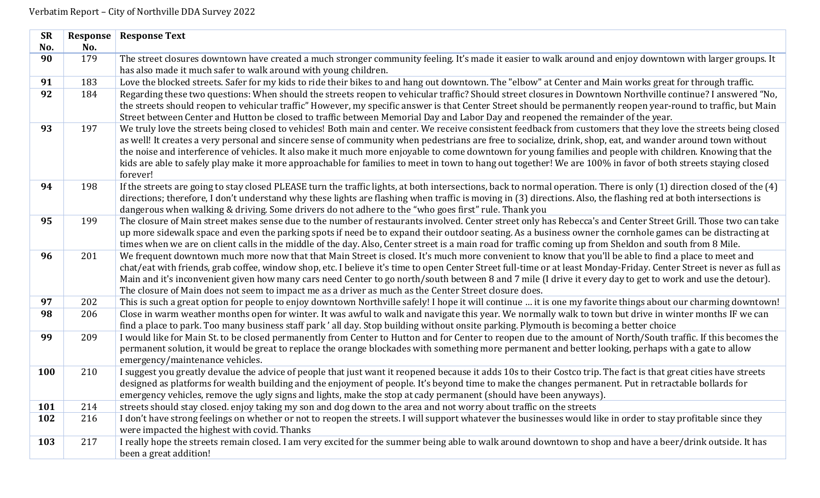| <b>SR</b>  | Response | <b>Response Text</b>                                                                                                                                                                                           |
|------------|----------|----------------------------------------------------------------------------------------------------------------------------------------------------------------------------------------------------------------|
| No.        | No.      |                                                                                                                                                                                                                |
| 90         | 179      | The street closures downtown have created a much stronger community feeling. It's made it easier to walk around and enjoy downtown with larger groups. It                                                      |
|            |          | has also made it much safer to walk around with young children.                                                                                                                                                |
| 91         | 183      | Love the blocked streets. Safer for my kids to ride their bikes to and hang out downtown. The "elbow" at Center and Main works great for through traffic.                                                      |
| 92         | 184      | Regarding these two questions: When should the streets reopen to vehicular traffic? Should street closures in Downtown Northville continue? I answered "No,                                                    |
|            |          | the streets should reopen to vehicular traffic" However, my specific answer is that Center Street should be permanently reopen year-round to traffic, but Main                                                 |
|            |          | Street between Center and Hutton be closed to traffic between Memorial Day and Labor Day and reopened the remainder of the year.                                                                               |
| 93         | 197      | We truly love the streets being closed to vehicles! Both main and center. We receive consistent feedback from customers that they love the streets being closed                                                |
|            |          | as well! It creates a very personal and sincere sense of community when pedestrians are free to socialize, drink, shop, eat, and wander around town without                                                    |
|            |          | the noise and interference of vehicles. It also make it much more enjoyable to come downtown for young families and people with children. Knowing that the                                                     |
|            |          | kids are able to safely play make it more approachable for families to meet in town to hang out together! We are 100% in favor of both streets staying closed                                                  |
|            |          | forever!                                                                                                                                                                                                       |
| 94         | 198      | If the streets are going to stay closed PLEASE turn the traffic lights, at both intersections, back to normal operation. There is only (1) direction closed of the (4)                                         |
|            |          | directions; therefore, I don't understand why these lights are flashing when traffic is moving in (3) directions. Also, the flashing red at both intersections is                                              |
|            |          | dangerous when walking & driving. Some drivers do not adhere to the "who goes first" rule. Thank you                                                                                                           |
| 95         | 199      | The closure of Main street makes sense due to the number of restaurants involved. Center street only has Rebecca's and Center Street Grill. Those two can take                                                 |
|            |          | up more sidewalk space and even the parking spots if need be to expand their outdoor seating. As a business owner the cornhole games can be distracting at                                                     |
|            |          | times when we are on client calls in the middle of the day. Also, Center street is a main road for traffic coming up from Sheldon and south from 8 Mile.                                                       |
| 96         | 201      | We frequent downtown much more now that that Main Street is closed. It's much more convenient to know that you'll be able to find a place to meet and                                                          |
|            |          | chat/eat with friends, grab coffee, window shop, etc. I believe it's time to open Center Street full-time or at least Monday-Friday. Center Street is never as full as                                         |
|            |          | Main and it's inconvenient given how many cars need Center to go north/south between 8 and 7 mile (I drive it every day to get to work and use the detour).                                                    |
|            |          | The closure of Main does not seem to impact me as a driver as much as the Center Street closure does.                                                                                                          |
| 97         | 202      | This is such a great option for people to enjoy downtown Northville safely! I hope it will continue  it is one my favorite things about our charming downtown!                                                 |
| 98         | 206      | Close in warm weather months open for winter. It was awful to walk and navigate this year. We normally walk to town but drive in winter months IF we can                                                       |
|            |          | find a place to park. Too many business staff park'all day. Stop building without onsite parking. Plymouth is becoming a better choice                                                                         |
| 99         | 209      | I would like for Main St. to be closed permanently from Center to Hutton and for Center to reopen due to the amount of North/South traffic. If this becomes the                                                |
|            |          | permanent solution, it would be great to replace the orange blockades with something more permanent and better looking, perhaps with a gate to allow                                                           |
| 100        | 210      | emergency/maintenance vehicles.                                                                                                                                                                                |
|            |          | I suggest you greatly devalue the advice of people that just want it reopened because it adds 10s to their Costco trip. The fact is that great cities have streets                                             |
|            |          | designed as platforms for wealth building and the enjoyment of people. It's beyond time to make the changes permanent. Put in retractable bollards for                                                         |
| <b>101</b> | 214      | emergency vehicles, remove the ugly signs and lights, make the stop at cady permanent (should have been anyways).                                                                                              |
| 102        | 216      | streets should stay closed. enjoy taking my son and dog down to the area and not worry about traffic on the streets                                                                                            |
|            |          | I don't have strong feelings on whether or not to reopen the streets. I will support whatever the businesses would like in order to stay profitable since they<br>were impacted the highest with covid. Thanks |
| 103        | 217      | I really hope the streets remain closed. I am very excited for the summer being able to walk around downtown to shop and have a beer/drink outside. It has                                                     |
|            |          | been a great addition!                                                                                                                                                                                         |
|            |          |                                                                                                                                                                                                                |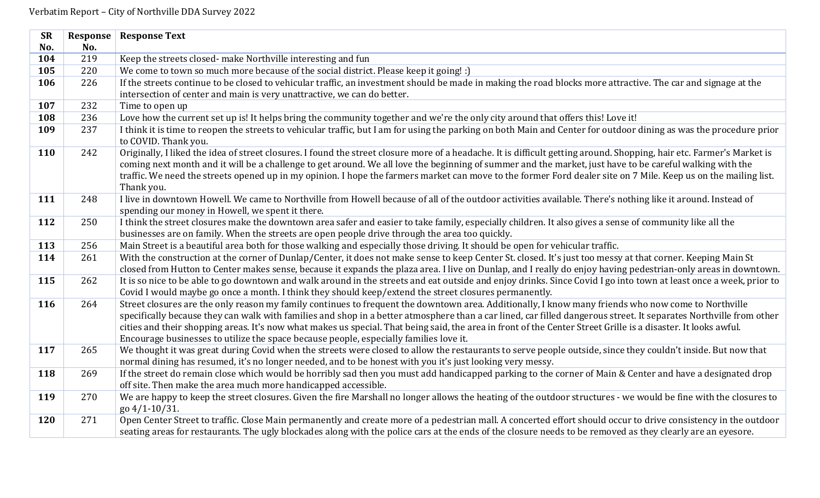| <b>SR</b>  | Response | <b>Response Text</b>                                                                                                                                                                                                                                                                                                                                                                                                                                                                                                                                                                  |
|------------|----------|---------------------------------------------------------------------------------------------------------------------------------------------------------------------------------------------------------------------------------------------------------------------------------------------------------------------------------------------------------------------------------------------------------------------------------------------------------------------------------------------------------------------------------------------------------------------------------------|
| No.        | No.      |                                                                                                                                                                                                                                                                                                                                                                                                                                                                                                                                                                                       |
| 104        | 219      | Keep the streets closed- make Northville interesting and fun                                                                                                                                                                                                                                                                                                                                                                                                                                                                                                                          |
| 105        | 220      | We come to town so much more because of the social district. Please keep it going! :)                                                                                                                                                                                                                                                                                                                                                                                                                                                                                                 |
| 106        | 226      | If the streets continue to be closed to vehicular traffic, an investment should be made in making the road blocks more attractive. The car and signage at the                                                                                                                                                                                                                                                                                                                                                                                                                         |
|            |          | intersection of center and main is very unattractive, we can do better.                                                                                                                                                                                                                                                                                                                                                                                                                                                                                                               |
| 107        | 232      | Time to open up                                                                                                                                                                                                                                                                                                                                                                                                                                                                                                                                                                       |
| 108        | 236      | Love how the current set up is! It helps bring the community together and we're the only city around that offers this! Love it!                                                                                                                                                                                                                                                                                                                                                                                                                                                       |
| 109        | 237      | I think it is time to reopen the streets to vehicular traffic, but I am for using the parking on both Main and Center for outdoor dining as was the procedure prior<br>to COVID. Thank you.                                                                                                                                                                                                                                                                                                                                                                                           |
| 110        | 242      | Originally, I liked the idea of street closures. I found the street closure more of a headache. It is difficult getting around. Shopping, hair etc. Farmer's Market is<br>coming next month and it will be a challenge to get around. We all love the beginning of summer and the market, just have to be careful walking with the<br>traffic. We need the streets opened up in my opinion. I hope the farmers market can move to the former Ford dealer site on 7 Mile. Keep us on the mailing list.<br>Thank you.                                                                   |
| 111        | 248      | I live in downtown Howell. We came to Northville from Howell because of all of the outdoor activities available. There's nothing like it around. Instead of<br>spending our money in Howell, we spent it there.                                                                                                                                                                                                                                                                                                                                                                       |
| 112        | 250      | I think the street closures make the downtown area safer and easier to take family, especially children. It also gives a sense of community like all the<br>businesses are on family. When the streets are open people drive through the area too quickly.                                                                                                                                                                                                                                                                                                                            |
| 113        | 256      | Main Street is a beautiful area both for those walking and especially those driving. It should be open for vehicular traffic.                                                                                                                                                                                                                                                                                                                                                                                                                                                         |
| 114        | 261      | With the construction at the corner of Dunlap/Center, it does not make sense to keep Center St. closed. It's just too messy at that corner. Keeping Main St                                                                                                                                                                                                                                                                                                                                                                                                                           |
|            |          | closed from Hutton to Center makes sense, because it expands the plaza area. I live on Dunlap, and I really do enjoy having pedestrian-only areas in downtown.                                                                                                                                                                                                                                                                                                                                                                                                                        |
| 115        | 262      | It is so nice to be able to go downtown and walk around in the streets and eat outside and enjoy drinks. Since Covid I go into town at least once a week, prior to<br>Covid I would maybe go once a month. I think they should keep/extend the street closures permanently.                                                                                                                                                                                                                                                                                                           |
| 116        | 264      | Street closures are the only reason my family continues to frequent the downtown area. Additionally, I know many friends who now come to Northville<br>specifically because they can walk with families and shop in a better atmosphere than a car lined, car filled dangerous street. It separates Northville from other<br>cities and their shopping areas. It's now what makes us special. That being said, the area in front of the Center Street Grille is a disaster. It looks awful.<br>Encourage businesses to utilize the space because people, especially families love it. |
| 117        | 265      | We thought it was great during Covid when the streets were closed to allow the restaurants to serve people outside, since they couldn't inside. But now that<br>normal dining has resumed, it's no longer needed, and to be honest with you it's just looking very messy.                                                                                                                                                                                                                                                                                                             |
| 118        | 269      | If the street do remain close which would be horribly sad then you must add handicapped parking to the corner of Main & Center and have a designated drop<br>off site. Then make the area much more handicapped accessible.                                                                                                                                                                                                                                                                                                                                                           |
| 119        | 270      | We are happy to keep the street closures. Given the fire Marshall no longer allows the heating of the outdoor structures - we would be fine with the closures to<br>go 4/1-10/31.                                                                                                                                                                                                                                                                                                                                                                                                     |
| <b>120</b> | 271      | Open Center Street to traffic. Close Main permanently and create more of a pedestrian mall. A concerted effort should occur to drive consistency in the outdoor<br>seating areas for restaurants. The ugly blockades along with the police cars at the ends of the closure needs to be removed as they clearly are an eyesore.                                                                                                                                                                                                                                                        |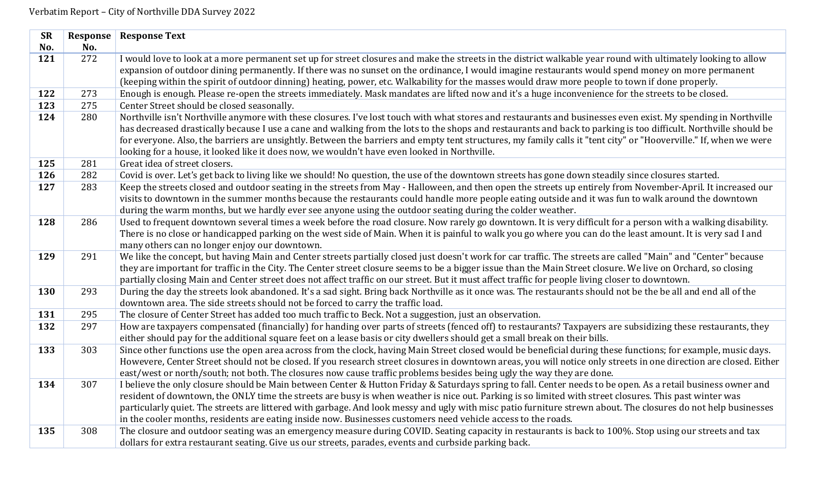| <b>SR</b> | Response | <b>Response Text</b>                                                                                                                                              |
|-----------|----------|-------------------------------------------------------------------------------------------------------------------------------------------------------------------|
| No.       | No.      |                                                                                                                                                                   |
| 121       | 272      | I would love to look at a more permanent set up for street closures and make the streets in the district walkable year round with ultimately looking to allow     |
|           |          | expansion of outdoor dining permanently. If there was no sunset on the ordinance, I would imagine restaurants would spend money on more permanent                 |
|           |          | (keeping within the spirit of outdoor dinning) heating, power, etc. Walkability for the masses would draw more people to town if done properly.                   |
| 122       | 273      | Enough is enough. Please re-open the streets immediately. Mask mandates are lifted now and it's a huge inconvenience for the streets to be closed.                |
| 123       | 275      | Center Street should be closed seasonally.                                                                                                                        |
| 124       | 280      | Northville isn't Northville anymore with these closures. I've lost touch with what stores and restaurants and businesses even exist. My spending in Northville    |
|           |          | has decreased drastically because I use a cane and walking from the lots to the shops and restaurants and back to parking is too difficult. Northville should be  |
|           |          | for everyone. Also, the barriers are unsightly. Between the barriers and empty tent structures, my family calls it "tent city" or "Hooverville." If, when we were |
|           |          | looking for a house, it looked like it does now, we wouldn't have even looked in Northville.                                                                      |
| 125       | 281      | Great idea of street closers.                                                                                                                                     |
| 126       | 282      | Covid is over. Let's get back to living like we should! No question, the use of the downtown streets has gone down steadily since closures started.               |
| 127       | 283      | Keep the streets closed and outdoor seating in the streets from May - Halloween, and then open the streets up entirely from November-April. It increased our      |
|           |          | visits to downtown in the summer months because the restaurants could handle more people eating outside and it was fun to walk around the downtown                |
|           |          | during the warm months, but we hardly ever see anyone using the outdoor seating during the colder weather.                                                        |
| 128       | 286      | Used to frequent downtown several times a week before the road closure. Now rarely go downtown. It is very difficult for a person with a walking disability.      |
|           |          | There is no close or handicapped parking on the west side of Main. When it is painful to walk you go where you can do the least amount. It is very sad I and      |
|           |          | many others can no longer enjoy our downtown.                                                                                                                     |
| 129       | 291      | We like the concept, but having Main and Center streets partially closed just doesn't work for car traffic. The streets are called "Main" and "Center" because    |
|           |          | they are important for traffic in the City. The Center street closure seems to be a bigger issue than the Main Street closure. We live on Orchard, so closing     |
|           |          | partially closing Main and Center street does not affect traffic on our street. But it must affect traffic for people living closer to downtown.                  |
| 130       | 293      | During the day the streets look abandoned. It's a sad sight. Bring back Northville as it once was. The restaurants should not be the be all and end all of the    |
|           |          | downtown area. The side streets should not be forced to carry the traffic load.                                                                                   |
| 131       | 295      | The closure of Center Street has added too much traffic to Beck. Not a suggestion, just an observation.                                                           |
| 132       | 297      | How are taxpayers compensated (financially) for handing over parts of streets (fenced off) to restaurants? Taxpayers are subsidizing these restaurants, they      |
|           |          | either should pay for the additional square feet on a lease basis or city dwellers should get a small break on their bills.                                       |
| 133       | 303      | Since other functions use the open area across from the clock, having Main Street closed would be beneficial during these functions; for example, music days.     |
|           |          | Howevere, Center Street should not be closed. If you research street closures in downtown areas, you will notice only streets in one direction are closed. Either |
|           |          | east/west or north/south; not both. The closures now cause traffic problems besides being ugly the way they are done.                                             |
| 134       | 307      | I believe the only closure should be Main between Center & Hutton Friday & Saturdays spring to fall. Center needs to be open. As a retail business owner and      |
|           |          | resident of downtown, the ONLY time the streets are busy is when weather is nice out. Parking is so limited with street closures. This past winter was            |
|           |          | particularly quiet. The streets are littered with garbage. And look messy and ugly with misc patio furniture strewn about. The closures do not help businesses    |
|           |          | in the cooler months, residents are eating inside now. Businesses customers need vehicle access to the roads.                                                     |
| 135       | 308      | The closure and outdoor seating was an emergency measure during COVID. Seating capacity in restaurants is back to 100%. Stop using our streets and tax            |
|           |          | dollars for extra restaurant seating. Give us our streets, parades, events and curbside parking back.                                                             |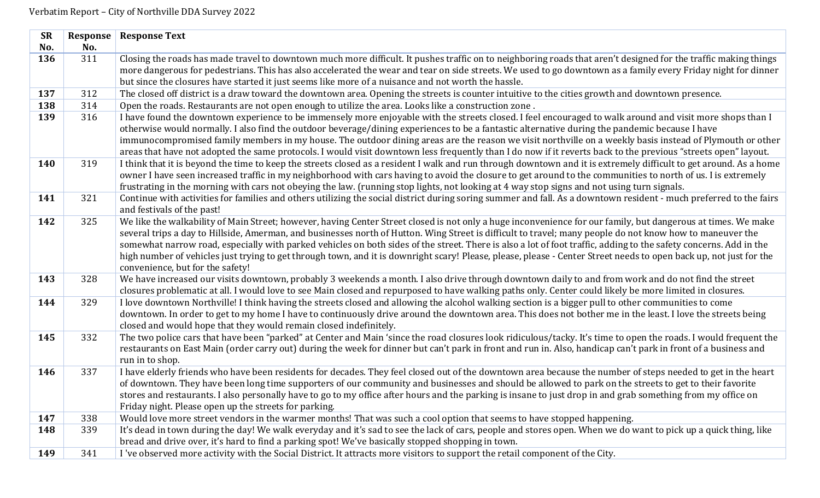| <b>SR</b> | Response | <b>Response Text</b>                                                                                                                                               |
|-----------|----------|--------------------------------------------------------------------------------------------------------------------------------------------------------------------|
| No.       | No.      |                                                                                                                                                                    |
| 136       | 311      | Closing the roads has made travel to downtown much more difficult. It pushes traffic on to neighboring roads that aren't designed for the traffic making things    |
|           |          | more dangerous for pedestrians. This has also accelerated the wear and tear on side streets. We used to go downtown as a family every Friday night for dinner      |
|           |          | but since the closures have started it just seems like more of a nuisance and not worth the hassle.                                                                |
| 137       | 312      | The closed off district is a draw toward the downtown area. Opening the streets is counter intuitive to the cities growth and downtown presence.                   |
| 138       | 314      | Open the roads. Restaurants are not open enough to utilize the area. Looks like a construction zone.                                                               |
| 139       | 316      | I have found the downtown experience to be immensely more enjoyable with the streets closed. I feel encouraged to walk around and visit more shops than I          |
|           |          | otherwise would normally. I also find the outdoor beverage/dining experiences to be a fantastic alternative during the pandemic because I have                     |
|           |          | immunocompromised family members in my house. The outdoor dining areas are the reason we visit northville on a weekly basis instead of Plymouth or other           |
|           |          | areas that have not adopted the same protocols. I would visit downtown less frequently than I do now if it reverts back to the previous "streets open" layout.     |
| 140       | 319      | I think that it is beyond the time to keep the streets closed as a resident I walk and run through downtown and it is extremely difficult to get around. As a home |
|           |          | owner I have seen increased traffic in my neighborhood with cars having to avoid the closure to get around to the communities to north of us. I is extremely       |
|           |          | frustrating in the morning with cars not obeying the law. (running stop lights, not looking at 4 way stop signs and not using turn signals.                        |
| 141       | 321      | Continue with activities for families and others utilizing the social district during soring summer and fall. As a downtown resident - much preferred to the fairs |
|           |          | and festivals of the past!                                                                                                                                         |
| 142       | 325      | We like the walkability of Main Street; however, having Center Street closed is not only a huge inconvenience for our family, but dangerous at times. We make      |
|           |          | several trips a day to Hillside, Amerman, and businesses north of Hutton. Wing Street is difficult to travel; many people do not know how to maneuver the          |
|           |          | somewhat narrow road, especially with parked vehicles on both sides of the street. There is also a lot of foot traffic, adding to the safety concerns. Add in the  |
|           |          | high number of vehicles just trying to get through town, and it is downright scary! Please, please, please - Center Street needs to open back up, not just for the |
|           |          | convenience, but for the safety!                                                                                                                                   |
| 143       | 328      | We have increased our visits downtown, probably 3 weekends a month. I also drive through downtown daily to and from work and do not find the street                |
|           |          | closures problematic at all. I would love to see Main closed and repurposed to have walking paths only. Center could likely be more limited in closures.           |
| 144       | 329      | I love downtown Northville! I think having the streets closed and allowing the alcohol walking section is a bigger pull to other communities to come               |
|           |          | downtown. In order to get to my home I have to continuously drive around the downtown area. This does not bother me in the least. I love the streets being         |
|           |          | closed and would hope that they would remain closed indefinitely.                                                                                                  |
| 145       | 332      | The two police cars that have been "parked" at Center and Main 'since the road closures look ridiculous/tacky. It's time to open the roads. I would frequent the   |
|           |          | restaurants on East Main (order carry out) during the week for dinner but can't park in front and run in. Also, handicap can't park in front of a business and     |
|           |          | run in to shop.                                                                                                                                                    |
| 146       | 337      | I have elderly friends who have been residents for decades. They feel closed out of the downtown area because the number of steps needed to get in the heart       |
|           |          | of downtown. They have been long time supporters of our community and businesses and should be allowed to park on the streets to get to their favorite             |
|           |          | stores and restaurants. I also personally have to go to my office after hours and the parking is insane to just drop in and grab something from my office on       |
|           |          | Friday night. Please open up the streets for parking.                                                                                                              |
| 147       | 338      | Would love more street vendors in the warmer months! That was such a cool option that seems to have stopped happening.                                             |
| 148       | 339      | It's dead in town during the day! We walk everyday and it's sad to see the lack of cars, people and stores open. When we do want to pick up a quick thing, like    |
|           |          | bread and drive over, it's hard to find a parking spot! We've basically stopped shopping in town.                                                                  |
| 149       | 341      | I 've observed more activity with the Social District. It attracts more visitors to support the retail component of the City.                                      |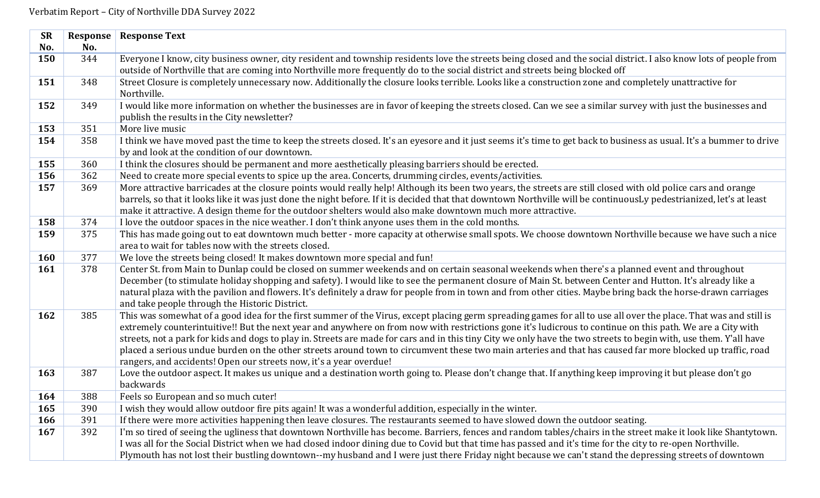| <b>SR</b>                              | Response                               | <b>Response Text</b>                                                                                                                                                                                                                                                                                                                                                                                                                                                                                                                                                                                                                                                                                                                                                                                                                                                                                                                                                                                                                                                                                                                                                                                                                                                                                                                                                                                                                                                                                                                                                                                                                                                                            |
|----------------------------------------|----------------------------------------|-------------------------------------------------------------------------------------------------------------------------------------------------------------------------------------------------------------------------------------------------------------------------------------------------------------------------------------------------------------------------------------------------------------------------------------------------------------------------------------------------------------------------------------------------------------------------------------------------------------------------------------------------------------------------------------------------------------------------------------------------------------------------------------------------------------------------------------------------------------------------------------------------------------------------------------------------------------------------------------------------------------------------------------------------------------------------------------------------------------------------------------------------------------------------------------------------------------------------------------------------------------------------------------------------------------------------------------------------------------------------------------------------------------------------------------------------------------------------------------------------------------------------------------------------------------------------------------------------------------------------------------------------------------------------------------------------|
| No.                                    | No.                                    |                                                                                                                                                                                                                                                                                                                                                                                                                                                                                                                                                                                                                                                                                                                                                                                                                                                                                                                                                                                                                                                                                                                                                                                                                                                                                                                                                                                                                                                                                                                                                                                                                                                                                                 |
| 150                                    | 344                                    | Everyone I know, city business owner, city resident and township residents love the streets being closed and the social district. I also know lots of people from                                                                                                                                                                                                                                                                                                                                                                                                                                                                                                                                                                                                                                                                                                                                                                                                                                                                                                                                                                                                                                                                                                                                                                                                                                                                                                                                                                                                                                                                                                                               |
|                                        |                                        | outside of Northville that are coming into Northville more frequently do to the social district and streets being blocked off                                                                                                                                                                                                                                                                                                                                                                                                                                                                                                                                                                                                                                                                                                                                                                                                                                                                                                                                                                                                                                                                                                                                                                                                                                                                                                                                                                                                                                                                                                                                                                   |
| 151                                    | 348                                    | Street Closure is completely unnecessary now. Additionally the closure looks terrible. Looks like a construction zone and completely unattractive for                                                                                                                                                                                                                                                                                                                                                                                                                                                                                                                                                                                                                                                                                                                                                                                                                                                                                                                                                                                                                                                                                                                                                                                                                                                                                                                                                                                                                                                                                                                                           |
|                                        |                                        | Northville.                                                                                                                                                                                                                                                                                                                                                                                                                                                                                                                                                                                                                                                                                                                                                                                                                                                                                                                                                                                                                                                                                                                                                                                                                                                                                                                                                                                                                                                                                                                                                                                                                                                                                     |
| 152                                    | 349                                    | I would like more information on whether the businesses are in favor of keeping the streets closed. Can we see a similar survey with just the businesses and                                                                                                                                                                                                                                                                                                                                                                                                                                                                                                                                                                                                                                                                                                                                                                                                                                                                                                                                                                                                                                                                                                                                                                                                                                                                                                                                                                                                                                                                                                                                    |
|                                        |                                        | publish the results in the City newsletter?                                                                                                                                                                                                                                                                                                                                                                                                                                                                                                                                                                                                                                                                                                                                                                                                                                                                                                                                                                                                                                                                                                                                                                                                                                                                                                                                                                                                                                                                                                                                                                                                                                                     |
| 153                                    | 351                                    | More live music                                                                                                                                                                                                                                                                                                                                                                                                                                                                                                                                                                                                                                                                                                                                                                                                                                                                                                                                                                                                                                                                                                                                                                                                                                                                                                                                                                                                                                                                                                                                                                                                                                                                                 |
| 154                                    | 358                                    | I think we have moved past the time to keep the streets closed. It's an eyesore and it just seems it's time to get back to business as usual. It's a bummer to drive<br>by and look at the condition of our downtown.                                                                                                                                                                                                                                                                                                                                                                                                                                                                                                                                                                                                                                                                                                                                                                                                                                                                                                                                                                                                                                                                                                                                                                                                                                                                                                                                                                                                                                                                           |
| 155                                    | 360                                    | I think the closures should be permanent and more aesthetically pleasing barriers should be erected.                                                                                                                                                                                                                                                                                                                                                                                                                                                                                                                                                                                                                                                                                                                                                                                                                                                                                                                                                                                                                                                                                                                                                                                                                                                                                                                                                                                                                                                                                                                                                                                            |
| 156                                    | 362                                    | Need to create more special events to spice up the area. Concerts, drumming circles, events/activities.                                                                                                                                                                                                                                                                                                                                                                                                                                                                                                                                                                                                                                                                                                                                                                                                                                                                                                                                                                                                                                                                                                                                                                                                                                                                                                                                                                                                                                                                                                                                                                                         |
| 157                                    | 369                                    | More attractive barricades at the closure points would really help! Although its been two years, the streets are still closed with old police cars and orange                                                                                                                                                                                                                                                                                                                                                                                                                                                                                                                                                                                                                                                                                                                                                                                                                                                                                                                                                                                                                                                                                                                                                                                                                                                                                                                                                                                                                                                                                                                                   |
|                                        |                                        | barrels, so that it looks like it was just done the night before. If it is decided that that downtown Northville will be continuousLy pedestrianized, let's at least                                                                                                                                                                                                                                                                                                                                                                                                                                                                                                                                                                                                                                                                                                                                                                                                                                                                                                                                                                                                                                                                                                                                                                                                                                                                                                                                                                                                                                                                                                                            |
|                                        |                                        | make it attractive. A design theme for the outdoor shelters would also make downtown much more attractive.                                                                                                                                                                                                                                                                                                                                                                                                                                                                                                                                                                                                                                                                                                                                                                                                                                                                                                                                                                                                                                                                                                                                                                                                                                                                                                                                                                                                                                                                                                                                                                                      |
| 158                                    | 374                                    | I love the outdoor spaces in the nice weather. I don't think anyone uses them in the cold months.                                                                                                                                                                                                                                                                                                                                                                                                                                                                                                                                                                                                                                                                                                                                                                                                                                                                                                                                                                                                                                                                                                                                                                                                                                                                                                                                                                                                                                                                                                                                                                                               |
| 159                                    | 375                                    | This has made going out to eat downtown much better - more capacity at otherwise small spots. We choose downtown Northville because we have such a nice                                                                                                                                                                                                                                                                                                                                                                                                                                                                                                                                                                                                                                                                                                                                                                                                                                                                                                                                                                                                                                                                                                                                                                                                                                                                                                                                                                                                                                                                                                                                         |
|                                        |                                        | area to wait for tables now with the streets closed.                                                                                                                                                                                                                                                                                                                                                                                                                                                                                                                                                                                                                                                                                                                                                                                                                                                                                                                                                                                                                                                                                                                                                                                                                                                                                                                                                                                                                                                                                                                                                                                                                                            |
| <b>160</b>                             | 377                                    | We love the streets being closed! It makes downtown more special and fun!                                                                                                                                                                                                                                                                                                                                                                                                                                                                                                                                                                                                                                                                                                                                                                                                                                                                                                                                                                                                                                                                                                                                                                                                                                                                                                                                                                                                                                                                                                                                                                                                                       |
| 161                                    | 378                                    | Center St. from Main to Dunlap could be closed on summer weekends and on certain seasonal weekends when there's a planned event and throughout                                                                                                                                                                                                                                                                                                                                                                                                                                                                                                                                                                                                                                                                                                                                                                                                                                                                                                                                                                                                                                                                                                                                                                                                                                                                                                                                                                                                                                                                                                                                                  |
|                                        |                                        | December (to stimulate holiday shopping and safety). I would like to see the permanent closure of Main St. between Center and Hutton. It's already like a                                                                                                                                                                                                                                                                                                                                                                                                                                                                                                                                                                                                                                                                                                                                                                                                                                                                                                                                                                                                                                                                                                                                                                                                                                                                                                                                                                                                                                                                                                                                       |
|                                        |                                        | natural plaza with the pavilion and flowers. It's definitely a draw for people from in town and from other cities. Maybe bring back the horse-drawn carriages                                                                                                                                                                                                                                                                                                                                                                                                                                                                                                                                                                                                                                                                                                                                                                                                                                                                                                                                                                                                                                                                                                                                                                                                                                                                                                                                                                                                                                                                                                                                   |
|                                        |                                        | and take people through the Historic District.                                                                                                                                                                                                                                                                                                                                                                                                                                                                                                                                                                                                                                                                                                                                                                                                                                                                                                                                                                                                                                                                                                                                                                                                                                                                                                                                                                                                                                                                                                                                                                                                                                                  |
|                                        |                                        |                                                                                                                                                                                                                                                                                                                                                                                                                                                                                                                                                                                                                                                                                                                                                                                                                                                                                                                                                                                                                                                                                                                                                                                                                                                                                                                                                                                                                                                                                                                                                                                                                                                                                                 |
|                                        |                                        |                                                                                                                                                                                                                                                                                                                                                                                                                                                                                                                                                                                                                                                                                                                                                                                                                                                                                                                                                                                                                                                                                                                                                                                                                                                                                                                                                                                                                                                                                                                                                                                                                                                                                                 |
|                                        |                                        |                                                                                                                                                                                                                                                                                                                                                                                                                                                                                                                                                                                                                                                                                                                                                                                                                                                                                                                                                                                                                                                                                                                                                                                                                                                                                                                                                                                                                                                                                                                                                                                                                                                                                                 |
|                                        |                                        |                                                                                                                                                                                                                                                                                                                                                                                                                                                                                                                                                                                                                                                                                                                                                                                                                                                                                                                                                                                                                                                                                                                                                                                                                                                                                                                                                                                                                                                                                                                                                                                                                                                                                                 |
|                                        |                                        |                                                                                                                                                                                                                                                                                                                                                                                                                                                                                                                                                                                                                                                                                                                                                                                                                                                                                                                                                                                                                                                                                                                                                                                                                                                                                                                                                                                                                                                                                                                                                                                                                                                                                                 |
|                                        |                                        |                                                                                                                                                                                                                                                                                                                                                                                                                                                                                                                                                                                                                                                                                                                                                                                                                                                                                                                                                                                                                                                                                                                                                                                                                                                                                                                                                                                                                                                                                                                                                                                                                                                                                                 |
|                                        |                                        |                                                                                                                                                                                                                                                                                                                                                                                                                                                                                                                                                                                                                                                                                                                                                                                                                                                                                                                                                                                                                                                                                                                                                                                                                                                                                                                                                                                                                                                                                                                                                                                                                                                                                                 |
|                                        |                                        |                                                                                                                                                                                                                                                                                                                                                                                                                                                                                                                                                                                                                                                                                                                                                                                                                                                                                                                                                                                                                                                                                                                                                                                                                                                                                                                                                                                                                                                                                                                                                                                                                                                                                                 |
|                                        |                                        |                                                                                                                                                                                                                                                                                                                                                                                                                                                                                                                                                                                                                                                                                                                                                                                                                                                                                                                                                                                                                                                                                                                                                                                                                                                                                                                                                                                                                                                                                                                                                                                                                                                                                                 |
|                                        |                                        |                                                                                                                                                                                                                                                                                                                                                                                                                                                                                                                                                                                                                                                                                                                                                                                                                                                                                                                                                                                                                                                                                                                                                                                                                                                                                                                                                                                                                                                                                                                                                                                                                                                                                                 |
|                                        |                                        |                                                                                                                                                                                                                                                                                                                                                                                                                                                                                                                                                                                                                                                                                                                                                                                                                                                                                                                                                                                                                                                                                                                                                                                                                                                                                                                                                                                                                                                                                                                                                                                                                                                                                                 |
|                                        |                                        |                                                                                                                                                                                                                                                                                                                                                                                                                                                                                                                                                                                                                                                                                                                                                                                                                                                                                                                                                                                                                                                                                                                                                                                                                                                                                                                                                                                                                                                                                                                                                                                                                                                                                                 |
| 162<br>163<br>164<br>165<br>166<br>167 | 385<br>387<br>388<br>390<br>391<br>392 | This was somewhat of a good idea for the first summer of the Virus, except placing germ spreading games for all to use all over the place. That was and still is<br>extremely counterintuitive!! But the next year and anywhere on from now with restrictions gone it's ludicrous to continue on this path. We are a City with<br>streets, not a park for kids and dogs to play in. Streets are made for cars and in this tiny City we only have the two streets to begin with, use them. Y'all have<br>placed a serious undue burden on the other streets around town to circumvent these two main arteries and that has caused far more blocked up traffic, road<br>rangers, and accidents! Open our streets now, it's a year overdue!<br>Love the outdoor aspect. It makes us unique and a destination worth going to. Please don't change that. If anything keep improving it but please don't go<br>backwards<br>Feels so European and so much cuter!<br>I wish they would allow outdoor fire pits again! It was a wonderful addition, especially in the winter.<br>If there were more activities happening then leave closures. The restaurants seemed to have slowed down the outdoor seating.<br>I'm so tired of seeing the ugliness that downtown Northville has become. Barriers, fences and random tables/chairs in the street make it look like Shantytown.<br>I was all for the Social District when we had closed indoor dining due to Covid but that time has passed and it's time for the city to re-open Northville.<br>Plymouth has not lost their bustling downtown--my husband and I were just there Friday night because we can't stand the depressing streets of downtown |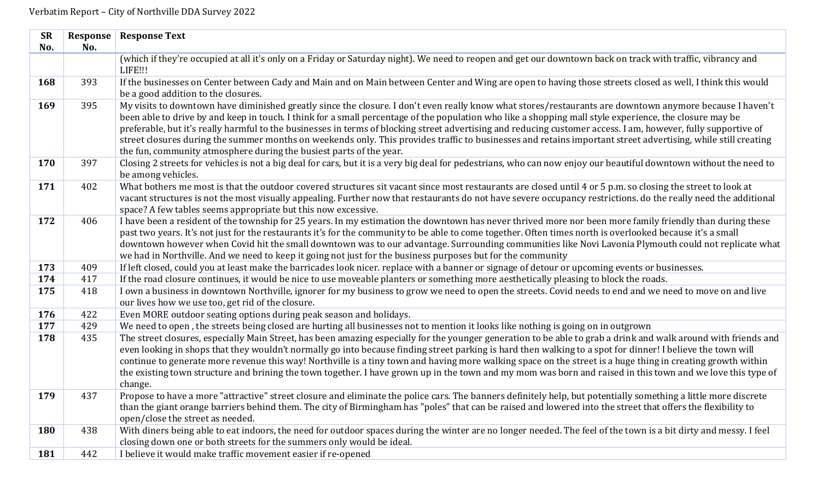| <b>SR</b>  | Response | <b>Response Text</b>                                                                                                                                                                                                                                                                                                                                                                                                                                                                                                                                                                                                                                                                                                          |
|------------|----------|-------------------------------------------------------------------------------------------------------------------------------------------------------------------------------------------------------------------------------------------------------------------------------------------------------------------------------------------------------------------------------------------------------------------------------------------------------------------------------------------------------------------------------------------------------------------------------------------------------------------------------------------------------------------------------------------------------------------------------|
| No.        | No.      |                                                                                                                                                                                                                                                                                                                                                                                                                                                                                                                                                                                                                                                                                                                               |
|            |          | (which if they're occupied at all it's only on a Friday or Saturday night). We need to reopen and get our downtown back on track with traffic, vibrancy and<br>LIFE!!!                                                                                                                                                                                                                                                                                                                                                                                                                                                                                                                                                        |
| 168        | 393      | If the businesses on Center between Cady and Main and on Main between Center and Wing are open to having those streets closed as well, I think this would                                                                                                                                                                                                                                                                                                                                                                                                                                                                                                                                                                     |
|            |          | be a good addition to the closures.                                                                                                                                                                                                                                                                                                                                                                                                                                                                                                                                                                                                                                                                                           |
| 169        | 395      | My visits to downtown have diminished greatly since the closure. I don't even really know what stores/restaurants are downtown anymore because I haven't<br>been able to drive by and keep in touch. I think for a small percentage of the population who like a shopping mall style experience, the closure may be<br>preferable, but it's really harmful to the businesses in terms of blocking street advertising and reducing customer access. I am, however, fully supportive of<br>street closures during the summer months on weekends only. This provides traffic to businesses and retains important street advertising, while still creating<br>the fun, community atmosphere during the busiest parts of the year. |
| 170        | 397      | Closing 2 streets for vehicles is not a big deal for cars, but it is a very big deal for pedestrians, who can now enjoy our beautiful downtown without the need to<br>be among vehicles.                                                                                                                                                                                                                                                                                                                                                                                                                                                                                                                                      |
| 171        | 402      | What bothers me most is that the outdoor covered structures sit vacant since most restaurants are closed until 4 or 5 p.m. so closing the street to look at<br>vacant structures is not the most visually appealing. Further now that restaurants do not have severe occupancy restrictions. do the really need the additional<br>space? A few tables seems appropriate but this now excessive.                                                                                                                                                                                                                                                                                                                               |
| 172        | 406      | I have been a resident of the township for 25 years. In my estimation the downtown has never thrived more nor been more family friendly than during these<br>past two years. It's not just for the restaurants it's for the community to be able to come together. Often times north is overlooked because it's a small<br>downtown however when Covid hit the small downtown was to our advantage. Surrounding communities like Novi Lavonia Plymouth could not replicate what<br>we had in Northville. And we need to keep it going not just for the business purposes but for the community                                                                                                                                |
| 173        | 409      | If left closed, could you at least make the barricades look nicer. replace with a banner or signage of detour or upcoming events or businesses.                                                                                                                                                                                                                                                                                                                                                                                                                                                                                                                                                                               |
| 174        | 417      | If the road closure continues, it would be nice to use moveable planters or something more aesthetically pleasing to block the roads.                                                                                                                                                                                                                                                                                                                                                                                                                                                                                                                                                                                         |
| 175        | 418      | I own a business in downtown Northville, ignorer for my business to grow we need to open the streets. Covid needs to end and we need to move on and live<br>our lives how we use too, get rid of the closure.                                                                                                                                                                                                                                                                                                                                                                                                                                                                                                                 |
| 176        | 422      | Even MORE outdoor seating options during peak season and holidays.                                                                                                                                                                                                                                                                                                                                                                                                                                                                                                                                                                                                                                                            |
| 177        | 429      | We need to open, the streets being closed are hurting all businesses not to mention it looks like nothing is going on in outgrown                                                                                                                                                                                                                                                                                                                                                                                                                                                                                                                                                                                             |
| 178        | 435      | The street closures, especially Main Street, has been amazing especially for the younger generation to be able to grab a drink and walk around with friends and<br>even looking in shops that they wouldn't normally go into because finding street parking is hard then walking to a spot for dinner! I believe the town will<br>continue to generate more revenue this way! Northville is a tiny town and having more walking space on the street is a huge thing in creating growth within<br>the existing town structure and brining the town together. I have grown up in the town and my mom was born and raised in this town and we love this type of<br>change.                                                       |
| 179        | 437      | Propose to have a more "attractive" street closure and eliminate the police cars. The banners definitely help, but potentially something a little more discrete<br>than the giant orange barriers behind them. The city of Birmingham has "poles" that can be raised and lowered into the street that offers the flexibility to<br>open/close the street as needed.                                                                                                                                                                                                                                                                                                                                                           |
| <b>180</b> | 438      | With diners being able to eat indoors, the need for outdoor spaces during the winter are no longer needed. The feel of the town is a bit dirty and messy. I feel<br>closing down one or both streets for the summers only would be ideal.                                                                                                                                                                                                                                                                                                                                                                                                                                                                                     |
| 181        | 442      | I believe it would make traffic movement easier if re-opened                                                                                                                                                                                                                                                                                                                                                                                                                                                                                                                                                                                                                                                                  |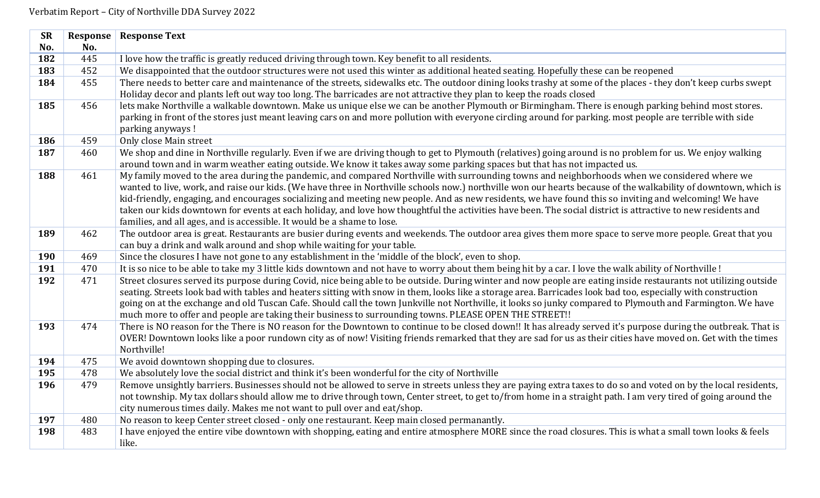| <b>SR</b> | Response | <b>Response Text</b>                                                                                                                                                                                                                                                                  |
|-----------|----------|---------------------------------------------------------------------------------------------------------------------------------------------------------------------------------------------------------------------------------------------------------------------------------------|
| No.       | No.      |                                                                                                                                                                                                                                                                                       |
| 182       | 445      | I love how the traffic is greatly reduced driving through town. Key benefit to all residents.                                                                                                                                                                                         |
| 183       | 452      | We disappointed that the outdoor structures were not used this winter as additional heated seating. Hopefully these can be reopened                                                                                                                                                   |
| 184       | 455      | There needs to better care and maintenance of the streets, sidewalks etc. The outdoor dining looks trashy at some of the places - they don't keep curbs swept                                                                                                                         |
|           |          | Holiday decor and plants left out way too long. The barricades are not attractive they plan to keep the roads closed                                                                                                                                                                  |
| 185       | 456      | lets make Northville a walkable downtown. Make us unique else we can be another Plymouth or Birmingham. There is enough parking behind most stores.                                                                                                                                   |
|           |          | parking in front of the stores just meant leaving cars on and more pollution with everyone circling around for parking. most people are terrible with side                                                                                                                            |
|           |          | parking anyways !                                                                                                                                                                                                                                                                     |
| 186       | 459      | Only close Main street                                                                                                                                                                                                                                                                |
| 187       | 460      | We shop and dine in Northville regularly. Even if we are driving though to get to Plymouth (relatives) going around is no problem for us. We enjoy walking<br>around town and in warm weather eating outside. We know it takes away some parking spaces but that has not impacted us. |
| 188       | 461      | My family moved to the area during the pandemic, and compared Northville with surrounding towns and neighborhoods when we considered where we                                                                                                                                         |
|           |          | wanted to live, work, and raise our kids. (We have three in Northville schools now.) northville won our hearts because of the walkability of downtown, which is                                                                                                                       |
|           |          | kid-friendly, engaging, and encourages socializing and meeting new people. And as new residents, we have found this so inviting and welcoming! We have                                                                                                                                |
|           |          | taken our kids downtown for events at each holiday, and love how thoughtful the activities have been. The social district is attractive to new residents and                                                                                                                          |
|           |          | families, and all ages, and is accessible. It would be a shame to lose.                                                                                                                                                                                                               |
| 189       | 462      | The outdoor area is great. Restaurants are busier during events and weekends. The outdoor area gives them more space to serve more people. Great that you                                                                                                                             |
|           |          | can buy a drink and walk around and shop while waiting for your table.                                                                                                                                                                                                                |
| 190       | 469      | Since the closures I have not gone to any establishment in the 'middle of the block', even to shop.                                                                                                                                                                                   |
| 191       | 470      | It is so nice to be able to take my 3 little kids downtown and not have to worry about them being hit by a car. I love the walk ability of Northville!                                                                                                                                |
| 192       | 471      | Street closures served its purpose during Covid, nice being able to be outside. During winter and now people are eating inside restaurants not utilizing outside                                                                                                                      |
|           |          | seating. Streets look bad with tables and heaters sitting with snow in them, looks like a storage area. Barricades look bad too, especially with construction                                                                                                                         |
|           |          | going on at the exchange and old Tuscan Cafe. Should call the town Junkville not Northville, it looks so junky compared to Plymouth and Farmington. We have                                                                                                                           |
|           |          | much more to offer and people are taking their business to surrounding towns. PLEASE OPEN THE STREET!!                                                                                                                                                                                |
| 193       | 474      | There is NO reason for the There is NO reason for the Downtown to continue to be closed down!! It has already served it's purpose during the outbreak. That is                                                                                                                        |
|           |          | OVER! Downtown looks like a poor rundown city as of now! Visiting friends remarked that they are sad for us as their cities have moved on. Get with the times                                                                                                                         |
|           |          | Northville!                                                                                                                                                                                                                                                                           |
| 194       | 475      | We avoid downtown shopping due to closures.                                                                                                                                                                                                                                           |
| 195       | 478      | We absolutely love the social district and think it's been wonderful for the city of Northville                                                                                                                                                                                       |
| 196       | 479      | Remove unsightly barriers. Businesses should not be allowed to serve in streets unless they are paying extra taxes to do so and voted on by the local residents,                                                                                                                      |
|           |          | not township. My tax dollars should allow me to drive through town, Center street, to get to/from home in a straight path. I am very tired of going around the                                                                                                                        |
|           |          | city numerous times daily. Makes me not want to pull over and eat/shop.                                                                                                                                                                                                               |
| 197       | 480      | No reason to keep Center street closed - only one restaurant. Keep main closed permanantly.                                                                                                                                                                                           |
| 198       | 483      | I have enjoyed the entire vibe downtown with shopping, eating and entire atmosphere MORE since the road closures. This is what a small town looks & feels                                                                                                                             |
|           |          | like.                                                                                                                                                                                                                                                                                 |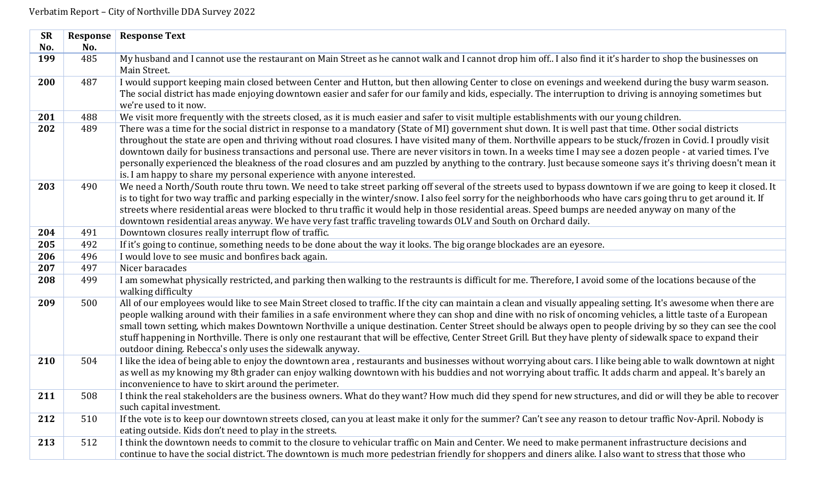| <b>SR</b> | Response | <b>Response Text</b>                                                                                                                                                                                                                                                                                                                                                                                                                                                                                                                                                                                                                                                                                                                    |
|-----------|----------|-----------------------------------------------------------------------------------------------------------------------------------------------------------------------------------------------------------------------------------------------------------------------------------------------------------------------------------------------------------------------------------------------------------------------------------------------------------------------------------------------------------------------------------------------------------------------------------------------------------------------------------------------------------------------------------------------------------------------------------------|
| No.       | No.      |                                                                                                                                                                                                                                                                                                                                                                                                                                                                                                                                                                                                                                                                                                                                         |
| 199       | 485      | My husband and I cannot use the restaurant on Main Street as he cannot walk and I cannot drop him off I also find it it's harder to shop the businesses on<br>Main Street.                                                                                                                                                                                                                                                                                                                                                                                                                                                                                                                                                              |
| 200       | 487      | I would support keeping main closed between Center and Hutton, but then allowing Center to close on evenings and weekend during the busy warm season.                                                                                                                                                                                                                                                                                                                                                                                                                                                                                                                                                                                   |
|           |          | The social district has made enjoying downtown easier and safer for our family and kids, especially. The interruption to driving is annoying sometimes but<br>we're used to it now.                                                                                                                                                                                                                                                                                                                                                                                                                                                                                                                                                     |
| 201       | 488      | We visit more frequently with the streets closed, as it is much easier and safer to visit multiple establishments with our young children.                                                                                                                                                                                                                                                                                                                                                                                                                                                                                                                                                                                              |
| 202       | 489      | There was a time for the social district in response to a mandatory (State of MI) government shut down. It is well past that time. Other social districts<br>throughout the state are open and thriving without road closures. I have visited many of them. Northville appears to be stuck/frozen in Covid. I proudly visit<br>downtown daily for business transactions and personal use. There are never visitors in town. In a weeks time I may see a dozen people - at varied times. I've<br>personally experienced the bleakness of the road closures and am puzzled by anything to the contrary. Just because someone says it's thriving doesn't mean it<br>is. I am happy to share my personal experience with anyone interested. |
| 203       | 490      | We need a North/South route thru town. We need to take street parking off several of the streets used to bypass downtown if we are going to keep it closed. It<br>is to tight for two way traffic and parking especially in the winter/snow. I also feel sorry for the neighborhoods who have cars going thru to get around it. If<br>streets where residential areas were blocked to thru traffic it would help in those residential areas. Speed bumps are needed anyway on many of the<br>downtown residential areas anyway. We have very fast traffic traveling towards OLV and South on Orchard daily.                                                                                                                             |
| 204       | 491      | Downtown closures really interrupt flow of traffic.                                                                                                                                                                                                                                                                                                                                                                                                                                                                                                                                                                                                                                                                                     |
| 205       | 492      | If it's going to continue, something needs to be done about the way it looks. The big orange blockades are an eyesore.                                                                                                                                                                                                                                                                                                                                                                                                                                                                                                                                                                                                                  |
| 206       | 496      | I would love to see music and bonfires back again.                                                                                                                                                                                                                                                                                                                                                                                                                                                                                                                                                                                                                                                                                      |
| 207       | 497      | Nicer baracades                                                                                                                                                                                                                                                                                                                                                                                                                                                                                                                                                                                                                                                                                                                         |
| 208       | 499      | I am somewhat physically restricted, and parking then walking to the restraunts is difficult for me. Therefore, I avoid some of the locations because of the<br>walking difficulty                                                                                                                                                                                                                                                                                                                                                                                                                                                                                                                                                      |
| 209       | 500      | All of our employees would like to see Main Street closed to traffic. If the city can maintain a clean and visually appealing setting. It's awesome when there are<br>people walking around with their families in a safe environment where they can shop and dine with no risk of oncoming vehicles, a little taste of a European<br>small town setting, which makes Downtown Northville a unique destination. Center Street should be always open to people driving by so they can see the cool<br>stuff happening in Northville. There is only one restaurant that will be effective, Center Street Grill. But they have plenty of sidewalk space to expand their<br>outdoor dining. Rebecca's only uses the sidewalk anyway.        |
| 210       | 504      | I like the idea of being able to enjoy the downtown area, restaurants and businesses without worrying about cars. I like being able to walk downtown at night<br>as well as my knowing my 8th grader can enjoy walking downtown with his buddies and not worrying about traffic. It adds charm and appeal. It's barely an<br>inconvenience to have to skirt around the perimeter.                                                                                                                                                                                                                                                                                                                                                       |
| 211       | 508      | I think the real stakeholders are the business owners. What do they want? How much did they spend for new structures, and did or will they be able to recover<br>such capital investment.                                                                                                                                                                                                                                                                                                                                                                                                                                                                                                                                               |
| 212       | 510      | If the vote is to keep our downtown streets closed, can you at least make it only for the summer? Can't see any reason to detour traffic Nov-April. Nobody is<br>eating outside. Kids don't need to play in the streets.                                                                                                                                                                                                                                                                                                                                                                                                                                                                                                                |
| 213       | 512      | I think the downtown needs to commit to the closure to vehicular traffic on Main and Center. We need to make permanent infrastructure decisions and<br>continue to have the social district. The downtown is much more pedestrian friendly for shoppers and diners alike. I also want to stress that those who                                                                                                                                                                                                                                                                                                                                                                                                                          |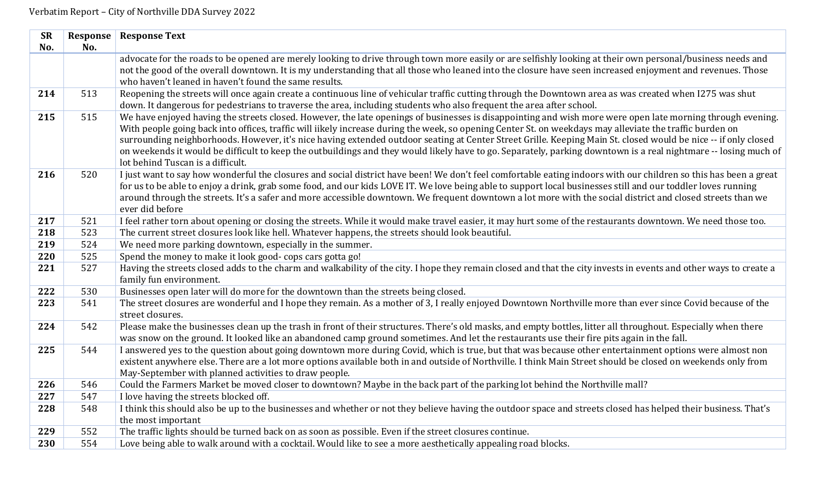| <b>SR</b>  | Response | <b>Response Text</b>                                                                                                                                                                                 |
|------------|----------|------------------------------------------------------------------------------------------------------------------------------------------------------------------------------------------------------|
| No.        | No.      |                                                                                                                                                                                                      |
|            |          | advocate for the roads to be opened are merely looking to drive through town more easily or are selfishly looking at their own personal/business needs and                                           |
|            |          | not the good of the overall downtown. It is my understanding that all those who leaned into the closure have seen increased enjoyment and revenues. Those                                            |
|            |          | who haven't leaned in haven't found the same results.                                                                                                                                                |
| 214        | 513      | Reopening the streets will once again create a continuous line of vehicular traffic cutting through the Downtown area as was created when I275 was shut                                              |
|            |          | down. It dangerous for pedestrians to traverse the area, including students who also frequent the area after school.                                                                                 |
| 215        | 515      | We have enjoyed having the streets closed. However, the late openings of businesses is disappointing and wish more were open late morning through evening.                                           |
|            |          | With people going back into offices, traffic will iikely increase during the week, so opening Center St. on weekdays may alleviate the traffic burden on                                             |
|            |          | surrounding neighborhoods. However, it's nice having extended outdoor seating at Center Street Grille. Keeping Main St. closed would be nice -- if only closed                                       |
|            |          | on weekends it would be difficult to keep the outbuildings and they would likely have to go. Separately, parking downtown is a real nightmare -- losing much of<br>lot behind Tuscan is a difficult. |
| 216        | 520      | I just want to say how wonderful the closures and social district have been! We don't feel comfortable eating indoors with our children so this has been a great                                     |
|            |          | for us to be able to enjoy a drink, grab some food, and our kids LOVE IT. We love being able to support local businesses still and our toddler loves running                                         |
|            |          | around through the streets. It's a safer and more accessible downtown. We frequent downtown a lot more with the social district and closed streets than we                                           |
|            |          | ever did before                                                                                                                                                                                      |
| 217        | 521      | I feel rather torn about opening or closing the streets. While it would make travel easier, it may hurt some of the restaurants downtown. We need those too.                                         |
| 218        | 523      | The current street closures look like hell. Whatever happens, the streets should look beautiful.                                                                                                     |
| 219        | 524      | We need more parking downtown, especially in the summer.                                                                                                                                             |
| 220        | 525      | Spend the money to make it look good-cops cars gotta go!                                                                                                                                             |
| 221        | 527      | Having the streets closed adds to the charm and walkability of the city. I hope they remain closed and that the city invests in events and other ways to create a                                    |
|            |          | family fun environment.                                                                                                                                                                              |
| 222        | 530      | Businesses open later will do more for the downtown than the streets being closed.                                                                                                                   |
| 223        | 541      | The street closures are wonderful and I hope they remain. As a mother of 3, I really enjoyed Downtown Northville more than ever since Covid because of the                                           |
|            |          | street closures.                                                                                                                                                                                     |
| 224        | 542      | Please make the businesses clean up the trash in front of their structures. There's old masks, and empty bottles, litter all throughout. Especially when there                                       |
|            |          | was snow on the ground. It looked like an abandoned camp ground sometimes. And let the restaurants use their fire pits again in the fall.                                                            |
| 225        | 544      | I answered yes to the question about going downtown more during Covid, which is true, but that was because other entertainment options were almost non                                               |
|            |          | existent anywhere else. There are a lot more options available both in and outside of Northville. I think Main Street should be closed on weekends only from                                         |
|            | 546      | May-September with planned activities to draw people.                                                                                                                                                |
| 226<br>227 | 547      | Could the Farmers Market be moved closer to downtown? Maybe in the back part of the parking lot behind the Northville mall?<br>I love having the streets blocked off.                                |
| 228        | 548      | I think this should also be up to the businesses and whether or not they believe having the outdoor space and streets closed has helped their business. That's                                       |
|            |          | the most important                                                                                                                                                                                   |
| 229        | 552      | The traffic lights should be turned back on as soon as possible. Even if the street closures continue.                                                                                               |
| 230        | 554      | Love being able to walk around with a cocktail. Would like to see a more aesthetically appealing road blocks.                                                                                        |
|            |          |                                                                                                                                                                                                      |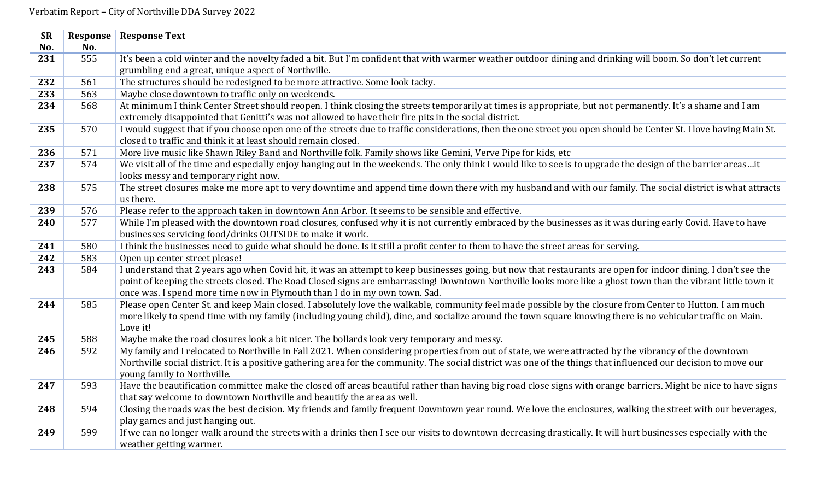| <b>SR</b> | Response | <b>Response Text</b>                                                                                                                                                                                                                      |
|-----------|----------|-------------------------------------------------------------------------------------------------------------------------------------------------------------------------------------------------------------------------------------------|
| No.       | No.      |                                                                                                                                                                                                                                           |
| 231       | 555      | It's been a cold winter and the novelty faded a bit. But I'm confident that with warmer weather outdoor dining and drinking will boom. So don't let current                                                                               |
|           |          | grumbling end a great, unique aspect of Northville.                                                                                                                                                                                       |
| 232       | 561      | The structures should be redesigned to be more attractive. Some look tacky.                                                                                                                                                               |
| 233       | 563      | Maybe close downtown to traffic only on weekends.                                                                                                                                                                                         |
| 234       | 568      | At minimum I think Center Street should reopen. I think closing the streets temporarily at times is appropriate, but not permanently. It's a shame and I am                                                                               |
|           |          | extremely disappointed that Genitti's was not allowed to have their fire pits in the social district.                                                                                                                                     |
| 235       | 570      | I would suggest that if you choose open one of the streets due to traffic considerations, then the one street you open should be Center St. I love having Main St.                                                                        |
|           |          | closed to traffic and think it at least should remain closed.                                                                                                                                                                             |
| 236       | 571      | More live music like Shawn Riley Band and Northville folk. Family shows like Gemini, Verve Pipe for kids, etc                                                                                                                             |
| 237       | 574      | We visit all of the time and especially enjoy hanging out in the weekends. The only think I would like to see is to upgrade the design of the barrier areasit                                                                             |
| 238       | 575      | looks messy and temporary right now.<br>The street closures make me more apt to very downtime and append time down there with my husband and with our family. The social district is what attracts                                        |
|           |          | us there.                                                                                                                                                                                                                                 |
| 239       | 576      | Please refer to the approach taken in downtown Ann Arbor. It seems to be sensible and effective.                                                                                                                                          |
| 240       | 577      | While I'm pleased with the downtown road closures, confused why it is not currently embraced by the businesses as it was during early Covid. Have to have                                                                                 |
|           |          | businesses servicing food/drinks OUTSIDE to make it work.                                                                                                                                                                                 |
| 241       | 580      | I think the businesses need to guide what should be done. Is it still a profit center to them to have the street areas for serving.                                                                                                       |
| 242       | 583      | Open up center street please!                                                                                                                                                                                                             |
| 243       | 584      | I understand that 2 years ago when Covid hit, it was an attempt to keep businesses going, but now that restaurants are open for indoor dining, I don't see the                                                                            |
|           |          | point of keeping the streets closed. The Road Closed signs are embarrassing! Downtown Northville looks more like a ghost town than the vibrant little town it                                                                             |
|           |          | once was. I spend more time now in Plymouth than I do in my own town. Sad.                                                                                                                                                                |
| 244       | 585      | Please open Center St. and keep Main closed. I absolutely love the walkable, community feel made possible by the closure from Center to Hutton. I am much                                                                                 |
|           |          | more likely to spend time with my family (including young child), dine, and socialize around the town square knowing there is no vehicular traffic on Main.                                                                               |
|           |          | Love it!                                                                                                                                                                                                                                  |
| 245       | 588      | Maybe make the road closures look a bit nicer. The bollards look very temporary and messy.                                                                                                                                                |
| 246       | 592      | My family and I relocated to Northville in Fall 2021. When considering properties from out of state, we were attracted by the vibrancy of the downtown                                                                                    |
|           |          | Northville social district. It is a positive gathering area for the community. The social district was one of the things that influenced our decision to move our                                                                         |
|           |          | young family to Northville.                                                                                                                                                                                                               |
| 247       | 593      | Have the beautification committee make the closed off areas beautiful rather than having big road close signs with orange barriers. Might be nice to have signs<br>that say welcome to downtown Northville and beautify the area as well. |
| 248       | 594      | Closing the roads was the best decision. My friends and family frequent Downtown year round. We love the enclosures, walking the street with our beverages,                                                                               |
|           |          | play games and just hanging out.                                                                                                                                                                                                          |
| 249       | 599      | If we can no longer walk around the streets with a drinks then I see our visits to downtown decreasing drastically. It will hurt businesses especially with the                                                                           |
|           |          | weather getting warmer.                                                                                                                                                                                                                   |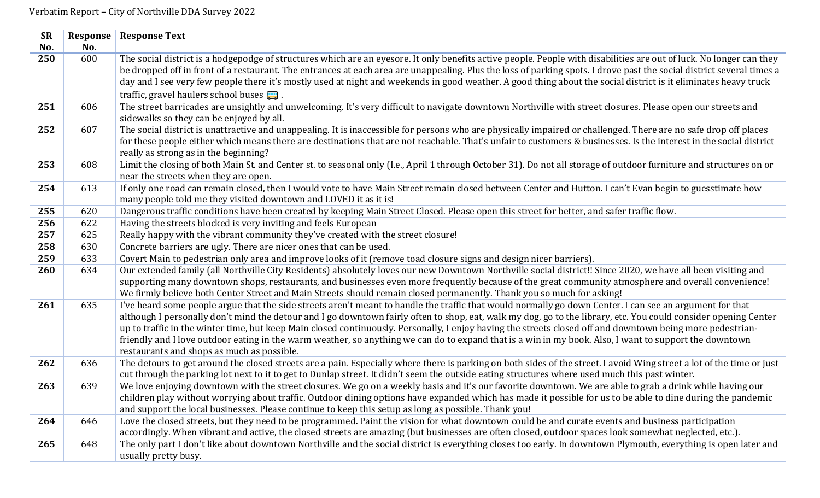| <b>SR</b> | Response | <b>Response Text</b>                                                                                                                                                                                                                                                                                                                                                                                                                                                                                                                                                                                                                                                                              |
|-----------|----------|---------------------------------------------------------------------------------------------------------------------------------------------------------------------------------------------------------------------------------------------------------------------------------------------------------------------------------------------------------------------------------------------------------------------------------------------------------------------------------------------------------------------------------------------------------------------------------------------------------------------------------------------------------------------------------------------------|
| No.       | No.      |                                                                                                                                                                                                                                                                                                                                                                                                                                                                                                                                                                                                                                                                                                   |
| 250       | 600      | The social district is a hodgepodge of structures which are an eyesore. It only benefits active people. People with disabilities are out of luck. No longer can they<br>be dropped off in front of a restaurant. The entrances at each area are unappealing. Plus the loss of parking spots. I drove past the social district several times a<br>day and I see very few people there it's mostly used at night and weekends in good weather. A good thing about the social district is it eliminates heavy truck                                                                                                                                                                                  |
|           |          | traffic, gravel haulers school buses $\Box$ .                                                                                                                                                                                                                                                                                                                                                                                                                                                                                                                                                                                                                                                     |
| 251       | 606      | The street barricades are unsightly and unwelcoming. It's very difficult to navigate downtown Northville with street closures. Please open our streets and<br>sidewalks so they can be enjoyed by all.                                                                                                                                                                                                                                                                                                                                                                                                                                                                                            |
| 252       | 607      | The social district is unattractive and unappealing. It is inaccessible for persons who are physically impaired or challenged. There are no safe drop off places<br>for these people either which means there are destinations that are not reachable. That's unfair to customers & businesses. Is the interest in the social district<br>really as strong as in the beginning?                                                                                                                                                                                                                                                                                                                   |
| 253       | 608      | Limit the closing of both Main St. and Center st. to seasonal only (I.e., April 1 through October 31). Do not all storage of outdoor furniture and structures on or<br>near the streets when they are open.                                                                                                                                                                                                                                                                                                                                                                                                                                                                                       |
| 254       | 613      | If only one road can remain closed, then I would vote to have Main Street remain closed between Center and Hutton. I can't Evan begin to guesstimate how<br>many people told me they visited downtown and LOVED it as it is!                                                                                                                                                                                                                                                                                                                                                                                                                                                                      |
| 255       | 620      | Dangerous traffic conditions have been created by keeping Main Street Closed. Please open this street for better, and safer traffic flow.                                                                                                                                                                                                                                                                                                                                                                                                                                                                                                                                                         |
| 256       | 622      | Having the streets blocked is very inviting and feels European                                                                                                                                                                                                                                                                                                                                                                                                                                                                                                                                                                                                                                    |
| 257       | 625      | Really happy with the vibrant community they've created with the street closure!                                                                                                                                                                                                                                                                                                                                                                                                                                                                                                                                                                                                                  |
| 258       | 630      | Concrete barriers are ugly. There are nicer ones that can be used.                                                                                                                                                                                                                                                                                                                                                                                                                                                                                                                                                                                                                                |
| 259       | 633      | Covert Main to pedestrian only area and improve looks of it (remove toad closure signs and design nicer barriers).                                                                                                                                                                                                                                                                                                                                                                                                                                                                                                                                                                                |
| 260       | 634      | Our extended family (all Northville City Residents) absolutely loves our new Downtown Northville social district!! Since 2020, we have all been visiting and<br>supporting many downtown shops, restaurants, and businesses even more frequently because of the great community atmosphere and overall convenience!<br>We firmly believe both Center Street and Main Streets should remain closed permanently. Thank you so much for asking!                                                                                                                                                                                                                                                      |
| 261       | 635      | I've heard some people argue that the side streets aren't meant to handle the traffic that would normally go down Center. I can see an argument for that<br>although I personally don't mind the detour and I go downtown fairly often to shop, eat, walk my dog, go to the library, etc. You could consider opening Center<br>up to traffic in the winter time, but keep Main closed continuously. Personally, I enjoy having the streets closed off and downtown being more pedestrian-<br>friendly and I love outdoor eating in the warm weather, so anything we can do to expand that is a win in my book. Also, I want to support the downtown<br>restaurants and shops as much as possible. |
| 262       | 636      | The detours to get around the closed streets are a pain. Especially where there is parking on both sides of the street. I avoid Wing street a lot of the time or just<br>cut through the parking lot next to it to get to Dunlap street. It didn't seem the outside eating structures where used much this past winter.                                                                                                                                                                                                                                                                                                                                                                           |
| 263       | 639      | We love enjoying downtown with the street closures. We go on a weekly basis and it's our favorite downtown. We are able to grab a drink while having our<br>children play without worrying about traffic. Outdoor dining options have expanded which has made it possible for us to be able to dine during the pandemic<br>and support the local businesses. Please continue to keep this setup as long as possible. Thank you!                                                                                                                                                                                                                                                                   |
| 264       | 646      | Love the closed streets, but they need to be programmed. Paint the vision for what downtown could be and curate events and business participation<br>accordingly. When vibrant and active, the closed streets are amazing (but businesses are often closed, outdoor spaces look somewhat neglected, etc.).                                                                                                                                                                                                                                                                                                                                                                                        |
| 265       | 648      | The only part I don't like about downtown Northville and the social district is everything closes too early. In downtown Plymouth, everything is open later and<br>usually pretty busy.                                                                                                                                                                                                                                                                                                                                                                                                                                                                                                           |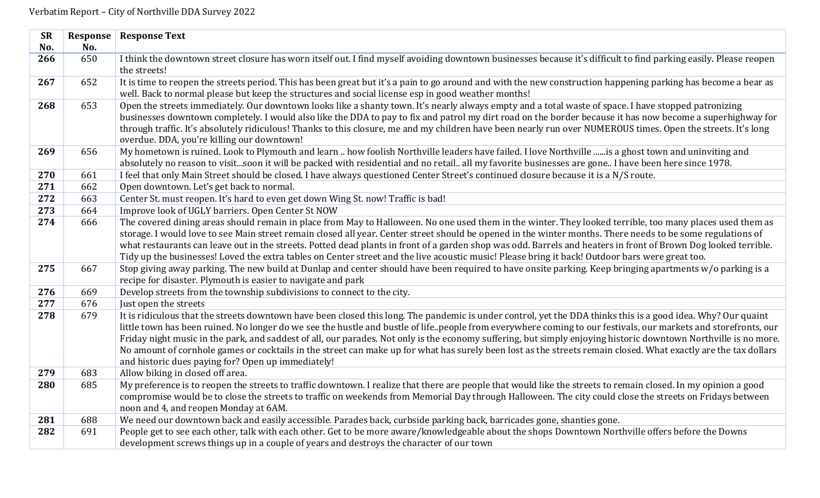| <b>SR</b> | Response | <b>Response Text</b>                                                                                                                                             |
|-----------|----------|------------------------------------------------------------------------------------------------------------------------------------------------------------------|
| No.       | No.      |                                                                                                                                                                  |
| 266       | 650      | I think the downtown street closure has worn itself out. I find myself avoiding downtown businesses because it's difficult to find parking easily. Please reopen |
|           |          | the streets!                                                                                                                                                     |
| 267       | 652      | It is time to reopen the streets period. This has been great but it's a pain to go around and with the new construction happening parking has become a bear as   |
|           |          | well. Back to normal please but keep the structures and social license esp in good weather months!                                                               |
| 268       | 653      | Open the streets immediately. Our downtown looks like a shanty town. It's nearly always empty and a total waste of space. I have stopped patronizing             |
|           |          | businesses downtown completely. I would also like the DDA to pay to fix and patrol my dirt road on the border because it has now become a superhighway for       |
|           |          | through traffic. It's absolutely ridiculous! Thanks to this closure, me and my children have been nearly run over NUMEROUS times. Open the streets. It's long    |
|           |          | overdue. DDA, you're killing our downtown!                                                                                                                       |
| 269       | 656      | My hometown is ruined. Look to Plymouth and learn  how foolish Northville leaders have failed. I love Northville is a ghost town and uninviting and              |
|           |          | absolutely no reason to visitsoon it will be packed with residential and no retail all my favorite businesses are gone I have been here since 1978.              |
| 270       | 661      | I feel that only Main Street should be closed. I have always questioned Center Street's continued closure because it is a N/S route.                             |
| 271       | 662      | Open downtown. Let's get back to normal.                                                                                                                         |
| 272       | 663      | Center St. must reopen. It's hard to even get down Wing St. now! Traffic is bad!                                                                                 |
| 273       | 664      | Improve look of UGLY barriers. Open Center St NOW                                                                                                                |
| 274       | 666      | The covered dining areas should remain in place from May to Halloween. No one used them in the winter. They looked terrible, too many places used them as        |
|           |          | storage. I would love to see Main street remain closed all year. Center street should be opened in the winter months. There needs to be some regulations of      |
|           |          | what restaurants can leave out in the streets. Potted dead plants in front of a garden shop was odd. Barrels and heaters in front of Brown Dog looked terrible.  |
|           |          | Tidy up the businesses! Loved the extra tables on Center street and the live acoustic music! Please bring it back! Outdoor bars were great too.                  |
| 275       | 667      | Stop giving away parking. The new build at Dunlap and center should have been required to have onsite parking. Keep bringing apartments w/o parking is a         |
|           |          | recipe for disaster. Plymouth is easier to navigate and park                                                                                                     |
| 276       | 669      | Develop streets from the township subdivisions to connect to the city.                                                                                           |
| 277       | 676      | Just open the streets                                                                                                                                            |
| 278       | 679      | It is ridiculous that the streets downtown have been closed this long. The pandemic is under control, yet the DDA thinks this is a good idea. Why? Our quaint    |
|           |          | little town has been ruined. No longer do we see the hustle and bustle of lifepeople from everywhere coming to our festivals, our markets and storefronts, our   |
|           |          | Friday night music in the park, and saddest of all, our parades. Not only is the economy suffering, but simply enjoying historic downtown Northville is no more. |
|           |          | No amount of cornhole games or cocktails in the street can make up for what has surely been lost as the streets remain closed. What exactly are the tax dollars  |
|           |          | and historic dues paying for? Open up immediately!                                                                                                               |
| 279       | 683      | Allow biking in closed off area.                                                                                                                                 |
| 280       | 685      | My preference is to reopen the streets to traffic downtown. I realize that there are people that would like the streets to remain closed. In my opinion a good   |
|           |          | compromise would be to close the streets to traffic on weekends from Memorial Day through Halloween. The city could close the streets on Fridays between         |
|           |          | noon and 4, and reopen Monday at 6AM.                                                                                                                            |
| 281       | 688      | We need our downtown back and easily accessible. Parades back, curbside parking back, barricades gone, shanties gone.                                            |
| 282       | 691      | People get to see each other, talk with each other. Get to be more aware/knowledgeable about the shops Downtown Northville offers before the Downs               |
|           |          | development screws things up in a couple of years and destroys the character of our town                                                                         |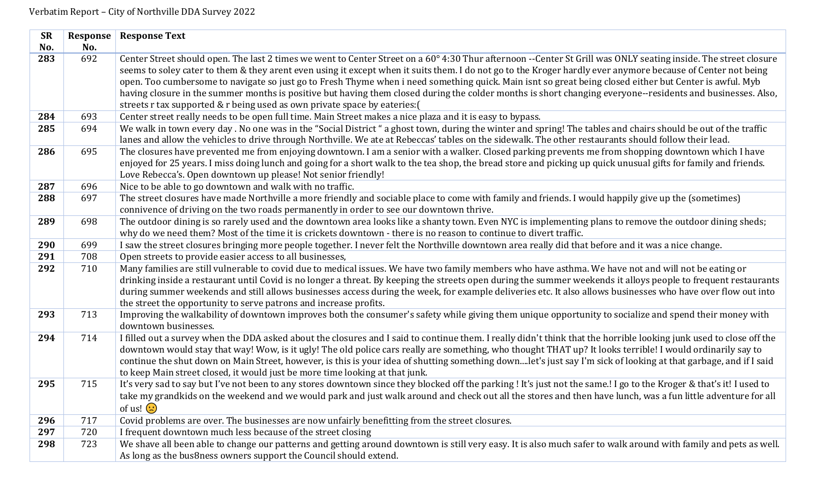| <b>SR</b> |     | <b>Response   Response Text</b>                                                                                                                                                                                                                                                                                                                                                                                                                                                                                                                                                                                                                                                                                                         |
|-----------|-----|-----------------------------------------------------------------------------------------------------------------------------------------------------------------------------------------------------------------------------------------------------------------------------------------------------------------------------------------------------------------------------------------------------------------------------------------------------------------------------------------------------------------------------------------------------------------------------------------------------------------------------------------------------------------------------------------------------------------------------------------|
| No.       | No. |                                                                                                                                                                                                                                                                                                                                                                                                                                                                                                                                                                                                                                                                                                                                         |
| 283       | 692 | Center Street should open. The last 2 times we went to Center Street on a 60° 4:30 Thur afternoon --Center St Grill was ONLY seating inside. The street closure<br>seems to soley cater to them & they arent even using it except when it suits them. I do not go to the Kroger hardly ever anymore because of Center not being<br>open. Too cumbersome to navigate so just go to Fresh Thyme when i need something quick. Main isnt so great being closed either but Center is awful. Myb<br>having closure in the summer months is positive but having them closed during the colder months is short changing everyone--residents and businesses. Also,<br>streets r tax supported & r being used as own private space by eateries: ( |
| 284       | 693 | Center street really needs to be open full time. Main Street makes a nice plaza and it is easy to bypass.                                                                                                                                                                                                                                                                                                                                                                                                                                                                                                                                                                                                                               |
| 285       | 694 | We walk in town every day. No one was in the "Social District" a ghost town, during the winter and spring! The tables and chairs should be out of the traffic<br>lanes and allow the vehicles to drive through Northville. We ate at Rebeccas' tables on the sidewalk. The other restaurants should follow their lead.                                                                                                                                                                                                                                                                                                                                                                                                                  |
| 286       | 695 | The closures have prevented me from enjoying downtown. I am a senior with a walker. Closed parking prevents me from shopping downtown which I have<br>enjoyed for 25 years. I miss doing lunch and going for a short walk to the tea shop, the bread store and picking up quick unusual gifts for family and friends.<br>Love Rebecca's. Open downtown up please! Not senior friendly!                                                                                                                                                                                                                                                                                                                                                  |
| 287       | 696 | Nice to be able to go downtown and walk with no traffic.                                                                                                                                                                                                                                                                                                                                                                                                                                                                                                                                                                                                                                                                                |
| 288       | 697 | The street closures have made Northville a more friendly and sociable place to come with family and friends. I would happily give up the (sometimes)<br>connivence of driving on the two roads permanently in order to see our downtown thrive.                                                                                                                                                                                                                                                                                                                                                                                                                                                                                         |
| 289       | 698 | The outdoor dining is so rarely used and the downtown area looks like a shanty town. Even NYC is implementing plans to remove the outdoor dining sheds;<br>why do we need them? Most of the time it is crickets downtown - there is no reason to continue to divert traffic.                                                                                                                                                                                                                                                                                                                                                                                                                                                            |
| 290       | 699 | I saw the street closures bringing more people together. I never felt the Northville downtown area really did that before and it was a nice change.                                                                                                                                                                                                                                                                                                                                                                                                                                                                                                                                                                                     |
| 291       | 708 | Open streets to provide easier access to all businesses,                                                                                                                                                                                                                                                                                                                                                                                                                                                                                                                                                                                                                                                                                |
| 292       | 710 | Many families are still vulnerable to covid due to medical issues. We have two family members who have asthma. We have not and will not be eating or<br>drinking inside a restaurant until Covid is no longer a threat. By keeping the streets open during the summer weekends it alloys people to frequent restaurants<br>during summer weekends and still allows businesses access during the week, for example deliveries etc. It also allows businesses who have over flow out into<br>the street the opportunity to serve patrons and increase profits.                                                                                                                                                                            |
| 293       | 713 | Improving the walkability of downtown improves both the consumer's safety while giving them unique opportunity to socialize and spend their money with<br>downtown businesses.                                                                                                                                                                                                                                                                                                                                                                                                                                                                                                                                                          |
| 294       | 714 | I filled out a survey when the DDA asked about the closures and I said to continue them. I really didn't think that the horrible looking junk used to close off the<br>downtown would stay that way! Wow, is it ugly! The old police cars really are something, who thought THAT up? It looks terrible! I would ordinarily say to<br>continue the shut down on Main Street, however, is this is your idea of shutting something downlet's just say I'm sick of looking at that garbage, and if I said<br>to keep Main street closed, it would just be more time looking at that junk.                                                                                                                                                   |
| 295       | 715 | It's very sad to say but I've not been to any stores downtown since they blocked off the parking ! It's just not the same.! I go to the Kroger & that's it! I used to<br>take my grandkids on the weekend and we would park and just walk around and check out all the stores and then have lunch, was a fun little adventure for all<br>of us! $\left(\cdot\right)$                                                                                                                                                                                                                                                                                                                                                                    |
| 296       | 717 | Covid problems are over. The businesses are now unfairly benefitting from the street closures.                                                                                                                                                                                                                                                                                                                                                                                                                                                                                                                                                                                                                                          |
| 297       | 720 | I frequent downtown much less because of the street closing                                                                                                                                                                                                                                                                                                                                                                                                                                                                                                                                                                                                                                                                             |
| 298       | 723 | We shave all been able to change our patterns and getting around downtown is still very easy. It is also much safer to walk around with family and pets as well.<br>As long as the bus8ness owners support the Council should extend.                                                                                                                                                                                                                                                                                                                                                                                                                                                                                                   |
|           |     |                                                                                                                                                                                                                                                                                                                                                                                                                                                                                                                                                                                                                                                                                                                                         |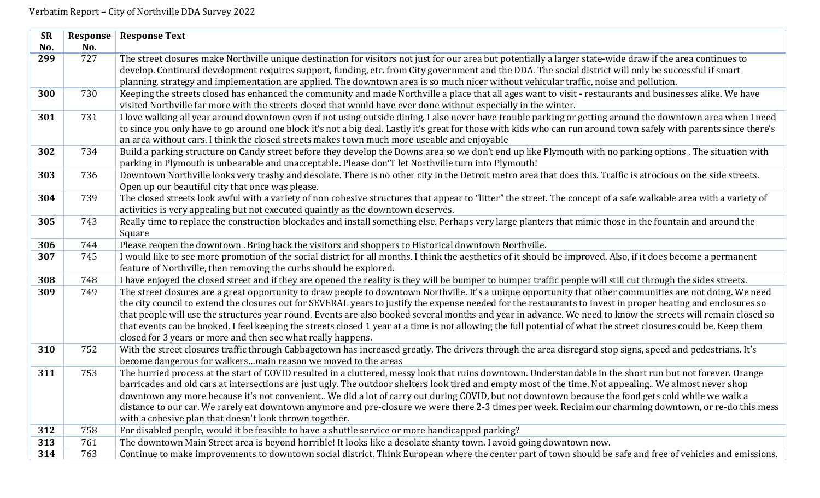| <b>SR</b> | Response | <b>Response Text</b>                                                                                                                                                                                                                                                                                                                                                                                                                                                                                                                                                                                                                                                                                                            |
|-----------|----------|---------------------------------------------------------------------------------------------------------------------------------------------------------------------------------------------------------------------------------------------------------------------------------------------------------------------------------------------------------------------------------------------------------------------------------------------------------------------------------------------------------------------------------------------------------------------------------------------------------------------------------------------------------------------------------------------------------------------------------|
| No.       | No.      |                                                                                                                                                                                                                                                                                                                                                                                                                                                                                                                                                                                                                                                                                                                                 |
| 299       | 727      | The street closures make Northville unique destination for visitors not just for our area but potentially a larger state-wide draw if the area continues to<br>develop. Continued development requires support, funding, etc. from City government and the DDA. The social district will only be successful if smart<br>planning, strategy and implementation are applied. The downtown area is so much nicer without vehicular traffic, noise and pollution.                                                                                                                                                                                                                                                                   |
| 300       | 730      | Keeping the streets closed has enhanced the community and made Northville a place that all ages want to visit - restaurants and businesses alike. We have<br>visited Northville far more with the streets closed that would have ever done without especially in the winter.                                                                                                                                                                                                                                                                                                                                                                                                                                                    |
| 301       | 731      | I love walking all year around downtown even if not using outside dining. I also never have trouble parking or getting around the downtown area when I need<br>to since you only have to go around one block it's not a big deal. Lastly it's great for those with kids who can run around town safely with parents since there's<br>an area without cars. I think the closed streets makes town much more useable and enjoyable                                                                                                                                                                                                                                                                                                |
| 302       | 734      | Build a parking structure on Candy street before they develop the Downs area so we don't end up like Plymouth with no parking options. The situation with<br>parking in Plymouth is unbearable and unacceptable. Please don'T let Northville turn into Plymouth!                                                                                                                                                                                                                                                                                                                                                                                                                                                                |
| 303       | 736      | Downtown Northville looks very trashy and desolate. There is no other city in the Detroit metro area that does this. Traffic is atrocious on the side streets.<br>Open up our beautiful city that once was please.                                                                                                                                                                                                                                                                                                                                                                                                                                                                                                              |
| 304       | 739      | The closed streets look awful with a variety of non cohesive structures that appear to "litter" the street. The concept of a safe walkable area with a variety of<br>activities is very appealing but not executed quaintly as the downtown deserves.                                                                                                                                                                                                                                                                                                                                                                                                                                                                           |
| 305       | 743      | Really time to replace the construction blockades and install something else. Perhaps very large planters that mimic those in the fountain and around the<br>Square                                                                                                                                                                                                                                                                                                                                                                                                                                                                                                                                                             |
| 306       | 744      | Please reopen the downtown . Bring back the visitors and shoppers to Historical downtown Northville.                                                                                                                                                                                                                                                                                                                                                                                                                                                                                                                                                                                                                            |
| 307       | 745      | I would like to see more promotion of the social district for all months. I think the aesthetics of it should be improved. Also, if it does become a permanent<br>feature of Northville, then removing the curbs should be explored.                                                                                                                                                                                                                                                                                                                                                                                                                                                                                            |
| 308       | 748      | I have enjoyed the closed street and if they are opened the reality is they will be bumper to bumper traffic people will still cut through the sides streets.                                                                                                                                                                                                                                                                                                                                                                                                                                                                                                                                                                   |
| 309       | 749      | The street closures are a great opportunity to draw people to downtown Northville. It's a unique opportunity that other communities are not doing. We need<br>the city council to extend the closures out for SEVERAL years to justify the expense needed for the restaurants to invest in proper heating and enclosures so<br>that people will use the structures year round. Events are also booked several months and year in advance. We need to know the streets will remain closed so<br>that events can be booked. I feel keeping the streets closed 1 year at a time is not allowing the full potential of what the street closures could be. Keep them<br>closed for 3 years or more and then see what really happens. |
| 310       | 752      | With the street closures traffic through Cabbagetown has increased greatly. The drivers through the area disregard stop signs, speed and pedestrians. It's<br>become dangerous for walkersmain reason we moved to the areas                                                                                                                                                                                                                                                                                                                                                                                                                                                                                                     |
| 311       | 753      | The hurried process at the start of COVID resulted in a cluttered, messy look that ruins downtown. Understandable in the short run but not forever. Orange<br>barricades and old cars at intersections are just ugly. The outdoor shelters look tired and empty most of the time. Not appealing We almost never shop<br>downtown any more because it's not convenient We did a lot of carry out during COVID, but not downtown because the food gets cold while we walk a<br>distance to our car. We rarely eat downtown anymore and pre-closure we were there 2-3 times per week. Reclaim our charming downtown, or re-do this mess<br>with a cohesive plan that doesn't look thrown together.                                 |
| 312       | 758      | For disabled people, would it be feasible to have a shuttle service or more handicapped parking?                                                                                                                                                                                                                                                                                                                                                                                                                                                                                                                                                                                                                                |
| 313       | 761      | The downtown Main Street area is beyond horrible! It looks like a desolate shanty town. I avoid going downtown now.                                                                                                                                                                                                                                                                                                                                                                                                                                                                                                                                                                                                             |
| 314       | 763      | Continue to make improvements to downtown social district. Think European where the center part of town should be safe and free of vehicles and emissions.                                                                                                                                                                                                                                                                                                                                                                                                                                                                                                                                                                      |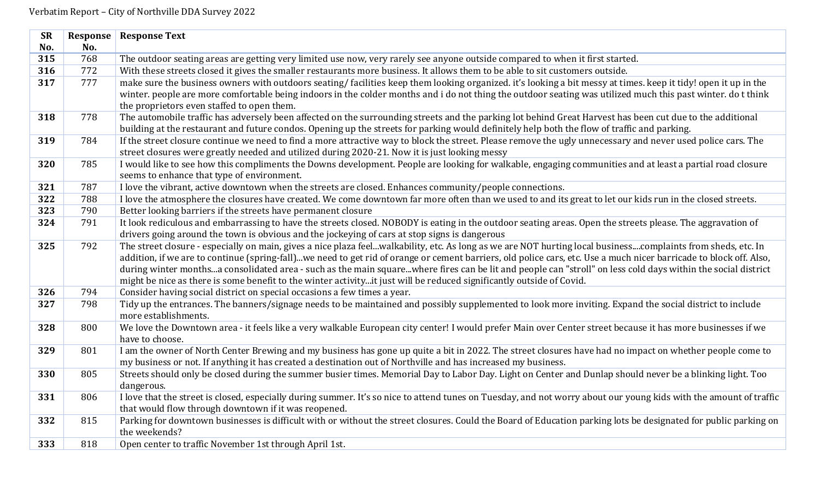| <b>SR</b> | Response | <b>Response Text</b>                                                                                                                                                                                                                                                                                                                                                                                                                                                                                                                                                                                                       |
|-----------|----------|----------------------------------------------------------------------------------------------------------------------------------------------------------------------------------------------------------------------------------------------------------------------------------------------------------------------------------------------------------------------------------------------------------------------------------------------------------------------------------------------------------------------------------------------------------------------------------------------------------------------------|
| No.       | No.      |                                                                                                                                                                                                                                                                                                                                                                                                                                                                                                                                                                                                                            |
| 315       | 768      | The outdoor seating areas are getting very limited use now, very rarely see anyone outside compared to when it first started.                                                                                                                                                                                                                                                                                                                                                                                                                                                                                              |
| 316       | 772      | With these streets closed it gives the smaller restaurants more business. It allows them to be able to sit customers outside.                                                                                                                                                                                                                                                                                                                                                                                                                                                                                              |
| 317       | 777      | make sure the business owners with outdoors seating/facilities keep them looking organized. it's looking a bit messy at times. keep it tidy! open it up in the<br>winter. people are more comfortable being indoors in the colder months and i do not thing the outdoor seating was utilized much this past winter. do t think<br>the proprietors even staffed to open them.                                                                                                                                                                                                                                               |
| 318       | 778      | The automobile traffic has adversely been affected on the surrounding streets and the parking lot behind Great Harvest has been cut due to the additional<br>building at the restaurant and future condos. Opening up the streets for parking would definitely help both the flow of traffic and parking.                                                                                                                                                                                                                                                                                                                  |
| 319       | 784      | If the street closure continue we need to find a more attractive way to block the street. Please remove the ugly unnecessary and never used police cars. The<br>street closures were greatly needed and utilized during 2020-21. Now it is just looking messy                                                                                                                                                                                                                                                                                                                                                              |
| 320       | 785      | I would like to see how this compliments the Downs development. People are looking for walkable, engaging communities and at least a partial road closure<br>seems to enhance that type of environment.                                                                                                                                                                                                                                                                                                                                                                                                                    |
| 321       | 787      | I love the vibrant, active downtown when the streets are closed. Enhances community/people connections.                                                                                                                                                                                                                                                                                                                                                                                                                                                                                                                    |
| 322       | 788      | I love the atmosphere the closures have created. We come downtown far more often than we used to and its great to let our kids run in the closed streets.                                                                                                                                                                                                                                                                                                                                                                                                                                                                  |
| 323       | 790      | Better looking barriers if the streets have permanent closure                                                                                                                                                                                                                                                                                                                                                                                                                                                                                                                                                              |
| 324       | 791      | It look rediculous and embarrassing to have the streets closed. NOBODY is eating in the outdoor seating areas. Open the streets please. The aggravation of<br>drivers going around the town is obvious and the jockeying of cars at stop signs is dangerous                                                                                                                                                                                                                                                                                                                                                                |
| 325       | 792      | The street closure - especially on main, gives a nice plaza feelwalkability, etc. As long as we are NOT hurting local businesscomplaints from sheds, etc. In<br>addition, if we are to continue (spring-fall)we need to get rid of orange or cement barriers, old police cars, etc. Use a much nicer barricade to block off. Also,<br>during winter monthsa consolidated area - such as the main squarewhere fires can be lit and people can "stroll" on less cold days within the social district<br>might be nice as there is some benefit to the winter activityit just will be reduced significantly outside of Covid. |
| 326       | 794      | Consider having social district on special occasions a few times a year.                                                                                                                                                                                                                                                                                                                                                                                                                                                                                                                                                   |
| 327       | 798      | Tidy up the entrances. The banners/signage needs to be maintained and possibly supplemented to look more inviting. Expand the social district to include<br>more establishments.                                                                                                                                                                                                                                                                                                                                                                                                                                           |
| 328       | 800      | We love the Downtown area - it feels like a very walkable European city center! I would prefer Main over Center street because it has more businesses if we<br>have to choose.                                                                                                                                                                                                                                                                                                                                                                                                                                             |
| 329       | 801      | I am the owner of North Center Brewing and my business has gone up quite a bit in 2022. The street closures have had no impact on whether people come to<br>my business or not. If anything it has created a destination out of Northville and has increased my business.                                                                                                                                                                                                                                                                                                                                                  |
| 330       | 805      | Streets should only be closed during the summer busier times. Memorial Day to Labor Day. Light on Center and Dunlap should never be a blinking light. Too<br>dangerous.                                                                                                                                                                                                                                                                                                                                                                                                                                                    |
| 331       | 806      | I love that the street is closed, especially during summer. It's so nice to attend tunes on Tuesday, and not worry about our young kids with the amount of traffic<br>that would flow through downtown if it was reopened.                                                                                                                                                                                                                                                                                                                                                                                                 |
| 332       | 815      | Parking for downtown businesses is difficult with or without the street closures. Could the Board of Education parking lots be designated for public parking on<br>the weekends?                                                                                                                                                                                                                                                                                                                                                                                                                                           |
| 333       | 818      | Open center to traffic November 1st through April 1st.                                                                                                                                                                                                                                                                                                                                                                                                                                                                                                                                                                     |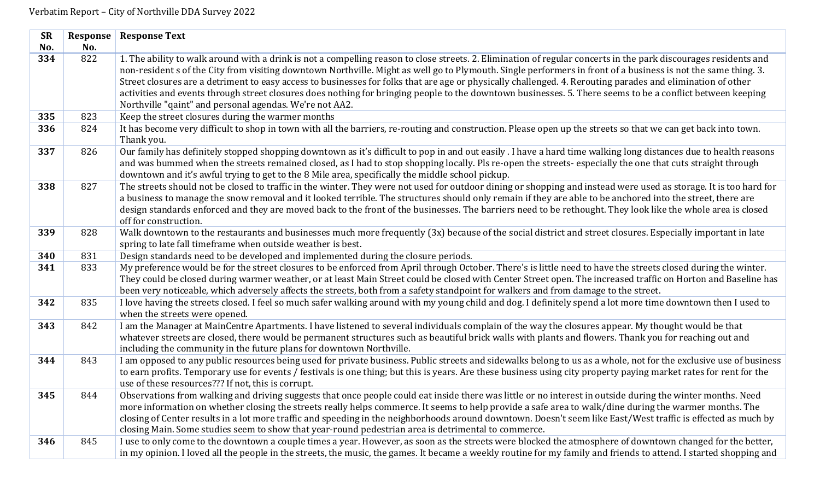| <b>SR</b> | Response | <b>Response Text</b>                                                                                                                                                                                                                                                                                                                                                                                                                                                                                                                                                                                                                                                                                                       |
|-----------|----------|----------------------------------------------------------------------------------------------------------------------------------------------------------------------------------------------------------------------------------------------------------------------------------------------------------------------------------------------------------------------------------------------------------------------------------------------------------------------------------------------------------------------------------------------------------------------------------------------------------------------------------------------------------------------------------------------------------------------------|
| No.       | No.      |                                                                                                                                                                                                                                                                                                                                                                                                                                                                                                                                                                                                                                                                                                                            |
| 334       | 822      | 1. The ability to walk around with a drink is not a compelling reason to close streets. 2. Elimination of regular concerts in the park discourages residents and<br>non-resident s of the City from visiting downtown Northville. Might as well go to Plymouth. Single performers in front of a business is not the same thing. 3.<br>Street closures are a detriment to easy access to businesses for folks that are age or physically challenged. 4. Rerouting parades and elimination of other<br>activities and events through street closures does nothing for bringing people to the downtown businesses. 5. There seems to be a conflict between keeping<br>Northville "qaint" and personal agendas. We're not AA2. |
| 335       | 823      | Keep the street closures during the warmer months                                                                                                                                                                                                                                                                                                                                                                                                                                                                                                                                                                                                                                                                          |
| 336       | 824      | It has become very difficult to shop in town with all the barriers, re-routing and construction. Please open up the streets so that we can get back into town.<br>Thank you.                                                                                                                                                                                                                                                                                                                                                                                                                                                                                                                                               |
| 337       | 826      | Our family has definitely stopped shopping downtown as it's difficult to pop in and out easily. I have a hard time walking long distances due to health reasons<br>and was bummed when the streets remained closed, as I had to stop shopping locally. Pls re-open the streets- especially the one that cuts straight through<br>downtown and it's awful trying to get to the 8 Mile area, specifically the middle school pickup.                                                                                                                                                                                                                                                                                          |
| 338       | 827      | The streets should not be closed to traffic in the winter. They were not used for outdoor dining or shopping and instead were used as storage. It is too hard for<br>a business to manage the snow removal and it looked terrible. The structures should only remain if they are able to be anchored into the street, there are<br>design standards enforced and they are moved back to the front of the businesses. The barriers need to be rethought. They look like the whole area is closed<br>off for construction.                                                                                                                                                                                                   |
| 339       | 828      | Walk downtown to the restaurants and businesses much more frequently (3x) because of the social district and street closures. Especially important in late<br>spring to late fall timeframe when outside weather is best.                                                                                                                                                                                                                                                                                                                                                                                                                                                                                                  |
| 340       | 831      | Design standards need to be developed and implemented during the closure periods.                                                                                                                                                                                                                                                                                                                                                                                                                                                                                                                                                                                                                                          |
| 341       | 833      | My preference would be for the street closures to be enforced from April through October. There's is little need to have the streets closed during the winter.<br>They could be closed during warmer weather, or at least Main Street could be closed with Center Street open. The increased traffic on Horton and Baseline has<br>been very noticeable, which adversely affects the streets, both from a safety standpoint for walkers and from damage to the street.                                                                                                                                                                                                                                                     |
| 342       | 835      | I love having the streets closed. I feel so much safer walking around with my young child and dog. I definitely spend a lot more time downtown then I used to<br>when the streets were opened.                                                                                                                                                                                                                                                                                                                                                                                                                                                                                                                             |
| 343       | 842      | I am the Manager at MainCentre Apartments. I have listened to several individuals complain of the way the closures appear. My thought would be that<br>whatever streets are closed, there would be permanent structures such as beautiful brick walls with plants and flowers. Thank you for reaching out and<br>including the community in the future plans for downtown Northville.                                                                                                                                                                                                                                                                                                                                      |
| 344       | 843      | I am opposed to any public resources being used for private business. Public streets and sidewalks belong to us as a whole, not for the exclusive use of business<br>to earn profits. Temporary use for events / festivals is one thing; but this is years. Are these business using city property paying market rates for rent for the<br>use of these resources??? If not, this is corrupt.                                                                                                                                                                                                                                                                                                                              |
| 345       | 844      | Observations from walking and driving suggests that once people could eat inside there was little or no interest in outside during the winter months. Need<br>more information on whether closing the streets really helps commerce. It seems to help provide a safe area to walk/dine during the warmer months. The<br>closing of Center results in a lot more traffic and speeding in the neighborhoods around downtown. Doesn't seem like East/West traffic is effected as much by<br>closing Main. Some studies seem to show that year-round pedestrian area is detrimental to commerce.                                                                                                                               |
| 346       | 845      | I use to only come to the downtown a couple times a year. However, as soon as the streets were blocked the atmosphere of downtown changed for the better,<br>in my opinion. I loved all the people in the streets, the music, the games. It became a weekly routine for my family and friends to attend. I started shopping and                                                                                                                                                                                                                                                                                                                                                                                            |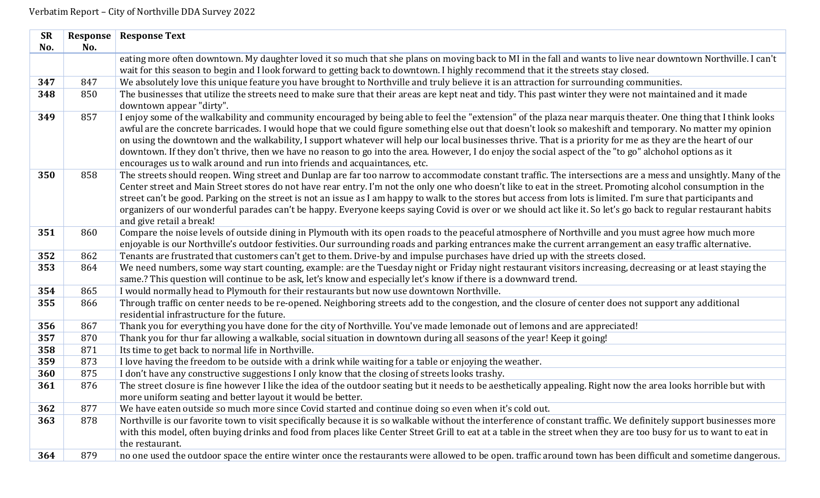| <b>SR</b> |     | <b>Response   Response Text</b>                                                                                                                                                                                                                                                                                                                                                                                                                                                                                                                                                                                                                                                                                                     |
|-----------|-----|-------------------------------------------------------------------------------------------------------------------------------------------------------------------------------------------------------------------------------------------------------------------------------------------------------------------------------------------------------------------------------------------------------------------------------------------------------------------------------------------------------------------------------------------------------------------------------------------------------------------------------------------------------------------------------------------------------------------------------------|
| No.       | No. |                                                                                                                                                                                                                                                                                                                                                                                                                                                                                                                                                                                                                                                                                                                                     |
|           |     | eating more often downtown. My daughter loved it so much that she plans on moving back to MI in the fall and wants to live near downtown Northville. I can't                                                                                                                                                                                                                                                                                                                                                                                                                                                                                                                                                                        |
|           |     | wait for this season to begin and I look forward to getting back to downtown. I highly recommend that it the streets stay closed.                                                                                                                                                                                                                                                                                                                                                                                                                                                                                                                                                                                                   |
| 347       | 847 | We absolutely love this unique feature you have brought to Northville and truly believe it is an attraction for surrounding communities.                                                                                                                                                                                                                                                                                                                                                                                                                                                                                                                                                                                            |
| 348       | 850 | The businesses that utilize the streets need to make sure that their areas are kept neat and tidy. This past winter they were not maintained and it made<br>downtown appear "dirty".                                                                                                                                                                                                                                                                                                                                                                                                                                                                                                                                                |
| 349       | 857 | I enjoy some of the walkability and community encouraged by being able to feel the "extension" of the plaza near marquis theater. One thing that I think looks<br>awful are the concrete barricades. I would hope that we could figure something else out that doesn't look so makeshift and temporary. No matter my opinion<br>on using the downtown and the walkability, I support whatever will help our local businesses thrive. That is a priority for me as they are the heart of our<br>downtown. If they don't thrive, then we have no reason to go into the area. However, I do enjoy the social aspect of the "to go" alchohol options as it<br>encourages us to walk around and run into friends and acquaintances, etc. |
| 350       | 858 | The streets should reopen. Wing street and Dunlap are far too narrow to accommodate constant traffic. The intersections are a mess and unsightly. Many of the<br>Center street and Main Street stores do not have rear entry. I'm not the only one who doesn't like to eat in the street. Promoting alcohol consumption in the<br>street can't be good. Parking on the street is not an issue as I am happy to walk to the stores but access from lots is limited. I'm sure that participants and<br>organizers of our wonderful parades can't be happy. Everyone keeps saying Covid is over or we should act like it. So let's go back to regular restaurant habits<br>and give retail a break!                                    |
| 351       | 860 | Compare the noise levels of outside dining in Plymouth with its open roads to the peaceful atmosphere of Northville and you must agree how much more<br>enjoyable is our Northville's outdoor festivities. Our surrounding roads and parking entrances make the current arrangement an easy traffic alternative.                                                                                                                                                                                                                                                                                                                                                                                                                    |
| 352       | 862 | Tenants are frustrated that customers can't get to them. Drive-by and impulse purchases have dried up with the streets closed.                                                                                                                                                                                                                                                                                                                                                                                                                                                                                                                                                                                                      |
| 353       | 864 | We need numbers, some way start counting, example: are the Tuesday night or Friday night restaurant visitors increasing, decreasing or at least staying the<br>same.? This question will continue to be ask, let's know and especially let's know if there is a downward trend.                                                                                                                                                                                                                                                                                                                                                                                                                                                     |
| 354       | 865 | I would normally head to Plymouth for their restaurants but now use downtown Northville.                                                                                                                                                                                                                                                                                                                                                                                                                                                                                                                                                                                                                                            |
| 355       | 866 | Through traffic on center needs to be re-opened. Neighboring streets add to the congestion, and the closure of center does not support any additional<br>residential infrastructure for the future.                                                                                                                                                                                                                                                                                                                                                                                                                                                                                                                                 |
| 356       | 867 | Thank you for everything you have done for the city of Northville. You've made lemonade out of lemons and are appreciated!                                                                                                                                                                                                                                                                                                                                                                                                                                                                                                                                                                                                          |
| 357       | 870 | Thank you for thur far allowing a walkable, social situation in downtown during all seasons of the year! Keep it going!                                                                                                                                                                                                                                                                                                                                                                                                                                                                                                                                                                                                             |
| 358       | 871 | Its time to get back to normal life in Northville.                                                                                                                                                                                                                                                                                                                                                                                                                                                                                                                                                                                                                                                                                  |
| 359       | 873 | I love having the freedom to be outside with a drink while waiting for a table or enjoying the weather.                                                                                                                                                                                                                                                                                                                                                                                                                                                                                                                                                                                                                             |
| 360       | 875 | I don't have any constructive suggestions I only know that the closing of streets looks trashy.                                                                                                                                                                                                                                                                                                                                                                                                                                                                                                                                                                                                                                     |
| 361       | 876 | The street closure is fine however I like the idea of the outdoor seating but it needs to be aesthetically appealing. Right now the area looks horrible but with<br>more uniform seating and better layout it would be better.                                                                                                                                                                                                                                                                                                                                                                                                                                                                                                      |
| 362       | 877 | We have eaten outside so much more since Covid started and continue doing so even when it's cold out.                                                                                                                                                                                                                                                                                                                                                                                                                                                                                                                                                                                                                               |
| 363       | 878 | Northville is our favorite town to visit specifically because it is so walkable without the interference of constant traffic. We definitely support businesses more<br>with this model, often buying drinks and food from places like Center Street Grill to eat at a table in the street when they are too busy for us to want to eat in<br>the restaurant.                                                                                                                                                                                                                                                                                                                                                                        |
| 364       | 879 | no one used the outdoor space the entire winter once the restaurants were allowed to be open. traffic around town has been difficult and sometime dangerous.                                                                                                                                                                                                                                                                                                                                                                                                                                                                                                                                                                        |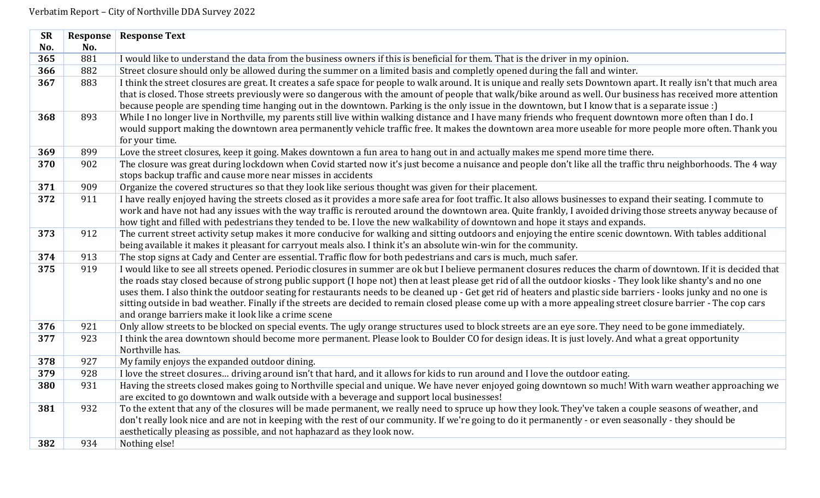| <b>SR</b> | Response | <b>Response Text</b>                                                                                                                                                                                           |
|-----------|----------|----------------------------------------------------------------------------------------------------------------------------------------------------------------------------------------------------------------|
| No.       | No.      |                                                                                                                                                                                                                |
| 365       | 881      | I would like to understand the data from the business owners if this is beneficial for them. That is the driver in my opinion.                                                                                 |
| 366       | 882      | Street closure should only be allowed during the summer on a limited basis and completly opened during the fall and winter.                                                                                    |
| 367       | 883      | I think the street closures are great. It creates a safe space for people to walk around. It is unique and really sets Downtown apart. It really isn't that much area                                          |
|           |          | that is closed. Those streets previously were so dangerous with the amount of people that walk/bike around as well. Our business has received more attention                                                   |
|           |          | because people are spending time hanging out in the downtown. Parking is the only issue in the downtown, but I know that is a separate issue :)                                                                |
| 368       | 893      | While I no longer live in Northville, my parents still live within walking distance and I have many friends who frequent downtown more often than I do. I                                                      |
|           |          | would support making the downtown area permanently vehicle traffic free. It makes the downtown area more useable for more people more often. Thank you                                                         |
|           |          | for your time.                                                                                                                                                                                                 |
| 369       | 899      | Love the street closures, keep it going. Makes downtown a fun area to hang out in and actually makes me spend more time there.                                                                                 |
| 370       | 902      | The closure was great during lockdown when Covid started now it's just become a nuisance and people don't like all the traffic thru neighborhoods. The 4 way                                                   |
|           |          | stops backup traffic and cause more near misses in accidents                                                                                                                                                   |
| 371       | 909      | Organize the covered structures so that they look like serious thought was given for their placement.                                                                                                          |
| 372       | 911      | I have really enjoyed having the streets closed as it provides a more safe area for foot traffic. It also allows businesses to expand their seating. I commute to                                              |
|           |          | work and have not had any issues with the way traffic is rerouted around the downtown area. Quite frankly, I avoided driving those streets anyway because of                                                   |
|           |          | how tight and filled with pedestrians they tended to be. I love the new walkability of downtown and hope it stays and expands.                                                                                 |
| 373       | 912      | The current street activity setup makes it more conducive for walking and sitting outdoors and enjoying the entire scenic downtown. With tables additional                                                     |
|           |          | being available it makes it pleasant for carryout meals also. I think it's an absolute win-win for the community.                                                                                              |
| 374       | 913      | The stop signs at Cady and Center are essential. Traffic flow for both pedestrians and cars is much, much safer.                                                                                               |
| 375       | 919      | I would like to see all streets opened. Periodic closures in summer are ok but I believe permanent closures reduces the charm of downtown. If it is decided that                                               |
|           |          | the roads stay closed because of strong public support (I hope not) then at least please get rid of all the outdoor kiosks - They look like shanty's and no one                                                |
|           |          | uses them. I also think the outdoor seating for restaurants needs to be cleaned up - Get get rid of heaters and plastic side barriers - looks junky and no one is                                              |
|           |          | sitting outside in bad weather. Finally if the streets are decided to remain closed please come up with a more appealing street closure barrier - The cop cars                                                 |
| 376       | 921      | and orange barriers make it look like a crime scene<br>Only allow streets to be blocked on special events. The ugly orange structures used to block streets are an eye sore. They need to be gone immediately. |
| 377       | 923      | I think the area downtown should become more permanent. Please look to Boulder CO for design ideas. It is just lovely. And what a great opportunity                                                            |
|           |          | Northville has.                                                                                                                                                                                                |
| 378       | 927      | My family enjoys the expanded outdoor dining.                                                                                                                                                                  |
| 379       | 928      | I love the street closures driving around isn't that hard, and it allows for kids to run around and I love the outdoor eating.                                                                                 |
| 380       | 931      | Having the streets closed makes going to Northville special and unique. We have never enjoyed going downtown so much! With warn weather approaching we                                                         |
|           |          | are excited to go downtown and walk outside with a beverage and support local businesses!                                                                                                                      |
| 381       | 932      | To the extent that any of the closures will be made permanent, we really need to spruce up how they look. They've taken a couple seasons of weather, and                                                       |
|           |          | don't really look nice and are not in keeping with the rest of our community. If we're going to do it permanently - or even seasonally - they should be                                                        |
|           |          | aesthetically pleasing as possible, and not haphazard as they look now.                                                                                                                                        |
| 382       | 934      | Nothing else!                                                                                                                                                                                                  |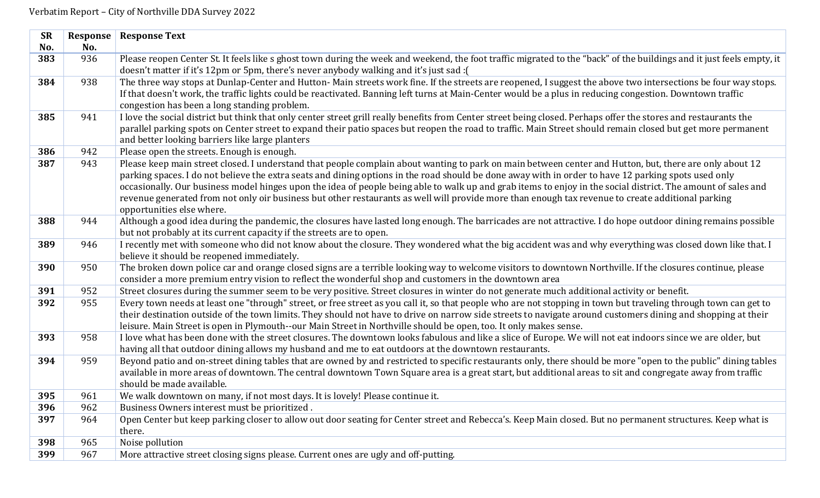| <b>SR</b> | Response | <b>Response Text</b>                                                                                                                                                                                                                                                             |
|-----------|----------|----------------------------------------------------------------------------------------------------------------------------------------------------------------------------------------------------------------------------------------------------------------------------------|
| No.       | No.      |                                                                                                                                                                                                                                                                                  |
| 383       | 936      | Please reopen Center St. It feels like s ghost town during the week and weekend, the foot traffic migrated to the "back" of the buildings and it just feels empty, it                                                                                                            |
|           |          | doesn't matter if it's 12pm or 5pm, there's never anybody walking and it's just sad : (                                                                                                                                                                                          |
| 384       | 938      | The three way stops at Dunlap-Center and Hutton-Main streets work fine. If the streets are reopened, I suggest the above two intersections be four way stops.                                                                                                                    |
|           |          | If that doesn't work, the traffic lights could be reactivated. Banning left turns at Main-Center would be a plus in reducing congestion. Downtown traffic                                                                                                                        |
|           |          | congestion has been a long standing problem.                                                                                                                                                                                                                                     |
| 385       | 941      | I love the social district but think that only center street grill really benefits from Center street being closed. Perhaps offer the stores and restaurants the                                                                                                                 |
|           |          | parallel parking spots on Center street to expand their patio spaces but reopen the road to traffic. Main Street should remain closed but get more permanent                                                                                                                     |
|           |          | and better looking barriers like large planters                                                                                                                                                                                                                                  |
| 386       | 942      | Please open the streets. Enough is enough.                                                                                                                                                                                                                                       |
| 387       | 943      | Please keep main street closed. I understand that people complain about wanting to park on main between center and Hutton, but, there are only about 12                                                                                                                          |
|           |          | parking spaces. I do not believe the extra seats and dining options in the road should be done away with in order to have 12 parking spots used only                                                                                                                             |
|           |          | occasionally. Our business model hinges upon the idea of people being able to walk up and grab items to enjoy in the social district. The amount of sales and                                                                                                                    |
|           |          | revenue generated from not only oir business but other restaurants as well will provide more than enough tax revenue to create additional parking                                                                                                                                |
|           |          | opportunities else where.                                                                                                                                                                                                                                                        |
| 388       | 944      | Although a good idea during the pandemic, the closures have lasted long enough. The barricades are not attractive. I do hope outdoor dining remains possible                                                                                                                     |
|           |          | but not probably at its current capacity if the streets are to open.                                                                                                                                                                                                             |
| 389       | 946      | I recently met with someone who did not know about the closure. They wondered what the big accident was and why everything was closed down like that. I                                                                                                                          |
|           |          | believe it should be reopened immediately.                                                                                                                                                                                                                                       |
| 390       | 950      | The broken down police car and orange closed signs are a terrible looking way to welcome visitors to downtown Northville. If the closures continue, please                                                                                                                       |
|           |          | consider a more premium entry vision to reflect the wonderful shop and customers in the downtown area                                                                                                                                                                            |
| 391       | 952      | Street closures during the summer seem to be very positive. Street closures in winter do not generate much additional activity or benefit.                                                                                                                                       |
| 392       | 955      | Every town needs at least one "through" street, or free street as you call it, so that people who are not stopping in town but traveling through town can get to                                                                                                                 |
|           |          | their destination outside of the town limits. They should not have to drive on narrow side streets to navigate around customers dining and shopping at their                                                                                                                     |
| 393       | 958      | leisure. Main Street is open in Plymouth--our Main Street in Northville should be open, too. It only makes sense.<br>I love what has been done with the street closures. The downtown looks fabulous and like a slice of Europe. We will not eat indoors since we are older, but |
|           |          | having all that outdoor dining allows my husband and me to eat outdoors at the downtown restaurants.                                                                                                                                                                             |
| 394       | 959      | Beyond patio and on-street dining tables that are owned by and restricted to specific restaurants only, there should be more "open to the public" dining tables                                                                                                                  |
|           |          | available in more areas of downtown. The central downtown Town Square area is a great start, but additional areas to sit and congregate away from traffic                                                                                                                        |
|           |          | should be made available.                                                                                                                                                                                                                                                        |
| 395       | 961      | We walk downtown on many, if not most days. It is lovely! Please continue it.                                                                                                                                                                                                    |
| 396       | 962      | Business Owners interest must be prioritized.                                                                                                                                                                                                                                    |
| 397       | 964      | Open Center but keep parking closer to allow out door seating for Center street and Rebecca's. Keep Main closed. But no permanent structures. Keep what is                                                                                                                       |
|           |          | there.                                                                                                                                                                                                                                                                           |
| 398       |          |                                                                                                                                                                                                                                                                                  |
|           | 965      | Noise pollution                                                                                                                                                                                                                                                                  |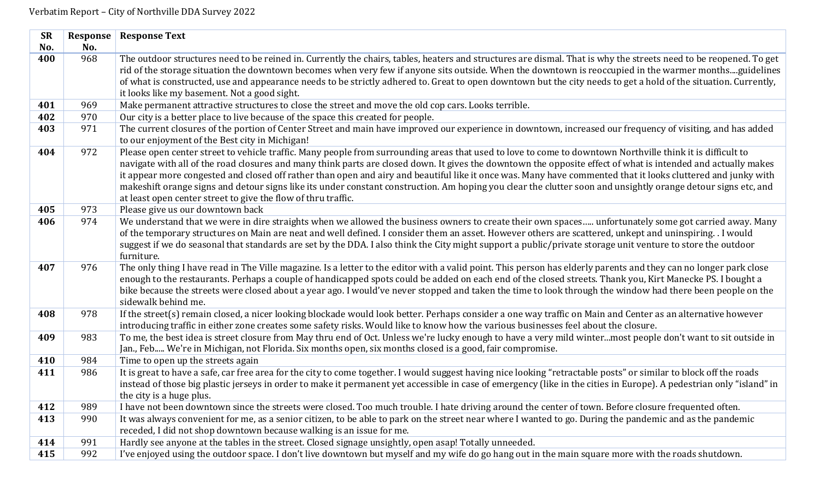| <b>SR</b> | Response | <b>Response Text</b>                                                                                                                                                                                                              |
|-----------|----------|-----------------------------------------------------------------------------------------------------------------------------------------------------------------------------------------------------------------------------------|
| No.       | No.      |                                                                                                                                                                                                                                   |
| 400       | 968      | The outdoor structures need to be reined in. Currently the chairs, tables, heaters and structures are dismal. That is why the streets need to be reopened. To get                                                                 |
|           |          | rid of the storage situation the downtown becomes when very few if anyone sits outside. When the downtown is reoccupied in the warmer monthsguidelines                                                                            |
|           |          | of what is constructed, use and appearance needs to be strictly adhered to. Great to open downtown but the city needs to get a hold of the situation. Currently,<br>it looks like my basement. Not a good sight.                  |
| 401       | 969      | Make permanent attractive structures to close the street and move the old cop cars. Looks terrible.                                                                                                                               |
| 402       | 970      | Our city is a better place to live because of the space this created for people.                                                                                                                                                  |
| 403       | 971      | The current closures of the portion of Center Street and main have improved our experience in downtown, increased our frequency of visiting, and has added                                                                        |
|           |          | to our enjoyment of the Best city in Michigan!                                                                                                                                                                                    |
| 404       | 972      | Please open center street to vehicle traffic. Many people from surrounding areas that used to love to come to downtown Northville think it is difficult to                                                                        |
|           |          | navigate with all of the road closures and many think parts are closed down. It gives the downtown the opposite effect of what is intended and actually makes                                                                     |
|           |          | it appear more congested and closed off rather than open and airy and beautiful like it once was. Many have commented that it looks cluttered and junky with                                                                      |
|           |          | makeshift orange signs and detour signs like its under constant construction. Am hoping you clear the clutter soon and unsightly orange detour signs etc, and                                                                     |
| 405       | 973      | at least open center street to give the flow of thru traffic.<br>Please give us our downtown back                                                                                                                                 |
| 406       | 974      | We understand that we were in dire straights when we allowed the business owners to create their own spaces unfortunately some got carried away. Many                                                                             |
|           |          | of the temporary structures on Main are neat and well defined. I consider them an asset. However others are scattered, unkept and uninspiring. . I would                                                                          |
|           |          | suggest if we do seasonal that standards are set by the DDA. I also think the City might support a public/private storage unit venture to store the outdoor                                                                       |
|           |          | furniture.                                                                                                                                                                                                                        |
| 407       | 976      | The only thing I have read in The Ville magazine. Is a letter to the editor with a valid point. This person has elderly parents and they can no longer park close                                                                 |
|           |          | enough to the restaurants. Perhaps a couple of handicapped spots could be added on each end of the closed streets. Thank you, Kirt Manecke PS. I bought a                                                                         |
|           |          | bike because the streets were closed about a year ago. I would've never stopped and taken the time to look through the window had there been people on the                                                                        |
|           |          | sidewalk behind me.                                                                                                                                                                                                               |
| 408       | 978      | If the street(s) remain closed, a nicer looking blockade would look better. Perhaps consider a one way traffic on Main and Center as an alternative however                                                                       |
|           |          | introducing traffic in either zone creates some safety risks. Would like to know how the various businesses feel about the closure.                                                                                               |
| 409       | 983      | To me, the best idea is street closure from May thru end of Oct. Unless we're lucky enough to have a very mild wintermost people don't want to sit outside in                                                                     |
|           |          | Jan., Feb We're in Michigan, not Florida. Six months open, six months closed is a good, fair compromise.                                                                                                                          |
| 410       | 984      | Time to open up the streets again                                                                                                                                                                                                 |
| 411       | 986      | It is great to have a safe, car free area for the city to come together. I would suggest having nice looking "retractable posts" or similar to block off the roads                                                                |
|           |          | instead of those big plastic jerseys in order to make it permanent yet accessible in case of emergency (like in the cities in Europe). A pedestrian only "island" in                                                              |
|           |          | the city is a huge plus.                                                                                                                                                                                                          |
| 412       | 989      | I have not been downtown since the streets were closed. Too much trouble. I hate driving around the center of town. Before closure frequented often.                                                                              |
| 413       | 990      | It was always convenient for me, as a senior citizen, to be able to park on the street near where I wanted to go. During the pandemic and as the pandemic<br>receded, I did not shop downtown because walking is an issue for me. |
| 414       | 991      | Hardly see anyone at the tables in the street. Closed signage unsightly, open asap! Totally unneeded.                                                                                                                             |
| 415       | 992      | I've enjoyed using the outdoor space. I don't live downtown but myself and my wife do go hang out in the main square more with the roads shutdown.                                                                                |
|           |          |                                                                                                                                                                                                                                   |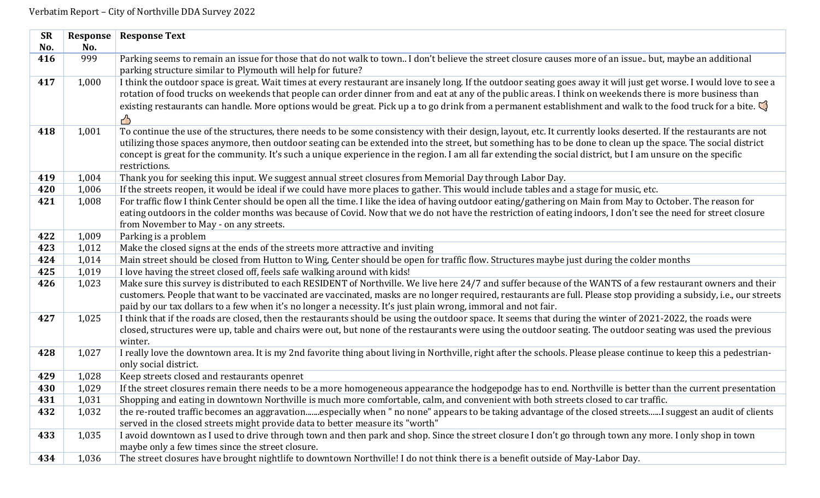| <b>SR</b>  | <b>Response</b> | <b>Response Text</b>                                                                                                                                                                                                                                                                                                               |
|------------|-----------------|------------------------------------------------------------------------------------------------------------------------------------------------------------------------------------------------------------------------------------------------------------------------------------------------------------------------------------|
| No.        | No.             |                                                                                                                                                                                                                                                                                                                                    |
| 416        | 999             | Parking seems to remain an issue for those that do not walk to town I don't believe the street closure causes more of an issue but, maybe an additional                                                                                                                                                                            |
|            |                 | parking structure similar to Plymouth will help for future?                                                                                                                                                                                                                                                                        |
| 417        | 1,000           | I think the outdoor space is great. Wait times at every restaurant are insanely long. If the outdoor seating goes away it will just get worse. I would love to see a                                                                                                                                                               |
|            |                 | rotation of food trucks on weekends that people can order dinner from and eat at any of the public areas. I think on weekends there is more business than                                                                                                                                                                          |
|            |                 | existing restaurants can handle. More options would be great. Pick up a to go drink from a permanent establishment and walk to the food truck for a bite.                                                                                                                                                                          |
|            |                 | ∕₿                                                                                                                                                                                                                                                                                                                                 |
| 418        | 1,001           | To continue the use of the structures, there needs to be some consistency with their design, layout, etc. It currently looks deserted. If the restaurants are not                                                                                                                                                                  |
|            |                 | utilizing those spaces anymore, then outdoor seating can be extended into the street, but something has to be done to clean up the space. The social district                                                                                                                                                                      |
|            |                 | concept is great for the community. It's such a unique experience in the region. I am all far extending the social district, but I am unsure on the specific                                                                                                                                                                       |
|            |                 | restrictions.                                                                                                                                                                                                                                                                                                                      |
| 419        | 1,004           | Thank you for seeking this input. We suggest annual street closures from Memorial Day through Labor Day.                                                                                                                                                                                                                           |
| 420        | 1,006           | If the streets reopen, it would be ideal if we could have more places to gather. This would include tables and a stage for music, etc.                                                                                                                                                                                             |
| 421        | 1,008           | For traffic flow I think Center should be open all the time. I like the idea of having outdoor eating/gathering on Main from May to October. The reason for                                                                                                                                                                        |
|            |                 | eating outdoors in the colder months was because of Covid. Now that we do not have the restriction of eating indoors, I don't see the need for street closure                                                                                                                                                                      |
|            |                 | from November to May - on any streets.                                                                                                                                                                                                                                                                                             |
| 422        | 1,009           | Parking is a problem                                                                                                                                                                                                                                                                                                               |
| 423        | 1,012           | Make the closed signs at the ends of the streets more attractive and inviting                                                                                                                                                                                                                                                      |
| 424<br>425 | 1,014<br>1,019  | Main street should be closed from Hutton to Wing, Center should be open for traffic flow. Structures maybe just during the colder months                                                                                                                                                                                           |
| 426        |                 | I love having the street closed off, feels safe walking around with kids!                                                                                                                                                                                                                                                          |
|            | 1,023           | Make sure this survey is distributed to each RESIDENT of Northville. We live here 24/7 and suffer because of the WANTS of a few restaurant owners and their<br>customers. People that want to be vaccinated are vaccinated, masks are no longer required, restaurants are full. Please stop providing a subsidy, i.e., our streets |
|            |                 | paid by our tax dollars to a few when it's no longer a necessity. It's just plain wrong, immoral and not fair.                                                                                                                                                                                                                     |
| 427        | 1,025           | I think that if the roads are closed, then the restaurants should be using the outdoor space. It seems that during the winter of 2021-2022, the roads were                                                                                                                                                                         |
|            |                 | closed, structures were up, table and chairs were out, but none of the restaurants were using the outdoor seating. The outdoor seating was used the previous                                                                                                                                                                       |
|            |                 | winter.                                                                                                                                                                                                                                                                                                                            |
| 428        | 1,027           | I really love the downtown area. It is my 2nd favorite thing about living in Northville, right after the schools. Please please continue to keep this a pedestrian-                                                                                                                                                                |
|            |                 | only social district.                                                                                                                                                                                                                                                                                                              |
| 429        | 1,028           | Keep streets closed and restaurants openret                                                                                                                                                                                                                                                                                        |
| 430        | 1,029           | If the street closures remain there needs to be a more homogeneous appearance the hodgepodge has to end. Northville is better than the current presentation                                                                                                                                                                        |
| 431        | 1,031           | Shopping and eating in downtown Northville is much more comfortable, calm, and convenient with both streets closed to car traffic.                                                                                                                                                                                                 |
| 432        | 1,032           | the re-routed traffic becomes an aggravationespecially when " no none" appears to be taking advantage of the closed streets I suggest an audit of clients                                                                                                                                                                          |
|            |                 | served in the closed streets might provide data to better measure its "worth"                                                                                                                                                                                                                                                      |
| 433        | 1,035           | I avoid downtown as I used to drive through town and then park and shop. Since the street closure I don't go through town any more. I only shop in town                                                                                                                                                                            |
|            |                 | maybe only a few times since the street closure.                                                                                                                                                                                                                                                                                   |
| 434        | 1,036           | The street closures have brought nightlife to downtown Northville! I do not think there is a benefit outside of May-Labor Day.                                                                                                                                                                                                     |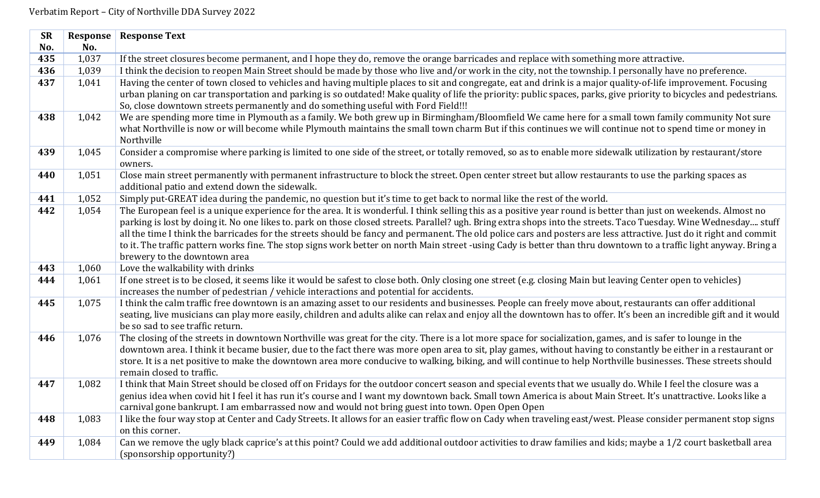| <b>SR</b> | Response | <b>Response Text</b>                                                                                                                                                                                                                                     |
|-----------|----------|----------------------------------------------------------------------------------------------------------------------------------------------------------------------------------------------------------------------------------------------------------|
| No.       | No.      |                                                                                                                                                                                                                                                          |
| 435       | 1,037    | If the street closures become permanent, and I hope they do, remove the orange barricades and replace with something more attractive.                                                                                                                    |
| 436       | 1,039    | I think the decision to reopen Main Street should be made by those who live and/or work in the city, not the township. I personally have no preference.                                                                                                  |
| 437       | 1,041    | Having the center of town closed to vehicles and having multiple places to sit and congregate, eat and drink is a major quality-of-life improvement. Focusing                                                                                            |
|           |          | urban planing on car transportation and parking is so outdated! Make quality of life the priority: public spaces, parks, give priority to bicycles and pedestrians.<br>So, close downtown streets permanently and do something useful with Ford Field!!! |
| 438       | 1,042    | We are spending more time in Plymouth as a family. We both grew up in Birmingham/Bloomfield We came here for a small town family community Not sure                                                                                                      |
|           |          | what Northville is now or will become while Plymouth maintains the small town charm But if this continues we will continue not to spend time or money in<br>Northville                                                                                   |
| 439       | 1,045    | Consider a compromise where parking is limited to one side of the street, or totally removed, so as to enable more sidewalk utilization by restaurant/store                                                                                              |
|           |          | owners.                                                                                                                                                                                                                                                  |
| 440       | 1,051    | Close main street permanently with permanent infrastructure to block the street. Open center street but allow restaurants to use the parking spaces as<br>additional patio and extend down the sidewalk.                                                 |
| 441       | 1,052    | Simply put-GREAT idea during the pandemic, no question but it's time to get back to normal like the rest of the world.                                                                                                                                   |
| 442       | 1,054    | The European feel is a unique experience for the area. It is wonderful. I think selling this as a positive year round is better than just on weekends. Almost no                                                                                         |
|           |          | parking is lost by doing it. No one likes to. park on those closed streets. Parallel? ugh. Bring extra shops into the streets. Taco Tuesday. Wine Wednesday stuff                                                                                        |
|           |          | all the time I think the barricades for the streets should be fancy and permanent. The old police cars and posters are less attractive. Just do it right and commit                                                                                      |
|           |          | to it. The traffic pattern works fine. The stop signs work better on north Main street -using Cady is better than thru downtown to a traffic light anyway. Bring a                                                                                       |
|           |          | brewery to the downtown area                                                                                                                                                                                                                             |
| 443       | 1,060    | Love the walkability with drinks                                                                                                                                                                                                                         |
| 444       | 1,061    | If one street is to be closed, it seems like it would be safest to close both. Only closing one street (e.g. closing Main but leaving Center open to vehicles)<br>increases the number of pedestrian / vehicle interactions and potential for accidents. |
| 445       | 1,075    | I think the calm traffic free downtown is an amazing asset to our residents and businesses. People can freely move about, restaurants can offer additional                                                                                               |
|           |          | seating, live musicians can play more easily, children and adults alike can relax and enjoy all the downtown has to offer. It's been an incredible gift and it would                                                                                     |
|           |          | be so sad to see traffic return.                                                                                                                                                                                                                         |
| 446       | 1,076    | The closing of the streets in downtown Northville was great for the city. There is a lot more space for socialization, games, and is safer to lounge in the                                                                                              |
|           |          | downtown area. I think it became busier, due to the fact there was more open area to sit, play games, without having to constantly be either in a restaurant or                                                                                          |
|           |          | store. It is a net positive to make the downtown area more conducive to walking, biking, and will continue to help Northville businesses. These streets should<br>remain closed to traffic.                                                              |
| 447       | 1,082    | I think that Main Street should be closed off on Fridays for the outdoor concert season and special events that we usually do. While I feel the closure was a                                                                                            |
|           |          | genius idea when covid hit I feel it has run it's course and I want my downtown back. Small town America is about Main Street. It's unattractive. Looks like a                                                                                           |
|           |          | carnival gone bankrupt. I am embarrassed now and would not bring guest into town. Open Open Open                                                                                                                                                         |
| 448       | 1,083    | I like the four way stop at Center and Cady Streets. It allows for an easier traffic flow on Cady when traveling east/west. Please consider permanent stop signs                                                                                         |
|           |          | on this corner.                                                                                                                                                                                                                                          |
| 449       | 1,084    | Can we remove the ugly black caprice's at this point? Could we add additional outdoor activities to draw families and kids; maybe a 1/2 court basketball area                                                                                            |
|           |          | (sponsorship opportunity?)                                                                                                                                                                                                                               |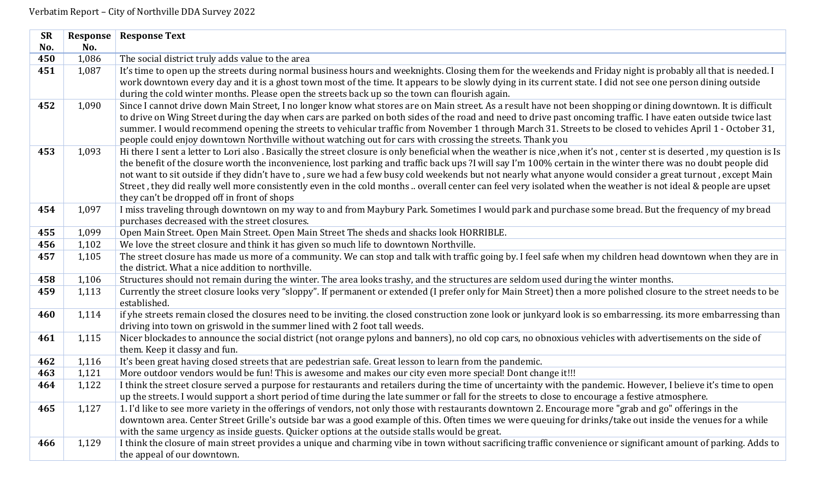| <b>SR</b> | Response | <b>Response Text</b>                                                                                                                                                                                          |
|-----------|----------|---------------------------------------------------------------------------------------------------------------------------------------------------------------------------------------------------------------|
| No.       | No.      |                                                                                                                                                                                                               |
| 450       | 1,086    | The social district truly adds value to the area                                                                                                                                                              |
| 451       | 1,087    | It's time to open up the streets during normal business hours and weeknights. Closing them for the weekends and Friday night is probably all that is needed. I                                                |
|           |          | work downtown every day and it is a ghost town most of the time. It appears to be slowly dying in its current state. I did not see one person dining outside                                                  |
|           |          | during the cold winter months. Please open the streets back up so the town can flourish again.                                                                                                                |
| 452       | 1,090    | Since I cannot drive down Main Street, I no longer know what stores are on Main street. As a result have not been shopping or dining downtown. It is difficult                                                |
|           |          | to drive on Wing Street during the day when cars are parked on both sides of the road and need to drive past oncoming traffic. I have eaten outside twice last                                                |
|           |          | summer. I would recommend opening the streets to vehicular traffic from November 1 through March 31. Streets to be closed to vehicles April 1 - October 31,                                                   |
|           |          | people could enjoy downtown Northville without watching out for cars with crossing the streets. Thank you                                                                                                     |
| 453       | 1,093    | Hi there I sent a letter to Lori also. Basically the street closure is only beneficial when the weather is nice, when it's not, center st is deserted, my question is Is                                      |
|           |          | the benefit of the closure worth the inconvenience, lost parking and traffic back ups?I will say I'm 100% certain in the winter there was no doubt people did                                                 |
|           |          | not want to sit outside if they didn't have to, sure we had a few busy cold weekends but not nearly what anyone would consider a great turnout, except Main                                                   |
|           |          | Street, they did really well more consistently even in the cold months  overall center can feel very isolated when the weather is not ideal & people are upset<br>they can't be dropped off in front of shops |
| 454       | 1,097    | I miss traveling through downtown on my way to and from Maybury Park. Sometimes I would park and purchase some bread. But the frequency of my bread                                                           |
|           |          | purchases decreased with the street closures.                                                                                                                                                                 |
| 455       | 1,099    | Open Main Street. Open Main Street. Open Main Street The sheds and shacks look HORRIBLE.                                                                                                                      |
| 456       | 1,102    | We love the street closure and think it has given so much life to downtown Northville.                                                                                                                        |
| 457       | 1,105    | The street closure has made us more of a community. We can stop and talk with traffic going by. I feel safe when my children head downtown when they are in                                                   |
|           |          | the district. What a nice addition to northville.                                                                                                                                                             |
| 458       | 1,106    | Structures should not remain during the winter. The area looks trashy, and the structures are seldom used during the winter months.                                                                           |
| 459       | 1,113    | Currently the street closure looks very "sloppy". If permanent or extended (I prefer only for Main Street) then a more polished closure to the street needs to be                                             |
|           |          | established.                                                                                                                                                                                                  |
| 460       | 1,114    | if yhe streets remain closed the closures need to be inviting. the closed construction zone look or junkyard look is so embarressing. its more embarressing than                                              |
|           |          | driving into town on griswold in the summer lined with 2 foot tall weeds.                                                                                                                                     |
| 461       | 1,115    | Nicer blockades to announce the social district (not orange pylons and banners), no old cop cars, no obnoxious vehicles with advertisements on the side of                                                    |
|           |          | them. Keep it classy and fun.                                                                                                                                                                                 |
| 462       | 1,116    | It's been great having closed streets that are pedestrian safe. Great lesson to learn from the pandemic.                                                                                                      |
| 463       | 1,121    | More outdoor vendors would be fun! This is awesome and makes our city even more special! Dont change it!!!                                                                                                    |
| 464       | 1,122    | I think the street closure served a purpose for restaurants and retailers during the time of uncertainty with the pandemic. However, I believe it's time to open                                              |
|           |          | up the streets. I would support a short period of time during the late summer or fall for the streets to close to encourage a festive atmosphere.                                                             |
| 465       | 1,127    | 1. I'd like to see more variety in the offerings of vendors, not only those with restaurants downtown 2. Encourage more "grab and go" offerings in the                                                        |
|           |          | downtown area. Center Street Grille's outside bar was a good example of this. Often times we were queuing for drinks/take out inside the venues for a while                                                   |
|           |          | with the same urgency as inside guests. Quicker options at the outside stalls would be great.                                                                                                                 |
| 466       | 1,129    | I think the closure of main street provides a unique and charming vibe in town without sacrificing traffic convenience or significant amount of parking. Adds to                                              |
|           |          | the appeal of our downtown.                                                                                                                                                                                   |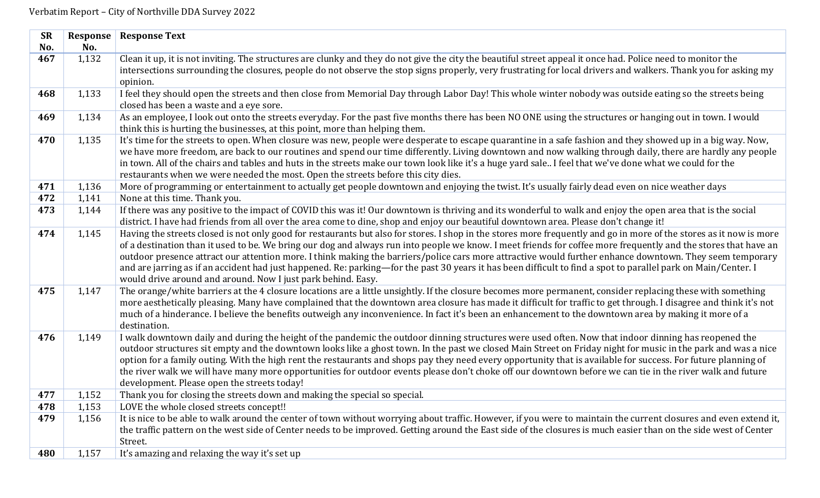| <b>SR</b> | Response | <b>Response Text</b>                                                                                                                                                                                                        |
|-----------|----------|-----------------------------------------------------------------------------------------------------------------------------------------------------------------------------------------------------------------------------|
| No.       | No.      |                                                                                                                                                                                                                             |
| 467       | 1,132    | Clean it up, it is not inviting. The structures are clunky and they do not give the city the beautiful street appeal it once had. Police need to monitor the                                                                |
|           |          | intersections surrounding the closures, people do not observe the stop signs properly, very frustrating for local drivers and walkers. Thank you for asking my                                                              |
|           |          | opinion.                                                                                                                                                                                                                    |
| 468       | 1,133    | I feel they should open the streets and then close from Memorial Day through Labor Day! This whole winter nobody was outside eating so the streets being                                                                    |
|           |          | closed has been a waste and a eye sore.                                                                                                                                                                                     |
| 469       | 1,134    | As an employee, I look out onto the streets everyday. For the past five months there has been NO ONE using the structures or hanging out in town. I would                                                                   |
|           |          | think this is hurting the businesses, at this point, more than helping them.                                                                                                                                                |
| 470       | 1,135    | It's time for the streets to open. When closure was new, people were desperate to escape quarantine in a safe fashion and they showed up in a big way. Now,                                                                 |
|           |          | we have more freedom, are back to our routines and spend our time differently. Living downtown and now walking through daily, there are hardly any people                                                                   |
|           |          | in town. All of the chairs and tables and huts in the streets make our town look like it's a huge yard sale I feel that we've done what we could for the                                                                    |
|           |          | restaurants when we were needed the most. Open the streets before this city dies.                                                                                                                                           |
| 471       | 1,136    | More of programming or entertainment to actually get people downtown and enjoying the twist. It's usually fairly dead even on nice weather days                                                                             |
| 472       | 1,141    | None at this time. Thank you.                                                                                                                                                                                               |
| 473       | 1,144    | If there was any positive to the impact of COVID this was it! Our downtown is thriving and its wonderful to walk and enjoy the open area that is the social                                                                 |
|           |          | district. I have had friends from all over the area come to dine, shop and enjoy our beautiful downtown area. Please don't change it!                                                                                       |
| 474       | 1,145    | Having the streets closed is not only good for restaurants but also for stores. I shop in the stores more frequently and go in more of the stores as it now is more                                                         |
|           |          | of a destination than it used to be. We bring our dog and always run into people we know. I meet friends for coffee more frequently and the stores that have an                                                             |
|           |          | outdoor presence attract our attention more. I think making the barriers/police cars more attractive would further enhance downtown. They seem temporary                                                                    |
|           |          | and are jarring as if an accident had just happened. Re: parking-for the past 30 years it has been difficult to find a spot to parallel park on Main/Center. I                                                              |
| 475       | 1,147    | would drive around and around. Now I just park behind. Easy.<br>The orange/white barriers at the 4 closure locations are a little unsightly. If the closure becomes more permanent, consider replacing these with something |
|           |          | more aesthetically pleasing. Many have complained that the downtown area closure has made it difficult for traffic to get through. I disagree and think it's not                                                            |
|           |          | much of a hinderance. I believe the benefits outweigh any inconvenience. In fact it's been an enhancement to the downtown area by making it more of a                                                                       |
|           |          | destination.                                                                                                                                                                                                                |
| 476       | 1,149    | I walk downtown daily and during the height of the pandemic the outdoor dinning structures were used often. Now that indoor dinning has reopened the                                                                        |
|           |          | outdoor structures sit empty and the downtown looks like a ghost town. In the past we closed Main Street on Friday night for music in the park and was a nice                                                               |
|           |          | option for a family outing. With the high rent the restaurants and shops pay they need every opportunity that is available for success. For future planning of                                                              |
|           |          | the river walk we will have many more opportunities for outdoor events please don't choke off our downtown before we can tie in the river walk and future                                                                   |
|           |          | development. Please open the streets today!                                                                                                                                                                                 |
| 477       | 1,152    | Thank you for closing the streets down and making the special so special.                                                                                                                                                   |
| 478       | 1,153    | LOVE the whole closed streets concept!!                                                                                                                                                                                     |
| 479       | 1,156    | It is nice to be able to walk around the center of town without worrying about traffic. However, if you were to maintain the current closures and even extend it,                                                           |
|           |          | the traffic pattern on the west side of Center needs to be improved. Getting around the East side of the closures is much easier than on the side west of Center                                                            |
|           |          | Street.                                                                                                                                                                                                                     |
| 480       | 1,157    | It's amazing and relaxing the way it's set up                                                                                                                                                                               |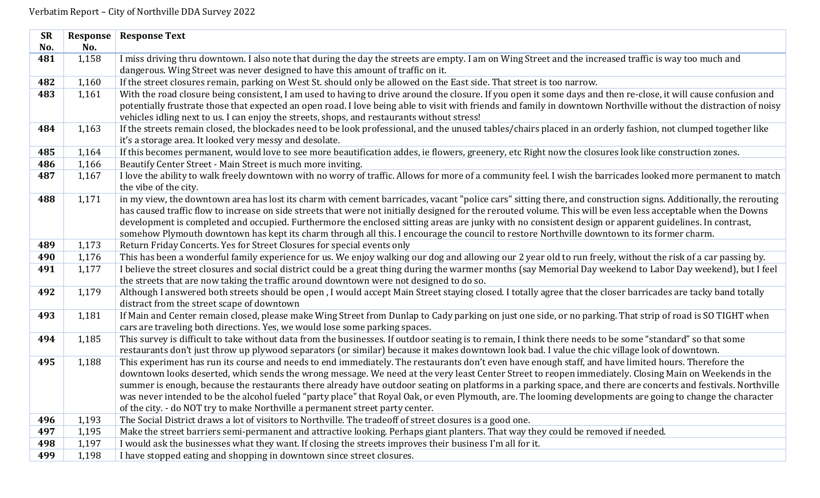| <b>SR</b> | Response | <b>Response Text</b>                                                                                                                                                                                                                                                                                                                   |
|-----------|----------|----------------------------------------------------------------------------------------------------------------------------------------------------------------------------------------------------------------------------------------------------------------------------------------------------------------------------------------|
| No.       | No.      |                                                                                                                                                                                                                                                                                                                                        |
| 481       | 1,158    | I miss driving thru downtown. I also note that during the day the streets are empty. I am on Wing Street and the increased traffic is way too much and                                                                                                                                                                                 |
|           |          | dangerous. Wing Street was never designed to have this amount of traffic on it.                                                                                                                                                                                                                                                        |
| 482       | 1,160    | If the street closures remain, parking on West St. should only be allowed on the East side. That street is too narrow.                                                                                                                                                                                                                 |
| 483       | 1,161    | With the road closure being consistent, I am used to having to drive around the closure. If you open it some days and then re-close, it will cause confusion and<br>potentially frustrate those that expected an open road. I love being able to visit with friends and family in downtown Northville without the distraction of noisy |
|           |          | vehicles idling next to us. I can enjoy the streets, shops, and restaurants without stress!                                                                                                                                                                                                                                            |
| 484       | 1,163    | If the streets remain closed, the blockades need to be look professional, and the unused tables/chairs placed in an orderly fashion, not clumped together like                                                                                                                                                                         |
|           |          | it's a storage area. It looked very messy and desolate.                                                                                                                                                                                                                                                                                |
| 485       | 1,164    | If this becomes permanent, would love to see more beautification addes, ie flowers, greenery, etc Right now the closures look like construction zones.                                                                                                                                                                                 |
| 486       | 1,166    | Beautify Center Street - Main Street is much more inviting.                                                                                                                                                                                                                                                                            |
| 487       | 1,167    | I love the ability to walk freely downtown with no worry of traffic. Allows for more of a community feel. I wish the barricades looked more permanent to match<br>the vibe of the city.                                                                                                                                                |
| 488       | 1,171    | in my view, the downtown area has lost its charm with cement barricades, vacant "police cars" sitting there, and construction signs. Additionally, the rerouting                                                                                                                                                                       |
|           |          | has caused traffic flow to increase on side streets that were not initially designed for the rerouted volume. This will be even less acceptable when the Downs                                                                                                                                                                         |
|           |          | development is completed and occupied. Furthermore the enclosed sitting areas are junky with no consistent design or apparent guidelines. In contrast,                                                                                                                                                                                 |
|           |          | somehow Plymouth downtown has kept its charm through all this. I encourage the council to restore Northville downtown to its former charm.                                                                                                                                                                                             |
| 489       | 1,173    | Return Friday Concerts. Yes for Street Closures for special events only                                                                                                                                                                                                                                                                |
| 490       | 1,176    | This has been a wonderful family experience for us. We enjoy walking our dog and allowing our 2 year old to run freely, without the risk of a car passing by.                                                                                                                                                                          |
| 491       | 1,177    | I believe the street closures and social district could be a great thing during the warmer months (say Memorial Day weekend to Labor Day weekend), but I feel                                                                                                                                                                          |
|           |          | the streets that are now taking the traffic around downtown were not designed to do so.                                                                                                                                                                                                                                                |
| 492       | 1,179    | Although I answered both streets should be open, I would accept Main Street staying closed. I totally agree that the closer barricades are tacky band totally<br>distract from the street scape of downtown                                                                                                                            |
| 493       | 1,181    | If Main and Center remain closed, please make Wing Street from Dunlap to Cady parking on just one side, or no parking. That strip of road is SO TIGHT when                                                                                                                                                                             |
|           |          | cars are traveling both directions. Yes, we would lose some parking spaces.                                                                                                                                                                                                                                                            |
| 494       | 1,185    | This survey is difficult to take without data from the businesses. If outdoor seating is to remain, I think there needs to be some "standard" so that some<br>restaurants don't just throw up plywood separators (or similar) because it makes downtown look bad. I value the chic village look of downtown.                           |
| 495       | 1,188    | This experiment has run its course and needs to end immediately. The restaurants don't even have enough staff, and have limited hours. Therefore the                                                                                                                                                                                   |
|           |          | downtown looks deserted, which sends the wrong message. We need at the very least Center Street to reopen immediately. Closing Main on Weekends in the                                                                                                                                                                                 |
|           |          | summer is enough, because the restaurants there already have outdoor seating on platforms in a parking space, and there are concerts and festivals. Northville                                                                                                                                                                         |
|           |          | was never intended to be the alcohol fueled "party place" that Royal Oak, or even Plymouth, are. The looming developments are going to change the character                                                                                                                                                                            |
|           |          | of the city. - do NOT try to make Northville a permanent street party center.                                                                                                                                                                                                                                                          |
| 496       | 1,193    | The Social District draws a lot of visitors to Northville. The tradeoff of street closures is a good one.                                                                                                                                                                                                                              |
| 497       | 1,195    | Make the street barriers semi-permanent and attractive looking. Perhaps giant planters. That way they could be removed if needed.                                                                                                                                                                                                      |
| 498       | 1,197    | I would ask the businesses what they want. If closing the streets improves their business I'm all for it.                                                                                                                                                                                                                              |
| 499       | 1,198    | I have stopped eating and shopping in downtown since street closures.                                                                                                                                                                                                                                                                  |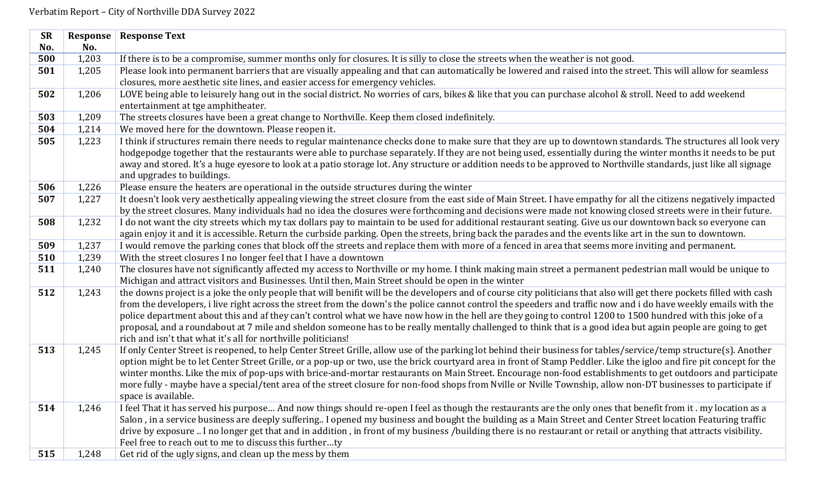| <b>SR</b> | <b>Response</b> | <b>Response Text</b>                                                                                                                                                  |
|-----------|-----------------|-----------------------------------------------------------------------------------------------------------------------------------------------------------------------|
| No.       | No.             |                                                                                                                                                                       |
| 500       | 1,203           | If there is to be a compromise, summer months only for closures. It is silly to close the streets when the weather is not good.                                       |
| 501       | 1,205           | Please look into permanent barriers that are visually appealing and that can automatically be lowered and raised into the street. This will allow for seamless        |
|           |                 | closures, more aesthetic site lines, and easier access for emergency vehicles.                                                                                        |
| 502       | 1,206           | LOVE being able to leisurely hang out in the social district. No worries of cars, bikes & like that you can purchase alcohol & stroll. Need to add weekend            |
|           |                 | entertainment at tge amphitheater.                                                                                                                                    |
| 503       | 1,209           | The streets closures have been a great change to Northville. Keep them closed indefinitely.                                                                           |
| 504       | 1,214           | We moved here for the downtown. Please reopen it.                                                                                                                     |
| 505       | 1,223           | I think if structures remain there needs to regular maintenance checks done to make sure that they are up to downtown standards. The structures all look very         |
|           |                 | hodgepodge together that the restaurants were able to purchase separately. If they are not being used, essentially during the winter months it needs to be put        |
|           |                 | away and stored. It's a huge eyesore to look at a patio storage lot. Any structure or addition needs to be approved to Northville standards, just like all signage    |
|           |                 | and upgrades to buildings.                                                                                                                                            |
| 506       | 1,226           | Please ensure the heaters are operational in the outside structures during the winter                                                                                 |
| 507       | 1,227           | It doesn't look very aesthetically appealing viewing the street closure from the east side of Main Street. I have empathy for all the citizens negatively impacted    |
|           |                 | by the street closures. Many individuals had no idea the closures were forthcoming and decisions were made not knowing closed streets were in their future.           |
| 508       | 1,232           | I do not want the city streets which my tax dollars pay to maintain to be used for additional restaurant seating. Give us our downtown back so everyone can           |
|           |                 | again enjoy it and it is accessible. Return the curbside parking. Open the streets, bring back the parades and the events like art in the sun to downtown.            |
| 509       | 1,237           | I would remove the parking cones that block off the streets and replace them with more of a fenced in area that seems more inviting and permanent.                    |
| 510       | 1,239           | With the street closures I no longer feel that I have a downtown                                                                                                      |
| 511       | 1,240           | The closures have not significantly affected my access to Northville or my home. I think making main street a permanent pedestrian mall would be unique to            |
|           |                 | Michigan and attract visitors and Businesses. Until then, Main Street should be open in the winter                                                                    |
| 512       | 1,243           | the downs project is a joke the only people that will benifit will be the developers and of course city politicians that also will get there pockets filled with cash |
|           |                 | from the developers, i live right across the street from the down's the police cannot control the speeders and traffic now and i do have weekly emails with the       |
|           |                 | police department about this and af they can't control what we have now how in the hell are they going to control 1200 to 1500 hundred with this joke of a            |
|           |                 | proposal, and a roundabout at 7 mile and sheldon someone has to be really mentally challenged to think that is a good idea but again people are going to get          |
|           |                 | rich and isn't that what it's all for northville politicians!                                                                                                         |
| 513       | 1,245           | If only Center Street is reopened, to help Center Street Grille, allow use of the parking lot behind their business for tables/service/temp structure(s). Another     |
|           |                 | option might be to let Center Street Grille, or a pop-up or two, use the brick courtyard area in front of Stamp Peddler. Like the igloo and fire pit concept for the  |
|           |                 | winter months. Like the mix of pop-ups with brice-and-mortar restaurants on Main Street. Encourage non-food establishments to get outdoors and participate            |
|           |                 | more fully - maybe have a special/tent area of the street closure for non-food shops from Nville or Nville Township, allow non-DT businesses to participate if        |
|           |                 | space is available.                                                                                                                                                   |
| 514       | 1,246           | I feel That it has served his purpose And now things should re-open I feel as though the restaurants are the only ones that benefit from it. my location as a         |
|           |                 | Salon, in a service business are deeply suffering. I opened my business and bought the building as a Main Street and Center Street location Featuring traffic         |
|           |                 | drive by exposure  I no longer get that and in addition, in front of my business /building there is no restaurant or retail or anything that attracts visibility.     |
|           |                 | Feel free to reach out to me to discuss this furtherty                                                                                                                |
| 515       | 1,248           | Get rid of the ugly signs, and clean up the mess by them                                                                                                              |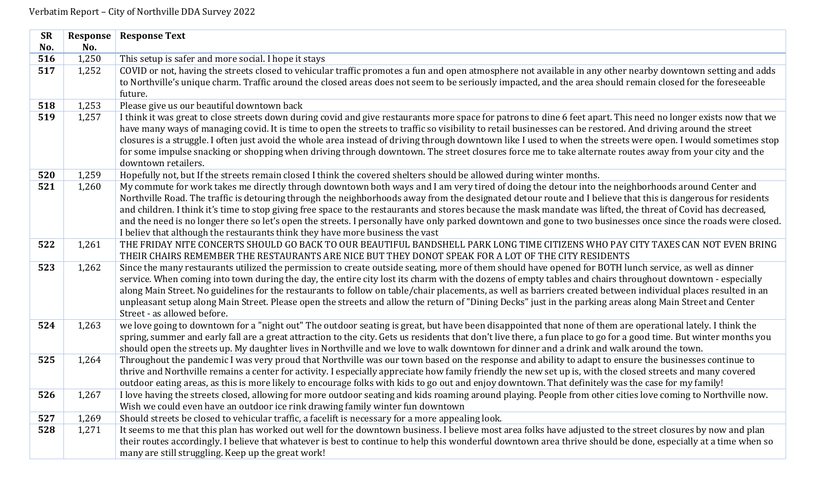| <b>SR</b> | Response | <b>Response Text</b>                                                                                                                                                                                                                                                                                                                                                                                                                                                                                                                                                                                                                                                                                                                    |
|-----------|----------|-----------------------------------------------------------------------------------------------------------------------------------------------------------------------------------------------------------------------------------------------------------------------------------------------------------------------------------------------------------------------------------------------------------------------------------------------------------------------------------------------------------------------------------------------------------------------------------------------------------------------------------------------------------------------------------------------------------------------------------------|
| No.       | No.      |                                                                                                                                                                                                                                                                                                                                                                                                                                                                                                                                                                                                                                                                                                                                         |
| 516       | 1,250    | This setup is safer and more social. I hope it stays                                                                                                                                                                                                                                                                                                                                                                                                                                                                                                                                                                                                                                                                                    |
| 517       | 1,252    | COVID or not, having the streets closed to vehicular traffic promotes a fun and open atmosphere not available in any other nearby downtown setting and adds<br>to Northville's unique charm. Traffic around the closed areas does not seem to be seriously impacted, and the area should remain closed for the foreseeable                                                                                                                                                                                                                                                                                                                                                                                                              |
|           |          | future.                                                                                                                                                                                                                                                                                                                                                                                                                                                                                                                                                                                                                                                                                                                                 |
| 518       | 1,253    | Please give us our beautiful downtown back                                                                                                                                                                                                                                                                                                                                                                                                                                                                                                                                                                                                                                                                                              |
| 519       | 1,257    | I think it was great to close streets down during covid and give restaurants more space for patrons to dine 6 feet apart. This need no longer exists now that we<br>have many ways of managing covid. It is time to open the streets to traffic so visibility to retail businesses can be restored. And driving around the street<br>closures is a struggle. I often just avoid the whole area instead of driving through downtown like I used to when the streets were open. I would sometimes stop<br>for some impulse snacking or shopping when driving through downtown. The street closures force me to take alternate routes away from your city and the<br>downtown retailers.                                                   |
| 520       | 1,259    | Hopefully not, but If the streets remain closed I think the covered shelters should be allowed during winter months.                                                                                                                                                                                                                                                                                                                                                                                                                                                                                                                                                                                                                    |
| 521       | 1,260    | My commute for work takes me directly through downtown both ways and I am very tired of doing the detour into the neighborhoods around Center and<br>Northville Road. The traffic is detouring through the neighborhoods away from the designated detour route and I believe that this is dangerous for residents<br>and children. I think it's time to stop giving free space to the restaurants and stores because the mask mandate was lifted, the threat of Covid has decreased,<br>and the need is no longer there so let's open the streets. I personally have only parked downtown and gone to two businesses once since the roads were closed.<br>I believ that although the restaurants think they have more business the vast |
| 522       | 1,261    | THE FRIDAY NITE CONCERTS SHOULD GO BACK TO OUR BEAUTIFUL BANDSHELL PARK LONG TIME CITIZENS WHO PAY CITY TAXES CAN NOT EVEN BRING<br>THEIR CHAIRS REMEMBER THE RESTAURANTS ARE NICE BUT THEY DONOT SPEAK FOR A LOT OF THE CITY RESIDENTS                                                                                                                                                                                                                                                                                                                                                                                                                                                                                                 |
| 523       | 1,262    | Since the many restaurants utilized the permission to create outside seating, more of them should have opened for BOTH lunch service, as well as dinner<br>service. When coming into town during the day, the entire city lost its charm with the dozens of empty tables and chairs throughout downtown - especially<br>along Main Street. No guidelines for the restaurants to follow on table/chair placements, as well as barriers created between individual places resulted in an<br>unpleasant setup along Main Street. Please open the streets and allow the return of "Dining Decks" just in the parking areas along Main Street and Center<br>Street - as allowed before.                                                      |
| 524       | 1,263    | we love going to downtown for a "night out" The outdoor seating is great, but have been disappointed that none of them are operational lately. I think the<br>spring, summer and early fall are a great attraction to the city. Gets us residents that don't live there, a fun place to go for a good time. But winter months you<br>should open the streets up. My daughter lives in Northville and we love to walk downtown for dinner and a drink and walk around the town.                                                                                                                                                                                                                                                          |
| 525       | 1,264    | Throughout the pandemic I was very proud that Northville was our town based on the response and ability to adapt to ensure the businesses continue to<br>thrive and Northville remains a center for activity. I especially appreciate how family friendly the new set up is, with the closed streets and many covered<br>outdoor eating areas, as this is more likely to encourage folks with kids to go out and enjoy downtown. That definitely was the case for my family!                                                                                                                                                                                                                                                            |
| 526       | 1,267    | I love having the streets closed, allowing for more outdoor seating and kids roaming around playing. People from other cities love coming to Northville now.<br>Wish we could even have an outdoor ice rink drawing family winter fun downtown                                                                                                                                                                                                                                                                                                                                                                                                                                                                                          |
| 527       | 1,269    | Should streets be closed to vehicular traffic, a facelift is necessary for a more appealing look.                                                                                                                                                                                                                                                                                                                                                                                                                                                                                                                                                                                                                                       |
| 528       | 1,271    | It seems to me that this plan has worked out well for the downtown business. I believe most area folks have adjusted to the street closures by now and plan<br>their routes accordingly. I believe that whatever is best to continue to help this wonderful downtown area thrive should be done, especially at a time when so                                                                                                                                                                                                                                                                                                                                                                                                           |
|           |          | many are still struggling. Keep up the great work!                                                                                                                                                                                                                                                                                                                                                                                                                                                                                                                                                                                                                                                                                      |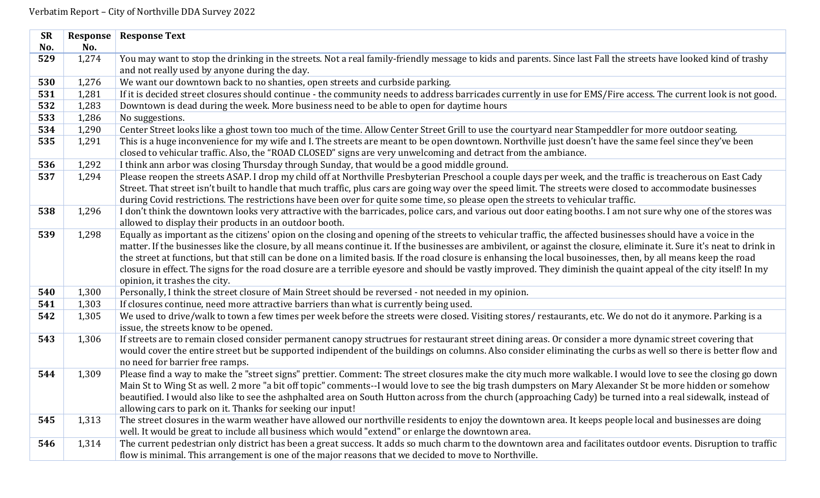| <b>SR</b> | Response | <b>Response Text</b>                                                                                                                                                                                                                                                                                                                                                                                                                                                                                                                                                                                                                                                                                                 |
|-----------|----------|----------------------------------------------------------------------------------------------------------------------------------------------------------------------------------------------------------------------------------------------------------------------------------------------------------------------------------------------------------------------------------------------------------------------------------------------------------------------------------------------------------------------------------------------------------------------------------------------------------------------------------------------------------------------------------------------------------------------|
| No.       | No.      |                                                                                                                                                                                                                                                                                                                                                                                                                                                                                                                                                                                                                                                                                                                      |
| 529       | 1,274    | You may want to stop the drinking in the streets. Not a real family-friendly message to kids and parents. Since last Fall the streets have looked kind of trashy                                                                                                                                                                                                                                                                                                                                                                                                                                                                                                                                                     |
|           |          | and not really used by anyone during the day.                                                                                                                                                                                                                                                                                                                                                                                                                                                                                                                                                                                                                                                                        |
| 530       | 1,276    | We want our downtown back to no shanties, open streets and curbside parking.                                                                                                                                                                                                                                                                                                                                                                                                                                                                                                                                                                                                                                         |
| 531       | 1,281    | If it is decided street closures should continue - the community needs to address barricades currently in use for EMS/Fire access. The current look is not good.                                                                                                                                                                                                                                                                                                                                                                                                                                                                                                                                                     |
| 532       | 1,283    | Downtown is dead during the week. More business need to be able to open for daytime hours                                                                                                                                                                                                                                                                                                                                                                                                                                                                                                                                                                                                                            |
| 533       | 1,286    | No suggestions.                                                                                                                                                                                                                                                                                                                                                                                                                                                                                                                                                                                                                                                                                                      |
| 534       | 1,290    | Center Street looks like a ghost town too much of the time. Allow Center Street Grill to use the courtyard near Stampeddler for more outdoor seating.                                                                                                                                                                                                                                                                                                                                                                                                                                                                                                                                                                |
| 535       | 1,291    | This is a huge inconvenience for my wife and I. The streets are meant to be open downtown. Northville just doesn't have the same feel since they've been<br>closed to vehicular traffic. Also, the "ROAD CLOSED" signs are very unwelcoming and detract from the ambiance.                                                                                                                                                                                                                                                                                                                                                                                                                                           |
| 536       | 1,292    | I think ann arbor was closing Thursday through Sunday, that would be a good middle ground.                                                                                                                                                                                                                                                                                                                                                                                                                                                                                                                                                                                                                           |
| 537       | 1,294    | Please reopen the streets ASAP. I drop my child off at Northville Presbyterian Preschool a couple days per week, and the traffic is treacherous on East Cady<br>Street. That street isn't built to handle that much traffic, plus cars are going way over the speed limit. The streets were closed to accommodate businesses<br>during Covid restrictions. The restrictions have been over for quite some time, so please open the streets to vehicular traffic.                                                                                                                                                                                                                                                     |
| 538       | 1,296    | I don't think the downtown looks very attractive with the barricades, police cars, and various out door eating booths. I am not sure why one of the stores was<br>allowed to display their products in an outdoor booth.                                                                                                                                                                                                                                                                                                                                                                                                                                                                                             |
| 539       | 1,298    | Equally as important as the citizens' opion on the closing and opening of the streets to vehicular traffic, the affected businesses should have a voice in the<br>matter. If the businesses like the closure, by all means continue it. If the businesses are ambivilent, or against the closure, eliminate it. Sure it's neat to drink in<br>the street at functions, but that still can be done on a limited basis. If the road closure is enhansing the local busoinesses, then, by all means keep the road<br>closure in effect. The signs for the road closure are a terrible eyesore and should be vastly improved. They diminish the quaint appeal of the city itself! In my<br>opinion, it trashes the city. |
| 540       | 1,300    | Personally, I think the street closure of Main Street should be reversed - not needed in my opinion.                                                                                                                                                                                                                                                                                                                                                                                                                                                                                                                                                                                                                 |
| 541       | 1,303    | If closures continue, need more attractive barriers than what is currently being used.                                                                                                                                                                                                                                                                                                                                                                                                                                                                                                                                                                                                                               |
| 542       | 1,305    | We used to drive/walk to town a few times per week before the streets were closed. Visiting stores/restaurants, etc. We do not do it anymore. Parking is a<br>issue, the streets know to be opened.                                                                                                                                                                                                                                                                                                                                                                                                                                                                                                                  |
| 543       | 1,306    | If streets are to remain closed consider permanent canopy structrues for restaurant street dining areas. Or consider a more dynamic street covering that<br>would cover the entire street but be supported indipendent of the buildings on columns. Also consider eliminating the curbs as well so there is better flow and<br>no need for barrier free ramps.                                                                                                                                                                                                                                                                                                                                                       |
| 544       | 1,309    | Please find a way to make the "street signs" prettier. Comment: The street closures make the city much more walkable. I would love to see the closing go down<br>Main St to Wing St as well. 2 more "a bit off topic" comments--I would love to see the big trash dumpsters on Mary Alexander St be more hidden or somehow<br>beautified. I would also like to see the ashphalted area on South Hutton across from the church (approaching Cady) be turned into a real sidewalk, instead of<br>allowing cars to park on it. Thanks for seeking our input!                                                                                                                                                            |
| 545       | 1,313    | The street closures in the warm weather have allowed our northville residents to enjoy the downtown area. It keeps people local and businesses are doing<br>well. It would be great to include all business which would "extend" or enlarge the downtown area.                                                                                                                                                                                                                                                                                                                                                                                                                                                       |
| 546       | 1,314    | The current pedestrian only district has been a great success. It adds so much charm to the downtown area and facilitates outdoor events. Disruption to traffic<br>flow is minimal. This arrangement is one of the major reasons that we decided to move to Northville.                                                                                                                                                                                                                                                                                                                                                                                                                                              |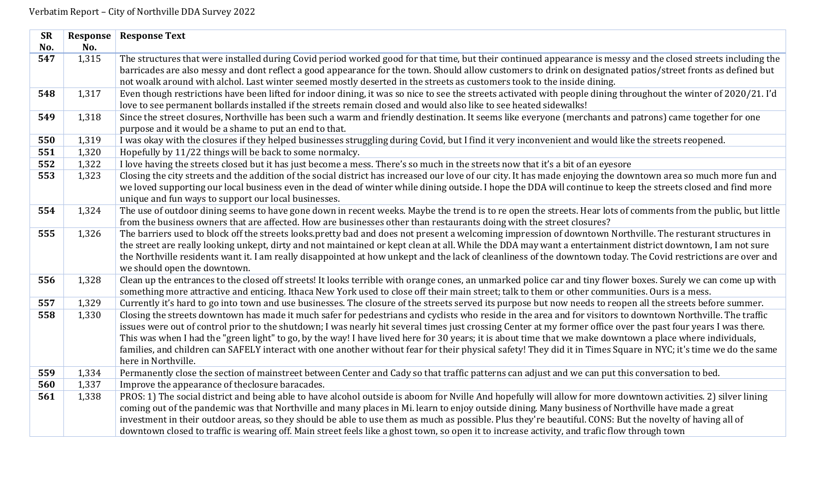| <b>SR</b> | Response | <b>Response Text</b>                                                                                                                                                                                                                                                                                                           |
|-----------|----------|--------------------------------------------------------------------------------------------------------------------------------------------------------------------------------------------------------------------------------------------------------------------------------------------------------------------------------|
| No.       | No.      |                                                                                                                                                                                                                                                                                                                                |
| 547       | 1,315    | The structures that were installed during Covid period worked good for that time, but their continued appearance is messy and the closed streets including the                                                                                                                                                                 |
|           |          | barricades are also messy and dont reflect a good appearance for the town. Should allow customers to drink on designated patios/street fronts as defined but                                                                                                                                                                   |
|           |          | not woalk around with alchol. Last winter seemed mostly deserted in the streets as customers took to the inside dining.                                                                                                                                                                                                        |
| 548       | 1,317    | Even though restrictions have been lifted for indoor dining, it was so nice to see the streets activated with people dining throughout the winter of 2020/21. I'd                                                                                                                                                              |
|           |          | love to see permanent bollards installed if the streets remain closed and would also like to see heated sidewalks!                                                                                                                                                                                                             |
| 549       | 1,318    | Since the street closures, Northville has been such a warm and friendly destination. It seems like everyone (merchants and patrons) came together for one                                                                                                                                                                      |
|           |          | purpose and it would be a shame to put an end to that.                                                                                                                                                                                                                                                                         |
| 550       | 1,319    | I was okay with the closures if they helped businesses struggling during Covid, but I find it very inconvenient and would like the streets reopened.                                                                                                                                                                           |
| 551       | 1,320    | Hopefully by 11/22 things will be back to some normalcy.                                                                                                                                                                                                                                                                       |
| 552       | 1,322    | I love having the streets closed but it has just become a mess. There's so much in the streets now that it's a bit of an eyesore                                                                                                                                                                                               |
| 553       | 1,323    | Closing the city streets and the addition of the social district has increased our love of our city. It has made enjoying the downtown area so much more fun and                                                                                                                                                               |
|           |          | we loved supporting our local business even in the dead of winter while dining outside. I hope the DDA will continue to keep the streets closed and find more                                                                                                                                                                  |
|           |          | unique and fun ways to support our local businesses.                                                                                                                                                                                                                                                                           |
| 554       | 1,324    | The use of outdoor dining seems to have gone down in recent weeks. Maybe the trend is to re open the streets. Hear lots of comments from the public, but little                                                                                                                                                                |
|           |          | from the business owners that are affected. How are businesses other than restaurants doing with the street closures?                                                                                                                                                                                                          |
| 555       | 1,326    | The barriers used to block off the streets looks.pretty bad and does not present a welcoming impression of downtown Northville. The resturant structures in                                                                                                                                                                    |
|           |          | the street are really looking unkept, dirty and not maintained or kept clean at all. While the DDA may want a entertainment district downtown, I am not sure                                                                                                                                                                   |
|           |          | the Northville residents want it. I am really disappointed at how unkept and the lack of cleanliness of the downtown today. The Covid restrictions are over and                                                                                                                                                                |
|           |          | we should open the downtown.                                                                                                                                                                                                                                                                                                   |
| 556       | 1,328    | Clean up the entrances to the closed off streets! It looks terrible with orange cones, an unmarked police car and tiny flower boxes. Surely we can come up with                                                                                                                                                                |
|           |          | something more attractive and enticing. Ithaca New York used to close off their main street; talk to them or other communities. Ours is a mess.                                                                                                                                                                                |
| 557       | 1,329    | Currently it's hard to go into town and use businesses. The closure of the streets served its purpose but now needs to reopen all the streets before summer.                                                                                                                                                                   |
| 558       | 1,330    | Closing the streets downtown has made it much safer for pedestrians and cyclists who reside in the area and for visitors to downtown Northville. The traffic                                                                                                                                                                   |
|           |          | issues were out of control prior to the shutdown; I was nearly hit several times just crossing Center at my former office over the past four years I was there.                                                                                                                                                                |
|           |          | This was when I had the "green light" to go, by the way! I have lived here for 30 years; it is about time that we make downtown a place where individuals,<br>families, and children can SAFELY interact with one another without fear for their physical safety! They did it in Times Square in NYC; it's time we do the same |
|           |          | here in Northville.                                                                                                                                                                                                                                                                                                            |
| 559       | 1,334    | Permanently close the section of mainstreet between Center and Cady so that traffic patterns can adjust and we can put this conversation to bed.                                                                                                                                                                               |
| 560       | 1,337    | Improve the appearance of the closure baracades.                                                                                                                                                                                                                                                                               |
| 561       | 1,338    | PROS: 1) The social district and being able to have alcohol outside is aboom for Nville And hopefully will allow for more downtown activities. 2) silver lining                                                                                                                                                                |
|           |          | coming out of the pandemic was that Northville and many places in Mi. learn to enjoy outside dining. Many business of Northville have made a great                                                                                                                                                                             |
|           |          | investment in their outdoor areas, so they should be able to use them as much as possible. Plus they're beautiful. CONS: But the novelty of having all of                                                                                                                                                                      |
|           |          | downtown closed to traffic is wearing off. Main street feels like a ghost town, so open it to increase activity, and trafic flow through town                                                                                                                                                                                  |
|           |          |                                                                                                                                                                                                                                                                                                                                |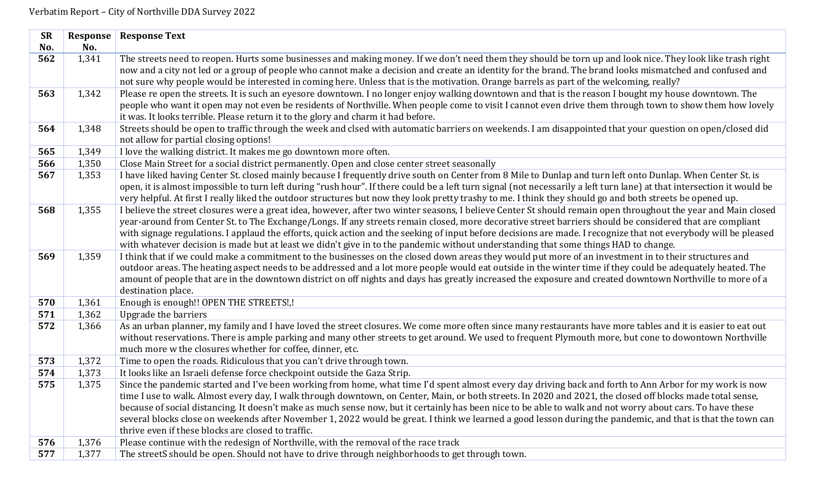| <b>SR</b> | Response | <b>Response Text</b>                                                                                                                                                                                                                                                                                                                                                                                                                                                                                                                                                                                                                                                                                     |
|-----------|----------|----------------------------------------------------------------------------------------------------------------------------------------------------------------------------------------------------------------------------------------------------------------------------------------------------------------------------------------------------------------------------------------------------------------------------------------------------------------------------------------------------------------------------------------------------------------------------------------------------------------------------------------------------------------------------------------------------------|
| No.       | No.      |                                                                                                                                                                                                                                                                                                                                                                                                                                                                                                                                                                                                                                                                                                          |
| 562       | 1,341    | The streets need to reopen. Hurts some businesses and making money. If we don't need them they should be torn up and look nice. They look like trash right<br>now and a city not led or a group of people who cannot make a decision and create an identity for the brand. The brand looks mismatched and confused and<br>not sure why people would be interested in coming here. Unless that is the motivation. Orange barrels as part of the welcoming, really?                                                                                                                                                                                                                                        |
| 563       | 1,342    | Please re open the streets. It is such an eyesore downtown. I no longer enjoy walking downtown and that is the reason I bought my house downtown. The<br>people who want it open may not even be residents of Northville. When people come to visit I cannot even drive them through town to show them how lovely<br>it was. It looks terrible. Please return it to the glory and charm it had before.                                                                                                                                                                                                                                                                                                   |
| 564       | 1,348    | Streets should be open to traffic through the week and clsed with automatic barriers on weekends. I am disappointed that your question on open/closed did<br>not allow for partial closing options!                                                                                                                                                                                                                                                                                                                                                                                                                                                                                                      |
| 565       | 1,349    | I love the walking district. It makes me go downtown more often.                                                                                                                                                                                                                                                                                                                                                                                                                                                                                                                                                                                                                                         |
| 566       | 1,350    | Close Main Street for a social district permanently. Open and close center street seasonally                                                                                                                                                                                                                                                                                                                                                                                                                                                                                                                                                                                                             |
| 567       | 1,353    | I have liked having Center St. closed mainly because I frequently drive south on Center from 8 Mile to Dunlap and turn left onto Dunlap. When Center St. is<br>open, it is almost impossible to turn left during "rush hour". If there could be a left turn signal (not necessarily a left turn lane) at that intersection it would be<br>very helpful. At first I really liked the outdoor structures but now they look pretty trashy to me. I think they should go and both streets be opened up.                                                                                                                                                                                                      |
| 568       | 1,355    | I believe the street closures were a great idea, however, after two winter seasons, I believe Center St should remain open throughout the year and Main closed<br>year-around from Center St. to The Exchange/Longs. If any streets remain closed, more decorative street barriers should be considered that are compliant<br>with signage regulations. I applaud the efforts, quick action and the seeking of input before decisions are made. I recognize that not everybody will be pleased<br>with whatever decision is made but at least we didn't give in to the pandemic without understanding that some things HAD to change.                                                                    |
| 569       | 1,359    | I think that if we could make a commitment to the businesses on the closed down areas they would put more of an investment in to their structures and<br>outdoor areas. The heating aspect needs to be addressed and a lot more people would eat outside in the winter time if they could be adequately heated. The<br>amount of people that are in the downtown district on off nights and days has greatly increased the exposure and created downtown Northville to more of a<br>destination place.                                                                                                                                                                                                   |
| 570       | 1,361    | Enough is enough!! OPEN THE STREETS!,!                                                                                                                                                                                                                                                                                                                                                                                                                                                                                                                                                                                                                                                                   |
| 571       | 1,362    | <b>Upgrade the barriers</b>                                                                                                                                                                                                                                                                                                                                                                                                                                                                                                                                                                                                                                                                              |
| 572       | 1,366    | As an urban planner, my family and I have loved the street closures. We come more often since many restaurants have more tables and it is easier to eat out<br>without reservations. There is ample parking and many other streets to get around. We used to frequent Plymouth more, but cone to dowontown Northville<br>much more w the closures whether for coffee, dinner, etc.                                                                                                                                                                                                                                                                                                                       |
| 573       | 1,372    | Time to open the roads. Ridiculous that you can't drive through town.                                                                                                                                                                                                                                                                                                                                                                                                                                                                                                                                                                                                                                    |
| 574       | 1,373    | It looks like an Israeli defense force checkpoint outside the Gaza Strip.                                                                                                                                                                                                                                                                                                                                                                                                                                                                                                                                                                                                                                |
| 575       | 1,375    | Since the pandemic started and I've been working from home, what time I'd spent almost every day driving back and forth to Ann Arbor for my work is now<br>time I use to walk. Almost every day, I walk through downtown, on Center, Main, or both streets. In 2020 and 2021, the closed off blocks made total sense,<br>because of social distancing. It doesn't make as much sense now, but it certainly has been nice to be able to walk and not worry about cars. To have these<br>several blocks close on weekends after November 1, 2022 would be great. I think we learned a good lesson during the pandemic, and that is that the town can<br>thrive even if these blocks are closed to traffic. |
| 576       | 1,376    | Please continue with the redesign of Northville, with the removal of the race track                                                                                                                                                                                                                                                                                                                                                                                                                                                                                                                                                                                                                      |
| 577       | 1,377    | The streetS should be open. Should not have to drive through neighborhoods to get through town.                                                                                                                                                                                                                                                                                                                                                                                                                                                                                                                                                                                                          |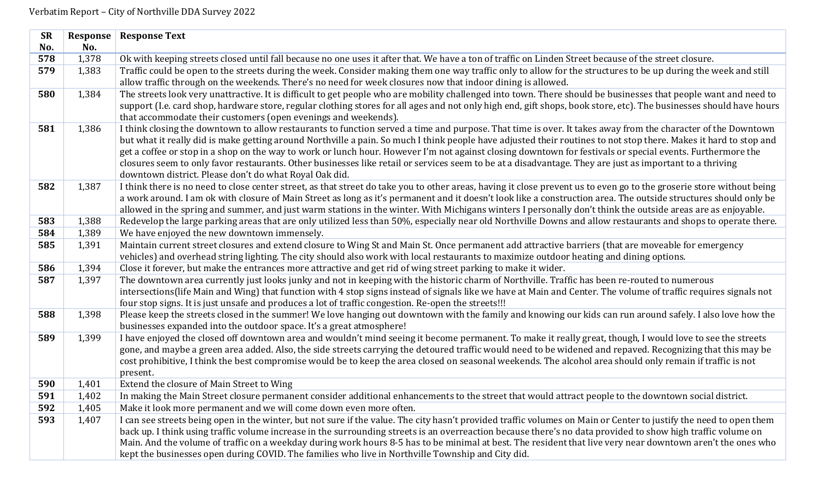| <b>SR</b> | Response | <b>Response Text</b>                                                                                                                                                                                          |
|-----------|----------|---------------------------------------------------------------------------------------------------------------------------------------------------------------------------------------------------------------|
| No.       | No.      |                                                                                                                                                                                                               |
| 578       | 1,378    | Ok with keeping streets closed until fall because no one uses it after that. We have a ton of traffic on Linden Street because of the street closure.                                                         |
| 579       | 1,383    | Traffic could be open to the streets during the week. Consider making them one way traffic only to allow for the structures to be up during the week and still                                                |
|           |          | allow traffic through on the weekends. There's no need for week closures now that indoor dining is allowed.                                                                                                   |
| 580       | 1,384    | The streets look very unattractive. It is difficult to get people who are mobility challenged into town. There should be businesses that people want and need to                                              |
|           |          | support (I.e. card shop, hardware store, regular clothing stores for all ages and not only high end, gift shops, book store, etc). The businesses should have hours                                           |
|           |          | that accommodate their customers (open evenings and weekends).                                                                                                                                                |
| 581       | 1,386    | I think closing the downtown to allow restaurants to function served a time and purpose. That time is over. It takes away from the character of the Downtown                                                  |
|           |          | but what it really did is make getting around Northville a pain. So much I think people have adjusted their routines to not stop there. Makes it hard to stop and                                             |
|           |          | get a coffee or stop in a shop on the way to work or lunch hour. However I'm not against closing downtown for festivals or special events. Furthermore the                                                    |
|           |          | closures seem to only favor restaurants. Other businesses like retail or services seem to be at a disadvantage. They are just as important to a thriving                                                      |
|           |          | downtown district. Please don't do what Royal Oak did.                                                                                                                                                        |
| 582       | 1,387    | I think there is no need to close center street, as that street do take you to other areas, having it close prevent us to even go to the groserie store without being                                         |
|           |          | a work around. I am ok with closure of Main Street as long as it's permanent and it doesn't look like a construction area. The outside structures should only be                                              |
| 583       | 1,388    | allowed in the spring and summer, and just warm stations in the winter. With Michigans winters I personally don't think the outside areas are as enjoyable.                                                   |
| 584       | 1,389    | Redevelop the large parking areas that are only utilized less than 50%, especially near old Northville Downs and allow restaurants and shops to operate there.<br>We have enjoyed the new downtown immensely. |
| 585       | 1,391    | Maintain current street closures and extend closure to Wing St and Main St. Once permanent add attractive barriers (that are moveable for emergency                                                           |
|           |          | vehicles) and overhead string lighting. The city should also work with local restaurants to maximize outdoor heating and dining options.                                                                      |
| 586       | 1,394    | Close it forever, but make the entrances more attractive and get rid of wing street parking to make it wider.                                                                                                 |
| 587       | 1,397    | The downtown area currently just looks junky and not in keeping with the historic charm of Northville. Traffic has been re-routed to numerous                                                                 |
|           |          | intersections(life Main and Wing) that function with 4 stop signs instead of signals like we have at Main and Center. The volume of traffic requires signals not                                              |
|           |          | four stop signs. It is just unsafe and produces a lot of traffic congestion. Re-open the streets!!!                                                                                                           |
| 588       | 1,398    | Please keep the streets closed in the summer! We love hanging out downtown with the family and knowing our kids can run around safely. I also love how the                                                    |
|           |          | businesses expanded into the outdoor space. It's a great atmosphere!                                                                                                                                          |
| 589       | 1,399    | I have enjoyed the closed off downtown area and wouldn't mind seeing it become permanent. To make it really great, though, I would love to see the streets                                                    |
|           |          | gone, and maybe a green area added. Also, the side streets carrying the detoured traffic would need to be widened and repaved. Recognizing that this may be                                                   |
|           |          | cost prohibitive, I think the best compromise would be to keep the area closed on seasonal weekends. The alcohol area should only remain if traffic is not                                                    |
|           |          | present.                                                                                                                                                                                                      |
| 590       | 1,401    | Extend the closure of Main Street to Wing                                                                                                                                                                     |
| 591       | 1,402    | In making the Main Street closure permanent consider additional enhancements to the street that would attract people to the downtown social district.                                                         |
| 592       | 1,405    | Make it look more permanent and we will come down even more often.                                                                                                                                            |
| 593       | 1,407    | I can see streets being open in the winter, but not sure if the value. The city hasn't provided traffic volumes on Main or Center to justify the need to open them                                            |
|           |          | back up. I think using traffic volume increase in the surrounding streets is an overreaction because there's no data provided to show high traffic volume on                                                  |
|           |          | Main. And the volume of traffic on a weekday during work hours 8-5 has to be minimal at best. The resident that live very near downtown aren't the ones who                                                   |
|           |          | kept the businesses open during COVID. The families who live in Northville Township and City did.                                                                                                             |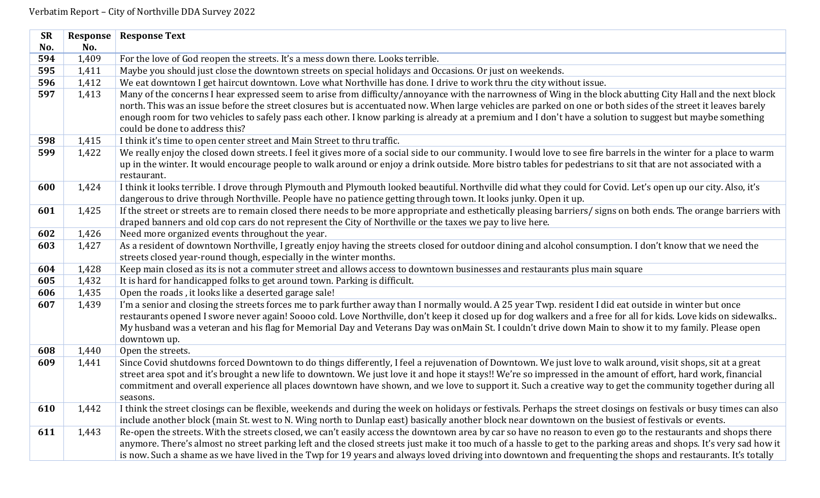| <b>SR</b> | <b>Response</b> | <b>Response Text</b>                                                                                                                                                                                                                                                                                                                                                                                                                                                                                                          |
|-----------|-----------------|-------------------------------------------------------------------------------------------------------------------------------------------------------------------------------------------------------------------------------------------------------------------------------------------------------------------------------------------------------------------------------------------------------------------------------------------------------------------------------------------------------------------------------|
| No.       | No.             |                                                                                                                                                                                                                                                                                                                                                                                                                                                                                                                               |
| 594       | 1,409           | For the love of God reopen the streets. It's a mess down there. Looks terrible.                                                                                                                                                                                                                                                                                                                                                                                                                                               |
| 595       | 1,411           | Maybe you should just close the downtown streets on special holidays and Occasions. Or just on weekends.                                                                                                                                                                                                                                                                                                                                                                                                                      |
| 596       | 1,412           | We eat downtown I get haircut downtown. Love what Northville has done. I drive to work thru the city without issue.                                                                                                                                                                                                                                                                                                                                                                                                           |
| 597       | 1,413           | Many of the concerns I hear expressed seem to arise from difficulty/annoyance with the narrowness of Wing in the block abutting City Hall and the next block<br>north. This was an issue before the street closures but is accentuated now. When large vehicles are parked on one or both sides of the street it leaves barely<br>enough room for two vehicles to safely pass each other. I know parking is already at a premium and I don't have a solution to suggest but maybe something<br>could be done to address this? |
| 598       | 1,415           | I think it's time to open center street and Main Street to thru traffic.                                                                                                                                                                                                                                                                                                                                                                                                                                                      |
| 599       | 1,422           | We really enjoy the closed down streets. I feel it gives more of a social side to our community. I would love to see fire barrels in the winter for a place to warm<br>up in the winter. It would encourage people to walk around or enjoy a drink outside. More bistro tables for pedestrians to sit that are not associated with a<br>restaurant.                                                                                                                                                                           |
| 600       | 1,424           | I think it looks terrible. I drove through Plymouth and Plymouth looked beautiful. Northville did what they could for Covid. Let's open up our city. Also, it's<br>dangerous to drive through Northville. People have no patience getting through town. It looks junky. Open it up.                                                                                                                                                                                                                                           |
| 601       | 1,425           | If the street or streets are to remain closed there needs to be more appropriate and esthetically pleasing barriers/ signs on both ends. The orange barriers with<br>draped banners and old cop cars do not represent the City of Northville or the taxes we pay to live here.                                                                                                                                                                                                                                                |
| 602       | 1,426           | Need more organized events throughout the year.                                                                                                                                                                                                                                                                                                                                                                                                                                                                               |
| 603       | 1,427           | As a resident of downtown Northville, I greatly enjoy having the streets closed for outdoor dining and alcohol consumption. I don't know that we need the                                                                                                                                                                                                                                                                                                                                                                     |
|           |                 | streets closed year-round though, especially in the winter months.                                                                                                                                                                                                                                                                                                                                                                                                                                                            |
| 604       | 1,428           | Keep main closed as its is not a commuter street and allows access to downtown businesses and restaurants plus main square                                                                                                                                                                                                                                                                                                                                                                                                    |
| 605       | 1,432           | It is hard for handicapped folks to get around town. Parking is difficult.                                                                                                                                                                                                                                                                                                                                                                                                                                                    |
| 606       | 1,435           | Open the roads, it looks like a deserted garage sale!                                                                                                                                                                                                                                                                                                                                                                                                                                                                         |
| 607       | 1,439           | I'm a senior and closing the streets forces me to park further away than I normally would. A 25 year Twp. resident I did eat outside in winter but once<br>restaurants opened I swore never again! Soooo cold. Love Northville, don't keep it closed up for dog walkers and a free for all for kids. Love kids on sidewalks<br>My husband was a veteran and his flag for Memorial Day and Veterans Day was onMain St. I couldn't drive down Main to show it to my family. Please open<br>downtown up.                         |
| 608       | 1,440           | Open the streets.                                                                                                                                                                                                                                                                                                                                                                                                                                                                                                             |
| 609       | 1,441           | Since Covid shutdowns forced Downtown to do things differently, I feel a rejuvenation of Downtown. We just love to walk around, visit shops, sit at a great<br>street area spot and it's brought a new life to downtown. We just love it and hope it stays!! We're so impressed in the amount of effort, hard work, financial<br>commitment and overall experience all places downtown have shown, and we love to support it. Such a creative way to get the community together during all<br>seasons.                        |
| 610       | 1,442           | I think the street closings can be flexible, weekends and during the week on holidays or festivals. Perhaps the street closings on festivals or busy times can also<br>include another block (main St. west to N. Wing north to Dunlap east) basically another block near downtown on the busiest of festivals or events.                                                                                                                                                                                                     |
| 611       | 1,443           | Re-open the streets. With the streets closed, we can't easily access the downtown area by car so have no reason to even go to the restaurants and shops there<br>anymore. There's almost no street parking left and the closed streets just make it too much of a hassle to get to the parking areas and shops. It's very sad how it<br>is now. Such a shame as we have lived in the Twp for 19 years and always loved driving into downtown and frequenting the shops and restaurants. It's totally                          |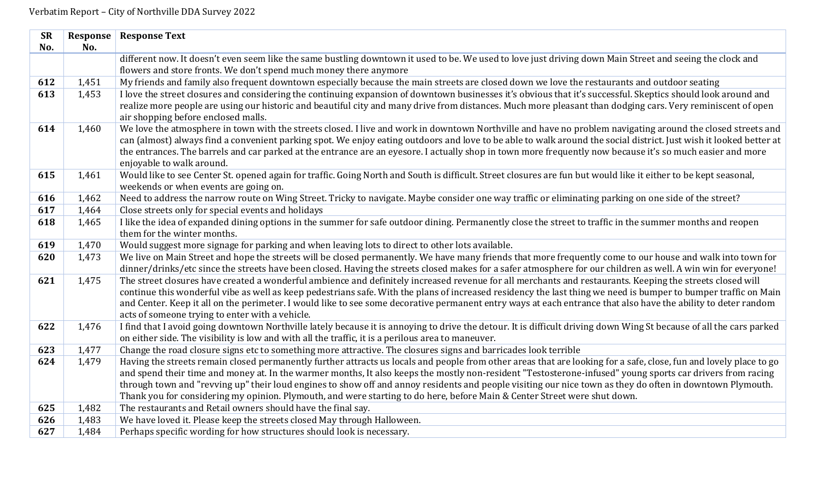| <b>SR</b> | Response       | <b>Response Text</b>                                                                                                                                                                                                                                                                  |
|-----------|----------------|---------------------------------------------------------------------------------------------------------------------------------------------------------------------------------------------------------------------------------------------------------------------------------------|
| No.       | No.            |                                                                                                                                                                                                                                                                                       |
|           |                | different now. It doesn't even seem like the same bustling downtown it used to be. We used to love just driving down Main Street and seeing the clock and                                                                                                                             |
|           |                | flowers and store fronts. We don't spend much money there anymore                                                                                                                                                                                                                     |
| 612       | 1,451          | My friends and family also frequent downtown especially because the main streets are closed down we love the restaurants and outdoor seating                                                                                                                                          |
| 613       | 1,453          | I love the street closures and considering the continuing expansion of downtown businesses it's obvious that it's successful. Skeptics should look around and                                                                                                                         |
|           |                | realize more people are using our historic and beautiful city and many drive from distances. Much more pleasant than dodging cars. Very reminiscent of open<br>air shopping before enclosed malls.                                                                                    |
| 614       | 1,460          | We love the atmosphere in town with the streets closed. I live and work in downtown Northville and have no problem navigating around the closed streets and                                                                                                                           |
|           |                | can (almost) always find a convenient parking spot. We enjoy eating outdoors and love to be able to walk around the social district. Just wish it looked better at                                                                                                                    |
|           |                | the entrances. The barrels and car parked at the entrance are an eyesore. I actually shop in town more frequently now because it's so much easier and more                                                                                                                            |
|           |                | enjoyable to walk around.                                                                                                                                                                                                                                                             |
| 615       | 1,461          | Would like to see Center St. opened again for traffic. Going North and South is difficult. Street closures are fun but would like it either to be kept seasonal,<br>weekends or when events are going on.                                                                             |
| 616       | 1,462          | Need to address the narrow route on Wing Street. Tricky to navigate. Maybe consider one way traffic or eliminating parking on one side of the street?                                                                                                                                 |
| 617       | 1,464          | Close streets only for special events and holidays                                                                                                                                                                                                                                    |
| 618       | 1,465          | I like the idea of expanded dining options in the summer for safe outdoor dining. Permanently close the street to traffic in the summer months and reopen                                                                                                                             |
|           |                | them for the winter months.                                                                                                                                                                                                                                                           |
| 619       | 1,470          | Would suggest more signage for parking and when leaving lots to direct to other lots available.                                                                                                                                                                                       |
| 620       | 1,473          | We live on Main Street and hope the streets will be closed permanently. We have many friends that more frequently come to our house and walk into town for                                                                                                                            |
|           |                | dinner/drinks/etc since the streets have been closed. Having the streets closed makes for a safer atmosphere for our children as well. A win win for everyone!                                                                                                                        |
| 621       | 1,475          | The street closures have created a wonderful ambience and definitely increased revenue for all merchants and restaurants. Keeping the streets closed will                                                                                                                             |
|           |                | continue this wonderful vibe as well as keep pedestrians safe. With the plans of increased residency the last thing we need is bumper to bumper traffic on Main                                                                                                                       |
|           |                | and Center. Keep it all on the perimeter. I would like to see some decorative permanent entry ways at each entrance that also have the ability to deter random                                                                                                                        |
|           |                | acts of someone trying to enter with a vehicle.                                                                                                                                                                                                                                       |
| 622       | 1,476          | I find that I avoid going downtown Northville lately because it is annoying to drive the detour. It is difficult driving down Wing St because of all the cars parked                                                                                                                  |
|           |                | on either side. The visibility is low and with all the traffic, it is a perilous area to maneuver.                                                                                                                                                                                    |
| 623       | 1,477<br>1,479 | Change the road closure signs etc to something more attractive. The closures signs and barricades look terrible<br>Having the streets remain closed permanently further attracts us locals and people from other areas that are looking for a safe, close, fun and lovely place to go |
| 624       |                | and spend their time and money at. In the warmer months, It also keeps the mostly non-resident "Testosterone-infused" young sports car drivers from racing                                                                                                                            |
|           |                | through town and "revving up" their loud engines to show off and annoy residents and people visiting our nice town as they do often in downtown Plymouth.                                                                                                                             |
|           |                | Thank you for considering my opinion. Plymouth, and were starting to do here, before Main & Center Street were shut down.                                                                                                                                                             |
| 625       | 1,482          | The restaurants and Retail owners should have the final say.                                                                                                                                                                                                                          |
| 626       | 1,483          | We have loved it. Please keep the streets closed May through Halloween.                                                                                                                                                                                                               |
| 627       | 1,484          | Perhaps specific wording for how structures should look is necessary.                                                                                                                                                                                                                 |
|           |                |                                                                                                                                                                                                                                                                                       |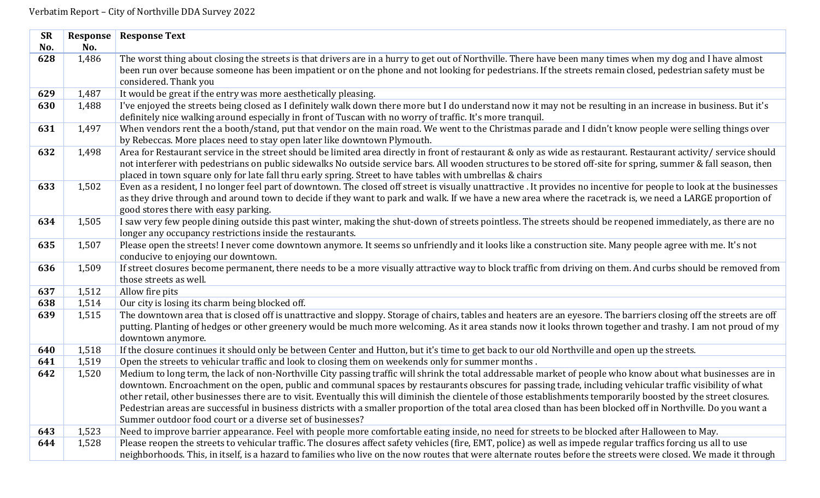| <b>SR</b> | <b>Response</b> | <b>Response Text</b>                                                                                                                                                                                                       |
|-----------|-----------------|----------------------------------------------------------------------------------------------------------------------------------------------------------------------------------------------------------------------------|
| No.       | No.             |                                                                                                                                                                                                                            |
| 628       | 1,486           | The worst thing about closing the streets is that drivers are in a hurry to get out of Northville. There have been many times when my dog and I have almost                                                                |
|           |                 | been run over because someone has been impatient or on the phone and not looking for pedestrians. If the streets remain closed, pedestrian safety must be                                                                  |
|           |                 | considered. Thank you                                                                                                                                                                                                      |
| 629       | 1,487           | It would be great if the entry was more aesthetically pleasing.                                                                                                                                                            |
| 630       | 1,488           | I've enjoyed the streets being closed as I definitely walk down there more but I do understand now it may not be resulting in an increase in business. But it's                                                            |
|           |                 | definitely nice walking around especially in front of Tuscan with no worry of traffic. It's more tranquil.                                                                                                                 |
| 631       | 1,497           | When vendors rent the a booth/stand, put that vendor on the main road. We went to the Christmas parade and I didn't know people were selling things over                                                                   |
|           |                 | by Rebeccas. More places need to stay open later like downtown Plymouth.                                                                                                                                                   |
| 632       | 1,498           | Area for Restaurant service in the street should be limited area directly in front of restaurant & only as wide as restaurant. Restaurant activity/ service should                                                         |
|           |                 | not interferer with pedestrians on public sidewalks No outside service bars. All wooden structures to be stored off-site for spring, summer & fall season, then                                                            |
|           |                 | placed in town square only for late fall thru early spring. Street to have tables with umbrellas & chairs                                                                                                                  |
| 633       | 1,502           | Even as a resident, I no longer feel part of downtown. The closed off street is visually unattractive . It provides no incentive for people to look at the businesses                                                      |
|           |                 | as they drive through and around town to decide if they want to park and walk. If we have a new area where the racetrack is, we need a LARGE proportion of                                                                 |
| 634       | 1,505           | good stores there with easy parking.                                                                                                                                                                                       |
|           |                 | I saw very few people dining outside this past winter, making the shut-down of streets pointless. The streets should be reopened immediately, as there are no<br>longer any occupancy restrictions inside the restaurants. |
| 635       | 1,507           | Please open the streets! I never come downtown anymore. It seems so unfriendly and it looks like a construction site. Many people agree with me. It's not                                                                  |
|           |                 | conducive to enjoying our downtown.                                                                                                                                                                                        |
| 636       | 1,509           | If street closures become permanent, there needs to be a more visually attractive way to block traffic from driving on them. And curbs should be removed from                                                              |
|           |                 | those streets as well.                                                                                                                                                                                                     |
| 637       | 1,512           | Allow fire pits                                                                                                                                                                                                            |
| 638       | 1,514           | Our city is losing its charm being blocked off.                                                                                                                                                                            |
| 639       | 1,515           | The downtown area that is closed off is unattractive and sloppy. Storage of chairs, tables and heaters are an eyesore. The barriers closing off the streets are off                                                        |
|           |                 | putting. Planting of hedges or other greenery would be much more welcoming. As it area stands now it looks thrown together and trashy. I am not proud of my                                                                |
|           |                 | downtown anymore.                                                                                                                                                                                                          |
| 640       | 1,518           | If the closure continues it should only be between Center and Hutton, but it's time to get back to our old Northville and open up the streets.                                                                             |
| 641       | 1,519           | Open the streets to vehicular traffic and look to closing them on weekends only for summer months.                                                                                                                         |
| 642       | 1,520           | Medium to long term, the lack of non-Northville City passing traffic will shrink the total addressable market of people who know about what businesses are in                                                              |
|           |                 | downtown. Encroachment on the open, public and communal spaces by restaurants obscures for passing trade, including vehicular traffic visibility of what                                                                   |
|           |                 | other retail, other businesses there are to visit. Eventually this will diminish the clientele of those establishments temporarily boosted by the street closures.                                                         |
|           |                 | Pedestrian areas are successful in business districts with a smaller proportion of the total area closed than has been blocked off in Northville. Do you want a                                                            |
|           |                 | Summer outdoor food court or a diverse set of businesses?                                                                                                                                                                  |
| 643       | 1,523           | Need to improve barrier appearance. Feel with people more comfortable eating inside, no need for streets to be blocked after Halloween to May.                                                                             |
| 644       | 1,528           | Please reopen the streets to vehicular traffic. The closures affect safety vehicles (fire, EMT, police) as well as impede regular traffics forcing us all to use                                                           |
|           |                 | neighborhoods. This, in itself, is a hazard to families who live on the now routes that were alternate routes before the streets were closed. We made it through                                                           |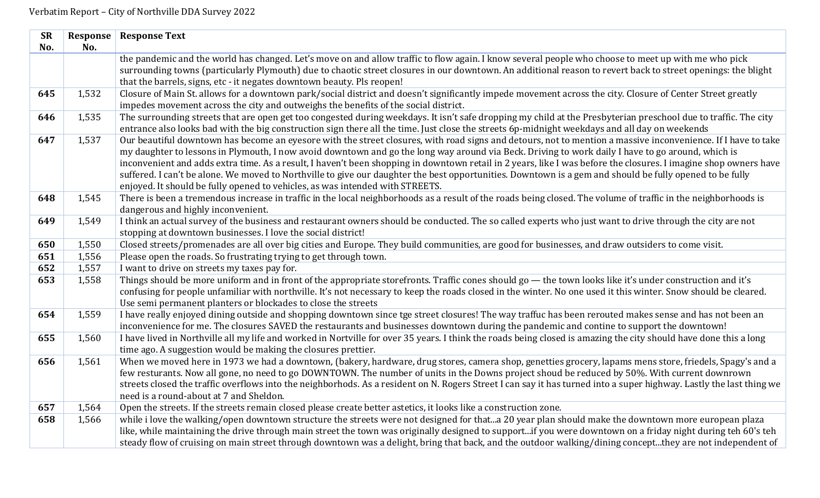| <b>SR</b><br>No. | No.   | <b>Response   Response Text</b>                                                                                                                                                                                                                                                                                                                                                                                                                                                                                                                                                                                                                                                                                                     |
|------------------|-------|-------------------------------------------------------------------------------------------------------------------------------------------------------------------------------------------------------------------------------------------------------------------------------------------------------------------------------------------------------------------------------------------------------------------------------------------------------------------------------------------------------------------------------------------------------------------------------------------------------------------------------------------------------------------------------------------------------------------------------------|
|                  |       | the pandemic and the world has changed. Let's move on and allow traffic to flow again. I know several people who choose to meet up with me who pick<br>surrounding towns (particularly Plymouth) due to chaotic street closures in our downtown. An additional reason to revert back to street openings: the blight<br>that the barrels, signs, etc - it negates downtown beauty. Pls reopen!                                                                                                                                                                                                                                                                                                                                       |
| 645              | 1,532 | Closure of Main St. allows for a downtown park/social district and doesn't significantly impede movement across the city. Closure of Center Street greatly<br>impedes movement across the city and outweighs the benefits of the social district.                                                                                                                                                                                                                                                                                                                                                                                                                                                                                   |
| 646              | 1,535 | The surrounding streets that are open get too congested during weekdays. It isn't safe dropping my child at the Presbyterian preschool due to traffic. The city<br>entrance also looks bad with the big construction sign there all the time. Just close the streets 6p-midnight weekdays and all day on weekends                                                                                                                                                                                                                                                                                                                                                                                                                   |
| 647              | 1,537 | Our beautiful downtown has become an eyesore with the street closures, with road signs and detours, not to mention a massive inconvenience. If I have to take<br>my daughter to lessons in Plymouth, I now avoid downtown and go the long way around via Beck. Driving to work daily I have to go around, which is<br>inconvenient and adds extra time. As a result, I haven't been shopping in downtown retail in 2 years, like I was before the closures. I imagine shop owners have<br>suffered. I can't be alone. We moved to Northville to give our daughter the best opportunities. Downtown is a gem and should be fully opened to be fully<br>enjoyed. It should be fully opened to vehicles, as was intended with STREETS. |
| 648              | 1,545 | There is been a tremendous increase in traffic in the local neighborhoods as a result of the roads being closed. The volume of traffic in the neighborhoods is<br>dangerous and highly inconvenient.                                                                                                                                                                                                                                                                                                                                                                                                                                                                                                                                |
| 649              | 1,549 | I think an actual survey of the business and restaurant owners should be conducted. The so called experts who just want to drive through the city are not<br>stopping at downtown businesses. I love the social district!                                                                                                                                                                                                                                                                                                                                                                                                                                                                                                           |
| 650              | 1,550 | Closed streets/promenades are all over big cities and Europe. They build communities, are good for businesses, and draw outsiders to come visit.                                                                                                                                                                                                                                                                                                                                                                                                                                                                                                                                                                                    |
| 651              | 1,556 | Please open the roads. So frustrating trying to get through town.                                                                                                                                                                                                                                                                                                                                                                                                                                                                                                                                                                                                                                                                   |
| 652              | 1,557 | I want to drive on streets my taxes pay for.                                                                                                                                                                                                                                                                                                                                                                                                                                                                                                                                                                                                                                                                                        |
| 653              | 1,558 | Things should be more uniform and in front of the appropriate storefronts. Traffic cones should go — the town looks like it's under construction and it's<br>confusing for people unfamiliar with northville. It's not necessary to keep the roads closed in the winter. No one used it this winter. Snow should be cleared.<br>Use semi permanent planters or blockades to close the streets                                                                                                                                                                                                                                                                                                                                       |
| 654              | 1,559 | I have really enjoyed dining outside and shopping downtown since tge street closures! The way traffuc has been rerouted makes sense and has not been an<br>inconvenience for me. The closures SAVED the restaurants and businesses downtown during the pandemic and contine to support the downtown!                                                                                                                                                                                                                                                                                                                                                                                                                                |
| 655              | 1,560 | I have lived in Northville all my life and worked in Nortville for over 35 years. I think the roads being closed is amazing the city should have done this a long<br>time ago. A suggestion would be making the closures prettier.                                                                                                                                                                                                                                                                                                                                                                                                                                                                                                  |
| 656              | 1,561 | When we moved here in 1973 we had a downtown, (bakery, hardware, drug stores, camera shop, genetties grocery, lapams mens store, friedels, Spagy's and a<br>few resturants. Now all gone, no need to go DOWNTOWN. The number of units in the Downs project shoud be reduced by 50%. With current downrown<br>streets closed the traffic overflows into the neighborhods. As a resident on N. Rogers Street I can say it has turned into a super highway. Lastly the last thing we<br>need is a round-about at 7 and Sheldon.                                                                                                                                                                                                        |
| 657              | 1,564 | Open the streets. If the streets remain closed please create better astetics, it looks like a construction zone.                                                                                                                                                                                                                                                                                                                                                                                                                                                                                                                                                                                                                    |
| 658              | 1,566 | while i love the walking/open downtown structure the streets were not designed for thata 20 year plan should make the downtown more european plaza<br>like, while maintaining the drive through main street the town was originally designed to supportif you were downtown on a friday night during teh 60's teh<br>steady flow of cruising on main street through downtown was a delight, bring that back, and the outdoor walking/dining conceptthey are not independent of                                                                                                                                                                                                                                                      |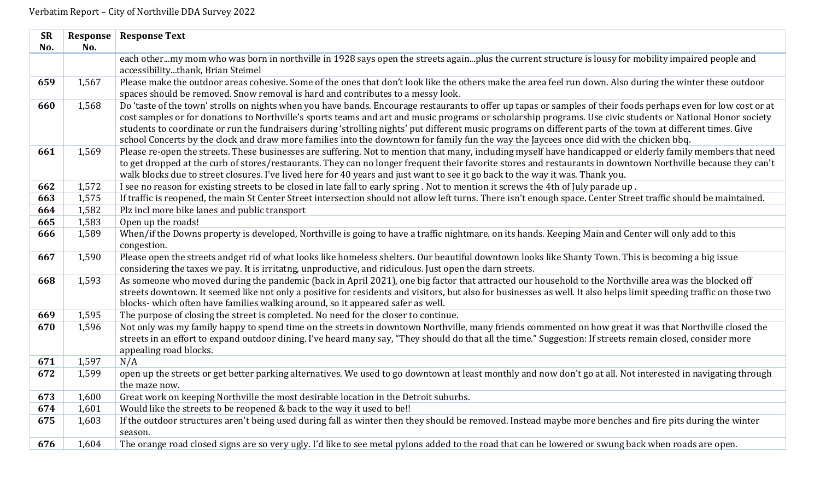| <b>SR</b><br>No. | No.   | <b>Response   Response Text</b>                                                                                                                                                                                                                                                                                                                                                                                                                                                                                                                                                                                                           |
|------------------|-------|-------------------------------------------------------------------------------------------------------------------------------------------------------------------------------------------------------------------------------------------------------------------------------------------------------------------------------------------------------------------------------------------------------------------------------------------------------------------------------------------------------------------------------------------------------------------------------------------------------------------------------------------|
|                  |       | each othermy mom who was born in northville in 1928 says open the streets againplus the current structure is lousy for mobility impaired people and<br>accessibilitythank, Brian Steimel                                                                                                                                                                                                                                                                                                                                                                                                                                                  |
| 659              | 1,567 | Please make the outdoor areas cohesive. Some of the ones that don't look like the others make the area feel run down. Also during the winter these outdoor<br>spaces should be removed. Snow removal is hard and contributes to a messy look.                                                                                                                                                                                                                                                                                                                                                                                             |
| 660              | 1,568 | Do 'taste of the town' strolls on nights when you have bands. Encourage restaurants to offer up tapas or samples of their foods perhaps even for low cost or at<br>cost samples or for donations to Northville's sports teams and art and music programs or scholarship programs. Use civic students or National Honor society<br>students to coordinate or run the fundraisers during 'strolling nights' put different music programs on different parts of the town at different times. Give<br>school Concerts by the clock and draw more families into the downtown for family fun the way the Jaycees once did with the chicken bbq. |
| 661              | 1,569 | Please re-open the streets. These businesses are suffering. Not to mention that many, including myself have handicapped or elderly family members that need<br>to get dropped at the curb of stores/restaurants. They can no longer frequent their favorite stores and restaurants in downtown Northville because they can't<br>walk blocks due to street closures. I've lived here for 40 years and just want to see it go back to the way it was. Thank you.                                                                                                                                                                            |
| 662              | 1,572 | I see no reason for existing streets to be closed in late fall to early spring. Not to mention it screws the 4th of July parade up.                                                                                                                                                                                                                                                                                                                                                                                                                                                                                                       |
| 663              | 1,575 | If traffic is reopened, the main St Center Street intersection should not allow left turns. There isn't enough space. Center Street traffic should be maintained.                                                                                                                                                                                                                                                                                                                                                                                                                                                                         |
| 664              | 1,582 | Plz incl more bike lanes and public transport                                                                                                                                                                                                                                                                                                                                                                                                                                                                                                                                                                                             |
| 665              | 1,583 | Open up the roads!                                                                                                                                                                                                                                                                                                                                                                                                                                                                                                                                                                                                                        |
| 666              | 1,589 | When/if the Downs property is developed, Northville is going to have a traffic nightmare. on its hands. Keeping Main and Center will only add to this<br>congestion.                                                                                                                                                                                                                                                                                                                                                                                                                                                                      |
| 667              | 1,590 | Please open the streets andget rid of what looks like homeless shelters. Our beautiful downtown looks like Shanty Town. This is becoming a big issue<br>considering the taxes we pay. It is irritatng, unproductive, and ridiculous. Just open the darn streets.                                                                                                                                                                                                                                                                                                                                                                          |
| 668              | 1,593 | As someone who moved during the pandemic (back in April 2021), one big factor that attracted our household to the Northville area was the blocked off<br>streets downtown. It seemed like not only a positive for residents and visitors, but also for businesses as well. It also helps limit speeding traffic on those two<br>blocks- which often have families walking around, so it appeared safer as well.                                                                                                                                                                                                                           |
| 669              | 1,595 | The purpose of closing the street is completed. No need for the closer to continue.                                                                                                                                                                                                                                                                                                                                                                                                                                                                                                                                                       |
| 670              | 1,596 | Not only was my family happy to spend time on the streets in downtown Northville, many friends commented on how great it was that Northville closed the<br>streets in an effort to expand outdoor dining. I've heard many say, "They should do that all the time." Suggestion: If streets remain closed, consider more<br>appealing road blocks.                                                                                                                                                                                                                                                                                          |
| 671              | 1,597 | N/A                                                                                                                                                                                                                                                                                                                                                                                                                                                                                                                                                                                                                                       |
| 672              | 1,599 | open up the streets or get better parking alternatives. We used to go downtown at least monthly and now don't go at all. Not interested in navigating through<br>the maze now.                                                                                                                                                                                                                                                                                                                                                                                                                                                            |
| 673              | 1,600 | Great work on keeping Northville the most desirable location in the Detroit suburbs.                                                                                                                                                                                                                                                                                                                                                                                                                                                                                                                                                      |
| 674              | 1,601 | Would like the streets to be reopened & back to the way it used to be!!                                                                                                                                                                                                                                                                                                                                                                                                                                                                                                                                                                   |
| 675              | 1,603 | If the outdoor structures aren't being used during fall as winter then they should be removed. Instead maybe more benches and fire pits during the winter<br>season.                                                                                                                                                                                                                                                                                                                                                                                                                                                                      |
| 676              | 1,604 | The orange road closed signs are so very ugly. I'd like to see metal pylons added to the road that can be lowered or swung back when roads are open.                                                                                                                                                                                                                                                                                                                                                                                                                                                                                      |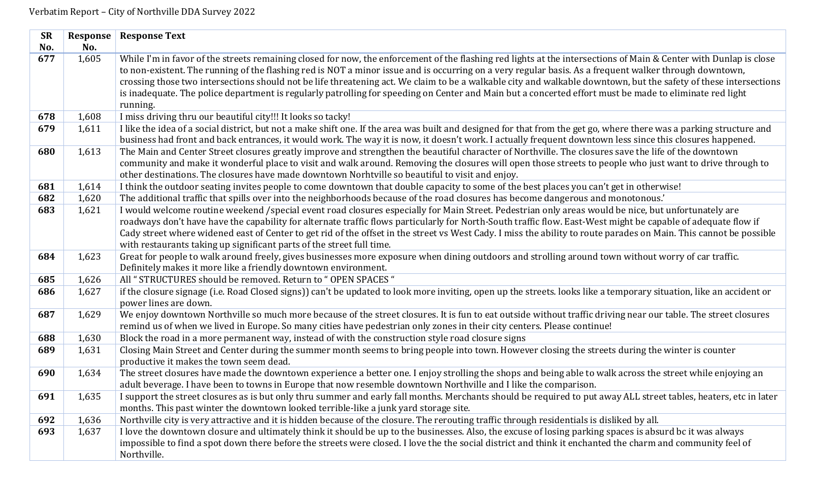| <b>SR</b> | Response | <b>Response Text</b>                                                                                                                                                                                                                                                                                                                                                                                                                                                                                                                                                                                                                                                   |
|-----------|----------|------------------------------------------------------------------------------------------------------------------------------------------------------------------------------------------------------------------------------------------------------------------------------------------------------------------------------------------------------------------------------------------------------------------------------------------------------------------------------------------------------------------------------------------------------------------------------------------------------------------------------------------------------------------------|
| No.       | No.      |                                                                                                                                                                                                                                                                                                                                                                                                                                                                                                                                                                                                                                                                        |
| 677       | 1,605    | While I'm in favor of the streets remaining closed for now, the enforcement of the flashing red lights at the intersections of Main & Center with Dunlap is close<br>to non-existent. The running of the flashing red is NOT a minor issue and is occurring on a very regular basis. As a frequent walker through downtown,<br>crossing those two intersections should not be life threatening act. We claim to be a walkable city and walkable downtown, but the safety of these intersections<br>is inadequate. The police department is regularly patrolling for speeding on Center and Main but a concerted effort must be made to eliminate red light<br>running. |
| 678       | 1,608    | I miss driving thru our beautiful city!!! It looks so tacky!                                                                                                                                                                                                                                                                                                                                                                                                                                                                                                                                                                                                           |
| 679       | 1,611    | I like the idea of a social district, but not a make shift one. If the area was built and designed for that from the get go, where there was a parking structure and<br>business had front and back entrances, it would work. The way it is now, it doesn't work. I actually frequent downtown less since this closures happened.                                                                                                                                                                                                                                                                                                                                      |
| 680       | 1,613    | The Main and Center Street closures greatly improve and strengthen the beautiful character of Northville. The closures save the life of the downtown<br>community and make it wonderful place to visit and walk around. Removing the closures will open those streets to people who just want to drive through to<br>other destinations. The closures have made downtown Norhtville so beautiful to visit and enjoy.                                                                                                                                                                                                                                                   |
| 681       | 1,614    | I think the outdoor seating invites people to come downtown that double capacity to some of the best places you can't get in otherwise!                                                                                                                                                                                                                                                                                                                                                                                                                                                                                                                                |
| 682       | 1,620    | The additional traffic that spills over into the neighborhoods because of the road closures has become dangerous and monotonous.'                                                                                                                                                                                                                                                                                                                                                                                                                                                                                                                                      |
| 683       | 1,621    | I would welcome routine weekend /special event road closures especially for Main Street. Pedestrian only areas would be nice, but unfortunately are<br>roadways don't have have the capability for alternate traffic flows particularly for North-South traffic flow. East-West might be capable of adequate flow if<br>Cady street where widened east of Center to get rid of the offset in the street vs West Cady. I miss the ability to route parades on Main. This cannot be possible<br>with restaurants taking up significant parts of the street full time.                                                                                                    |
| 684       | 1,623    | Great for people to walk around freely, gives businesses more exposure when dining outdoors and strolling around town without worry of car traffic.<br>Definitely makes it more like a friendly downtown environment.                                                                                                                                                                                                                                                                                                                                                                                                                                                  |
| 685       | 1,626    | All "STRUCTURES should be removed. Return to "OPEN SPACES "                                                                                                                                                                                                                                                                                                                                                                                                                                                                                                                                                                                                            |
| 686       | 1,627    | if the closure signage (i.e. Road Closed signs)) can't be updated to look more inviting, open up the streets. looks like a temporary situation, like an accident or<br>power lines are down.                                                                                                                                                                                                                                                                                                                                                                                                                                                                           |
| 687       | 1,629    | We enjoy downtown Northville so much more because of the street closures. It is fun to eat outside without traffic driving near our table. The street closures<br>remind us of when we lived in Europe. So many cities have pedestrian only zones in their city centers. Please continue!                                                                                                                                                                                                                                                                                                                                                                              |
| 688       | 1,630    | Block the road in a more permanent way, instead of with the construction style road closure signs                                                                                                                                                                                                                                                                                                                                                                                                                                                                                                                                                                      |
| 689       | 1,631    | Closing Main Street and Center during the summer month seems to bring people into town. However closing the streets during the winter is counter<br>productive it makes the town seem dead.                                                                                                                                                                                                                                                                                                                                                                                                                                                                            |
| 690       | 1,634    | The street closures have made the downtown experience a better one. I enjoy strolling the shops and being able to walk across the street while enjoying an<br>adult beverage. I have been to towns in Europe that now resemble downtown Northville and I like the comparison.                                                                                                                                                                                                                                                                                                                                                                                          |
| 691       | 1,635    | I support the street closures as is but only thru summer and early fall months. Merchants should be required to put away ALL street tables, heaters, etc in later<br>months. This past winter the downtown looked terrible-like a junk yard storage site.                                                                                                                                                                                                                                                                                                                                                                                                              |
| 692       | 1,636    | Northville city is very attractive and it is hidden because of the closure. The rerouting traffic through residentials is disliked by all.                                                                                                                                                                                                                                                                                                                                                                                                                                                                                                                             |
| 693       | 1,637    | I love the downtown closure and ultimately think it should be up to the businesses. Also, the excuse of losing parking spaces is absurd bc it was always<br>impossible to find a spot down there before the streets were closed. I love the the social district and think it enchanted the charm and community feel of<br>Northville.                                                                                                                                                                                                                                                                                                                                  |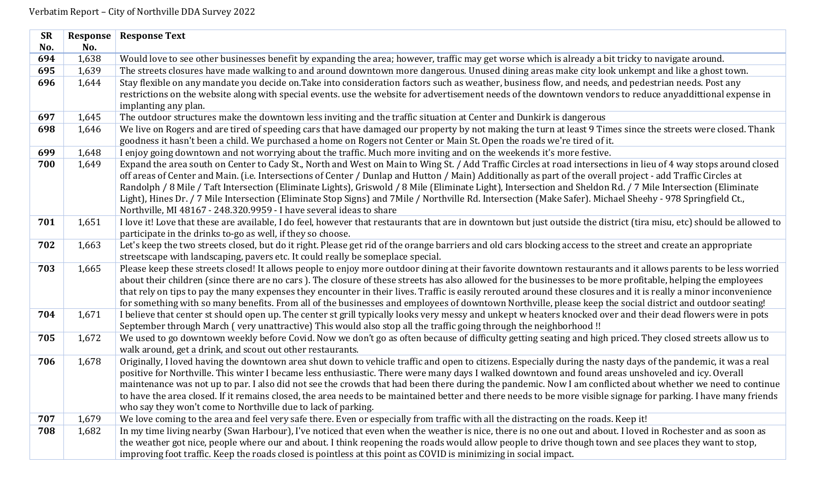| <b>SR</b> | Response | <b>Response Text</b>                                                                                                                                                                                                                                                                                                                                                                                                                                                                                                                                                                                                                                                                                                                  |
|-----------|----------|---------------------------------------------------------------------------------------------------------------------------------------------------------------------------------------------------------------------------------------------------------------------------------------------------------------------------------------------------------------------------------------------------------------------------------------------------------------------------------------------------------------------------------------------------------------------------------------------------------------------------------------------------------------------------------------------------------------------------------------|
| No.       | No.      |                                                                                                                                                                                                                                                                                                                                                                                                                                                                                                                                                                                                                                                                                                                                       |
| 694       | 1,638    | Would love to see other businesses benefit by expanding the area; however, traffic may get worse which is already a bit tricky to navigate around.                                                                                                                                                                                                                                                                                                                                                                                                                                                                                                                                                                                    |
| 695       | 1,639    | The streets closures have made walking to and around downtown more dangerous. Unused dining areas make city look unkempt and like a ghost town.                                                                                                                                                                                                                                                                                                                                                                                                                                                                                                                                                                                       |
| 696       | 1,644    | Stay flexible on any mandate you decide on. Take into consideration factors such as weather, business flow, and needs, and pedestrian needs. Post any                                                                                                                                                                                                                                                                                                                                                                                                                                                                                                                                                                                 |
|           |          | restrictions on the website along with special events. use the website for advertisement needs of the downtown vendors to reduce anyaddittional expense in                                                                                                                                                                                                                                                                                                                                                                                                                                                                                                                                                                            |
| 697       | 1,645    | implanting any plan.<br>The outdoor structures make the downtown less inviting and the traffic situation at Center and Dunkirk is dangerous                                                                                                                                                                                                                                                                                                                                                                                                                                                                                                                                                                                           |
| 698       |          |                                                                                                                                                                                                                                                                                                                                                                                                                                                                                                                                                                                                                                                                                                                                       |
|           | 1,646    | We live on Rogers and are tired of speeding cars that have damaged our property by not making the turn at least 9 Times since the streets were closed. Thank<br>goodness it hasn't been a child. We purchased a home on Rogers not Center or Main St. Open the roads we're tired of it.                                                                                                                                                                                                                                                                                                                                                                                                                                               |
| 699       | 1,648    | I enjoy going downtown and not worrying about the traffic. Much more inviting and on the weekends it's more festive.                                                                                                                                                                                                                                                                                                                                                                                                                                                                                                                                                                                                                  |
| 700       | 1,649    | Expand the area south on Center to Cady St., North and West on Main to Wing St. / Add Traffic Circles at road intersections in lieu of 4 way stops around closed<br>off areas of Center and Main. (i.e. Intersections of Center / Dunlap and Hutton / Main) Additionally as part of the overall project - add Traffic Circles at<br>Randolph / 8 Mile / Taft Intersection (Eliminate Lights), Griswold / 8 Mile (Eliminate Light), Intersection and Sheldon Rd. / 7 Mile Intersection (Eliminate<br>Light), Hines Dr. / 7 Mile Intersection (Eliminate Stop Signs) and 7Mile / Northville Rd. Intersection (Make Safer). Michael Sheehy - 978 Springfield Ct.,<br>Northville, MI 48167 - 248.320.9959 - I have several ideas to share |
| 701       | 1,651    | I love it! Love that these are available, I do feel, however that restaurants that are in downtown but just outside the district (tira misu, etc) should be allowed to<br>participate in the drinks to-go as well, if they so choose.                                                                                                                                                                                                                                                                                                                                                                                                                                                                                                 |
| 702       | 1,663    | Let's keep the two streets closed, but do it right. Please get rid of the orange barriers and old cars blocking access to the street and create an appropriate<br>streetscape with landscaping, pavers etc. It could really be someplace special.                                                                                                                                                                                                                                                                                                                                                                                                                                                                                     |
| 703       | 1,665    | Please keep these streets closed! It allows people to enjoy more outdoor dining at their favorite downtown restaurants and it allows parents to be less worried<br>about their children (since there are no cars). The closure of these streets has also allowed for the businesses to be more profitable, helping the employees<br>that rely on tips to pay the many expenses they encounter in their lives. Traffic is easily rerouted around these closures and it is really a minor inconvenience<br>for something with so many benefits. From all of the businesses and employees of downtown Northville, please keep the social district and outdoor seating!                                                                   |
| 704       | 1,671    | I believe that center st should open up. The center st grill typically looks very messy and unkept w heaters knocked over and their dead flowers were in pots<br>September through March (very unattractive) This would also stop all the traffic going through the neighborhood!!                                                                                                                                                                                                                                                                                                                                                                                                                                                    |
| 705       | 1,672    | We used to go downtown weekly before Covid. Now we don't go as often because of difficulty getting seating and high priced. They closed streets allow us to<br>walk around, get a drink, and scout out other restaurants.                                                                                                                                                                                                                                                                                                                                                                                                                                                                                                             |
| 706       | 1,678    | Originally, I loved having the downtown area shut down to vehicle traffic and open to citizens. Especially during the nasty days of the pandemic, it was a real<br>positive for Northville. This winter I became less enthusiastic. There were many days I walked downtown and found areas unshoveled and icy. Overall<br>maintenance was not up to par. I also did not see the crowds that had been there during the pandemic. Now I am conflicted about whether we need to continue<br>to have the area closed. If it remains closed, the area needs to be maintained better and there needs to be more visible signage for parking. I have many friends<br>who say they won't come to Northville due to lack of parking.           |
| 707       | 1,679    | We love coming to the area and feel very safe there. Even or especially from traffic with all the distracting on the roads. Keep it!                                                                                                                                                                                                                                                                                                                                                                                                                                                                                                                                                                                                  |
| 708       | 1,682    | In my time living nearby (Swan Harbour), I've noticed that even when the weather is nice, there is no one out and about. I loved in Rochester and as soon as                                                                                                                                                                                                                                                                                                                                                                                                                                                                                                                                                                          |
|           |          | the weather got nice, people where our and about. I think reopening the roads would allow people to drive though town and see places they want to stop,                                                                                                                                                                                                                                                                                                                                                                                                                                                                                                                                                                               |
|           |          | improving foot traffic. Keep the roads closed is pointless at this point as COVID is minimizing in social impact.                                                                                                                                                                                                                                                                                                                                                                                                                                                                                                                                                                                                                     |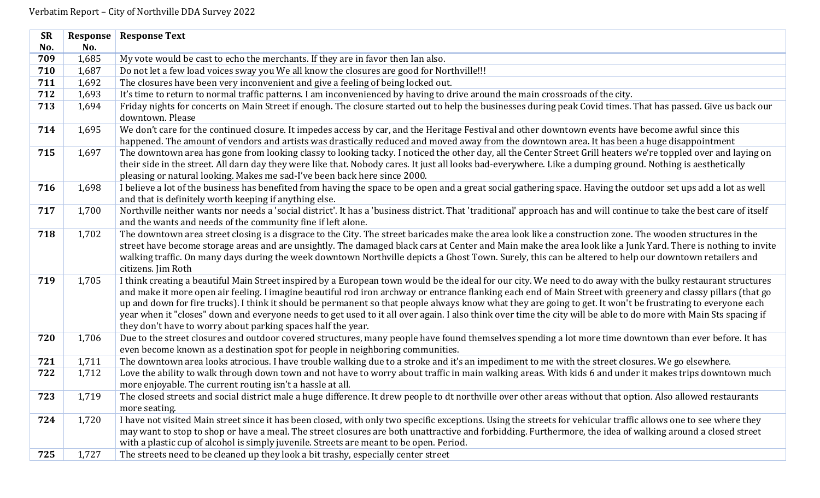| <b>SR</b> | Response | <b>Response Text</b>                                                                                                                                                         |
|-----------|----------|------------------------------------------------------------------------------------------------------------------------------------------------------------------------------|
| No.       | No.      |                                                                                                                                                                              |
| 709       | 1,685    | My vote would be cast to echo the merchants. If they are in favor then Ian also.                                                                                             |
| 710       | 1,687    | Do not let a few load voices sway you We all know the closures are good for Northville!!!                                                                                    |
| 711       | 1,692    | The closures have been very inconvenient and give a feeling of being locked out.                                                                                             |
| 712       | 1,693    | It's time to return to normal traffic patterns. I am inconvenienced by having to drive around the main crossroads of the city.                                               |
| 713       | 1,694    | Friday nights for concerts on Main Street if enough. The closure started out to help the businesses during peak Covid times. That has passed. Give us back our               |
|           |          | downtown. Please                                                                                                                                                             |
| 714       | 1,695    | We don't care for the continued closure. It impedes access by car, and the Heritage Festival and other downtown events have become awful since this                          |
|           |          | happened. The amount of vendors and artists was drastically reduced and moved away from the downtown area. It has been a huge disappointment                                 |
| 715       | 1,697    | The downtown area has gone from looking classy to looking tacky. I noticed the other day, all the Center Street Grill heaters we're toppled over and laying on               |
|           |          | their side in the street. All darn day they were like that. Nobody cares. It just all looks bad-everywhere. Like a dumping ground. Nothing is aesthetically                  |
|           |          | pleasing or natural looking. Makes me sad-I've been back here since 2000.                                                                                                    |
| 716       | 1,698    | I believe a lot of the business has benefited from having the space to be open and a great social gathering space. Having the outdoor set ups add a lot as well              |
|           |          | and that is definitely worth keeping if anything else.                                                                                                                       |
| 717       | 1,700    | Northville neither wants nor needs a 'social district'. It has a 'business district. That 'traditional' approach has and will continue to take the best care of itself       |
|           |          | and the wants and needs of the community fine if left alone.                                                                                                                 |
| 718       | 1,702    | The downtown area street closing is a disgrace to the City. The street baricades make the area look like a construction zone. The wooden structures in the                   |
|           |          | street have become storage areas and are unsightly. The damaged black cars at Center and Main make the area look like a Junk Yard. There is nothing to invite                |
|           |          | walking traffic. On many days during the week downtown Northville depicts a Ghost Town. Surely, this can be altered to help our downtown retailers and<br>citizens. Jim Roth |
| 719       | 1,705    | I think creating a beautiful Main Street inspired by a European town would be the ideal for our city. We need to do away with the bulky restaurant structures                |
|           |          | and make it more open air feeling. I imagine beautiful rod iron archway or entrance flanking each end of Main Street with greenery and classy pillars (that go               |
|           |          | up and down for fire trucks). I think it should be permanent so that people always know what they are going to get. It won't be frustrating to everyone each                 |
|           |          | year when it "closes" down and everyone needs to get used to it all over again. I also think over time the city will be able to do more with Main Sts spacing if             |
|           |          | they don't have to worry about parking spaces half the year.                                                                                                                 |
| 720       | 1,706    | Due to the street closures and outdoor covered structures, many people have found themselves spending a lot more time downtown than ever before. It has                      |
|           |          | even become known as a destination spot for people in neighboring communities.                                                                                               |
| 721       | 1,711    | The downtown area looks atrocious. I have trouble walking due to a stroke and it's an impediment to me with the street closures. We go elsewhere.                            |
| 722       | 1,712    | Love the ability to walk through down town and not have to worry about traffic in main walking areas. With kids 6 and under it makes trips downtown much                     |
|           |          | more enjoyable. The current routing isn't a hassle at all.                                                                                                                   |
| 723       | 1,719    | The closed streets and social district male a huge difference. It drew people to dt northville over other areas without that option. Also allowed restaurants                |
|           |          | more seating.                                                                                                                                                                |
| 724       | 1,720    | I have not visited Main street since it has been closed, with only two specific exceptions. Using the streets for vehicular traffic allows one to see where they             |
|           |          | may want to stop to shop or have a meal. The street closures are both unattractive and forbidding. Furthermore, the idea of walking around a closed street                   |
|           |          | with a plastic cup of alcohol is simply juvenile. Streets are meant to be open. Period.                                                                                      |
| 725       | 1,727    | The streets need to be cleaned up they look a bit trashy, especially center street                                                                                           |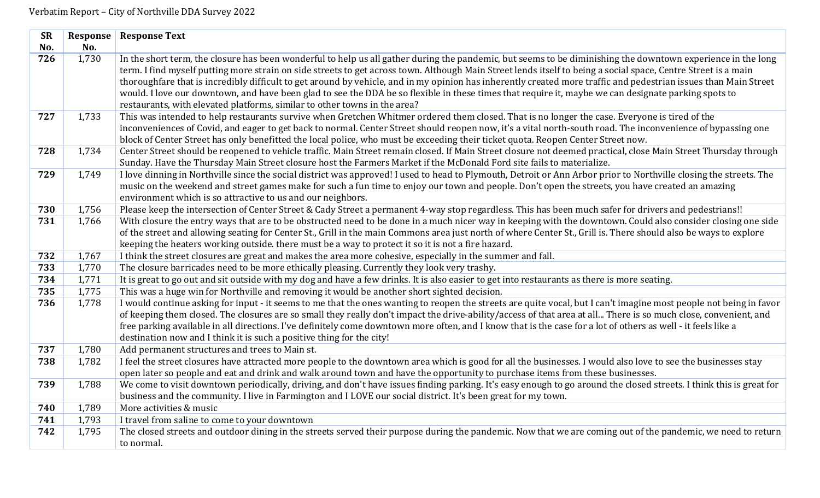| <b>SR</b> | Response | <b>Response Text</b>                                                                                                                                                                                                                                                                                                           |
|-----------|----------|--------------------------------------------------------------------------------------------------------------------------------------------------------------------------------------------------------------------------------------------------------------------------------------------------------------------------------|
| No.       | No.      |                                                                                                                                                                                                                                                                                                                                |
| 726       | 1,730    | In the short term, the closure has been wonderful to help us all gather during the pandemic, but seems to be diminishing the downtown experience in the long<br>term. I find myself putting more strain on side streets to get across town. Although Main Street lends itself to being a social space, Centre Street is a main |
|           |          | thoroughfare that is incredibly difficult to get around by vehicle, and in my opinion has inherently created more traffic and pedestrian issues than Main Street                                                                                                                                                               |
|           |          | would. I love our downtown, and have been glad to see the DDA be so flexible in these times that require it, maybe we can designate parking spots to<br>restaurants, with elevated platforms, similar to other towns in the area?                                                                                              |
| 727       | 1,733    | This was intended to help restaurants survive when Gretchen Whitmer ordered them closed. That is no longer the case. Everyone is tired of the                                                                                                                                                                                  |
|           |          | inconveniences of Covid, and eager to get back to normal. Center Street should reopen now, it's a vital north-south road. The inconvenience of bypassing one                                                                                                                                                                   |
|           |          | block of Center Street has only benefitted the local police, who must be exceeding their ticket quota. Reopen Center Street now.                                                                                                                                                                                               |
| 728       | 1,734    | Center Street should be reopened to vehicle traffic. Main Street remain closed. If Main Street closure not deemed practical, close Main Street Thursday through                                                                                                                                                                |
|           |          | Sunday. Have the Thursday Main Street closure host the Farmers Market if the McDonald Ford site fails to materialize.                                                                                                                                                                                                          |
| 729       | 1,749    | I love dinning in Northville since the social district was approved! I used to head to Plymouth, Detroit or Ann Arbor prior to Northville closing the streets. The                                                                                                                                                             |
|           |          | music on the weekend and street games make for such a fun time to enjoy our town and people. Don't open the streets, you have created an amazing                                                                                                                                                                               |
|           |          | environment which is so attractive to us and our neighbors.                                                                                                                                                                                                                                                                    |
| 730       | 1,756    | Please keep the intersection of Center Street & Cady Street a permanent 4-way stop regardless. This has been much safer for drivers and pedestrians!!                                                                                                                                                                          |
| 731       | 1,766    | With closure the entry ways that are to be obstructed need to be done in a much nicer way in keeping with the downtown. Could also consider closing one side                                                                                                                                                                   |
|           |          | of the street and allowing seating for Center St., Grill in the main Commons area just north of where Center St., Grill is. There should also be ways to explore                                                                                                                                                               |
|           |          | keeping the heaters working outside. there must be a way to protect it so it is not a fire hazard.                                                                                                                                                                                                                             |
| 732       | 1,767    | I think the street closures are great and makes the area more cohesive, especially in the summer and fall.                                                                                                                                                                                                                     |
| 733       | 1,770    | The closure barricades need to be more ethically pleasing. Currently they look very trashy.                                                                                                                                                                                                                                    |
| 734       | 1,771    | It is great to go out and sit outside with my dog and have a few drinks. It is also easier to get into restaurants as there is more seating.                                                                                                                                                                                   |
| 735       | 1,775    | This was a huge win for Northville and removing it would be another short sighted decision.                                                                                                                                                                                                                                    |
| 736       | 1,778    | I would continue asking for input - it seems to me that the ones wanting to reopen the streets are quite vocal, but I can't imagine most people not being in favor                                                                                                                                                             |
|           |          | of keeping them closed. The closures are so small they really don't impact the drive-ability/access of that area at all There is so much close, convenient, and                                                                                                                                                                |
|           |          | free parking available in all directions. I've definitely come downtown more often, and I know that is the case for a lot of others as well - it feels like a                                                                                                                                                                  |
|           |          | destination now and I think it is such a positive thing for the city!                                                                                                                                                                                                                                                          |
| 737       | 1,780    | Add permanent structures and trees to Main st.                                                                                                                                                                                                                                                                                 |
| 738       | 1,782    | I feel the street closures have attracted more people to the downtown area which is good for all the businesses. I would also love to see the businesses stay                                                                                                                                                                  |
|           |          | open later so people and eat and drink and walk around town and have the opportunity to purchase items from these businesses.                                                                                                                                                                                                  |
| 739       | 1,788    | We come to visit downtown periodically, driving, and don't have issues finding parking. It's easy enough to go around the closed streets. I think this is great for                                                                                                                                                            |
|           |          | business and the community. I live in Farmington and I LOVE our social district. It's been great for my town.                                                                                                                                                                                                                  |
| 740       | 1,789    | More activities & music                                                                                                                                                                                                                                                                                                        |
| 741       | 1,793    | I travel from saline to come to your downtown                                                                                                                                                                                                                                                                                  |
| 742       | 1,795    | The closed streets and outdoor dining in the streets served their purpose during the pandemic. Now that we are coming out of the pandemic, we need to return                                                                                                                                                                   |
|           |          | to normal.                                                                                                                                                                                                                                                                                                                     |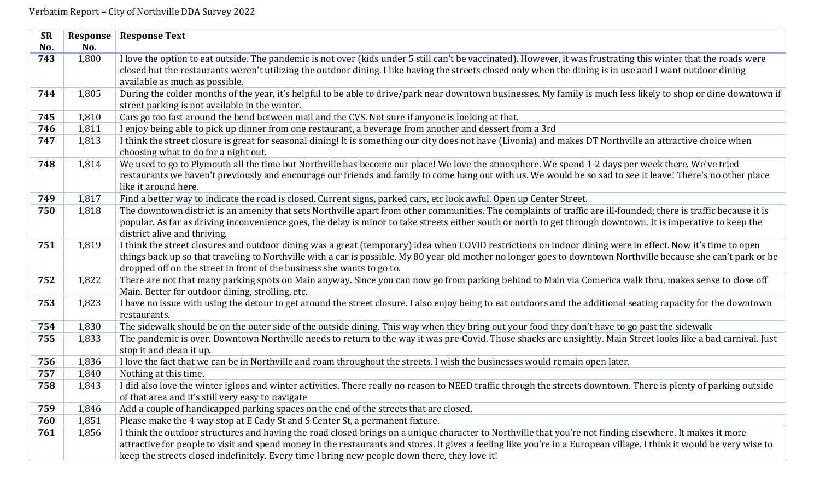| <b>SR</b> | Response | <b>Response Text</b>                                                                                                                                                 |
|-----------|----------|----------------------------------------------------------------------------------------------------------------------------------------------------------------------|
| No.       | No.      |                                                                                                                                                                      |
| 743       | 1,800    | I love the option to eat outside. The pandemic is not over (kids under 5 still can't be vaccinated). However, it was frustrating this winter that the roads were     |
|           |          | closed but the restaurants weren't utilizing the outdoor dining. I like having the streets closed only when the dining is in use and I want outdoor dining           |
|           |          | available as much as possible.                                                                                                                                       |
| 744       | 1,805    | During the colder months of the year, it's helpful to be able to drive/park near downtown businesses. My family is much less likely to shop or dine downtown if      |
|           |          | street parking is not available in the winter.                                                                                                                       |
| 745       | 1,810    | Cars go too fast around the bend between mail and the CVS. Not sure if anyone is looking at that.                                                                    |
| 746       | 1,811    | I enjoy being able to pick up dinner from one restaurant, a beverage from another and dessert from a 3rd                                                             |
| 747       | 1,813    | I think the street closure is great for seasonal dining! It is something our city does not have (Livonia) and makes DT Northville an attractive choice when          |
|           |          | choosing what to do for a night out.                                                                                                                                 |
| 748       | 1,814    | We used to go to Plymouth all the time but Northville has become our place! We love the atmosphere. We spend 1-2 days per week there. We've tried                    |
|           |          | restaurants we haven't previously and encourage our friends and family to come hang out with us. We would be so sad to see it leave! There's no other place          |
|           |          | like it around here.                                                                                                                                                 |
| 749       | 1,817    | Find a better way to indicate the road is closed. Current signs, parked cars, etc look awful. Open up Center Street.                                                 |
| 750       | 1,818    | The downtown district is an amenity that sets Northville apart from other communities. The complaints of traffic are ill-founded; there is traffic because it is     |
|           |          | popular. As far as driving inconvenience goes, the delay is minor to take streets either south or north to get through downtown. It is imperative to keep the        |
|           |          | district alive and thriving.                                                                                                                                         |
| 751       | 1,819    | I think the street closures and outdoor dining was a great (temporary) idea when COVID restrictions on indoor dining were in effect. Now it's time to open           |
|           |          | things back up so that traveling to Northville with a car is possible. My 80 year old mother no longer goes to downtown Northville because she can't park or be      |
|           |          | dropped off on the street in front of the business she wants to go to.                                                                                               |
| 752       | 1,822    | There are not that many parking spots on Main anyway. Since you can now go from parking behind to Main via Comerica walk thru, makes sense to close off              |
|           |          | Main. Better for outdoor dining, strolling, etc.                                                                                                                     |
| 753       | 1,823    | I have no issue with using the detour to get around the street closure. I also enjoy being to eat outdoors and the additional seating capacity for the downtown      |
|           |          | restaurants.                                                                                                                                                         |
| 754       | 1,830    | The sidewalk should be on the outer side of the outside dining. This way when they bring out your food they don't have to go past the sidewalk                       |
| 755       | 1,833    | The pandemic is over. Downtown Northville needs to return to the way it was pre-Covid. Those shacks are unsightly. Main Street looks like a bad carnival. Just       |
|           |          | stop it and clean it up.                                                                                                                                             |
| 756       | 1,836    | I love the fact that we can be in Northville and roam throughout the streets. I wish the businesses would remain open later.                                         |
| 757       | 1,840    | Nothing at this time.                                                                                                                                                |
| 758       | 1,843    | I did also love the winter igloos and winter activities. There really no reason to NEED traffic through the streets downtown. There is plenty of parking outside     |
|           |          | of that area and it's still very easy to navigate                                                                                                                    |
| 759       | 1,846    | Add a couple of handicapped parking spaces on the end of the streets that are closed.                                                                                |
| 760       | 1,851    | Please make the 4 way stop at E Cady St and S Center St, a permanent fixture.                                                                                        |
| 761       | 1,856    | I think the outdoor structures and having the road closed brings on a unique character to Northville that you're not finding elsewhere. It makes it more             |
|           |          | attractive for people to visit and spend money in the restaurants and stores. It gives a feeling like you're in a European village. I think it would be very wise to |
|           |          | keep the streets closed indefinitely. Every time I bring new people down there, they love it!                                                                        |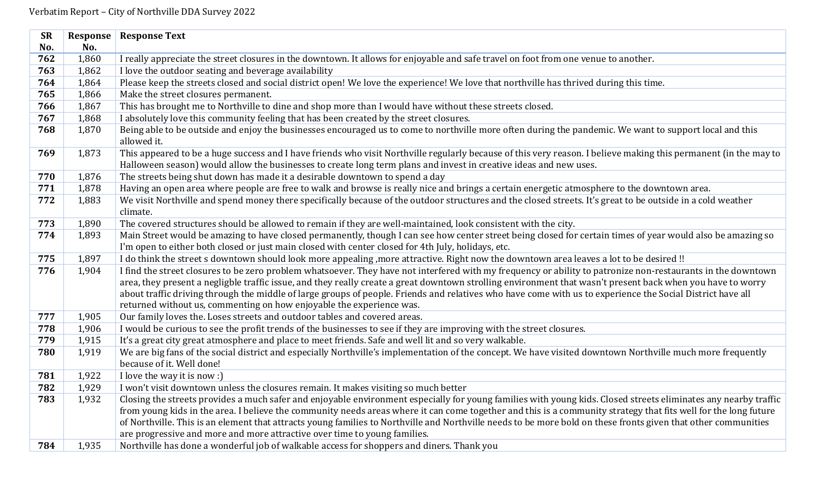| <b>SR</b> | Response | <b>Response Text</b>                                                                                                                                                                                                                                                                                                              |
|-----------|----------|-----------------------------------------------------------------------------------------------------------------------------------------------------------------------------------------------------------------------------------------------------------------------------------------------------------------------------------|
| No.       | No.      |                                                                                                                                                                                                                                                                                                                                   |
| 762       | 1,860    | I really appreciate the street closures in the downtown. It allows for enjoyable and safe travel on foot from one venue to another.                                                                                                                                                                                               |
| 763       | 1,862    | I love the outdoor seating and beverage availability                                                                                                                                                                                                                                                                              |
| 764       | 1,864    | Please keep the streets closed and social district open! We love the experience! We love that northville has thrived during this time.                                                                                                                                                                                            |
| 765       | 1,866    | Make the street closures permanent.                                                                                                                                                                                                                                                                                               |
| 766       | 1,867    | This has brought me to Northville to dine and shop more than I would have without these streets closed.                                                                                                                                                                                                                           |
| 767       | 1,868    | I absolutely love this community feeling that has been created by the street closures.                                                                                                                                                                                                                                            |
| 768       | 1,870    | Being able to be outside and enjoy the businesses encouraged us to come to northville more often during the pandemic. We want to support local and this                                                                                                                                                                           |
|           |          | allowed it.                                                                                                                                                                                                                                                                                                                       |
| 769       | 1,873    | This appeared to be a huge success and I have friends who visit Northville regularly because of this very reason. I believe making this permanent (in the may to                                                                                                                                                                  |
|           |          | Halloween season) would allow the businesses to create long term plans and invest in creative ideas and new uses.                                                                                                                                                                                                                 |
| 770       | 1,876    | The streets being shut down has made it a desirable downtown to spend a day                                                                                                                                                                                                                                                       |
| 771       | 1,878    | Having an open area where people are free to walk and browse is really nice and brings a certain energetic atmosphere to the downtown area.                                                                                                                                                                                       |
| 772       | 1,883    | We visit Northville and spend money there specifically because of the outdoor structures and the closed streets. It's great to be outside in a cold weather                                                                                                                                                                       |
|           |          | climate.                                                                                                                                                                                                                                                                                                                          |
| 773       | 1,890    | The covered structures should be allowed to remain if they are well-maintained, look consistent with the city.                                                                                                                                                                                                                    |
| 774       | 1,893    | Main Street would be amazing to have closed permanently, though I can see how center street being closed for certain times of year would also be amazing so                                                                                                                                                                       |
|           |          | I'm open to either both closed or just main closed with center closed for 4th July, holidays, etc.                                                                                                                                                                                                                                |
| 775       | 1,897    | I do think the street s downtown should look more appealing , more attractive. Right now the downtown area leaves a lot to be desired !!                                                                                                                                                                                          |
| 776       | 1,904    | I find the street closures to be zero problem whatsoever. They have not interfered with my frequency or ability to patronize non-restaurants in the downtown                                                                                                                                                                      |
|           |          | area, they present a negligble traffic issue, and they really create a great downtown strolling environment that wasn't present back when you have to worry                                                                                                                                                                       |
|           |          | about traffic driving through the middle of large groups of people. Friends and relatives who have come with us to experience the Social District have all                                                                                                                                                                        |
|           |          | returned without us, commenting on how enjoyable the experience was.                                                                                                                                                                                                                                                              |
| 777       | 1,905    | Our family loves the. Loses streets and outdoor tables and covered areas.                                                                                                                                                                                                                                                         |
| 778       | 1,906    | I would be curious to see the profit trends of the businesses to see if they are improving with the street closures.                                                                                                                                                                                                              |
| 779       | 1,915    | It's a great city great atmosphere and place to meet friends. Safe and well lit and so very walkable.                                                                                                                                                                                                                             |
| 780       | 1,919    | We are big fans of the social district and especially Northville's implementation of the concept. We have visited downtown Northville much more frequently                                                                                                                                                                        |
| 781       |          | because of it. Well done!                                                                                                                                                                                                                                                                                                         |
|           | 1,922    | I love the way it is now :)                                                                                                                                                                                                                                                                                                       |
| 782       | 1,929    | I won't visit downtown unless the closures remain. It makes visiting so much better                                                                                                                                                                                                                                               |
| 783       | 1,932    | Closing the streets provides a much safer and enjoyable environment especially for young families with young kids. Closed streets eliminates any nearby traffic                                                                                                                                                                   |
|           |          | from young kids in the area. I believe the community needs areas where it can come together and this is a community strategy that fits well for the long future<br>of Northville. This is an element that attracts young families to Northville and Northville needs to be more bold on these fronts given that other communities |
|           |          | are progressive and more and more attractive over time to young families.                                                                                                                                                                                                                                                         |
| 784       | 1,935    | Northville has done a wonderful job of walkable access for shoppers and diners. Thank you                                                                                                                                                                                                                                         |
|           |          |                                                                                                                                                                                                                                                                                                                                   |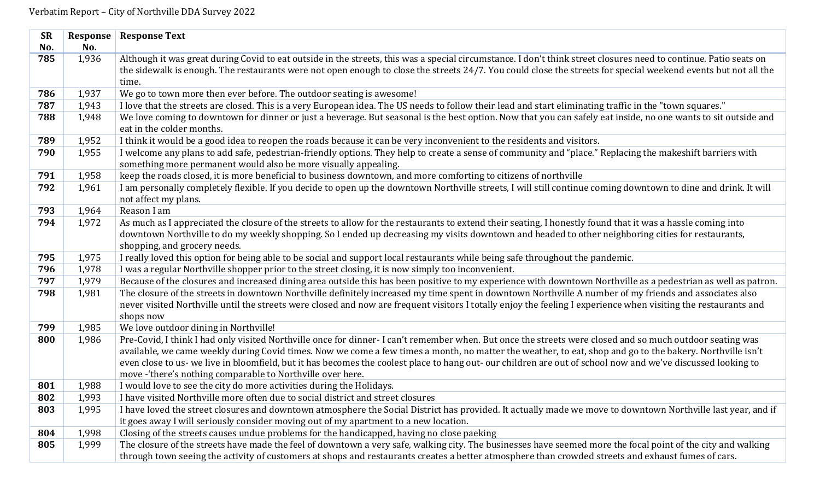| <b>SR</b> | Response | <b>Response Text</b>                                                                                                                                                              |
|-----------|----------|-----------------------------------------------------------------------------------------------------------------------------------------------------------------------------------|
| No.       | No.      |                                                                                                                                                                                   |
| 785       | 1,936    | Although it was great during Covid to eat outside in the streets, this was a special circumstance. I don't think street closures need to continue. Patio seats on                 |
|           |          | the sidewalk is enough. The restaurants were not open enough to close the streets 24/7. You could close the streets for special weekend events but not all the                    |
|           |          | time.                                                                                                                                                                             |
| 786       | 1,937    | We go to town more then ever before. The outdoor seating is awesome!                                                                                                              |
| 787       | 1,943    | I love that the streets are closed. This is a very European idea. The US needs to follow their lead and start eliminating traffic in the "town squares."                          |
| 788       | 1,948    | We love coming to downtown for dinner or just a beverage. But seasonal is the best option. Now that you can safely eat inside, no one wants to sit outside and                    |
|           |          | eat in the colder months.                                                                                                                                                         |
| 789       | 1,952    | I think it would be a good idea to reopen the roads because it can be very inconvenient to the residents and visitors.                                                            |
| 790       | 1,955    | I welcome any plans to add safe, pedestrian-friendly options. They help to create a sense of community and "place." Replacing the makeshift barriers with                         |
|           |          | something more permanent would also be more visually appealing.                                                                                                                   |
| 791       | 1,958    | keep the roads closed, it is more beneficial to business downtown, and more comforting to citizens of northville                                                                  |
| 792       | 1,961    | I am personally completely flexible. If you decide to open up the downtown Northville streets, I will still continue coming downtown to dine and drink. It will                   |
|           |          | not affect my plans.                                                                                                                                                              |
| 793       | 1,964    | Reason I am                                                                                                                                                                       |
| 794       | 1,972    | As much as I appreciated the closure of the streets to allow for the restaurants to extend their seating, I honestly found that it was a hassle coming into                       |
|           |          | downtown Northville to do my weekly shopping. So I ended up decreasing my visits downtown and headed to other neighboring cities for restaurants,<br>shopping, and grocery needs. |
| 795       | 1,975    | I really loved this option for being able to be social and support local restaurants while being safe throughout the pandemic.                                                    |
| 796       | 1,978    | I was a regular Northville shopper prior to the street closing, it is now simply too inconvenient.                                                                                |
| 797       | 1,979    | Because of the closures and increased dining area outside this has been positive to my experience with downtown Northville as a pedestrian as well as patron.                     |
| 798       | 1,981    | The closure of the streets in downtown Northville definitely increased my time spent in downtown Northville A number of my friends and associates also                            |
|           |          | never visited Northville until the streets were closed and now are frequent visitors I totally enjoy the feeling I experience when visiting the restaurants and                   |
|           |          | shops now                                                                                                                                                                         |
| 799       | 1,985    | We love outdoor dining in Northville!                                                                                                                                             |
| 800       | 1,986    | Pre-Covid, I think I had only visited Northville once for dinner-I can't remember when. But once the streets were closed and so much outdoor seating was                          |
|           |          | available, we came weekly during Covid times. Now we come a few times a month, no matter the weather, to eat, shop and go to the bakery. Northville isn't                         |
|           |          | even close to us- we live in bloomfield, but it has becomes the coolest place to hang out- our children are out of school now and we've discussed looking to                      |
|           |          | move - 'there's nothing comparable to Northville over here.                                                                                                                       |
| 801       | 1,988    | I would love to see the city do more activities during the Holidays.                                                                                                              |
| 802       | 1,993    | I have visited Northville more often due to social district and street closures                                                                                                   |
| 803       | 1,995    | I have loved the street closures and downtown atmosphere the Social District has provided. It actually made we move to downtown Northville last year, and if                      |
|           |          | it goes away I will seriously consider moving out of my apartment to a new location.                                                                                              |
| 804       | 1,998    | Closing of the streets causes undue problems for the handicapped, having no close paeking                                                                                         |
| 805       | 1,999    | The closure of the streets have made the feel of downtown a very safe, walking city. The businesses have seemed more the focal point of the city and walking                      |
|           |          | through town seeing the activity of customers at shops and restaurants creates a better atmosphere than crowded streets and exhaust fumes of cars.                                |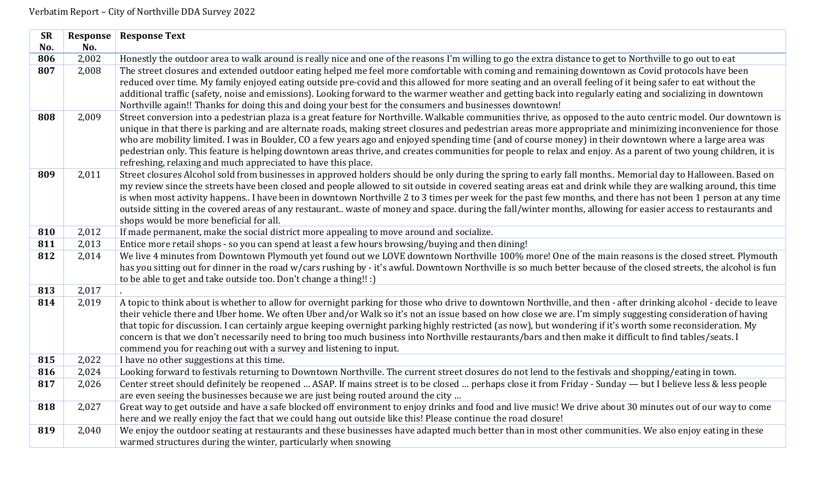| <b>SR</b> |       | <b>Response   Response Text</b>                                                                                                                                                                          |
|-----------|-------|----------------------------------------------------------------------------------------------------------------------------------------------------------------------------------------------------------|
| No.       | No.   |                                                                                                                                                                                                          |
| 806       | 2,002 | Honestly the outdoor area to walk around is really nice and one of the reasons I'm willing to go the extra distance to get to Northville to go out to eat                                                |
| 807       | 2,008 | The street closures and extended outdoor eating helped me feel more comfortable with coming and remaining downtown as Covid protocols have been                                                          |
|           |       | reduced over time. My family enjoyed eating outside pre-covid and this allowed for more seating and an overall feeling of it being safer to eat without the                                              |
|           |       | additional traffic (safety, noise and emissions). Looking forward to the warmer weather and getting back into regularly eating and socializing in downtown                                               |
|           |       | Northville again!! Thanks for doing this and doing your best for the consumers and businesses downtown!                                                                                                  |
| 808       | 2,009 | Street conversion into a pedestrian plaza is a great feature for Northville. Walkable communities thrive, as opposed to the auto centric model. Our downtown is                                          |
|           |       | unique in that there is parking and are alternate roads, making street closures and pedestrian areas more appropriate and minimizing inconvenience for those                                             |
|           |       | who are mobility limited. I was in Boulder, CO a few years ago and enjoyed spending time (and of course money) in their downtown where a large area was                                                  |
|           |       | pedestrian only. This feature is helping downtown areas thrive, and creates communities for people to relax and enjoy. As a parent of two young children, it is                                          |
|           |       | refreshing, relaxing and much appreciated to have this place.                                                                                                                                            |
| 809       | 2,011 | Street closures Alcohol sold from businesses in approved holders should be only during the spring to early fall months Memorial day to Halloween. Based on                                               |
|           |       | my review since the streets have been closed and people allowed to sit outside in covered seating areas eat and drink while they are walking around, this time                                           |
|           |       | is when most activity happens I have been in downtown Northville 2 to 3 times per week for the past few months, and there has not been 1 person at any time                                              |
|           |       | outside sitting in the covered areas of any restaurant waste of money and space. during the fall/winter months, allowing for easier access to restaurants and<br>shops would be more beneficial for all. |
| 810       | 2,012 | If made permanent, make the social district more appealing to move around and socialize.                                                                                                                 |
| 811       | 2,013 | Entice more retail shops - so you can spend at least a few hours browsing/buying and then dining!                                                                                                        |
| 812       | 2,014 | We live 4 minutes from Downtown Plymouth yet found out we LOVE downtown Northville 100% more! One of the main reasons is the closed street. Plymouth                                                     |
|           |       | has you sitting out for dinner in the road w/cars rushing by - it's awful. Downtown Northville is so much better because of the closed streets, the alcohol is fun                                       |
|           |       | to be able to get and take outside too. Don't change a thing!! :)                                                                                                                                        |
| 813       | 2,017 |                                                                                                                                                                                                          |
| 814       | 2,019 | A topic to think about is whether to allow for overnight parking for those who drive to downtown Northville, and then - after drinking alcohol - decide to leave                                         |
|           |       | their vehicle there and Uber home. We often Uber and/or Walk so it's not an issue based on how close we are. I'm simply suggesting consideration of having                                               |
|           |       | that topic for discussion. I can certainly argue keeping overnight parking highly restricted (as now), but wondering if it's worth some reconsideration. My                                              |
|           |       | concern is that we don't necessarily need to bring too much business into Northville restaurants/bars and then make it difficult to find tables/seats. I                                                 |
|           |       | commend you for reaching out with a survey and listening to input.                                                                                                                                       |
| 815       | 2,022 | I have no other suggestions at this time.                                                                                                                                                                |
| 816       | 2,024 | Looking forward to festivals returning to Downtown Northville. The current street closures do not lend to the festivals and shopping/eating in town.                                                     |
| 817       | 2,026 | Center street should definitely be reopened  ASAP. If mains street is to be closed  perhaps close it from Friday - Sunday — but I believe less & less people                                             |
|           |       | are even seeing the businesses because we are just being routed around the city                                                                                                                          |
| 818       | 2,027 | Great way to get outside and have a safe blocked off environment to enjoy drinks and food and live music! We drive about 30 minutes out of our way to come                                               |
|           |       | here and we really enjoy the fact that we could hang out outside like this! Please continue the road closure!                                                                                            |
| 819       | 2,040 | We enjoy the outdoor seating at restaurants and these businesses have adapted much better than in most other communities. We also enjoy eating in these                                                  |
|           |       | warmed structures during the winter, particularly when snowing                                                                                                                                           |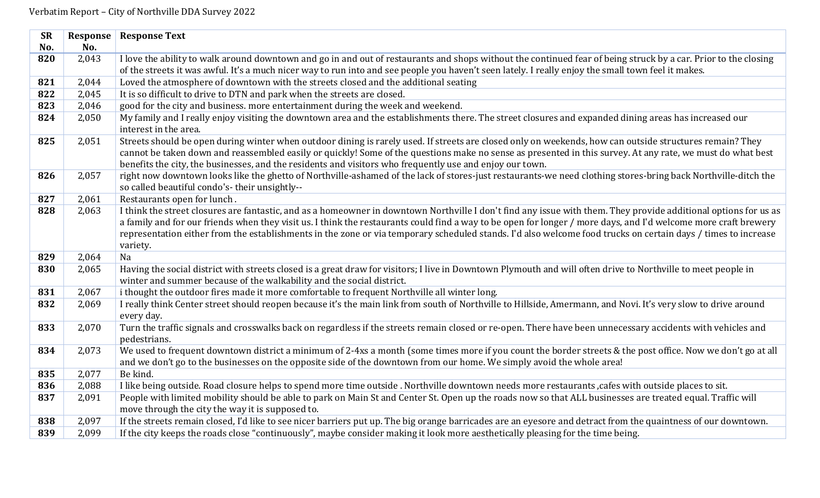| <b>SR</b> | Response | <b>Response Text</b>                                                                                                                                                                                                                                                                                                                                                                                                                                                                                             |
|-----------|----------|------------------------------------------------------------------------------------------------------------------------------------------------------------------------------------------------------------------------------------------------------------------------------------------------------------------------------------------------------------------------------------------------------------------------------------------------------------------------------------------------------------------|
| No.       | No.      |                                                                                                                                                                                                                                                                                                                                                                                                                                                                                                                  |
| 820       | 2,043    | I love the ability to walk around downtown and go in and out of restaurants and shops without the continued fear of being struck by a car. Prior to the closing                                                                                                                                                                                                                                                                                                                                                  |
|           |          | of the streets it was awful. It's a much nicer way to run into and see people you haven't seen lately. I really enjoy the small town feel it makes.                                                                                                                                                                                                                                                                                                                                                              |
| 821       | 2,044    | Loved the atmosphere of downtown with the streets closed and the additional seating                                                                                                                                                                                                                                                                                                                                                                                                                              |
| 822       | 2,045    | It is so difficult to drive to DTN and park when the streets are closed.                                                                                                                                                                                                                                                                                                                                                                                                                                         |
| 823       | 2,046    | good for the city and business. more entertainment during the week and weekend.                                                                                                                                                                                                                                                                                                                                                                                                                                  |
| 824       | 2,050    | My family and I really enjoy visiting the downtown area and the establishments there. The street closures and expanded dining areas has increased our<br>interest in the area.                                                                                                                                                                                                                                                                                                                                   |
| 825       | 2,051    | Streets should be open during winter when outdoor dining is rarely used. If streets are closed only on weekends, how can outside structures remain? They<br>cannot be taken down and reassembled easily or quickly! Some of the questions make no sense as presented in this survey. At any rate, we must do what best<br>benefits the city, the businesses, and the residents and visitors who frequently use and enjoy our town.                                                                               |
| 826       | 2,057    | right now downtown looks like the ghetto of Northville-ashamed of the lack of stores-just restaurants-we need clothing stores-bring back Northville-ditch the<br>so called beautiful condo's- their unsightly--                                                                                                                                                                                                                                                                                                  |
| 827       | 2,061    | Restaurants open for lunch.                                                                                                                                                                                                                                                                                                                                                                                                                                                                                      |
| 828       | 2,063    | I think the street closures are fantastic, and as a homeowner in downtown Northville I don't find any issue with them. They provide additional options for us as<br>a family and for our friends when they visit us. I think the restaurants could find a way to be open for longer / more days, and I'd welcome more craft brewery<br>representation either from the establishments in the zone or via temporary scheduled stands. I'd also welcome food trucks on certain days / times to increase<br>variety. |
| 829       | 2,064    | Na                                                                                                                                                                                                                                                                                                                                                                                                                                                                                                               |
| 830       | 2,065    | Having the social district with streets closed is a great draw for visitors; I live in Downtown Plymouth and will often drive to Northville to meet people in<br>winter and summer because of the walkability and the social district.                                                                                                                                                                                                                                                                           |
| 831       | 2,067    | i thought the outdoor fires made it more comfortable to frequent Northville all winter long.                                                                                                                                                                                                                                                                                                                                                                                                                     |
| 832       | 2,069    | I really think Center street should reopen because it's the main link from south of Northville to Hillside, Amermann, and Novi. It's very slow to drive around<br>every day.                                                                                                                                                                                                                                                                                                                                     |
| 833       | 2,070    | Turn the traffic signals and crosswalks back on regardless if the streets remain closed or re-open. There have been unnecessary accidents with vehicles and<br>pedestrians.                                                                                                                                                                                                                                                                                                                                      |
| 834       | 2,073    | We used to frequent downtown district a minimum of 2-4xs a month (some times more if you count the border streets & the post office. Now we don't go at all<br>and we don't go to the businesses on the opposite side of the downtown from our home. We simply avoid the whole area!                                                                                                                                                                                                                             |
| 835       | 2,077    | Be kind.                                                                                                                                                                                                                                                                                                                                                                                                                                                                                                         |
| 836       | 2,088    | I like being outside. Road closure helps to spend more time outside. Northville downtown needs more restaurants, cafes with outside places to sit.                                                                                                                                                                                                                                                                                                                                                               |
| 837       | 2,091    | People with limited mobility should be able to park on Main St and Center St. Open up the roads now so that ALL businesses are treated equal. Traffic will<br>move through the city the way it is supposed to.                                                                                                                                                                                                                                                                                                   |
| 838       | 2,097    | If the streets remain closed, I'd like to see nicer barriers put up. The big orange barricades are an eyesore and detract from the quaintness of our downtown.                                                                                                                                                                                                                                                                                                                                                   |
| 839       | 2,099    | If the city keeps the roads close "continuously", maybe consider making it look more aesthetically pleasing for the time being.                                                                                                                                                                                                                                                                                                                                                                                  |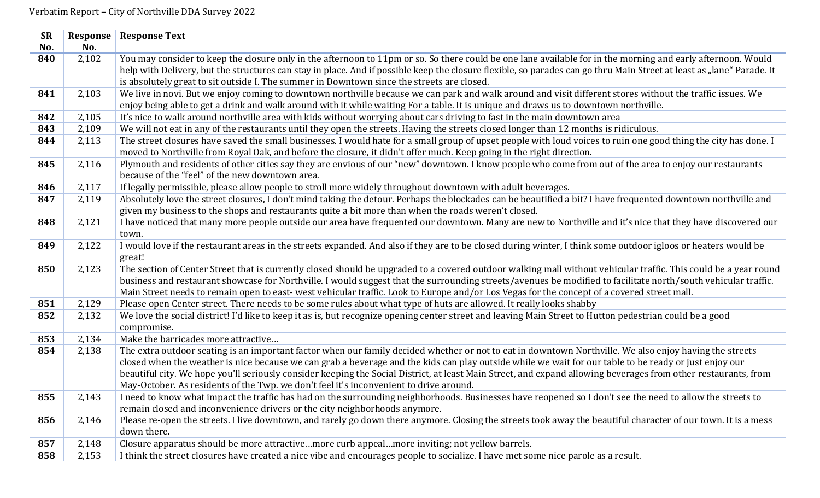| <b>SR</b> | Response | <b>Response Text</b>                                                                                                                                                  |
|-----------|----------|-----------------------------------------------------------------------------------------------------------------------------------------------------------------------|
| No.       | No.      |                                                                                                                                                                       |
| 840       | 2,102    | You may consider to keep the closure only in the afternoon to 11pm or so. So there could be one lane available for in the morning and early afternoon. Would          |
|           |          | help with Delivery, but the structures can stay in place. And if possible keep the closure flexible, so parades can go thru Main Street at least as "lane" Parade. It |
|           |          | is absolutely great to sit outside I. The summer in Downtown since the streets are closed.                                                                            |
| 841       | 2,103    | We live in novi. But we enjoy coming to downtown northville because we can park and walk around and visit different stores without the traffic issues. We             |
|           |          | enjoy being able to get a drink and walk around with it while waiting For a table. It is unique and draws us to downtown northville.                                  |
| 842       | 2,105    | It's nice to walk around northville area with kids without worrying about cars driving to fast in the main downtown area                                              |
| 843       | 2,109    | We will not eat in any of the restaurants until they open the streets. Having the streets closed longer than 12 months is ridiculous.                                 |
| 844       | 2,113    | The street closures have saved the small businesses. I would hate for a small group of upset people with loud voices to ruin one good thing the city has done. I      |
|           |          | moved to Northville from Royal Oak, and before the closure, it didn't offer much. Keep going in the right direction.                                                  |
| 845       | 2,116    | Plymouth and residents of other cities say they are envious of our "new" downtown. I know people who come from out of the area to enjoy our restaurants               |
|           |          | because of the "feel" of the new downtown area.                                                                                                                       |
| 846       | 2,117    | If legally permissible, please allow people to stroll more widely throughout downtown with adult beverages.                                                           |
| 847       | 2,119    | Absolutely love the street closures, I don't mind taking the detour. Perhaps the blockades can be beautified a bit? I have frequented downtown northville and         |
|           |          | given my business to the shops and restaurants quite a bit more than when the roads weren't closed.                                                                   |
| 848       | 2,121    | I have noticed that many more people outside our area have frequented our downtown. Many are new to Northville and it's nice that they have discovered our            |
|           |          | town.                                                                                                                                                                 |
| 849       | 2,122    | I would love if the restaurant areas in the streets expanded. And also if they are to be closed during winter, I think some outdoor igloos or heaters would be        |
|           |          | great!                                                                                                                                                                |
| 850       | 2,123    | The section of Center Street that is currently closed should be upgraded to a covered outdoor walking mall without vehicular traffic. This could be a year round      |
|           |          | business and restaurant showcase for Northville. I would suggest that the surrounding streets/avenues be modified to facilitate north/south vehicular traffic.        |
|           |          | Main Street needs to remain open to east-west vehicular traffic. Look to Europe and/or Los Vegas for the concept of a covered street mall.                            |
| 851       | 2,129    | Please open Center street. There needs to be some rules about what type of huts are allowed. It really looks shabby                                                   |
| 852       | 2,132    | We love the social district! I'd like to keep it as is, but recognize opening center street and leaving Main Street to Hutton pedestrian could be a good              |
|           |          | compromise.                                                                                                                                                           |
| 853       | 2,134    | Make the barricades more attractive                                                                                                                                   |
| 854       | 2,138    | The extra outdoor seating is an important factor when our family decided whether or not to eat in downtown Northville. We also enjoy having the streets               |
|           |          | closed when the weather is nice because we can grab a beverage and the kids can play outside while we wait for our table to be ready or just enjoy our                |
|           |          | beautiful city. We hope you'll seriously consider keeping the Social District, at least Main Street, and expand allowing beverages from other restaurants, from       |
|           |          | May-October. As residents of the Twp. we don't feel it's inconvenient to drive around.                                                                                |
| 855       | 2,143    | I need to know what impact the traffic has had on the surrounding neighborhoods. Businesses have reopened so I don't see the need to allow the streets to             |
|           |          | remain closed and inconvenience drivers or the city neighborhoods anymore.                                                                                            |
| 856       | 2,146    | Please re-open the streets. I live downtown, and rarely go down there anymore. Closing the streets took away the beautiful character of our town. It is a mess        |
|           |          | down there.                                                                                                                                                           |
| 857       | 2,148    | Closure apparatus should be more attractivemore curb appealmore inviting; not yellow barrels.                                                                         |
| 858       | 2,153    | I think the street closures have created a nice vibe and encourages people to socialize. I have met some nice parole as a result.                                     |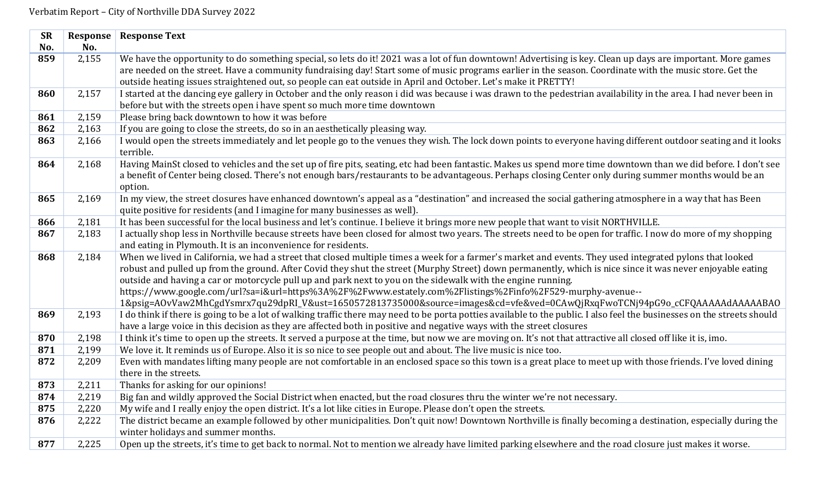| <b>SR</b> | Response | <b>Response Text</b>                                                                                                                                                        |
|-----------|----------|-----------------------------------------------------------------------------------------------------------------------------------------------------------------------------|
| No.       | No.      |                                                                                                                                                                             |
| 859       | 2,155    | We have the opportunity to do something special, so lets do it! 2021 was a lot of fun downtown! Advertising is key. Clean up days are important. More games                 |
|           |          | are needed on the street. Have a community fundraising day! Start some of music programs earlier in the season. Coordinate with the music store. Get the                    |
|           |          | outside heating issues straightened out, so people can eat outside in April and October. Let's make it PRETTY!                                                              |
| 860       | 2,157    | I started at the dancing eye gallery in October and the only reason i did was because i was drawn to the pedestrian availability in the area. I had never been in           |
|           |          | before but with the streets open i have spent so much more time downtown                                                                                                    |
| 861       | 2,159    | Please bring back downtown to how it was before                                                                                                                             |
| 862       | 2,163    | If you are going to close the streets, do so in an aesthetically pleasing way.                                                                                              |
| 863       | 2,166    | I would open the streets immediately and let people go to the venues they wish. The lock down points to everyone having different outdoor seating and it looks<br>terrible. |
| 864       | 2,168    | Having MainSt closed to vehicles and the set up of fire pits, seating, etc had been fantastic. Makes us spend more time downtown than we did before. I don't see            |
|           |          | a benefit of Center being closed. There's not enough bars/restaurants to be advantageous. Perhaps closing Center only during summer months would be an                      |
|           |          | option.                                                                                                                                                                     |
| 865       | 2,169    | In my view, the street closures have enhanced downtown's appeal as a "destination" and increased the social gathering atmosphere in a way that has Been                     |
|           |          | quite positive for residents (and I imagine for many businesses as well).                                                                                                   |
| 866       | 2,181    | It has been successful for the local business and let's continue. I believe it brings more new people that want to visit NORTHVILLE.                                        |
| 867       | 2,183    | I actually shop less in Northville because streets have been closed for almost two years. The streets need to be open for traffic. I now do more of my shopping             |
|           |          | and eating in Plymouth. It is an inconvenience for residents.                                                                                                               |
| 868       | 2,184    | When we lived in California, we had a street that closed multiple times a week for a farmer's market and events. They used integrated pylons that looked                    |
|           |          | robust and pulled up from the ground. After Covid they shut the street (Murphy Street) down permanently, which is nice since it was never enjoyable eating                  |
|           |          | outside and having a car or motorcycle pull up and park next to you on the sidewalk with the engine running.                                                                |
|           |          | https://www.google.com/url?sa=i&url=https%3A%2F%2Fwww.estately.com%2Flistings%2Finfo%2F529-murphy-avenue--                                                                  |
|           |          | 1&psig=A0vVaw2MhCgdYsmrx7qu29dpRI_V&ust=1650572813735000&source=images&cd=vfe&ved=0CAwQjRxqFwoTCNj94pG9o_cCFQAAAAAdAAAABAO                                                  |
| 869       | 2,193    | I do think if there is going to be a lot of walking traffic there may need to be porta potties available to the public. I also feel the businesses on the streets should    |
|           |          | have a large voice in this decision as they are affected both in positive and negative ways with the street closures                                                        |
| 870       | 2,198    | I think it's time to open up the streets. It served a purpose at the time, but now we are moving on. It's not that attractive all closed off like it is, imo.               |
| 871       | 2,199    | We love it. It reminds us of Europe. Also it is so nice to see people out and about. The live music is nice too.                                                            |
| 872       | 2,209    | Even with mandates lifting many people are not comfortable in an enclosed space so this town is a great place to meet up with those friends. I've loved dining              |
|           |          | there in the streets.                                                                                                                                                       |
| 873       | 2,211    | Thanks for asking for our opinions!                                                                                                                                         |
| 874       | 2,219    | Big fan and wildly approved the Social District when enacted, but the road closures thru the winter we're not necessary.                                                    |
| 875       | 2,220    | My wife and I really enjoy the open district. It's a lot like cities in Europe. Please don't open the streets.                                                              |
| 876       | 2,222    | The district became an example followed by other municipalities. Don't quit now! Downtown Northville is finally becoming a destination, especially during the               |
|           |          | winter holidays and summer months.                                                                                                                                          |
| 877       | 2,225    | Open up the streets, it's time to get back to normal. Not to mention we already have limited parking elsewhere and the road closure just makes it worse.                    |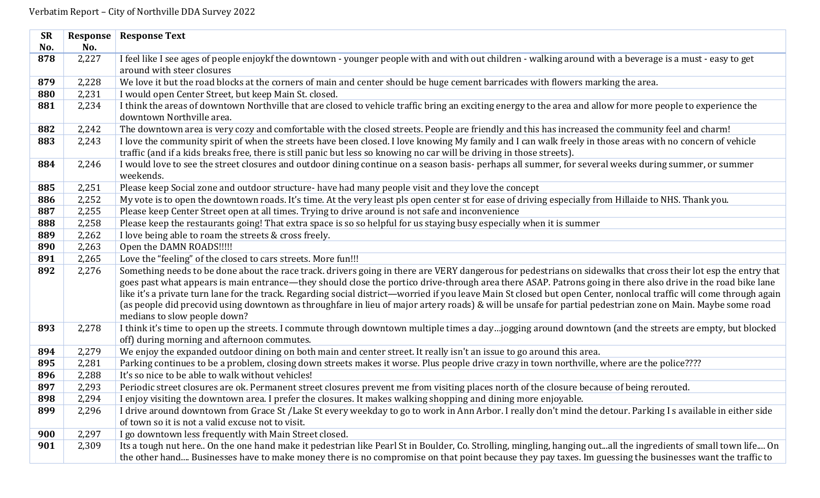| <b>SR</b> | Response | <b>Response Text</b>                                                                                                                                                                      |
|-----------|----------|-------------------------------------------------------------------------------------------------------------------------------------------------------------------------------------------|
| No.       | No.      |                                                                                                                                                                                           |
| 878       | 2,227    | I feel like I see ages of people enjoykf the downtown - younger people with and with out children - walking around with a beverage is a must - easy to get                                |
|           |          | around with steer closures                                                                                                                                                                |
| 879       | 2,228    | We love it but the road blocks at the corners of main and center should be huge cement barricades with flowers marking the area.                                                          |
| 880       | 2,231    | I would open Center Street, but keep Main St. closed.                                                                                                                                     |
| 881       | 2,234    | I think the areas of downtown Northville that are closed to vehicle traffic bring an exciting energy to the area and allow for more people to experience the<br>downtown Northville area. |
| 882       | 2,242    | The downtown area is very cozy and comfortable with the closed streets. People are friendly and this has increased the community feel and charm!                                          |
| 883       | 2,243    | I love the community spirit of when the streets have been closed. I love knowing My family and I can walk freely in those areas with no concern of vehicle                                |
|           |          | traffic (and if a kids breaks free, there is still panic but less so knowing no car will be driving in those streets).                                                                    |
| 884       | 2,246    | I would love to see the street closures and outdoor dining continue on a season basis- perhaps all summer, for several weeks during summer, or summer                                     |
|           |          | weekends.                                                                                                                                                                                 |
| 885       | 2,251    | Please keep Social zone and outdoor structure- have had many people visit and they love the concept                                                                                       |
| 886       | 2,252    | My vote is to open the downtown roads. It's time. At the very least pls open center st for ease of driving especially from Hillaide to NHS. Thank you.                                    |
| 887       | 2,255    | Please keep Center Street open at all times. Trying to drive around is not safe and inconvenience                                                                                         |
| 888       | 2,258    | Please keep the restaurants going! That extra space is so so helpful for us staying busy especially when it is summer                                                                     |
| 889       | 2,262    | I love being able to roam the streets & cross freely.                                                                                                                                     |
| 890       | 2,263    | Open the DAMN ROADS!!!!!                                                                                                                                                                  |
| 891       | 2,265    | Love the "feeling" of the closed to cars streets. More fun!!!                                                                                                                             |
| 892       | 2,276    | Something needs to be done about the race track. drivers going in there are VERY dangerous for pedestrians on sidewalks that cross their lot esp the entry that                           |
|           |          | goes past what appears is main entrance—they should close the portico drive-through area there ASAP. Patrons going in there also drive in the road bike lane                              |
|           |          | like it's a private turn lane for the track. Regarding social district-worried if you leave Main St closed but open Center, nonlocal traffic will come through again                      |
|           |          | (as people did precovid using downtown as throughfare in lieu of major artery roads) & will be unsafe for partial pedestrian zone on Main. Maybe some road                                |
|           |          | medians to slow people down?                                                                                                                                                              |
| 893       | 2,278    | I think it's time to open up the streets. I commute through downtown multiple times a dayjogging around downtown (and the streets are empty, but blocked                                  |
|           |          | off) during morning and afternoon commutes.                                                                                                                                               |
| 894       | 2,279    | We enjoy the expanded outdoor dining on both main and center street. It really isn't an issue to go around this area.                                                                     |
| 895       | 2,281    | Parking continues to be a problem, closing down streets makes it worse. Plus people drive crazy in town northville, where are the police????                                              |
| 896       | 2,288    | It's so nice to be able to walk without vehicles!                                                                                                                                         |
| 897       | 2,293    | Periodic street closures are ok. Permanent street closures prevent me from visiting places north of the closure because of being rerouted.                                                |
| 898       | 2,294    | I enjoy visiting the downtown area. I prefer the closures. It makes walking shopping and dining more enjoyable.                                                                           |
| 899       | 2,296    | I drive around downtown from Grace St /Lake St every weekday to go to work in Ann Arbor. I really don't mind the detour. Parking I s available in either side                             |
|           |          | of town so it is not a valid excuse not to visit.                                                                                                                                         |
| 900       | 2,297    | I go downtown less frequently with Main Street closed.                                                                                                                                    |
| 901       | 2,309    | Its a tough nut here On the one hand make it pedestrian like Pearl St in Boulder, Co. Strolling, mingling, hanging outall the ingredients of small town life On                           |
|           |          | the other hand Businesses have to make money there is no compromise on that point because they pay taxes. Im guessing the businesses want the traffic to                                  |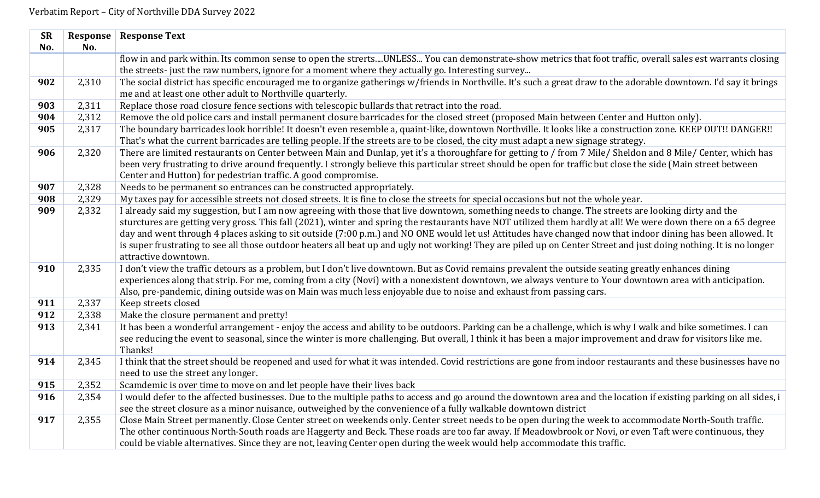|     | <b>Response Text</b>                                                                                                                                                                                                                                                                                            |
|-----|-----------------------------------------------------------------------------------------------------------------------------------------------------------------------------------------------------------------------------------------------------------------------------------------------------------------|
| No. |                                                                                                                                                                                                                                                                                                                 |
|     | flow in and park within. Its common sense to open the strertsUNLESS You can demonstrate-show metrics that foot traffic, overall sales est warrants closing                                                                                                                                                      |
|     | the streets-just the raw numbers, ignore for a moment where they actually go. Interesting survey                                                                                                                                                                                                                |
|     | The social district has specific encouraged me to organize gatherings w/friends in Northville. It's such a great draw to the adorable downtown. I'd say it brings                                                                                                                                               |
|     | me and at least one other adult to Northville quarterly.                                                                                                                                                                                                                                                        |
|     | Replace those road closure fence sections with telescopic bullards that retract into the road.                                                                                                                                                                                                                  |
|     | Remove the old police cars and install permanent closure barricades for the closed street (proposed Main between Center and Hutton only).                                                                                                                                                                       |
|     | The boundary barricades look horrible! It doesn't even resemble a, quaint-like, downtown Northville. It looks like a construction zone. KEEP OUT!! DANGER!!                                                                                                                                                     |
|     | That's what the current barricades are telling people. If the streets are to be closed, the city must adapt a new signage strategy.                                                                                                                                                                             |
|     | There are limited restaurants on Center between Main and Dunlap, yet it's a thoroughfare for getting to / from 7 Mile/ Sheldon and 8 Mile/ Center, which has                                                                                                                                                    |
|     | been very frustrating to drive around frequently. I strongly believe this particular street should be open for traffic but close the side (Main street between                                                                                                                                                  |
|     | Center and Hutton) for pedestrian traffic. A good compromise.                                                                                                                                                                                                                                                   |
|     | Needs to be permanent so entrances can be constructed appropriately.                                                                                                                                                                                                                                            |
|     | My taxes pay for accessible streets not closed streets. It is fine to close the streets for special occasions but not the whole year.                                                                                                                                                                           |
|     | I already said my suggestion, but I am now agreeing with those that live downtown, something needs to change. The streets are looking dirty and the                                                                                                                                                             |
|     | sturctures are getting very gross. This fall (2021), winter and spring the restaurants have NOT utilized them hardly at all! We were down there on a 65 degree                                                                                                                                                  |
|     | day and went through 4 places asking to sit outside (7:00 p.m.) and NO ONE would let us! Attitudes have changed now that indoor dining has been allowed. It                                                                                                                                                     |
|     | is super frustrating to see all those outdoor heaters all beat up and ugly not working! They are piled up on Center Street and just doing nothing. It is no longer                                                                                                                                              |
|     | attractive downtown.                                                                                                                                                                                                                                                                                            |
|     | I don't view the traffic detours as a problem, but I don't live downtown. But as Covid remains prevalent the outside seating greatly enhances dining<br>experiences along that strip. For me, coming from a city (Novi) with a nonexistent downtown, we always venture to Your downtown area with anticipation. |
|     | Also, pre-pandemic, dining outside was on Main was much less enjoyable due to noise and exhaust from passing cars.                                                                                                                                                                                              |
|     | Keep streets closed                                                                                                                                                                                                                                                                                             |
|     | Make the closure permanent and pretty!                                                                                                                                                                                                                                                                          |
|     | It has been a wonderful arrangement - enjoy the access and ability to be outdoors. Parking can be a challenge, which is why I walk and bike sometimes. I can                                                                                                                                                    |
|     | see reducing the event to seasonal, since the winter is more challenging. But overall, I think it has been a major improvement and draw for visitors like me.                                                                                                                                                   |
|     | Thanks!                                                                                                                                                                                                                                                                                                         |
|     | I think that the street should be reopened and used for what it was intended. Covid restrictions are gone from indoor restaurants and these businesses have no                                                                                                                                                  |
|     | need to use the street any longer.                                                                                                                                                                                                                                                                              |
|     | Scamdemic is over time to move on and let people have their lives back                                                                                                                                                                                                                                          |
|     | I would defer to the affected businesses. Due to the multiple paths to access and go around the downtown area and the location if existing parking on all sides, i                                                                                                                                              |
|     | see the street closure as a minor nuisance, outweighed by the convenience of a fully walkable downtown district                                                                                                                                                                                                 |
|     | Close Main Street permanently. Close Center street on weekends only. Center street needs to be open during the week to accommodate North-South traffic.                                                                                                                                                         |
|     | The other continuous North-South roads are Haggerty and Beck. These roads are too far away. If Meadowbrook or Novi, or even Taft were continuous, they                                                                                                                                                          |
|     | could be viable alternatives. Since they are not, leaving Center open during the week would help accommodate this traffic.                                                                                                                                                                                      |
|     | <b>Response</b><br>2,310<br>2,311<br>2,312<br>2,317<br>2,320<br>2,328<br>2,329<br>2,332<br>2,335<br>2,337<br>2,338<br>2,341<br>2,345<br>2,352<br>2,354<br>2,355                                                                                                                                                 |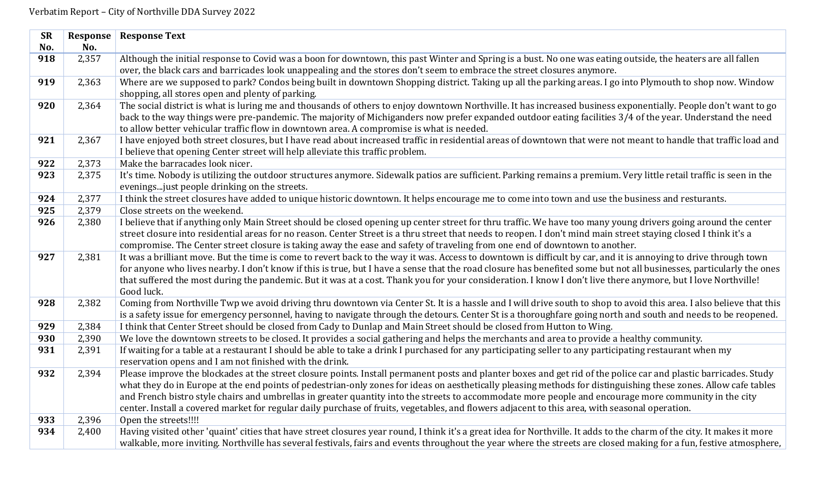| <b>SR</b> | Response | <b>Response Text</b>                                                                                                                                                    |
|-----------|----------|-------------------------------------------------------------------------------------------------------------------------------------------------------------------------|
| No.       | No.      |                                                                                                                                                                         |
| 918       | 2,357    | Although the initial response to Covid was a boon for downtown, this past Winter and Spring is a bust. No one was eating outside, the heaters are all fallen            |
|           |          | over, the black cars and barricades look unappealing and the stores don't seem to embrace the street closures anymore.                                                  |
| 919       | 2,363    | Where are we supposed to park? Condos being built in downtown Shopping district. Taking up all the parking areas. I go into Plymouth to shop now. Window                |
|           |          | shopping, all stores open and plenty of parking.                                                                                                                        |
| 920       | 2,364    | The social district is what is luring me and thousands of others to enjoy downtown Northville. It has increased business exponentially. People don't want to go         |
|           |          | back to the way things were pre-pandemic. The majority of Michiganders now prefer expanded outdoor eating facilities 3/4 of the year. Understand the need               |
|           |          | to allow better vehicular traffic flow in downtown area. A compromise is what is needed.                                                                                |
| 921       | 2,367    | I have enjoyed both street closures, but I have read about increased traffic in residential areas of downtown that were not meant to handle that traffic load and       |
|           |          | I believe that opening Center street will help alleviate this traffic problem.                                                                                          |
| 922       | 2,373    | Make the barracades look nicer.                                                                                                                                         |
| 923       | 2,375    | It's time. Nobody is utilizing the outdoor structures anymore. Sidewalk patios are sufficient. Parking remains a premium. Very little retail traffic is seen in the     |
|           |          | evenings just people drinking on the streets.                                                                                                                           |
| 924       | 2,377    | I think the street closures have added to unique historic downtown. It helps encourage me to come into town and use the business and resturants.                        |
| 925       | 2,379    | Close streets on the weekend.                                                                                                                                           |
| 926       | 2,380    | I believe that if anything only Main Street should be closed opening up center street for thru traffic. We have too many young drivers going around the center          |
|           |          | street closure into residential areas for no reason. Center Street is a thru street that needs to reopen. I don't mind main street staying closed I think it's a        |
|           |          | compromise. The Center street closure is taking away the ease and safety of traveling from one end of downtown to another.                                              |
| 927       | 2,381    | It was a brilliant move. But the time is come to revert back to the way it was. Access to downtown is difficult by car, and it is annoying to drive through town        |
|           |          | for anyone who lives nearby. I don't know if this is true, but I have a sense that the road closure has benefited some but not all businesses, particularly the ones    |
|           |          | that suffered the most during the pandemic. But it was at a cost. Thank you for your consideration. I know I don't live there anymore, but I love Northville!           |
|           |          | Good luck.                                                                                                                                                              |
| 928       | 2,382    | Coming from Northville Twp we avoid driving thru downtown via Center St. It is a hassle and I will drive south to shop to avoid this area. I also believe that this     |
|           |          | is a safety issue for emergency personnel, having to navigate through the detours. Center St is a thoroughfare going north and south and needs to be reopened.          |
| 929       | 2,384    | I think that Center Street should be closed from Cady to Dunlap and Main Street should be closed from Hutton to Wing.                                                   |
| 930       | 2,390    | We love the downtown streets to be closed. It provides a social gathering and helps the merchants and area to provide a healthy community.                              |
| 931       | 2,391    | If waiting for a table at a restaurant I should be able to take a drink I purchased for any participating seller to any participating restaurant when my                |
|           |          | reservation opens and I am not finished with the drink.                                                                                                                 |
| 932       | 2,394    | Please improve the blockades at the street closure points. Install permanent posts and planter boxes and get rid of the police car and plastic barricades. Study        |
|           |          | what they do in Europe at the end points of pedestrian-only zones for ideas on aesthetically pleasing methods for distinguishing these zones. Allow cafe tables         |
|           |          | and French bistro style chairs and umbrellas in greater quantity into the streets to accommodate more people and encourage more community in the city                   |
|           |          | center. Install a covered market for regular daily purchase of fruits, vegetables, and flowers adjacent to this area, with seasonal operation.                          |
| 933       | 2,396    | Open the streets!!!!                                                                                                                                                    |
| 934       | 2,400    | Having visited other 'quaint' cities that have street closures year round, I think it's a great idea for Northville. It adds to the charm of the city. It makes it more |
|           |          | walkable, more inviting. Northville has several festivals, fairs and events throughout the year where the streets are closed making for a fun, festive atmosphere,      |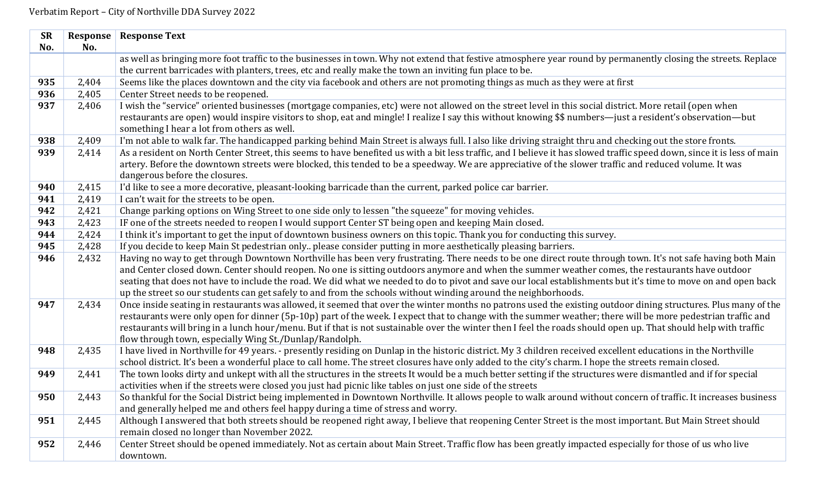| <b>SR</b> | Response | <b>Response Text</b>                                                                                                                                                    |
|-----------|----------|-------------------------------------------------------------------------------------------------------------------------------------------------------------------------|
| No.       | No.      |                                                                                                                                                                         |
|           |          | as well as bringing more foot traffic to the businesses in town. Why not extend that festive atmosphere year round by permanently closing the streets. Replace          |
|           |          | the current barricades with planters, trees, etc and really make the town an inviting fun place to be.                                                                  |
| 935       | 2,404    | Seems like the places downtown and the city via facebook and others are not promoting things as much as they were at first                                              |
| 936       | 2,405    | Center Street needs to be reopened.                                                                                                                                     |
| 937       | 2,406    | I wish the "service" oriented businesses (mortgage companies, etc) were not allowed on the street level in this social district. More retail (open when                 |
|           |          | restaurants are open) would inspire visitors to shop, eat and mingle! I realize I say this without knowing \$\$ numbers—just a resident's observation—but               |
|           |          | something I hear a lot from others as well.                                                                                                                             |
| 938       | 2,409    | I'm not able to walk far. The handicapped parking behind Main Street is always full. I also like driving straight thru and checking out the store fronts.               |
| 939       | 2,414    | As a resident on North Center Street, this seems to have benefited us with a bit less traffic, and I believe it has slowed traffic speed down, since it is less of main |
|           |          | artery. Before the downtown streets were blocked, this tended to be a speedway. We are appreciative of the slower traffic and reduced volume. It was                    |
|           |          | dangerous before the closures.                                                                                                                                          |
| 940       | 2,415    | I'd like to see a more decorative, pleasant-looking barricade than the current, parked police car barrier.                                                              |
| 941       | 2,419    | I can't wait for the streets to be open.                                                                                                                                |
| 942       | 2,421    | Change parking options on Wing Street to one side only to lessen "the squeeze" for moving vehicles.                                                                     |
| 943       | 2,423    | IF one of the streets needed to reopen I would support Center ST being open and keeping Main closed.                                                                    |
| 944       | 2,424    | I think it's important to get the input of downtown business owners on this topic. Thank you for conducting this survey.                                                |
| 945       | 2,428    | If you decide to keep Main St pedestrian only please consider putting in more aesthetically pleasing barriers.                                                          |
| 946       | 2,432    | Having no way to get through Downtown Northville has been very frustrating. There needs to be one direct route through town. It's not safe having both Main             |
|           |          | and Center closed down. Center should reopen. No one is sitting outdoors anymore and when the summer weather comes, the restaurants have outdoor                        |
|           |          | seating that does not have to include the road. We did what we needed to do to pivot and save our local establishments but it's time to move on and open back           |
|           |          | up the street so our students can get safely to and from the schools without winding around the neighborhoods.                                                          |
| 947       | 2,434    | Once inside seating in restaurants was allowed, it seemed that over the winter months no patrons used the existing outdoor dining structures. Plus many of the          |
|           |          | restaurants were only open for dinner (5p-10p) part of the week. I expect that to change with the summer weather; there will be more pedestrian traffic and             |
|           |          | restaurants will bring in a lunch hour/menu. But if that is not sustainable over the winter then I feel the roads should open up. That should help with traffic         |
|           |          | flow through town, especially Wing St./Dunlap/Randolph.                                                                                                                 |
| 948       | 2,435    | I have lived in Northville for 49 years. - presently residing on Dunlap in the historic district. My 3 children received excellent educations in the Northville         |
|           |          | school district. It's been a wonderful place to call home. The street closures have only added to the city's charm. I hope the streets remain closed.                   |
| 949       | 2,441    | The town looks dirty and unkept with all the structures in the streets It would be a much better setting if the structures were dismantled and if for special           |
|           |          | activities when if the streets were closed you just had picnic like tables on just one side of the streets                                                              |
| 950       | 2,443    | So thankful for the Social District being implemented in Downtown Northville. It allows people to walk around without concern of traffic. It increases business         |
|           |          | and generally helped me and others feel happy during a time of stress and worry.                                                                                        |
| 951       | 2,445    | Although I answered that both streets should be reopened right away, I believe that reopening Center Street is the most important. But Main Street should               |
|           |          | remain closed no longer than November 2022.                                                                                                                             |
| 952       | 2,446    | Center Street should be opened immediately. Not as certain about Main Street. Traffic flow has been greatly impacted especially for those of us who live                |
|           |          | downtown.                                                                                                                                                               |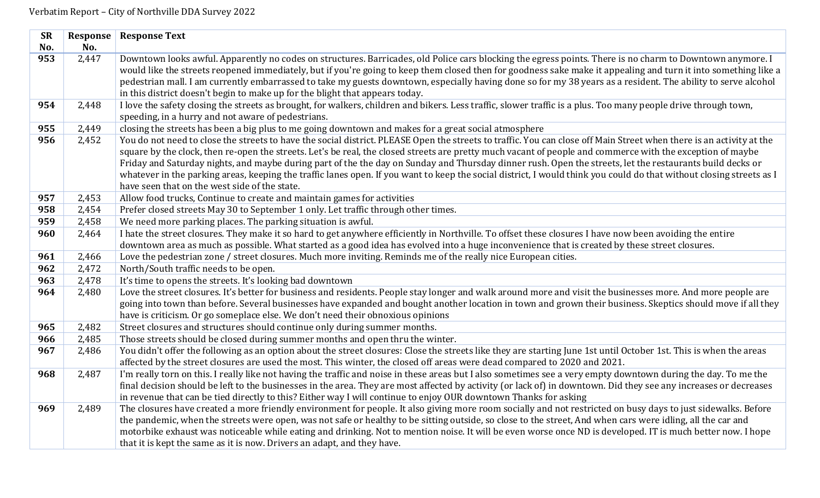| <b>SR</b> | <b>Response</b> | <b>Response Text</b>                                                                                                                                                                                                  |
|-----------|-----------------|-----------------------------------------------------------------------------------------------------------------------------------------------------------------------------------------------------------------------|
| No.       | No.             |                                                                                                                                                                                                                       |
| 953       | 2,447           | Downtown looks awful. Apparently no codes on structures. Barricades, old Police cars blocking the egress points. There is no charm to Downtown anymore. I                                                             |
|           |                 | would like the streets reopened immediately, but if you're going to keep them closed then for goodness sake make it appealing and turn it into something like a                                                       |
|           |                 | pedestrian mall. I am currently embarrassed to take my guests downtown, especially having done so for my 38 years as a resident. The ability to serve alcohol                                                         |
|           |                 | in this district doesn't begin to make up for the blight that appears today.                                                                                                                                          |
| 954       | 2,448           | I love the safety closing the streets as brought, for walkers, children and bikers. Less traffic, slower traffic is a plus. Too many people drive through town,<br>speeding, in a hurry and not aware of pedestrians. |
| 955       | 2,449           | closing the streets has been a big plus to me going downtown and makes for a great social atmosphere                                                                                                                  |
| 956       | 2,452           | You do not need to close the streets to have the social district. PLEASE Open the streets to traffic. You can close off Main Street when there is an activity at the                                                  |
|           |                 | square by the clock, then re-open the streets. Let's be real, the closed streets are pretty much vacant of people and commerce with the exception of maybe                                                            |
|           |                 | Friday and Saturday nights, and maybe during part of the the day on Sunday and Thursday dinner rush. Open the streets, let the restaurants build decks or                                                             |
|           |                 | whatever in the parking areas, keeping the traffic lanes open. If you want to keep the social district, I would think you could do that without closing streets as I                                                  |
|           |                 | have seen that on the west side of the state.                                                                                                                                                                         |
| 957       | 2,453           | Allow food trucks, Continue to create and maintain games for activities                                                                                                                                               |
| 958       | 2,454           | Prefer closed streets May 30 to September 1 only. Let traffic through other times.                                                                                                                                    |
| 959       | 2,458           | We need more parking places. The parking situation is awful.                                                                                                                                                          |
| 960       | 2,464           | I hate the street closures. They make it so hard to get anywhere efficiently in Northville. To offset these closures I have now been avoiding the entire                                                              |
|           |                 | downtown area as much as possible. What started as a good idea has evolved into a huge inconvenience that is created by these street closures.                                                                        |
| 961       | 2,466           | Love the pedestrian zone / street closures. Much more inviting. Reminds me of the really nice European cities.                                                                                                        |
| 962       | 2,472           | North/South traffic needs to be open.                                                                                                                                                                                 |
| 963       | 2,478           | It's time to opens the streets. It's looking bad downtown                                                                                                                                                             |
| 964       | 2,480           | Love the street closures. It's better for business and residents. People stay longer and walk around more and visit the businesses more. And more people are                                                          |
|           |                 | going into town than before. Several businesses have expanded and bought another location in town and grown their business. Skeptics should move if all they                                                          |
|           |                 | have is criticism. Or go someplace else. We don't need their obnoxious opinions                                                                                                                                       |
| 965       | 2,482           | Street closures and structures should continue only during summer months.                                                                                                                                             |
| 966       | 2,485           | Those streets should be closed during summer months and open thru the winter.                                                                                                                                         |
| 967       | 2,486           | You didn't offer the following as an option about the street closures: Close the streets like they are starting June 1st until October 1st. This is when the areas                                                    |
|           |                 | affected by the street closures are used the most. This winter, the closed off areas were dead compared to 2020 and 2021.                                                                                             |
| 968       | 2,487           | I'm really torn on this. I really like not having the traffic and noise in these areas but I also sometimes see a very empty downtown during the day. To me the                                                       |
|           |                 | final decision should be left to the businesses in the area. They are most affected by activity (or lack of) in downtown. Did they see any increases or decreases                                                     |
|           |                 | in revenue that can be tied directly to this? Either way I will continue to enjoy OUR downtown Thanks for asking                                                                                                      |
| 969       | 2,489           | The closures have created a more friendly environment for people. It also giving more room socially and not restricted on busy days to just sidewalks. Before                                                         |
|           |                 | the pandemic, when the streets were open, was not safe or healthy to be sitting outside, so close to the street, And when cars were idling, all the car and                                                           |
|           |                 | motorbike exhaust was noticeable while eating and drinking. Not to mention noise. It will be even worse once ND is developed. IT is much better now. I hope                                                           |
|           |                 | that it is kept the same as it is now. Drivers an adapt, and they have.                                                                                                                                               |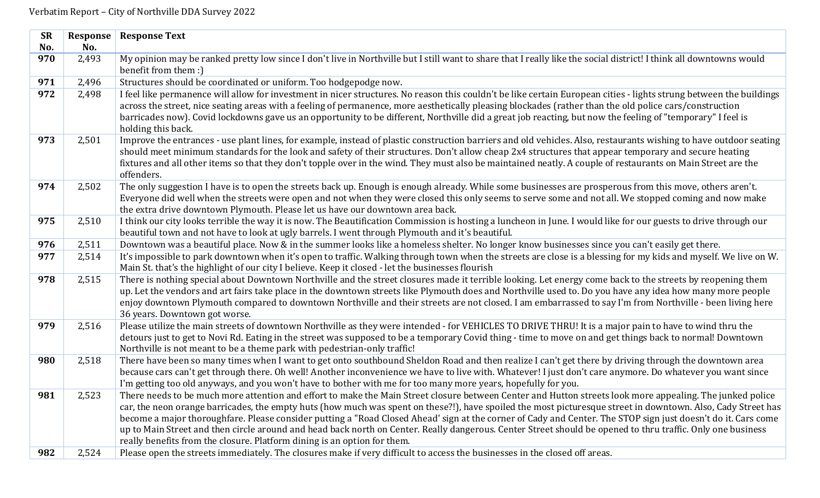| <b>SR</b> | <b>Response</b> | <b>Response Text</b>                                                                                                                                                                                                                                                                                                                                                                                                                                                                                                                                                                                                                                                                                                                  |
|-----------|-----------------|---------------------------------------------------------------------------------------------------------------------------------------------------------------------------------------------------------------------------------------------------------------------------------------------------------------------------------------------------------------------------------------------------------------------------------------------------------------------------------------------------------------------------------------------------------------------------------------------------------------------------------------------------------------------------------------------------------------------------------------|
| No.       | No.             |                                                                                                                                                                                                                                                                                                                                                                                                                                                                                                                                                                                                                                                                                                                                       |
| 970       | 2,493           | My opinion may be ranked pretty low since I don't live in Northville but I still want to share that I really like the social district! I think all downtowns would<br>benefit from them :)                                                                                                                                                                                                                                                                                                                                                                                                                                                                                                                                            |
| 971       | 2,496           | Structures should be coordinated or uniform. Too hodgepodge now.                                                                                                                                                                                                                                                                                                                                                                                                                                                                                                                                                                                                                                                                      |
| 972       | 2,498           | I feel like permanence will allow for investment in nicer structures. No reason this couldn't be like certain European cities - lights strung between the buildings<br>across the street, nice seating areas with a feeling of permanence, more aesthetically pleasing blockades (rather than the old police cars/construction<br>barricades now). Covid lockdowns gave us an opportunity to be different, Northville did a great job reacting, but now the feeling of "temporary" I feel is<br>holding this back.                                                                                                                                                                                                                    |
| 973       | 2,501           | Improve the entrances - use plant lines, for example, instead of plastic construction barriers and old vehicles. Also, restaurants wishing to have outdoor seating<br>should meet minimum standards for the look and safety of their structures. Don't allow cheap 2x4 structures that appear temporary and secure heating<br>fixtures and all other items so that they don't topple over in the wind. They must also be maintained neatly. A couple of restaurants on Main Street are the<br>offenders.                                                                                                                                                                                                                              |
| 974       | 2,502           | The only suggestion I have is to open the streets back up. Enough is enough already. While some businesses are prosperous from this move, others aren't.<br>Everyone did well when the streets were open and not when they were closed this only seems to serve some and not all. We stopped coming and now make<br>the extra drive downtown Plymouth. Please let us have our downtown area back.                                                                                                                                                                                                                                                                                                                                     |
| 975       | 2,510           | I think our city looks terrible the way it is now. The Beautification Commission is hosting a luncheon in June. I would like for our guests to drive through our<br>beautiful town and not have to look at ugly barrels. I went through Plymouth and it's beautiful.                                                                                                                                                                                                                                                                                                                                                                                                                                                                  |
| 976       | 2,511           | Downtown was a beautiful place. Now & in the summer looks like a homeless shelter. No longer know businesses since you can't easily get there.                                                                                                                                                                                                                                                                                                                                                                                                                                                                                                                                                                                        |
| 977       | 2,514           | It's impossible to park downtown when it's open to traffic. Walking through town when the streets are close is a blessing for my kids and myself. We live on W.<br>Main St. that's the highlight of our city I believe. Keep it closed - let the businesses flourish                                                                                                                                                                                                                                                                                                                                                                                                                                                                  |
| 978       | 2,515           | There is nothing special about Downtown Northville and the street closures made it terrible looking. Let energy come back to the streets by reopening them<br>up. Let the vendors and art fairs take place in the downtown streets like Plymouth does and Northville used to. Do you have any idea how many more people<br>enjoy downtown Plymouth compared to downtown Northville and their streets are not closed. I am embarrassed to say I'm from Northville - been living here<br>36 years. Downtown got worse.                                                                                                                                                                                                                  |
| 979       | 2,516           | Please utilize the main streets of downtown Northville as they were intended - for VEHICLES TO DRIVE THRU! It is a major pain to have to wind thru the<br>detours just to get to Novi Rd. Eating in the street was supposed to be a temporary Covid thing - time to move on and get things back to normal! Downtown<br>Northville is not meant to be a theme park with pedestrian-only traffic!                                                                                                                                                                                                                                                                                                                                       |
| 980       | 2,518           | There have been so many times when I want to get onto southbound Sheldon Road and then realize I can't get there by driving through the downtown area<br>because cars can't get through there. Oh well! Another inconvenience we have to live with. Whatever! I just don't care anymore. Do whatever you want since<br>I'm getting too old anyways, and you won't have to bother with me for too many more years, hopefully for you.                                                                                                                                                                                                                                                                                                  |
| 981       | 2,523           | There needs to be much more attention and effort to make the Main Street closure between Center and Hutton streets look more appealing. The junked police<br>car, the neon orange barricades, the empty huts (how much was spent on these?!), have spoiled the most picturesque street in downtown. Also, Cady Street has<br>become a major thoroughfare. Please consider putting a "Road Closed Ahead' sign at the corner of Cady and Center. The STOP sign just doesn't do it. Cars come<br>up to Main Street and then circle around and head back north on Center. Really dangerous. Center Street should be opened to thru traffic. Only one business<br>really benefits from the closure. Platform dining is an option for them. |
| 982       | 2,524           | Please open the streets immediately. The closures make if very difficult to access the businesses in the closed off areas.                                                                                                                                                                                                                                                                                                                                                                                                                                                                                                                                                                                                            |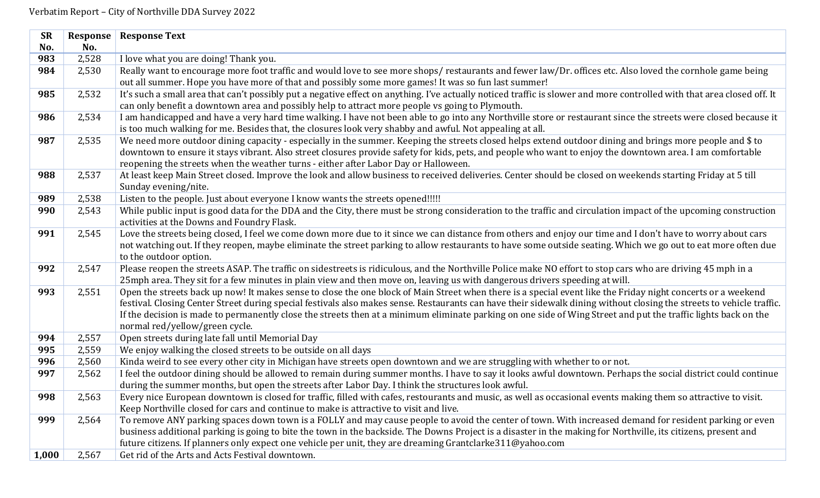| <b>SR</b> | <b>Response</b> | <b>Response Text</b>                                                                                                                                                                                                                                                        |
|-----------|-----------------|-----------------------------------------------------------------------------------------------------------------------------------------------------------------------------------------------------------------------------------------------------------------------------|
| No.       | No.             |                                                                                                                                                                                                                                                                             |
| 983       | 2,528           | I love what you are doing! Thank you.                                                                                                                                                                                                                                       |
| 984       | 2,530           | Really want to encourage more foot traffic and would love to see more shops/restaurants and fewer law/Dr. offices etc. Also loved the cornhole game being                                                                                                                   |
|           |                 | out all summer. Hope you have more of that and possibly some more games! It was so fun last summer!                                                                                                                                                                         |
| 985       | 2,532           | It's such a small area that can't possibly put a negative effect on anything. I've actually noticed traffic is slower and more controlled with that area closed off. It                                                                                                     |
|           |                 | can only benefit a downtown area and possibly help to attract more people vs going to Plymouth.                                                                                                                                                                             |
| 986       | 2,534           | I am handicapped and have a very hard time walking. I have not been able to go into any Northville store or restaurant since the streets were closed because it                                                                                                             |
|           |                 | is too much walking for me. Besides that, the closures look very shabby and awful. Not appealing at all.                                                                                                                                                                    |
| 987       | 2,535           | We need more outdoor dining capacity - especially in the summer. Keeping the streets closed helps extend outdoor dining and brings more people and \$ to                                                                                                                    |
|           |                 | downtown to ensure it stays vibrant. Also street closures provide safety for kids, pets, and people who want to enjoy the downtown area. I am comfortable                                                                                                                   |
|           |                 | reopening the streets when the weather turns - either after Labor Day or Halloween.                                                                                                                                                                                         |
| 988       | 2,537           | At least keep Main Street closed. Improve the look and allow business to received deliveries. Center should be closed on weekends starting Friday at 5 till                                                                                                                 |
|           |                 | Sunday evening/nite.                                                                                                                                                                                                                                                        |
| 989       | 2,538           | Listen to the people. Just about everyone I know wants the streets opened!!!!!                                                                                                                                                                                              |
| 990       | 2,543           | While public input is good data for the DDA and the City, there must be strong consideration to the traffic and circulation impact of the upcoming construction                                                                                                             |
|           |                 | activities at the Downs and Foundry Flask.                                                                                                                                                                                                                                  |
| 991       | 2,545           | Love the streets being closed, I feel we come down more due to it since we can distance from others and enjoy our time and I don't have to worry about cars                                                                                                                 |
|           |                 | not watching out. If they reopen, maybe eliminate the street parking to allow restaurants to have some outside seating. Which we go out to eat more often due                                                                                                               |
|           |                 | to the outdoor option.                                                                                                                                                                                                                                                      |
| 992       | 2,547           | Please reopen the streets ASAP. The traffic on sidestreets is ridiculous, and the Northville Police make NO effort to stop cars who are driving 45 mph in a                                                                                                                 |
|           |                 | 25mph area. They sit for a few minutes in plain view and then move on, leaving us with dangerous drivers speeding at will.                                                                                                                                                  |
| 993       | 2,551           | Open the streets back up now! It makes sense to close the one block of Main Street when there is a special event like the Friday night concerts or a weekend                                                                                                                |
|           |                 | festival. Closing Center Street during special festivals also makes sense. Restaurants can have their sidewalk dining without closing the streets to vehicle traffic.                                                                                                       |
|           |                 | If the decision is made to permanently close the streets then at a minimum eliminate parking on one side of Wing Street and put the traffic lights back on the                                                                                                              |
|           |                 | normal red/yellow/green cycle.                                                                                                                                                                                                                                              |
| 994       | 2,557           | Open streets during late fall until Memorial Day                                                                                                                                                                                                                            |
| 995       | 2,559           | We enjoy walking the closed streets to be outside on all days                                                                                                                                                                                                               |
| 996       | 2,560           | Kinda weird to see every other city in Michigan have streets open downtown and we are struggling with whether to or not.                                                                                                                                                    |
| 997       | 2,562           | I feel the outdoor dining should be allowed to remain during summer months. I have to say it looks awful downtown. Perhaps the social district could continue                                                                                                               |
|           |                 | during the summer months, but open the streets after Labor Day. I think the structures look awful.                                                                                                                                                                          |
| 998       | 2,563           | Every nice European downtown is closed for traffic, filled with cafes, restourants and music, as well as occasional events making them so attractive to visit.                                                                                                              |
|           |                 | Keep Northville closed for cars and continue to make is attractive to visit and live.                                                                                                                                                                                       |
| 999       | 2,564           | To remove ANY parking spaces down town is a FOLLY and may cause people to avoid the center of town. With increased demand for resident parking or even                                                                                                                      |
|           |                 | business additional parking is going to bite the town in the backside. The Downs Project is a disaster in the making for Northville, its citizens, present and<br>future citizens. If planners only expect one vehicle per unit, they are dreaming Grantclarke311@yahoo.com |
|           |                 | Get rid of the Arts and Acts Festival downtown.                                                                                                                                                                                                                             |
| 1,000     | 2,567           |                                                                                                                                                                                                                                                                             |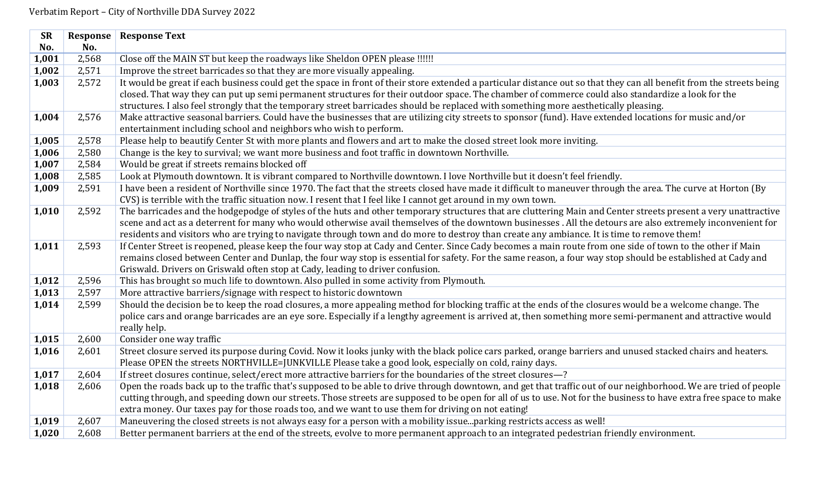| <b>SR</b> | Response | <b>Response Text</b>                                                                                                                                                                                                                                                                      |
|-----------|----------|-------------------------------------------------------------------------------------------------------------------------------------------------------------------------------------------------------------------------------------------------------------------------------------------|
| No.       | No.      |                                                                                                                                                                                                                                                                                           |
| 1,001     | 2,568    | Close off the MAIN ST but keep the roadways like Sheldon OPEN please !!!!!!                                                                                                                                                                                                               |
| 1,002     | 2,571    | Improve the street barricades so that they are more visually appealing.                                                                                                                                                                                                                   |
| 1,003     | 2,572    | It would be great if each business could get the space in front of their store extended a particular distance out so that they can all benefit from the streets being                                                                                                                     |
|           |          | closed. That way they can put up semi permanent structures for their outdoor space. The chamber of commerce could also standardize a look for the<br>structures. I also feel strongly that the temporary street barricades should be replaced with something more aesthetically pleasing. |
| 1,004     | 2,576    | Make attractive seasonal barriers. Could have the businesses that are utilizing city streets to sponsor (fund). Have extended locations for music and/or                                                                                                                                  |
|           |          | entertainment including school and neighbors who wish to perform.                                                                                                                                                                                                                         |
| 1,005     | 2,578    | Please help to beautify Center St with more plants and flowers and art to make the closed street look more inviting.                                                                                                                                                                      |
| 1,006     | 2,580    | Change is the key to survival; we want more business and foot traffic in downtown Northville.                                                                                                                                                                                             |
| 1,007     | 2,584    | Would be great if streets remains blocked off                                                                                                                                                                                                                                             |
| 1,008     | 2,585    | Look at Plymouth downtown. It is vibrant compared to Northville downtown. I love Northville but it doesn't feel friendly.                                                                                                                                                                 |
| 1,009     | 2,591    | I have been a resident of Northville since 1970. The fact that the streets closed have made it difficult to maneuver through the area. The curve at Horton (By                                                                                                                            |
|           |          | CVS) is terrible with the traffic situation now. I resent that I feel like I cannot get around in my own town.                                                                                                                                                                            |
| 1,010     | 2,592    | The barricades and the hodgepodge of styles of the huts and other temporary structures that are cluttering Main and Center streets present a very unattractive                                                                                                                            |
|           |          | scene and act as a deterrent for many who would otherwise avail themselves of the downtown businesses. All the detours are also extremely inconvenient for                                                                                                                                |
|           |          | residents and visitors who are trying to navigate through town and do more to destroy than create any ambiance. It is time to remove them!                                                                                                                                                |
| 1,011     | 2,593    | If Center Street is reopened, please keep the four way stop at Cady and Center. Since Cady becomes a main route from one side of town to the other if Main                                                                                                                                |
|           |          | remains closed between Center and Dunlap, the four way stop is essential for safety. For the same reason, a four way stop should be established at Cady and                                                                                                                               |
|           |          | Griswald. Drivers on Griswald often stop at Cady, leading to driver confusion.                                                                                                                                                                                                            |
| 1,012     | 2,596    | This has brought so much life to downtown. Also pulled in some activity from Plymouth.                                                                                                                                                                                                    |
| 1,013     | 2,597    | More attractive barriers/signage with respect to historic downtown                                                                                                                                                                                                                        |
| 1,014     | 2,599    | Should the decision be to keep the road closures, a more appealing method for blocking traffic at the ends of the closures would be a welcome change. The                                                                                                                                 |
|           |          | police cars and orange barricades are an eye sore. Especially if a lengthy agreement is arrived at, then something more semi-permanent and attractive would                                                                                                                               |
|           |          | really help.                                                                                                                                                                                                                                                                              |
| 1,015     | 2,600    | Consider one way traffic                                                                                                                                                                                                                                                                  |
| 1,016     | 2,601    | Street closure served its purpose during Covid. Now it looks junky with the black police cars parked, orange barriers and unused stacked chairs and heaters.                                                                                                                              |
|           |          | Please OPEN the streets NORTHVILLE=JUNKVILLE Please take a good look, especially on cold, rainy days.                                                                                                                                                                                     |
| 1,017     | 2,604    | If street closures continue, select/erect more attractive barriers for the boundaries of the street closures-?                                                                                                                                                                            |
| 1,018     | 2,606    | Open the roads back up to the traffic that's supposed to be able to drive through downtown, and get that traffic out of our neighborhood. We are tried of people                                                                                                                          |
|           |          | cutting through, and speeding down our streets. Those streets are supposed to be open for all of us to use. Not for the business to have extra free space to make                                                                                                                         |
|           |          | extra money. Our taxes pay for those roads too, and we want to use them for driving on not eating!                                                                                                                                                                                        |
| 1,019     | 2,607    | Maneuvering the closed streets is not always easy for a person with a mobility issueparking restricts access as well!                                                                                                                                                                     |
| 1,020     | 2,608    | Better permanent barriers at the end of the streets, evolve to more permanent approach to an integrated pedestrian friendly environment.                                                                                                                                                  |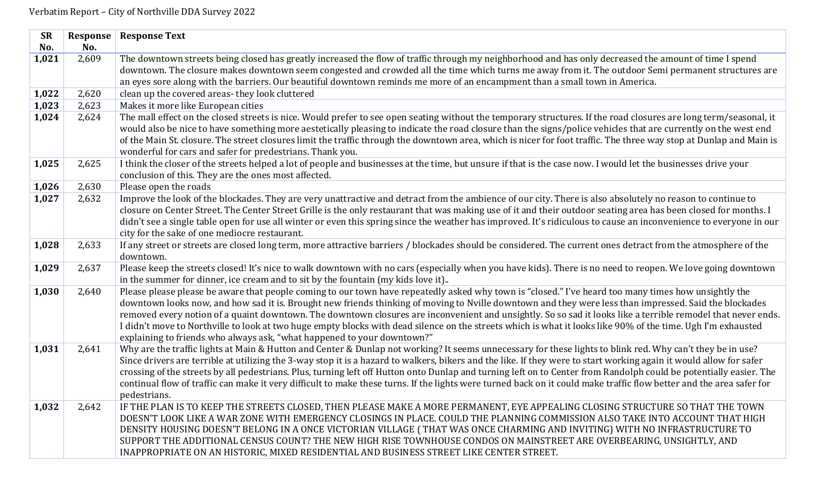| <b>SR</b> | Response | <b>Response Text</b>                                                                                                                                                                                                |
|-----------|----------|---------------------------------------------------------------------------------------------------------------------------------------------------------------------------------------------------------------------|
| No.       | No.      |                                                                                                                                                                                                                     |
| 1,021     | 2,609    | The downtown streets being closed has greatly increased the flow of traffic through my neighborhood and has only decreased the amount of time I spend                                                               |
|           |          | downtown. The closure makes downtown seem congested and crowded all the time which turns me away from it. The outdoor Semi permanent structures are                                                                 |
|           |          | an eyes sore along with the barriers. Our beautiful downtown reminds me more of an encampment than a small town in America.                                                                                         |
| 1,022     | 2,620    | clean up the covered areas-they look cluttered                                                                                                                                                                      |
| 1,023     | 2,623    | Makes it more like European cities                                                                                                                                                                                  |
| 1,024     | 2,624    | The mall effect on the closed streets is nice. Would prefer to see open seating without the temporary structures. If the road closures are long term/seasonal, it                                                   |
|           |          | would also be nice to have something more aestetically pleasing to indicate the road closure than the signs/police vehicles that are currently on the west end                                                      |
|           |          | of the Main St. closure. The street closures limit the traffic through the downtown area, which is nicer for foot traffic. The three way stop at Dunlap and Main is                                                 |
|           |          | wonderful for cars and safer for predestrians. Thank you.                                                                                                                                                           |
| 1,025     | 2,625    | I think the closer of the streets helped a lot of people and businesses at the time, but unsure if that is the case now. I would let the businesses drive your                                                      |
|           |          | conclusion of this. They are the ones most affected.                                                                                                                                                                |
| 1,026     | 2,630    | Please open the roads                                                                                                                                                                                               |
| 1,027     | 2,632    | Improve the look of the blockades. They are very unattractive and detract from the ambience of our city. There is also absolutely no reason to continue to                                                          |
|           |          | closure on Center Street. The Center Street Grille is the only restaurant that was making use of it and their outdoor seating area has been closed for months. I                                                    |
|           |          | didn't see a single table open for use all winter or even this spring since the weather has improved. It's ridiculous to cause an inconvenience to everyone in our<br>city for the sake of one mediocre restaurant. |
| 1,028     | 2,633    | If any street or streets are closed long term, more attractive barriers / blockades should be considered. The current ones detract from the atmosphere of the                                                       |
|           |          | downtown.                                                                                                                                                                                                           |
| 1,029     | 2,637    | Please keep the streets closed! It's nice to walk downtown with no cars (especially when you have kids). There is no need to reopen. We love going downtown                                                         |
|           |          | in the summer for dinner, ice cream and to sit by the fountain (my kids love it)                                                                                                                                    |
| 1,030     | 2,640    | Please please please be aware that people coming to our town have repeatedly asked why town is "closed." I've heard too many times how unsightly the                                                                |
|           |          | downtown looks now, and how sad it is. Brought new friends thinking of moving to Nville downtown and they were less than impressed. Said the blockades                                                              |
|           |          | removed every notion of a quaint downtown. The downtown closures are inconvenient and unsightly. So so sad it looks like a terrible remodel that never ends.                                                        |
|           |          | I didn't move to Northville to look at two huge empty blocks with dead silence on the streets which is what it looks like 90% of the time. Ugh I'm exhausted                                                        |
|           |          | explaining to friends who always ask, "what happened to your downtown?"                                                                                                                                             |
| 1,031     | 2,641    | Why are the traffic lights at Main & Hutton and Center & Dunlap not working? It seems unnecessary for these lights to blink red. Why can't they be in use?                                                          |
|           |          | Since drivers are terrible at utilizing the 3-way stop it is a hazard to walkers, bikers and the like. If they were to start working again it would allow for safer                                                 |
|           |          | crossing of the streets by all pedestrians. Plus, turning left off Hutton onto Dunlap and turning left on to Center from Randolph could be potentially easier. The                                                  |
|           |          | continual flow of traffic can make it very difficult to make these turns. If the lights were turned back on it could make traffic flow better and the area safer for                                                |
|           |          | pedestrians.                                                                                                                                                                                                        |
| 1,032     | 2,642    | IF THE PLAN IS TO KEEP THE STREETS CLOSED, THEN PLEASE MAKE A MORE PERMANENT, EYE APPEALING CLOSING STRUCTURE SO THAT THE TOWN                                                                                      |
|           |          | DOESN'T LOOK LIKE A WAR ZONE WITH EMERGENCY CLOSINGS IN PLACE. COULD THE PLANNING COMMISSION ALSO TAKE INTO ACCOUNT THAT HIGH                                                                                       |
|           |          | DENSITY HOUSING DOESN'T BELONG IN A ONCE VICTORIAN VILLAGE (THAT WAS ONCE CHARMING AND INVITING) WITH NO INFRASTRUCTURE TO                                                                                          |
|           |          | SUPPORT THE ADDITIONAL CENSUS COUNT? THE NEW HIGH RISE TOWNHOUSE CONDOS ON MAINSTREET ARE OVERBEARING, UNSIGHTLY, AND                                                                                               |
|           |          | INAPPROPRIATE ON AN HISTORIC, MIXED RESIDENTIAL AND BUSINESS STREET LIKE CENTER STREET.                                                                                                                             |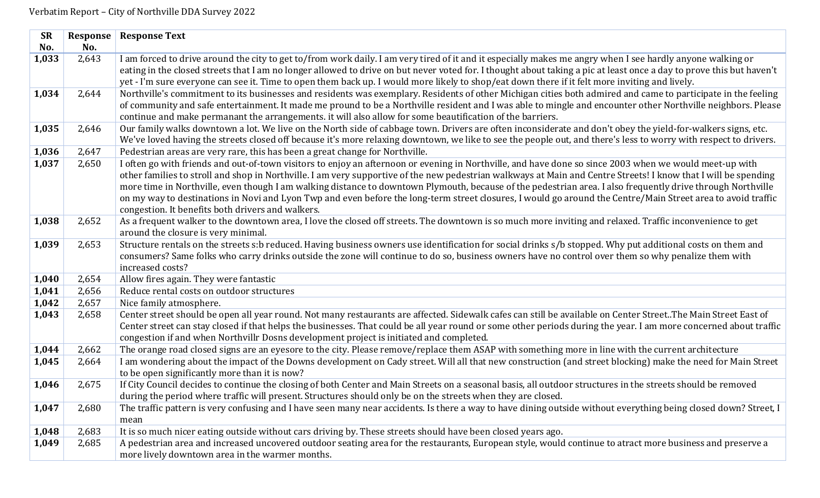| No.<br>No.<br>I am forced to drive around the city to get to/from work daily. I am very tired of it and it especially makes me angry when I see hardly anyone walking or<br>2,643<br>1,033<br>eating in the closed streets that I am no longer allowed to drive on but never voted for. I thought about taking a pic at least once a day to prove this but haven't<br>yet - I'm sure everyone can see it. Time to open them back up. I would more likely to shop/eat down there if it felt more inviting and lively.<br>1,034<br>Northville's commitment to its businesses and residents was exemplary. Residents of other Michigan cities both admired and came to participate in the feeling<br>2,644<br>of community and safe entertainment. It made me pround to be a Northville resident and I was able to mingle and encounter other Northville neighbors. Please<br>continue and make permanant the arrangements. it will also allow for some beautification of the barriers.<br>Our family walks downtown a lot. We live on the North side of cabbage town. Drivers are often inconsiderate and don't obey the yield-for-walkers signs, etc.<br>1,035<br>2,646<br>We've loved having the streets closed off because it's more relaxing downtown, we like to see the people out, and there's less to worry with respect to drivers.<br>2,647<br>1,036<br>Pedestrian areas are very rare, this has been a great change for Northville.<br>1,037<br>I often go with friends and out-of-town visitors to enjoy an afternoon or evening in Northville, and have done so since 2003 when we would meet-up with<br>2,650<br>other families to stroll and shop in Northville. I am very supportive of the new pedestrian walkways at Main and Centre Streets! I know that I will be spending<br>more time in Northville, even though I am walking distance to downtown Plymouth, because of the pedestrian area. I also frequently drive through Northville<br>on my way to destinations in Novi and Lyon Twp and even before the long-term street closures, I would go around the Centre/Main Street area to avoid traffic<br>congestion. It benefits both drivers and walkers.<br>As a frequent walker to the downtown area, I love the closed off streets. The downtown is so much more inviting and relaxed. Traffic inconvenience to get<br>1,038<br>2,652<br>around the closure is very minimal.<br>Structure rentals on the streets s:b reduced. Having business owners use identification for social drinks s/b stopped. Why put additional costs on them and<br>1,039<br>2,653<br>consumers? Same folks who carry drinks outside the zone will continue to do so, business owners have no control over them so why penalize them with<br>increased costs?<br>1,040<br>2,654<br>Allow fires again. They were fantastic<br>Reduce rental costs on outdoor structures<br>1,041<br>2,656<br>2,657<br>1,042<br>Nice family atmosphere.<br>Center street should be open all year round. Not many restaurants are affected. Sidewalk cafes can still be available on Center Street. The Main Street East of<br>1,043<br>2,658<br>Center street can stay closed if that helps the businesses. That could be all year round or some other periods during the year. I am more concerned about traffic<br>congestion if and when Northvillr Dosns development project is initiated and completed.<br>The orange road closed signs are an eyesore to the city. Please remove/replace them ASAP with something more in line with the current architecture<br>1,044<br>2,662<br>I am wondering about the impact of the Downs development on Cady street. Will all that new construction (and street blocking) make the need for Main Street<br>2,664<br>1,045<br>to be open significantly more than it is now?<br>If City Council decides to continue the closing of both Center and Main Streets on a seasonal basis, all outdoor structures in the streets should be removed<br>1,046<br>2,675<br>during the period where traffic will present. Structures should only be on the streets when they are closed.<br>The traffic pattern is very confusing and I have seen many near accidents. Is there a way to have dining outside without everything being closed down? Street, I<br>1,047<br>2,680<br>mean<br>It is so much nicer eating outside without cars driving by. These streets should have been closed years ago.<br>1,048<br>2,683<br>A pedestrian area and increased uncovered outdoor seating area for the restaurants, European style, would continue to atract more business and preserve a<br>1,049<br>2,685<br>more lively downtown area in the warmer months. | <b>SR</b> | Response | <b>Response Text</b> |
|-------------------------------------------------------------------------------------------------------------------------------------------------------------------------------------------------------------------------------------------------------------------------------------------------------------------------------------------------------------------------------------------------------------------------------------------------------------------------------------------------------------------------------------------------------------------------------------------------------------------------------------------------------------------------------------------------------------------------------------------------------------------------------------------------------------------------------------------------------------------------------------------------------------------------------------------------------------------------------------------------------------------------------------------------------------------------------------------------------------------------------------------------------------------------------------------------------------------------------------------------------------------------------------------------------------------------------------------------------------------------------------------------------------------------------------------------------------------------------------------------------------------------------------------------------------------------------------------------------------------------------------------------------------------------------------------------------------------------------------------------------------------------------------------------------------------------------------------------------------------------------------------------------------------------------------------------------------------------------------------------------------------------------------------------------------------------------------------------------------------------------------------------------------------------------------------------------------------------------------------------------------------------------------------------------------------------------------------------------------------------------------------------------------------------------------------------------------------------------------------------------------------------------------------------------------------------------------------------------------------------------------------------------------------------------------------------------------------------------------------------------------------------------------------------------------------------------------------------------------------------------------------------------------------------------------------------------------------------------------------------------------------------------------------------------------------------------------------------------------------------------------------------------------------------------------------------------------------------------------------------------------------------------------------------------------------------------------------------------------------------------------------------------------------------------------------------------------------------------------------------------------------------------------------------------------------------------------------------------------------------------------------------------------------------------------------------------------------------------------------------------------------------------------------------------------------------------------------------------------------------------------------------------------------------------------------------------------------------------------------------------------------------------------------------------------------------------------------------------------------------------------------------------------------------------------------------------------------------------------------------------------------------------------------------------------------------------------------------------------------------------------------------------------------------------------------------------------------------------------------------------------------------------------------------------------------------------------------------------------------------------------------------------------------------------|-----------|----------|----------------------|
|                                                                                                                                                                                                                                                                                                                                                                                                                                                                                                                                                                                                                                                                                                                                                                                                                                                                                                                                                                                                                                                                                                                                                                                                                                                                                                                                                                                                                                                                                                                                                                                                                                                                                                                                                                                                                                                                                                                                                                                                                                                                                                                                                                                                                                                                                                                                                                                                                                                                                                                                                                                                                                                                                                                                                                                                                                                                                                                                                                                                                                                                                                                                                                                                                                                                                                                                                                                                                                                                                                                                                                                                                                                                                                                                                                                                                                                                                                                                                                                                                                                                                                                                                                                                                                                                                                                                                                                                                                                                                                                                                                                                                                                                               |           |          |                      |
|                                                                                                                                                                                                                                                                                                                                                                                                                                                                                                                                                                                                                                                                                                                                                                                                                                                                                                                                                                                                                                                                                                                                                                                                                                                                                                                                                                                                                                                                                                                                                                                                                                                                                                                                                                                                                                                                                                                                                                                                                                                                                                                                                                                                                                                                                                                                                                                                                                                                                                                                                                                                                                                                                                                                                                                                                                                                                                                                                                                                                                                                                                                                                                                                                                                                                                                                                                                                                                                                                                                                                                                                                                                                                                                                                                                                                                                                                                                                                                                                                                                                                                                                                                                                                                                                                                                                                                                                                                                                                                                                                                                                                                                                               |           |          |                      |
|                                                                                                                                                                                                                                                                                                                                                                                                                                                                                                                                                                                                                                                                                                                                                                                                                                                                                                                                                                                                                                                                                                                                                                                                                                                                                                                                                                                                                                                                                                                                                                                                                                                                                                                                                                                                                                                                                                                                                                                                                                                                                                                                                                                                                                                                                                                                                                                                                                                                                                                                                                                                                                                                                                                                                                                                                                                                                                                                                                                                                                                                                                                                                                                                                                                                                                                                                                                                                                                                                                                                                                                                                                                                                                                                                                                                                                                                                                                                                                                                                                                                                                                                                                                                                                                                                                                                                                                                                                                                                                                                                                                                                                                                               |           |          |                      |
|                                                                                                                                                                                                                                                                                                                                                                                                                                                                                                                                                                                                                                                                                                                                                                                                                                                                                                                                                                                                                                                                                                                                                                                                                                                                                                                                                                                                                                                                                                                                                                                                                                                                                                                                                                                                                                                                                                                                                                                                                                                                                                                                                                                                                                                                                                                                                                                                                                                                                                                                                                                                                                                                                                                                                                                                                                                                                                                                                                                                                                                                                                                                                                                                                                                                                                                                                                                                                                                                                                                                                                                                                                                                                                                                                                                                                                                                                                                                                                                                                                                                                                                                                                                                                                                                                                                                                                                                                                                                                                                                                                                                                                                                               |           |          |                      |
|                                                                                                                                                                                                                                                                                                                                                                                                                                                                                                                                                                                                                                                                                                                                                                                                                                                                                                                                                                                                                                                                                                                                                                                                                                                                                                                                                                                                                                                                                                                                                                                                                                                                                                                                                                                                                                                                                                                                                                                                                                                                                                                                                                                                                                                                                                                                                                                                                                                                                                                                                                                                                                                                                                                                                                                                                                                                                                                                                                                                                                                                                                                                                                                                                                                                                                                                                                                                                                                                                                                                                                                                                                                                                                                                                                                                                                                                                                                                                                                                                                                                                                                                                                                                                                                                                                                                                                                                                                                                                                                                                                                                                                                                               |           |          |                      |
|                                                                                                                                                                                                                                                                                                                                                                                                                                                                                                                                                                                                                                                                                                                                                                                                                                                                                                                                                                                                                                                                                                                                                                                                                                                                                                                                                                                                                                                                                                                                                                                                                                                                                                                                                                                                                                                                                                                                                                                                                                                                                                                                                                                                                                                                                                                                                                                                                                                                                                                                                                                                                                                                                                                                                                                                                                                                                                                                                                                                                                                                                                                                                                                                                                                                                                                                                                                                                                                                                                                                                                                                                                                                                                                                                                                                                                                                                                                                                                                                                                                                                                                                                                                                                                                                                                                                                                                                                                                                                                                                                                                                                                                                               |           |          |                      |
|                                                                                                                                                                                                                                                                                                                                                                                                                                                                                                                                                                                                                                                                                                                                                                                                                                                                                                                                                                                                                                                                                                                                                                                                                                                                                                                                                                                                                                                                                                                                                                                                                                                                                                                                                                                                                                                                                                                                                                                                                                                                                                                                                                                                                                                                                                                                                                                                                                                                                                                                                                                                                                                                                                                                                                                                                                                                                                                                                                                                                                                                                                                                                                                                                                                                                                                                                                                                                                                                                                                                                                                                                                                                                                                                                                                                                                                                                                                                                                                                                                                                                                                                                                                                                                                                                                                                                                                                                                                                                                                                                                                                                                                                               |           |          |                      |
|                                                                                                                                                                                                                                                                                                                                                                                                                                                                                                                                                                                                                                                                                                                                                                                                                                                                                                                                                                                                                                                                                                                                                                                                                                                                                                                                                                                                                                                                                                                                                                                                                                                                                                                                                                                                                                                                                                                                                                                                                                                                                                                                                                                                                                                                                                                                                                                                                                                                                                                                                                                                                                                                                                                                                                                                                                                                                                                                                                                                                                                                                                                                                                                                                                                                                                                                                                                                                                                                                                                                                                                                                                                                                                                                                                                                                                                                                                                                                                                                                                                                                                                                                                                                                                                                                                                                                                                                                                                                                                                                                                                                                                                                               |           |          |                      |
|                                                                                                                                                                                                                                                                                                                                                                                                                                                                                                                                                                                                                                                                                                                                                                                                                                                                                                                                                                                                                                                                                                                                                                                                                                                                                                                                                                                                                                                                                                                                                                                                                                                                                                                                                                                                                                                                                                                                                                                                                                                                                                                                                                                                                                                                                                                                                                                                                                                                                                                                                                                                                                                                                                                                                                                                                                                                                                                                                                                                                                                                                                                                                                                                                                                                                                                                                                                                                                                                                                                                                                                                                                                                                                                                                                                                                                                                                                                                                                                                                                                                                                                                                                                                                                                                                                                                                                                                                                                                                                                                                                                                                                                                               |           |          |                      |
|                                                                                                                                                                                                                                                                                                                                                                                                                                                                                                                                                                                                                                                                                                                                                                                                                                                                                                                                                                                                                                                                                                                                                                                                                                                                                                                                                                                                                                                                                                                                                                                                                                                                                                                                                                                                                                                                                                                                                                                                                                                                                                                                                                                                                                                                                                                                                                                                                                                                                                                                                                                                                                                                                                                                                                                                                                                                                                                                                                                                                                                                                                                                                                                                                                                                                                                                                                                                                                                                                                                                                                                                                                                                                                                                                                                                                                                                                                                                                                                                                                                                                                                                                                                                                                                                                                                                                                                                                                                                                                                                                                                                                                                                               |           |          |                      |
|                                                                                                                                                                                                                                                                                                                                                                                                                                                                                                                                                                                                                                                                                                                                                                                                                                                                                                                                                                                                                                                                                                                                                                                                                                                                                                                                                                                                                                                                                                                                                                                                                                                                                                                                                                                                                                                                                                                                                                                                                                                                                                                                                                                                                                                                                                                                                                                                                                                                                                                                                                                                                                                                                                                                                                                                                                                                                                                                                                                                                                                                                                                                                                                                                                                                                                                                                                                                                                                                                                                                                                                                                                                                                                                                                                                                                                                                                                                                                                                                                                                                                                                                                                                                                                                                                                                                                                                                                                                                                                                                                                                                                                                                               |           |          |                      |
|                                                                                                                                                                                                                                                                                                                                                                                                                                                                                                                                                                                                                                                                                                                                                                                                                                                                                                                                                                                                                                                                                                                                                                                                                                                                                                                                                                                                                                                                                                                                                                                                                                                                                                                                                                                                                                                                                                                                                                                                                                                                                                                                                                                                                                                                                                                                                                                                                                                                                                                                                                                                                                                                                                                                                                                                                                                                                                                                                                                                                                                                                                                                                                                                                                                                                                                                                                                                                                                                                                                                                                                                                                                                                                                                                                                                                                                                                                                                                                                                                                                                                                                                                                                                                                                                                                                                                                                                                                                                                                                                                                                                                                                                               |           |          |                      |
|                                                                                                                                                                                                                                                                                                                                                                                                                                                                                                                                                                                                                                                                                                                                                                                                                                                                                                                                                                                                                                                                                                                                                                                                                                                                                                                                                                                                                                                                                                                                                                                                                                                                                                                                                                                                                                                                                                                                                                                                                                                                                                                                                                                                                                                                                                                                                                                                                                                                                                                                                                                                                                                                                                                                                                                                                                                                                                                                                                                                                                                                                                                                                                                                                                                                                                                                                                                                                                                                                                                                                                                                                                                                                                                                                                                                                                                                                                                                                                                                                                                                                                                                                                                                                                                                                                                                                                                                                                                                                                                                                                                                                                                                               |           |          |                      |
|                                                                                                                                                                                                                                                                                                                                                                                                                                                                                                                                                                                                                                                                                                                                                                                                                                                                                                                                                                                                                                                                                                                                                                                                                                                                                                                                                                                                                                                                                                                                                                                                                                                                                                                                                                                                                                                                                                                                                                                                                                                                                                                                                                                                                                                                                                                                                                                                                                                                                                                                                                                                                                                                                                                                                                                                                                                                                                                                                                                                                                                                                                                                                                                                                                                                                                                                                                                                                                                                                                                                                                                                                                                                                                                                                                                                                                                                                                                                                                                                                                                                                                                                                                                                                                                                                                                                                                                                                                                                                                                                                                                                                                                                               |           |          |                      |
|                                                                                                                                                                                                                                                                                                                                                                                                                                                                                                                                                                                                                                                                                                                                                                                                                                                                                                                                                                                                                                                                                                                                                                                                                                                                                                                                                                                                                                                                                                                                                                                                                                                                                                                                                                                                                                                                                                                                                                                                                                                                                                                                                                                                                                                                                                                                                                                                                                                                                                                                                                                                                                                                                                                                                                                                                                                                                                                                                                                                                                                                                                                                                                                                                                                                                                                                                                                                                                                                                                                                                                                                                                                                                                                                                                                                                                                                                                                                                                                                                                                                                                                                                                                                                                                                                                                                                                                                                                                                                                                                                                                                                                                                               |           |          |                      |
|                                                                                                                                                                                                                                                                                                                                                                                                                                                                                                                                                                                                                                                                                                                                                                                                                                                                                                                                                                                                                                                                                                                                                                                                                                                                                                                                                                                                                                                                                                                                                                                                                                                                                                                                                                                                                                                                                                                                                                                                                                                                                                                                                                                                                                                                                                                                                                                                                                                                                                                                                                                                                                                                                                                                                                                                                                                                                                                                                                                                                                                                                                                                                                                                                                                                                                                                                                                                                                                                                                                                                                                                                                                                                                                                                                                                                                                                                                                                                                                                                                                                                                                                                                                                                                                                                                                                                                                                                                                                                                                                                                                                                                                                               |           |          |                      |
|                                                                                                                                                                                                                                                                                                                                                                                                                                                                                                                                                                                                                                                                                                                                                                                                                                                                                                                                                                                                                                                                                                                                                                                                                                                                                                                                                                                                                                                                                                                                                                                                                                                                                                                                                                                                                                                                                                                                                                                                                                                                                                                                                                                                                                                                                                                                                                                                                                                                                                                                                                                                                                                                                                                                                                                                                                                                                                                                                                                                                                                                                                                                                                                                                                                                                                                                                                                                                                                                                                                                                                                                                                                                                                                                                                                                                                                                                                                                                                                                                                                                                                                                                                                                                                                                                                                                                                                                                                                                                                                                                                                                                                                                               |           |          |                      |
|                                                                                                                                                                                                                                                                                                                                                                                                                                                                                                                                                                                                                                                                                                                                                                                                                                                                                                                                                                                                                                                                                                                                                                                                                                                                                                                                                                                                                                                                                                                                                                                                                                                                                                                                                                                                                                                                                                                                                                                                                                                                                                                                                                                                                                                                                                                                                                                                                                                                                                                                                                                                                                                                                                                                                                                                                                                                                                                                                                                                                                                                                                                                                                                                                                                                                                                                                                                                                                                                                                                                                                                                                                                                                                                                                                                                                                                                                                                                                                                                                                                                                                                                                                                                                                                                                                                                                                                                                                                                                                                                                                                                                                                                               |           |          |                      |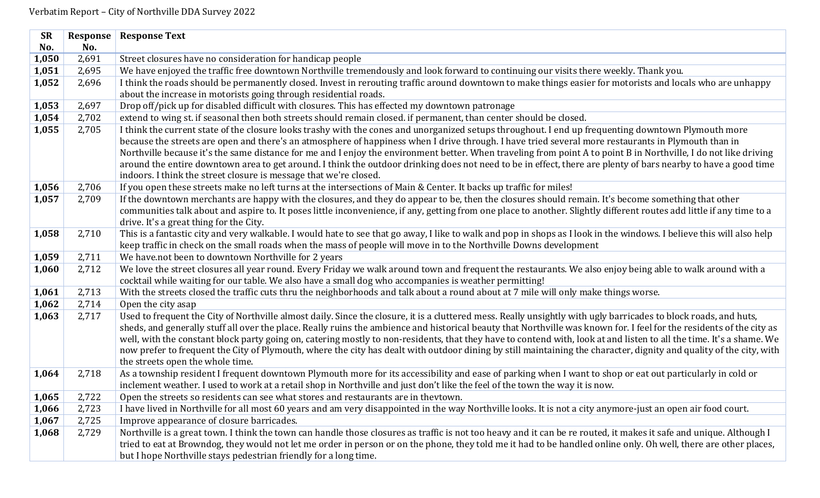| <b>SR</b> | Response | <b>Response Text</b>                                                                                                                                                  |
|-----------|----------|-----------------------------------------------------------------------------------------------------------------------------------------------------------------------|
| No.       | No.      |                                                                                                                                                                       |
| 1,050     | 2,691    | Street closures have no consideration for handicap people                                                                                                             |
| 1,051     | 2,695    | We have enjoyed the traffic free downtown Northville tremendously and look forward to continuing our visits there weekly. Thank you.                                  |
| 1,052     | 2,696    | I think the roads should be permanently closed. Invest in rerouting traffic around downtown to make things easier for motorists and locals who are unhappy            |
|           |          | about the increase in motorists going through residential roads.                                                                                                      |
| 1,053     | 2,697    | Drop off/pick up for disabled difficult with closures. This has effected my downtown patronage                                                                        |
| 1,054     | 2,702    | extend to wing st. if seasonal then both streets should remain closed. if permanent, than center should be closed.                                                    |
| 1,055     | 2,705    | I think the current state of the closure looks trashy with the cones and unorganized setups throughout. I end up frequenting downtown Plymouth more                   |
|           |          | because the streets are open and there's an atmosphere of happiness when I drive through. I have tried several more restaurants in Plymouth than in                   |
|           |          | Northville because it's the same distance for me and I enjoy the environment better. When traveling from point A to point B in Northville, I do not like driving      |
|           |          | around the entire downtown area to get around. I think the outdoor drinking does not need to be in effect, there are plenty of bars nearby to have a good time        |
|           |          | indoors. I think the street closure is message that we're closed.                                                                                                     |
| 1,056     | 2,706    | If you open these streets make no left turns at the intersections of Main & Center. It backs up traffic for miles!                                                    |
| 1,057     | 2,709    | If the downtown merchants are happy with the closures, and they do appear to be, then the closures should remain. It's become something that other                    |
|           |          | communities talk about and aspire to. It poses little inconvenience, if any, getting from one place to another. Slightly different routes add little if any time to a |
|           |          | drive. It's a great thing for the City.                                                                                                                               |
| 1,058     | 2,710    | This is a fantastic city and very walkable. I would hate to see that go away, I like to walk and pop in shops as I look in the windows. I believe this will also help |
|           |          | keep traffic in check on the small roads when the mass of people will move in to the Northville Downs development                                                     |
| 1,059     | 2,711    | We have not been to downtown Northville for 2 years                                                                                                                   |
| 1,060     | 2,712    | We love the street closures all year round. Every Friday we walk around town and frequent the restaurants. We also enjoy being able to walk around with a             |
|           |          | cocktail while waiting for our table. We also have a small dog who accompanies is weather permitting!                                                                 |
| 1,061     | 2,713    | With the streets closed the traffic cuts thru the neighborhoods and talk about a round about at 7 mile will only make things worse.                                   |
| 1,062     | 2,714    | Open the city asap                                                                                                                                                    |
| 1,063     | 2,717    | Used to frequent the City of Northville almost daily. Since the closure, it is a cluttered mess. Really unsightly with ugly barricades to block roads, and huts,      |
|           |          | sheds, and generally stuff all over the place. Really ruins the ambience and historical beauty that Northville was known for. I feel for the residents of the city as |
|           |          | well, with the constant block party going on, catering mostly to non-residents, that they have to contend with, look at and listen to all the time. It's a shame. We  |
|           |          | now prefer to frequent the City of Plymouth, where the city has dealt with outdoor dining by still maintaining the character, dignity and quality of the city, with   |
|           |          | the streets open the whole time.                                                                                                                                      |
| 1,064     | 2,718    | As a township resident I frequent downtown Plymouth more for its accessibility and ease of parking when I want to shop or eat out particularly in cold or             |
|           |          | inclement weather. I used to work at a retail shop in Northville and just don't like the feel of the town the way it is now.                                          |
| 1,065     | 2,722    | Open the streets so residents can see what stores and restaurants are in theytown.                                                                                    |
| 1,066     | 2,723    | I have lived in Northville for all most 60 years and am very disappointed in the way Northville looks. It is not a city anymore-just an open air food court.          |
| 1,067     | 2,725    | Improve appearance of closure barricades.                                                                                                                             |
| 1,068     | 2,729    | Northville is a great town. I think the town can handle those closures as traffic is not too heavy and it can be re routed, it makes it safe and unique. Although I   |
|           |          | tried to eat at Browndog, they would not let me order in person or on the phone, they told me it had to be handled online only. Oh well, there are other places,      |
|           |          | but I hope Northville stays pedestrian friendly for a long time.                                                                                                      |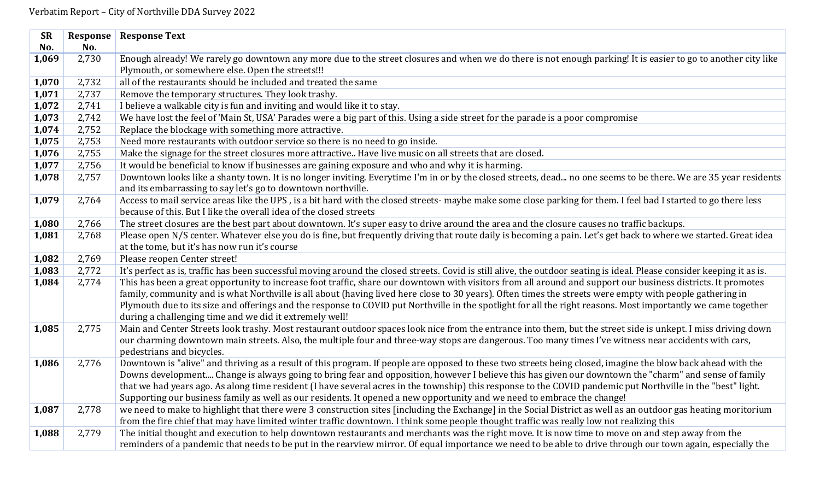| <b>SR</b> | Response | <b>Response Text</b>                                                                                                                                                                                                                                                                          |
|-----------|----------|-----------------------------------------------------------------------------------------------------------------------------------------------------------------------------------------------------------------------------------------------------------------------------------------------|
| No.       | No.      |                                                                                                                                                                                                                                                                                               |
| 1,069     | 2,730    | Enough already! We rarely go downtown any more due to the street closures and when we do there is not enough parking! It is easier to go to another city like                                                                                                                                 |
|           |          | Plymouth, or somewhere else. Open the streets!!!                                                                                                                                                                                                                                              |
| 1,070     | 2,732    | all of the restaurants should be included and treated the same                                                                                                                                                                                                                                |
| 1,071     | 2,737    | Remove the temporary structures. They look trashy.                                                                                                                                                                                                                                            |
| 1,072     | 2,741    | I believe a walkable city is fun and inviting and would like it to stay.                                                                                                                                                                                                                      |
| 1,073     | 2,742    | We have lost the feel of 'Main St, USA' Parades were a big part of this. Using a side street for the parade is a poor compromise                                                                                                                                                              |
| 1,074     | 2,752    | Replace the blockage with something more attractive.                                                                                                                                                                                                                                          |
| 1,075     | 2,753    | Need more restaurants with outdoor service so there is no need to go inside.                                                                                                                                                                                                                  |
| 1,076     | 2,755    | Make the signage for the street closures more attractive Have live music on all streets that are closed.                                                                                                                                                                                      |
| 1,077     | 2,756    | It would be beneficial to know if businesses are gaining exposure and who and why it is harming.                                                                                                                                                                                              |
| 1,078     | 2,757    | Downtown looks like a shanty town. It is no longer inviting. Everytime I'm in or by the closed streets, dead no one seems to be there. We are 35 year residents                                                                                                                               |
|           |          | and its embarrassing to say let's go to downtown northville.                                                                                                                                                                                                                                  |
| 1,079     | 2,764    | Access to mail service areas like the UPS, is a bit hard with the closed streets- maybe make some close parking for them. I feel bad I started to go there less                                                                                                                               |
|           |          | because of this. But I like the overall idea of the closed streets                                                                                                                                                                                                                            |
| 1,080     | 2,766    | The street closures are the best part about downtown. It's super easy to drive around the area and the closure causes no traffic backups.                                                                                                                                                     |
| 1,081     | 2,768    | Please open N/S center. Whatever else you do is fine, but frequently driving that route daily is becoming a pain. Let's get back to where we started. Great idea                                                                                                                              |
|           |          | at the tome, but it's has now run it's course                                                                                                                                                                                                                                                 |
| 1,082     | 2,769    | Please reopen Center street!                                                                                                                                                                                                                                                                  |
| 1,083     | 2,772    | It's perfect as is, traffic has been successful moving around the closed streets. Covid is still alive, the outdoor seating is ideal. Please consider keeping it as is.                                                                                                                       |
| 1,084     | 2,774    | This has been a great opportunity to increase foot traffic, share our downtown with visitors from all around and support our business districts. It promotes                                                                                                                                  |
|           |          | family, community and is what Northville is all about (having lived here close to 30 years). Often times the streets were empty with people gathering in                                                                                                                                      |
|           |          | Plymouth due to its size and offerings and the response to COVID put Northville in the spotlight for all the right reasons. Most importantly we came together                                                                                                                                 |
|           |          | during a challenging time and we did it extremely well!                                                                                                                                                                                                                                       |
| 1,085     | 2,775    | Main and Center Streets look trashy. Most restaurant outdoor spaces look nice from the entrance into them, but the street side is unkept. I miss driving down                                                                                                                                 |
|           |          | our charming downtown main streets. Also, the multiple four and three-way stops are dangerous. Too many times I've witness near accidents with cars,                                                                                                                                          |
|           |          | pedestrians and bicycles.                                                                                                                                                                                                                                                                     |
| 1,086     | 2,776    | Downtown is "alive" and thriving as a result of this program. If people are opposed to these two streets being closed, imagine the blow back ahead with the                                                                                                                                   |
|           |          | Downs development Change is always going to bring fear and opposition, however I believe this has given our downtown the "charm" and sense of family                                                                                                                                          |
|           |          | that we had years ago. As along time resident (I have several acres in the township) this response to the COVID pandemic put Northville in the "best" light.                                                                                                                                  |
|           |          | Supporting our business family as well as our residents. It opened a new opportunity and we need to embrace the change!                                                                                                                                                                       |
| 1,087     | 2,778    | we need to make to highlight that there were 3 construction sites [including the Exchange] in the Social District as well as an outdoor gas heating moritorium                                                                                                                                |
|           | 2,779    | from the fire chief that may have limited winter traffic downtown. I think some people thought traffic was really low not realizing this<br>The initial thought and execution to help downtown restaurants and merchants was the right move. It is now time to move on and step away from the |
| 1,088     |          | reminders of a pandemic that needs to be put in the rearview mirror. Of equal importance we need to be able to drive through our town again, especially the                                                                                                                                   |
|           |          |                                                                                                                                                                                                                                                                                               |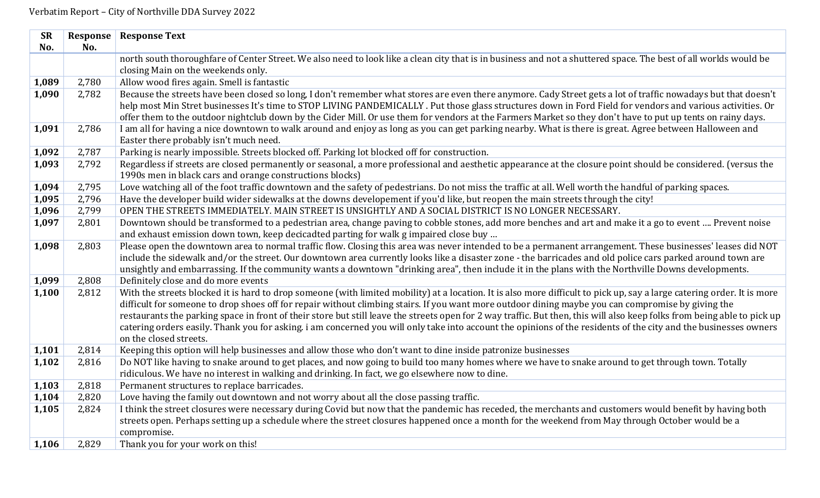| <b>SR</b> | Response | <b>Response Text</b>                                                                                                                                                     |
|-----------|----------|--------------------------------------------------------------------------------------------------------------------------------------------------------------------------|
| No.       | No.      |                                                                                                                                                                          |
|           |          | north south thoroughfare of Center Street. We also need to look like a clean city that is in business and not a shuttered space. The best of all worlds would be         |
|           |          | closing Main on the weekends only.                                                                                                                                       |
| 1,089     | 2,780    | Allow wood fires again. Smell is fantastic                                                                                                                               |
| 1,090     | 2,782    | Because the streets have been closed so long, I don't remember what stores are even there anymore. Cady Street gets a lot of traffic nowadays but that doesn't           |
|           |          | help most Min Stret businesses It's time to STOP LIVING PANDEMICALLY. Put those glass structures down in Ford Field for vendors and various activities. Or               |
|           |          | offer them to the outdoor nightclub down by the Cider Mill. Or use them for vendors at the Farmers Market so they don't have to put up tents on rainy days.              |
| 1,091     | 2,786    | I am all for having a nice downtown to walk around and enjoy as long as you can get parking nearby. What is there is great. Agree between Halloween and                  |
|           |          | Easter there probably isn't much need.                                                                                                                                   |
| 1,092     | 2,787    | Parking is nearly impossible. Streets blocked off. Parking lot blocked off for construction.                                                                             |
| 1,093     | 2,792    | Regardless if streets are closed permanently or seasonal, a more professional and aesthetic appearance at the closure point should be considered. (versus the            |
|           |          | 1990s men in black cars and orange constructions blocks)                                                                                                                 |
| 1,094     | 2,795    | Love watching all of the foot traffic downtown and the safety of pedestrians. Do not miss the traffic at all. Well worth the handful of parking spaces.                  |
| 1,095     | 2,796    | Have the developer build wider sidewalks at the downs developement if you'd like, but reopen the main streets through the city!                                          |
| 1,096     | 2,799    | OPEN THE STREETS IMMEDIATELY. MAIN STREET IS UNSIGHTLY AND A SOCIAL DISTRICT IS NO LONGER NECESSARY.                                                                     |
| 1,097     | 2,801    | Downtown should be transformed to a pedestrian area, change paving to cobble stones, add more benches and art and make it a go to event  Prevent noise                   |
|           |          | and exhaust emission down town, keep decicadted parting for walk g impaired close buy                                                                                    |
| 1,098     | 2,803    | Please open the downtown area to normal traffic flow. Closing this area was never intended to be a permanent arrangement. These businesses' leases did NOT               |
|           |          | include the sidewalk and/or the street. Our downtown area currently looks like a disaster zone - the barricades and old police cars parked around town are               |
|           |          | unsightly and embarrassing. If the community wants a downtown "drinking area", then include it in the plans with the Northville Downs developments.                      |
| 1,099     | 2,808    | Definitely close and do more events                                                                                                                                      |
| 1,100     | 2,812    | With the streets blocked it is hard to drop someone (with limited mobility) at a location. It is also more difficult to pick up, say a large catering order. It is more  |
|           |          | difficult for someone to drop shoes off for repair without climbing stairs. If you want more outdoor dining maybe you can compromise by giving the                       |
|           |          | restaurants the parking space in front of their store but still leave the streets open for 2 way traffic. But then, this will also keep folks from being able to pick up |
|           |          | catering orders easily. Thank you for asking. i am concerned you will only take into account the opinions of the residents of the city and the businesses owners         |
|           |          | on the closed streets.                                                                                                                                                   |
| 1,101     | 2,814    | Keeping this option will help businesses and allow those who don't want to dine inside patronize businesses                                                              |
| 1,102     | 2,816    | Do NOT like having to snake around to get places, and now going to build too many homes where we have to snake around to get through town. Totally                       |
|           |          | ridiculous. We have no interest in walking and drinking. In fact, we go elsewhere now to dine.                                                                           |
| 1,103     | 2,818    | Permanent structures to replace barricades.                                                                                                                              |
| 1,104     | 2,820    | Love having the family out downtown and not worry about all the close passing traffic.                                                                                   |
| 1,105     | 2,824    | I think the street closures were necessary during Covid but now that the pandemic has receded, the merchants and customers would benefit by having both                  |
|           |          | streets open. Perhaps setting up a schedule where the street closures happened once a month for the weekend from May through October would be a                          |
|           |          | compromise.                                                                                                                                                              |
| 1,106     | 2,829    | Thank you for your work on this!                                                                                                                                         |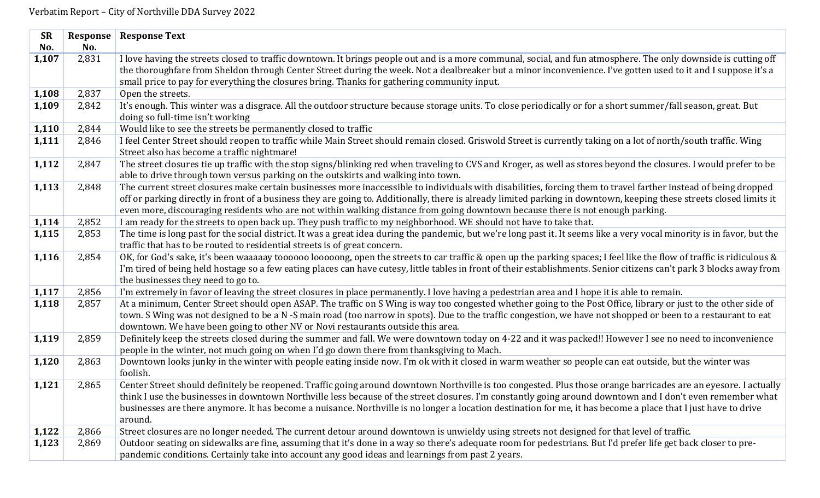| <b>SR</b> | Response | <b>Response Text</b>                                                                                                                                                                                                                               |
|-----------|----------|----------------------------------------------------------------------------------------------------------------------------------------------------------------------------------------------------------------------------------------------------|
| No.       | No.      |                                                                                                                                                                                                                                                    |
| 1,107     | 2,831    | I love having the streets closed to traffic downtown. It brings people out and is a more communal, social, and fun atmosphere. The only downside is cutting off                                                                                    |
|           |          | the thoroughfare from Sheldon through Center Street during the week. Not a dealbreaker but a minor inconvenience. I've gotten used to it and I suppose it's a                                                                                      |
|           |          | small price to pay for everything the closures bring. Thanks for gathering community input.                                                                                                                                                        |
| 1,108     | 2,837    | Open the streets.                                                                                                                                                                                                                                  |
| 1,109     | 2,842    | It's enough. This winter was a disgrace. All the outdoor structure because storage units. To close periodically or for a short summer/fall season, great. But<br>doing so full-time isn't working                                                  |
| 1,110     | 2,844    | Would like to see the streets be permanently closed to traffic                                                                                                                                                                                     |
| 1,111     | 2,846    | I feel Center Street should reopen to traffic while Main Street should remain closed. Griswold Street is currently taking on a lot of north/south traffic. Wing                                                                                    |
|           |          | Street also has become a traffic nightmare!                                                                                                                                                                                                        |
| 1,112     | 2,847    | The street closures tie up traffic with the stop signs/blinking red when traveling to CVS and Kroger, as well as stores beyond the closures. I would prefer to be                                                                                  |
|           |          | able to drive through town versus parking on the outskirts and walking into town.                                                                                                                                                                  |
| 1,113     | 2,848    | The current street closures make certain businesses more inaccessible to individuals with disabilities, forcing them to travel farther instead of being dropped                                                                                    |
|           |          | off or parking directly in front of a business they are going to. Additionally, there is already limited parking in downtown, keeping these streets closed limits it                                                                               |
|           |          | even more, discouraging residents who are not within walking distance from going downtown because there is not enough parking.                                                                                                                     |
| 1,114     | 2,852    | I am ready for the streets to open back up. They push traffic to my neighborhood. WE should not have to take that.                                                                                                                                 |
| 1,115     | 2,853    | The time is long past for the social district. It was a great idea during the pandemic, but we're long past it. It seems like a very vocal minority is in favor, but the                                                                           |
|           |          | traffic that has to be routed to residential streets is of great concern.                                                                                                                                                                          |
| 1,116     | 2,854    | OK, for God's sake, it's been waaaaay toooooo looooong, open the streets to car traffic & open up the parking spaces; I feel like the flow of traffic is ridiculous &                                                                              |
|           |          | I'm tired of being held hostage so a few eating places can have cutesy, little tables in front of their establishments. Senior citizens can't park 3 blocks away from                                                                              |
|           |          | the businesses they need to go to.                                                                                                                                                                                                                 |
| 1,117     | 2,856    | I'm extremely in favor of leaving the street closures in place permanently. I love having a pedestrian area and I hope it is able to remain.                                                                                                       |
| 1,118     | 2,857    | At a minimum, Center Street should open ASAP. The traffic on S Wing is way too congested whether going to the Post Office, library or just to the other side of                                                                                    |
|           |          | town. S Wing was not designed to be a N -S main road (too narrow in spots). Due to the traffic congestion, we have not shopped or been to a restaurant to eat                                                                                      |
|           |          | downtown. We have been going to other NV or Novi restaurants outside this area.                                                                                                                                                                    |
| 1,119     | 2,859    | Definitely keep the streets closed during the summer and fall. We were downtown today on 4-22 and it was packed!! However I see no need to inconvenience                                                                                           |
|           |          | people in the winter, not much going on when I'd go down there from thanksgiving to Mach.<br>Downtown looks junky in the winter with people eating inside now. I'm ok with it closed in warm weather so people can eat outside, but the winter was |
| 1,120     | 2,863    | foolish.                                                                                                                                                                                                                                           |
| 1,121     | 2,865    | Center Street should definitely be reopened. Traffic going around downtown Northville is too congested. Plus those orange barricades are an eyesore. I actually                                                                                    |
|           |          | think I use the businesses in downtown Northville less because of the street closures. I'm constantly going around downtown and I don't even remember what                                                                                         |
|           |          | businesses are there anymore. It has become a nuisance. Northville is no longer a location destination for me, it has become a place that I just have to drive                                                                                     |
|           |          | around.                                                                                                                                                                                                                                            |
| 1,122     | 2,866    | Street closures are no longer needed. The current detour around downtown is unwieldy using streets not designed for that level of traffic.                                                                                                         |
| 1,123     | 2,869    | Outdoor seating on sidewalks are fine, assuming that it's done in a way so there's adequate room for pedestrians. But I'd prefer life get back closer to pre-                                                                                      |
|           |          | pandemic conditions. Certainly take into account any good ideas and learnings from past 2 years.                                                                                                                                                   |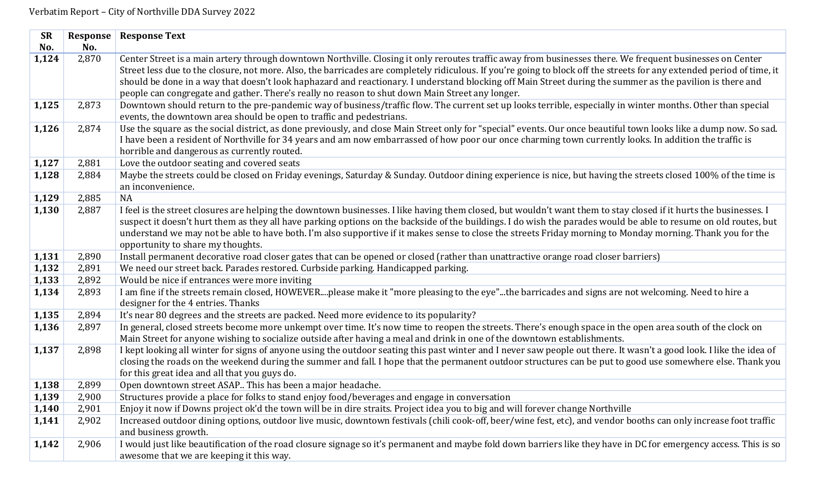| <b>SR</b> | Response | <b>Response Text</b>                                                                                                                                                                                                                                                                                                                                                                                                                                                                                                                                                                                |
|-----------|----------|-----------------------------------------------------------------------------------------------------------------------------------------------------------------------------------------------------------------------------------------------------------------------------------------------------------------------------------------------------------------------------------------------------------------------------------------------------------------------------------------------------------------------------------------------------------------------------------------------------|
| No.       | No.      |                                                                                                                                                                                                                                                                                                                                                                                                                                                                                                                                                                                                     |
| 1,124     | 2,870    | Center Street is a main artery through downtown Northville. Closing it only reroutes traffic away from businesses there. We frequent businesses on Center<br>Street less due to the closure, not more. Also, the barricades are completely ridiculous. If you're going to block off the streets for any extended period of time, it<br>should be done in a way that doesn't look haphazard and reactionary. I understand blocking off Main Street during the summer as the pavilion is there and<br>people can congregate and gather. There's really no reason to shut down Main Street any longer. |
| 1,125     | 2,873    | Downtown should return to the pre-pandemic way of business/traffic flow. The current set up looks terrible, especially in winter months. Other than special<br>events, the downtown area should be open to traffic and pedestrians.                                                                                                                                                                                                                                                                                                                                                                 |
| 1,126     | 2,874    | Use the square as the social district, as done previously, and close Main Street only for "special" events. Our once beautiful town looks like a dump now. So sad.<br>I have been a resident of Northville for 34 years and am now embarrassed of how poor our once charming town currently looks. In addition the traffic is<br>horrible and dangerous as currently routed.                                                                                                                                                                                                                        |
| 1,127     | 2,881    | Love the outdoor seating and covered seats                                                                                                                                                                                                                                                                                                                                                                                                                                                                                                                                                          |
| 1,128     | 2,884    | Maybe the streets could be closed on Friday evenings, Saturday & Sunday. Outdoor dining experience is nice, but having the streets closed 100% of the time is<br>an inconvenience.                                                                                                                                                                                                                                                                                                                                                                                                                  |
| 1,129     | 2,885    | NA                                                                                                                                                                                                                                                                                                                                                                                                                                                                                                                                                                                                  |
| 1,130     | 2,887    | I feel is the street closures are helping the downtown businesses. I like having them closed, but wouldn't want them to stay closed if it hurts the businesses. I<br>suspect it doesn't hurt them as they all have parking options on the backside of the buildings. I do wish the parades would be able to resume on old routes, but<br>understand we may not be able to have both. I'm also supportive if it makes sense to close the streets Friday morning to Monday morning. Thank you for the<br>opportunity to share my thoughts.                                                            |
| 1,131     | 2,890    | Install permanent decorative road closer gates that can be opened or closed (rather than unattractive orange road closer barriers)                                                                                                                                                                                                                                                                                                                                                                                                                                                                  |
| 1,132     | 2,891    | We need our street back. Parades restored. Curbside parking. Handicapped parking.                                                                                                                                                                                                                                                                                                                                                                                                                                                                                                                   |
| 1,133     | 2,892    | Would be nice if entrances were more inviting                                                                                                                                                                                                                                                                                                                                                                                                                                                                                                                                                       |
| 1,134     | 2,893    | I am fine if the streets remain closed, HOWEVERplease make it "more pleasing to the eye"the barricades and signs are not welcoming. Need to hire a<br>designer for the 4 entries. Thanks                                                                                                                                                                                                                                                                                                                                                                                                            |
| 1,135     | 2,894    | It's near 80 degrees and the streets are packed. Need more evidence to its popularity?                                                                                                                                                                                                                                                                                                                                                                                                                                                                                                              |
| 1,136     | 2,897    | In general, closed streets become more unkempt over time. It's now time to reopen the streets. There's enough space in the open area south of the clock on<br>Main Street for anyone wishing to socialize outside after having a meal and drink in one of the downtown establishments.                                                                                                                                                                                                                                                                                                              |
| 1,137     | 2,898    | I kept looking all winter for signs of anyone using the outdoor seating this past winter and I never saw people out there. It wasn't a good look. I like the idea of<br>closing the roads on the weekend during the summer and fall. I hope that the permanent outdoor structures can be put to good use somewhere else. Thank you<br>for this great idea and all that you guys do.                                                                                                                                                                                                                 |
| 1,138     | 2,899    | Open downtown street ASAP This has been a major headache.                                                                                                                                                                                                                                                                                                                                                                                                                                                                                                                                           |
| 1,139     | 2,900    | Structures provide a place for folks to stand enjoy food/beverages and engage in conversation                                                                                                                                                                                                                                                                                                                                                                                                                                                                                                       |
| 1,140     | 2,901    | Enjoy it now if Downs project ok'd the town will be in dire straits. Project idea you to big and will forever change Northville                                                                                                                                                                                                                                                                                                                                                                                                                                                                     |
| 1,141     | 2,902    | Increased outdoor dining options, outdoor live music, downtown festivals (chili cook-off, beer/wine fest, etc), and vendor booths can only increase foot traffic                                                                                                                                                                                                                                                                                                                                                                                                                                    |
|           |          | and business growth.                                                                                                                                                                                                                                                                                                                                                                                                                                                                                                                                                                                |
| 1,142     | 2,906    | I would just like beautification of the road closure signage so it's permanent and maybe fold down barriers like they have in DC for emergency access. This is so                                                                                                                                                                                                                                                                                                                                                                                                                                   |
|           |          | awesome that we are keeping it this way.                                                                                                                                                                                                                                                                                                                                                                                                                                                                                                                                                            |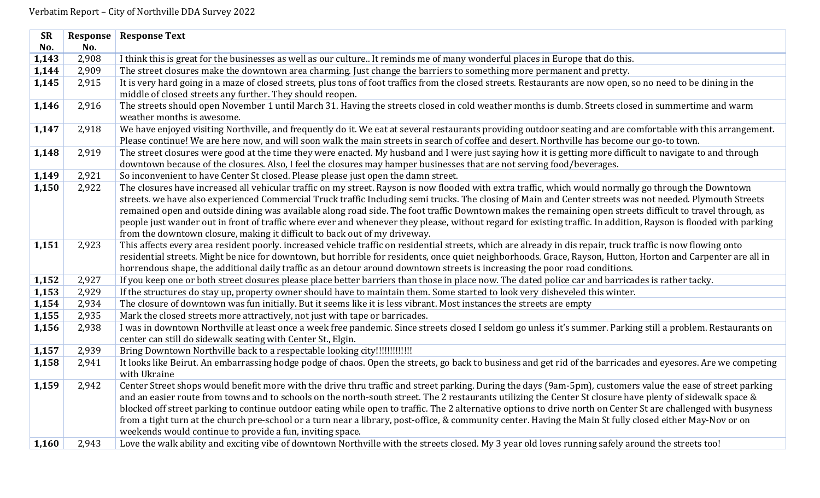| <b>SR</b> | Response | <b>Response Text</b>                                                                                                                                                                                                                                                                                                                                                                                                                                                                                                                                                                                                                                                                                                                |
|-----------|----------|-------------------------------------------------------------------------------------------------------------------------------------------------------------------------------------------------------------------------------------------------------------------------------------------------------------------------------------------------------------------------------------------------------------------------------------------------------------------------------------------------------------------------------------------------------------------------------------------------------------------------------------------------------------------------------------------------------------------------------------|
| No.       | No.      |                                                                                                                                                                                                                                                                                                                                                                                                                                                                                                                                                                                                                                                                                                                                     |
| 1,143     | 2,908    | I think this is great for the businesses as well as our culture It reminds me of many wonderful places in Europe that do this.                                                                                                                                                                                                                                                                                                                                                                                                                                                                                                                                                                                                      |
| 1,144     | 2,909    | The street closures make the downtown area charming. Just change the barriers to something more permanent and pretty.                                                                                                                                                                                                                                                                                                                                                                                                                                                                                                                                                                                                               |
| 1,145     | 2,915    | It is very hard going in a maze of closed streets, plus tons of foot traffics from the closed streets. Restaurants are now open, so no need to be dining in the<br>middle of closed streets any further. They should reopen.                                                                                                                                                                                                                                                                                                                                                                                                                                                                                                        |
| 1,146     | 2,916    | The streets should open November 1 until March 31. Having the streets closed in cold weather months is dumb. Streets closed in summertime and warm<br>weather months is awesome.                                                                                                                                                                                                                                                                                                                                                                                                                                                                                                                                                    |
| 1,147     | 2,918    | We have enjoyed visiting Northville, and frequently do it. We eat at several restaurants providing outdoor seating and are comfortable with this arrangement.<br>Please continue! We are here now, and will soon walk the main streets in search of coffee and desert. Northville has become our go-to town.                                                                                                                                                                                                                                                                                                                                                                                                                        |
| 1,148     | 2,919    | The street closures were good at the time they were enacted. My husband and I were just saying how it is getting more difficult to navigate to and through<br>downtown because of the closures. Also, I feel the closures may hamper businesses that are not serving food/beverages.                                                                                                                                                                                                                                                                                                                                                                                                                                                |
| 1,149     | 2,921    | So inconvenient to have Center St closed. Please please just open the damn street.                                                                                                                                                                                                                                                                                                                                                                                                                                                                                                                                                                                                                                                  |
| 1,150     | 2,922    | The closures have increased all vehicular traffic on my street. Rayson is now flooded with extra traffic, which would normally go through the Downtown<br>streets. we have also experienced Commercial Truck traffic Including semi trucks. The closing of Main and Center streets was not needed. Plymouth Streets<br>remained open and outside dining was available along road side. The foot traffic Downtown makes the remaining open streets difficult to travel through, as<br>people just wander out in front of traffic where ever and whenever they please, without regard for existing traffic. In addition, Rayson is flooded with parking<br>from the downtown closure, making it difficult to back out of my driveway. |
| 1,151     | 2,923    | This affects every area resident poorly. increased vehicle traffic on residential streets, which are already in dis repair, truck traffic is now flowing onto<br>residential streets. Might be nice for downtown, but horrible for residents, once quiet neighborhoods. Grace, Rayson, Hutton, Horton and Carpenter are all in<br>horrendous shape, the additional daily traffic as an detour around downtown streets is increasing the poor road conditions.                                                                                                                                                                                                                                                                       |
| 1,152     | 2,927    | If you keep one or both street closures please place better barriers than those in place now. The dated police car and barricades is rather tacky.                                                                                                                                                                                                                                                                                                                                                                                                                                                                                                                                                                                  |
| 1,153     | 2,929    | If the structures do stay up, property owner should have to maintain them. Some started to look very disheveled this winter.                                                                                                                                                                                                                                                                                                                                                                                                                                                                                                                                                                                                        |
| 1,154     | 2,934    | The closure of downtown was fun initially. But it seems like it is less vibrant. Most instances the streets are empty                                                                                                                                                                                                                                                                                                                                                                                                                                                                                                                                                                                                               |
| 1,155     | 2,935    | Mark the closed streets more attractively, not just with tape or barricades.                                                                                                                                                                                                                                                                                                                                                                                                                                                                                                                                                                                                                                                        |
| 1,156     | 2,938    | I was in downtown Northville at least once a week free pandemic. Since streets closed I seldom go unless it's summer. Parking still a problem. Restaurants on<br>center can still do sidewalk seating with Center St., Elgin.                                                                                                                                                                                                                                                                                                                                                                                                                                                                                                       |
| 1,157     | 2,939    | Bring Downtown Northville back to a respectable looking city!!!!!!!!!!!!!!!                                                                                                                                                                                                                                                                                                                                                                                                                                                                                                                                                                                                                                                         |
| 1,158     | 2,941    | It looks like Beirut. An embarrassing hodge podge of chaos. Open the streets, go back to business and get rid of the barricades and eyesores. Are we competing<br>with Ukraine                                                                                                                                                                                                                                                                                                                                                                                                                                                                                                                                                      |
| 1,159     | 2,942    | Center Street shops would benefit more with the drive thru traffic and street parking. During the days (9am-5pm), customers value the ease of street parking<br>and an easier route from towns and to schools on the north-south street. The 2 restaurants utilizing the Center St closure have plenty of sidewalk space &<br>blocked off street parking to continue outdoor eating while open to traffic. The 2 alternative options to drive north on Center St are challenged with busyness<br>from a tight turn at the church pre-school or a turn near a library, post-office, & community center. Having the Main St fully closed either May-Nov or on<br>weekends would continue to provide a fun, inviting space.            |
| 1,160     | 2,943    | Love the walk ability and exciting vibe of downtown Northville with the streets closed. My 3 year old loves running safely around the streets too!                                                                                                                                                                                                                                                                                                                                                                                                                                                                                                                                                                                  |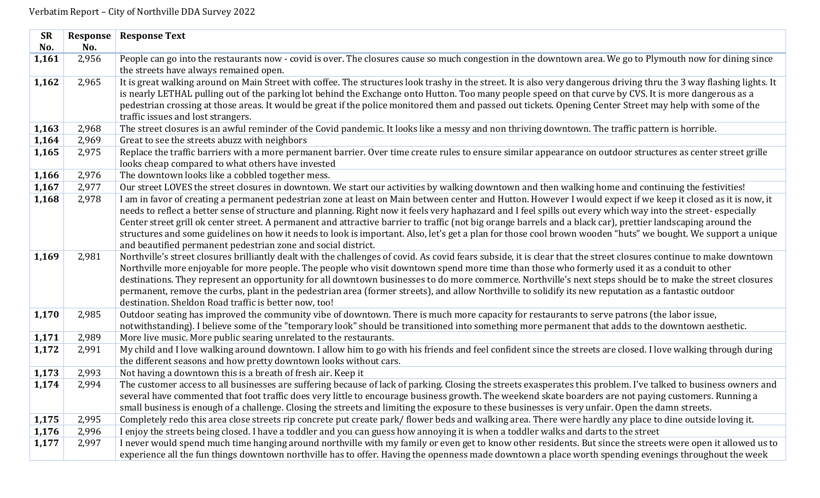| <b>SR</b> | Response | <b>Response Text</b>                                                                                                                                                                                                     |
|-----------|----------|--------------------------------------------------------------------------------------------------------------------------------------------------------------------------------------------------------------------------|
| No.       | No.      |                                                                                                                                                                                                                          |
| 1,161     | 2,956    | People can go into the restaurants now - covid is over. The closures cause so much congestion in the downtown area. We go to Plymouth now for dining since                                                               |
|           |          | the streets have always remained open.                                                                                                                                                                                   |
| 1,162     | 2,965    | It is great walking around on Main Street with coffee. The structures look trashy in the street. It is also very dangerous driving thru the 3 way flashing lights. It                                                    |
|           |          | is nearly LETHAL pulling out of the parking lot behind the Exchange onto Hutton. Too many people speed on that curve by CVS. It is more dangerous as a                                                                   |
|           |          | pedestrian crossing at those areas. It would be great if the police monitored them and passed out tickets. Opening Center Street may help with some of the                                                               |
|           |          | traffic issues and lost strangers.                                                                                                                                                                                       |
| 1,163     | 2,968    | The street closures is an awful reminder of the Covid pandemic. It looks like a messy and non thriving downtown. The traffic pattern is horrible.                                                                        |
| 1,164     | 2,969    | Great to see the streets abuzz with neighbors                                                                                                                                                                            |
| 1,165     | 2,975    | Replace the traffic barriers with a more permanent barrier. Over time create rules to ensure similar appearance on outdoor structures as center street grille                                                            |
|           |          | looks cheap compared to what others have invested                                                                                                                                                                        |
| 1,166     | 2,976    | The downtown looks like a cobbled together mess.                                                                                                                                                                         |
| 1,167     | 2,977    | Our street LOVES the street closures in downtown. We start our activities by walking downtown and then walking home and continuing the festivities!                                                                      |
| 1,168     | 2,978    | I am in favor of creating a permanent pedestrian zone at least on Main between center and Hutton. However I would expect if we keep it closed as it is now, it                                                           |
|           |          | needs to reflect a better sense of structure and planning. Right now it feels very haphazard and I feel spills out every which way into the street- especially                                                           |
|           |          | Center street grill ok center street. A permanent and attractive barrier to traffic (not big orange barrels and a black car), prettier landscaping around the                                                            |
|           |          | structures and some guidelines on how it needs to look is important. Also, let's get a plan for those cool brown wooden "huts" we bought. We support a unique                                                            |
|           |          | and beautified permanent pedestrian zone and social district.                                                                                                                                                            |
| 1,169     | 2,981    | Northville's street closures brilliantly dealt with the challenges of covid. As covid fears subside, it is clear that the street closures continue to make downtown                                                      |
|           |          | Northville more enjoyable for more people. The people who visit downtown spend more time than those who formerly used it as a conduit to other                                                                           |
|           |          | destinations. They represent an opportunity for all downtown businesses to do more commerce. Northville's next steps should be to make the street closures                                                               |
|           |          | permanent, remove the curbs, plant in the pedestrian area (former streets), and allow Northville to solidify its new reputation as a fantastic outdoor                                                                   |
|           |          | destination. Sheldon Road traffic is better now, too!                                                                                                                                                                    |
| 1,170     | 2,985    | Outdoor seating has improved the community vibe of downtown. There is much more capacity for restaurants to serve patrons (the labor issue,                                                                              |
| 1,171     | 2,989    | notwithstanding). I believe some of the "temporary look" should be transitioned into something more permanent that adds to the downtown aesthetic.<br>More live music. More public searing unrelated to the restaurants. |
| 1,172     | 2,991    | My child and I love walking around downtown. I allow him to go with his friends and feel confident since the streets are closed. I love walking through during                                                           |
|           |          | the different seasons and how pretty downtown looks without cars.                                                                                                                                                        |
| 1,173     | 2,993    | Not having a downtown this is a breath of fresh air. Keep it                                                                                                                                                             |
| 1,174     | 2,994    | The customer access to all businesses are suffering because of lack of parking. Closing the streets exasperates this problem. I've talked to business owners and                                                         |
|           |          | several have commented that foot traffic does very little to encourage business growth. The weekend skate boarders are not paying customers. Running a                                                                   |
|           |          | small business is enough of a challenge. Closing the streets and limiting the exposure to these businesses is very unfair. Open the damn streets.                                                                        |
| 1,175     | 2,995    | Completely redo this area close streets rip concrete put create park/flower beds and walking area. There were hardly any place to dine outside loving it.                                                                |
| 1,176     | 2,996    | I enjoy the streets being closed. I have a toddler and you can guess how annoying it is when a toddler walks and darts to the street                                                                                     |
| 1,177     | 2,997    | I never would spend much time hanging around northville with my family or even get to know other residents. But since the streets were open it allowed us to                                                             |
|           |          | experience all the fun things downtown northville has to offer. Having the openness made downtown a place worth spending evenings throughout the week                                                                    |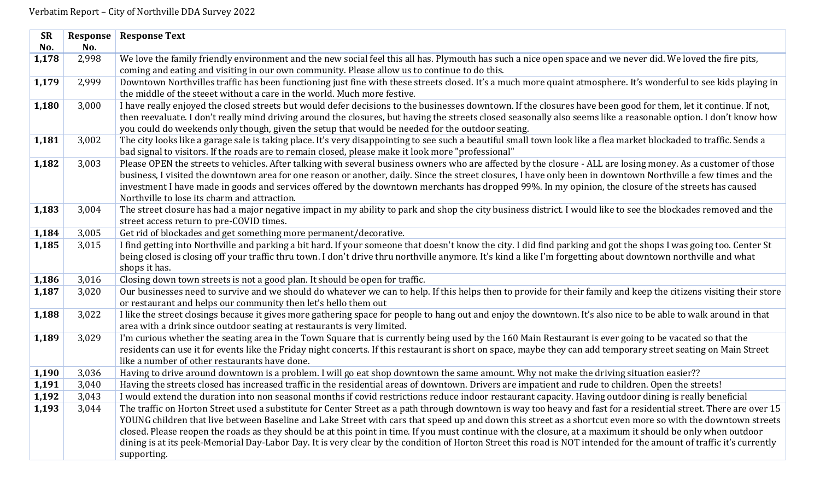| <b>SR</b> | Response | <b>Response Text</b>                                                                                                                                                |
|-----------|----------|---------------------------------------------------------------------------------------------------------------------------------------------------------------------|
| No.       | No.      |                                                                                                                                                                     |
| 1,178     | 2,998    | We love the family friendly environment and the new social feel this all has. Plymouth has such a nice open space and we never did. We loved the fire pits,         |
|           |          | coming and eating and visiting in our own community. Please allow us to continue to do this.                                                                        |
| 1,179     | 2,999    | Downtown Northvilles traffic has been functioning just fine with these streets closed. It's a much more quaint atmosphere. It's wonderful to see kids playing in    |
|           |          | the middle of the steeet without a care in the world. Much more festive.                                                                                            |
| 1,180     | 3,000    | I have really enjoyed the closed streets but would defer decisions to the businesses downtown. If the closures have been good for them, let it continue. If not,    |
|           |          | then reevaluate. I don't really mind driving around the closures, but having the streets closed seasonally also seems like a reasonable option. I don't know how    |
|           |          | you could do weekends only though, given the setup that would be needed for the outdoor seating.                                                                    |
| 1,181     | 3,002    | The city looks like a garage sale is taking place. It's very disappointing to see such a beautiful small town look like a flea market blockaded to traffic. Sends a |
|           |          | bad signal to visitors. If the roads are to remain closed, please make it look more "professional"                                                                  |
| 1,182     | 3,003    | Please OPEN the streets to vehicles. After talking with several business owners who are affected by the closure - ALL are losing money. As a customer of those      |
|           |          | business, I visited the downtown area for one reason or another, daily. Since the street closures, I have only been in downtown Northville a few times and the      |
|           |          | investment I have made in goods and services offered by the downtown merchants has dropped 99%. In my opinion, the closure of the streets has caused                |
|           |          | Northville to lose its charm and attraction.                                                                                                                        |
| 1,183     | 3,004    | The street closure has had a major negative impact in my ability to park and shop the city business district. I would like to see the blockades removed and the     |
|           |          | street access return to pre-COVID times.                                                                                                                            |
| 1,184     | 3,005    | Get rid of blockades and get something more permanent/decorative.                                                                                                   |
| 1,185     | 3,015    | I find getting into Northville and parking a bit hard. If your someone that doesn't know the city. I did find parking and got the shops I was going too. Center St  |
|           |          | being closed is closing off your traffic thru town. I don't drive thru northville anymore. It's kind a like I'm forgetting about downtown northville and what       |
|           |          | shops it has.                                                                                                                                                       |
| 1,186     | 3,016    | Closing down town streets is not a good plan. It should be open for traffic.                                                                                        |
| 1,187     | 3,020    | Our businesses need to survive and we should do whatever we can to help. If this helps then to provide for their family and keep the citizens visiting their store  |
|           |          | or restaurant and helps our community then let's hello them out                                                                                                     |
| 1,188     | 3,022    | I like the street closings because it gives more gathering space for people to hang out and enjoy the downtown. It's also nice to be able to walk around in that    |
|           |          | area with a drink since outdoor seating at restaurants is very limited.                                                                                             |
| 1,189     | 3,029    | I'm curious whether the seating area in the Town Square that is currently being used by the 160 Main Restaurant is ever going to be vacated so that the             |
|           |          | residents can use it for events like the Friday night concerts. If this restaurant is short on space, maybe they can add temporary street seating on Main Street    |
|           |          | like a number of other restaurants have done.                                                                                                                       |
| 1,190     | 3,036    | Having to drive around downtown is a problem. I will go eat shop downtown the same amount. Why not make the driving situation easier??                              |
| 1,191     | 3,040    | Having the streets closed has increased traffic in the residential areas of downtown. Drivers are impatient and rude to children. Open the streets!                 |
| 1,192     | 3,043    | I would extend the duration into non seasonal months if covid restrictions reduce indoor restaurant capacity. Having outdoor dining is really beneficial            |
| 1,193     | 3,044    | The traffic on Horton Street used a substitute for Center Street as a path through downtown is way too heavy and fast for a residential street. There are over 15   |
|           |          | YOUNG children that live between Baseline and Lake Street with cars that speed up and down this street as a shortcut even more so with the downtown streets         |
|           |          | closed. Please reopen the roads as they should be at this point in time. If you must continue with the closure, at a maximum it should be only when outdoor         |
|           |          | dining is at its peek-Memorial Day-Labor Day. It is very clear by the condition of Horton Street this road is NOT intended for the amount of traffic it's currently |
|           |          | supporting.                                                                                                                                                         |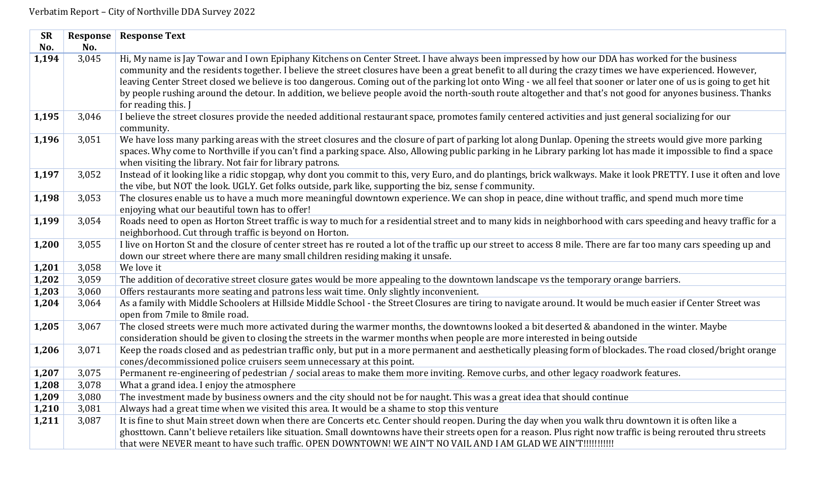| <b>SR</b> | Response | <b>Response Text</b>                                                                                                                                                |
|-----------|----------|---------------------------------------------------------------------------------------------------------------------------------------------------------------------|
| No.       | No.      |                                                                                                                                                                     |
| 1,194     | 3,045    | Hi, My name is Jay Towar and I own Epiphany Kitchens on Center Street. I have always been impressed by how our DDA has worked for the business                      |
|           |          | community and the residents together. I believe the street closures have been a great benefit to all during the crazy times we have experienced. However,           |
|           |          | leaving Center Street closed we believe is too dangerous. Coming out of the parking lot onto Wing - we all feel that sooner or later one of us is going to get hit  |
|           |          | by people rushing around the detour. In addition, we believe people avoid the north-south route altogether and that's not good for anyones business. Thanks         |
|           |          | for reading this. J                                                                                                                                                 |
| 1,195     | 3,046    | I believe the street closures provide the needed additional restaurant space, promotes family centered activities and just general socializing for our              |
|           |          | community.                                                                                                                                                          |
| 1,196     | 3,051    | We have loss many parking areas with the street closures and the closure of part of parking lot along Dunlap. Opening the streets would give more parking           |
|           |          | spaces. Why come to Northville if you can't find a parking space. Also, Allowing public parking in he Library parking lot has made it impossible to find a space    |
|           |          | when visiting the library. Not fair for library patrons.                                                                                                            |
| 1,197     | 3,052    | Instead of it looking like a ridic stopgap, why dont you commit to this, very Euro, and do plantings, brick walkways. Make it look PRETTY. I use it often and love  |
|           |          | the vibe, but NOT the look. UGLY. Get folks outside, park like, supporting the biz, sense f community.                                                              |
| 1,198     | 3,053    | The closures enable us to have a much more meaningful downtown experience. We can shop in peace, dine without traffic, and spend much more time                     |
|           |          | enjoying what our beautiful town has to offer!                                                                                                                      |
| 1,199     | 3,054    | Roads need to open as Horton Street traffic is way to much for a residential street and to many kids in neighborhood with cars speeding and heavy traffic for a     |
|           |          | neighborhood. Cut through traffic is beyond on Horton.                                                                                                              |
| 1,200     | 3,055    | I live on Horton St and the closure of center street has re routed a lot of the traffic up our street to access 8 mile. There are far too many cars speeding up and |
|           |          | down our street where there are many small children residing making it unsafe.                                                                                      |
| 1,201     | 3,058    | We love it                                                                                                                                                          |
| 1,202     | 3,059    | The addition of decorative street closure gates would be more appealing to the downtown landscape vs the temporary orange barriers.                                 |
| 1,203     | 3,060    | Offers restaurants more seating and patrons less wait time. Only slightly inconvenient.                                                                             |
| 1,204     | 3,064    | As a family with Middle Schoolers at Hillside Middle School - the Street Closures are tiring to navigate around. It would be much easier if Center Street was       |
|           |          | open from 7mile to 8mile road.                                                                                                                                      |
| 1,205     | 3,067    | The closed streets were much more activated during the warmer months, the downtowns looked a bit deserted & abandoned in the winter. Maybe                          |
|           |          | consideration should be given to closing the streets in the warmer months when people are more interested in being outside                                          |
| 1,206     | 3,071    | Keep the roads closed and as pedestrian traffic only, but put in a more permanent and aesthetically pleasing form of blockades. The road closed/bright orange       |
|           |          | cones/decommissioned police cruisers seem unnecessary at this point.                                                                                                |
| 1,207     | 3,075    | Permanent re-engineering of pedestrian / social areas to make them more inviting. Remove curbs, and other legacy roadwork features.                                 |
| 1,208     | 3,078    | What a grand idea. I enjoy the atmosphere                                                                                                                           |
| 1,209     | 3,080    | The investment made by business owners and the city should not be for naught. This was a great idea that should continue                                            |
| 1,210     | 3,081    | Always had a great time when we visited this area. It would be a shame to stop this venture                                                                         |
| 1,211     | 3,087    | It is fine to shut Main street down when there are Concerts etc. Center should reopen. During the day when you walk thru downtown it is often like a                |
|           |          | ghosttown. Cann't believe retailers like situation. Small downtowns have their streets open for a reason. Plus right now traffic is being rerouted thru streets     |
|           |          | that were NEVER meant to have such traffic. OPEN DOWNTOWN! WE AIN'T NO VAIL AND I AM GLAD WE AIN'T!!!!!!!!!!!                                                       |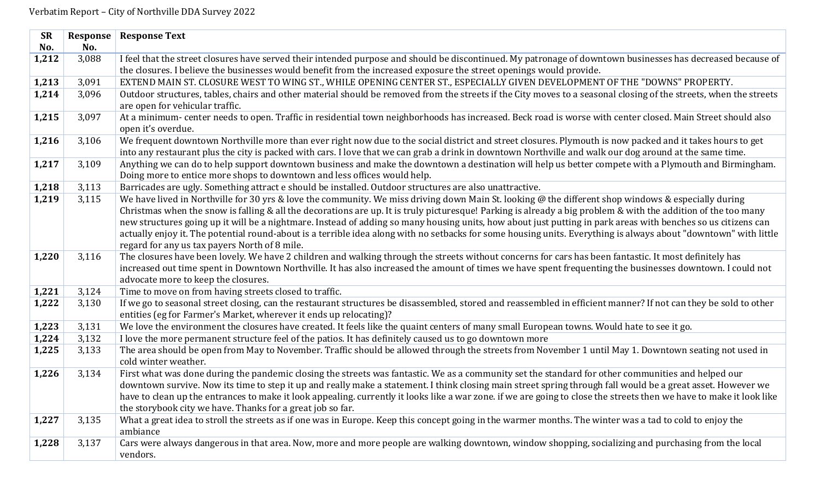| <b>SR</b> | Response | <b>Response Text</b>                                                                                                                                                                                                                                                                                                 |
|-----------|----------|----------------------------------------------------------------------------------------------------------------------------------------------------------------------------------------------------------------------------------------------------------------------------------------------------------------------|
| No.       | No.      |                                                                                                                                                                                                                                                                                                                      |
| 1,212     | 3,088    | I feel that the street closures have served their intended purpose and should be discontinued. My patronage of downtown businesses has decreased because of                                                                                                                                                          |
|           |          | the closures. I believe the businesses would benefit from the increased exposure the street openings would provide.                                                                                                                                                                                                  |
| 1,213     | 3,091    | EXTEND MAIN ST. CLOSURE WEST TO WING ST., WHILE OPENING CENTER ST., ESPECIALLY GIVEN DEVELOPMENT OF THE "DOWNS" PROPERTY.                                                                                                                                                                                            |
| 1,214     | 3,096    | Outdoor structures, tables, chairs and other material should be removed from the streets if the City moves to a seasonal closing of the streets, when the streets<br>are open for vehicular traffic.                                                                                                                 |
| 1,215     | 3,097    | At a minimum- center needs to open. Traffic in residential town neighborhoods has increased. Beck road is worse with center closed. Main Street should also<br>open it's overdue.                                                                                                                                    |
| 1,216     | 3,106    | We frequent downtown Northville more than ever right now due to the social district and street closures. Plymouth is now packed and it takes hours to get<br>into any restaurant plus the city is packed with cars. I love that we can grab a drink in downtown Northville and walk our dog around at the same time. |
| 1,217     | 3,109    | Anything we can do to help support downtown business and make the downtown a destination will help us better compete with a Plymouth and Birmingham.<br>Doing more to entice more shops to downtown and less offices would help.                                                                                     |
| 1,218     | 3,113    | Barricades are ugly. Something attract e should be installed. Outdoor structures are also unattractive.                                                                                                                                                                                                              |
| 1,219     | 3,115    | We have lived in Northville for 30 yrs & love the community. We miss driving down Main St. looking @ the different shop windows & especially during                                                                                                                                                                  |
|           |          | Christmas when the snow is falling & all the decorations are up. It is truly picturesque! Parking is already a big problem & with the addition of the too many                                                                                                                                                       |
|           |          | new structures going up it will be a nightmare. Instead of adding so many housing units, how about just putting in park areas with benches so us citizens can                                                                                                                                                        |
|           |          | actually enjoy it. The potential round-about is a terrible idea along with no setbacks for some housing units. Everything is always about "downtown" with little                                                                                                                                                     |
|           |          | regard for any us tax payers North of 8 mile.                                                                                                                                                                                                                                                                        |
| 1,220     | 3,116    | The closures have been lovely. We have 2 children and walking through the streets without concerns for cars has been fantastic. It most definitely has                                                                                                                                                               |
|           |          | increased out time spent in Downtown Northville. It has also increased the amount of times we have spent frequenting the businesses downtown. I could not                                                                                                                                                            |
| 1,221     | 3,124    | advocate more to keep the closures.<br>Time to move on from having streets closed to traffic.                                                                                                                                                                                                                        |
| 1,222     | 3,130    | If we go to seasonal street closing, can the restaurant structures be disassembled, stored and reassembled in efficient manner? If not can they be sold to other                                                                                                                                                     |
|           |          | entities (eg for Farmer's Market, wherever it ends up relocating)?                                                                                                                                                                                                                                                   |
| 1,223     | 3,131    | We love the environment the closures have created. It feels like the quaint centers of many small European towns. Would hate to see it go.                                                                                                                                                                           |
| 1,224     | 3,132    | I love the more permanent structure feel of the patios. It has definitely caused us to go downtown more                                                                                                                                                                                                              |
| 1,225     | 3,133    | The area should be open from May to November. Traffic should be allowed through the streets from November 1 until May 1. Downtown seating not used in                                                                                                                                                                |
|           |          | cold winter weather.                                                                                                                                                                                                                                                                                                 |
| 1,226     | 3,134    | First what was done during the pandemic closing the streets was fantastic. We as a community set the standard for other communities and helped our                                                                                                                                                                   |
|           |          | downtown survive. Now its time to step it up and really make a statement. I think closing main street spring through fall would be a great asset. However we                                                                                                                                                         |
|           |          | have to clean up the entrances to make it look appealing. currently it looks like a war zone. if we are going to close the streets then we have to make it look like                                                                                                                                                 |
|           |          | the storybook city we have. Thanks for a great job so far.                                                                                                                                                                                                                                                           |
| 1,227     | 3,135    | What a great idea to stroll the streets as if one was in Europe. Keep this concept going in the warmer months. The winter was a tad to cold to enjoy the                                                                                                                                                             |
|           |          | ambiance                                                                                                                                                                                                                                                                                                             |
| 1,228     | 3,137    | Cars were always dangerous in that area. Now, more and more people are walking downtown, window shopping, socializing and purchasing from the local                                                                                                                                                                  |
|           |          | vendors.                                                                                                                                                                                                                                                                                                             |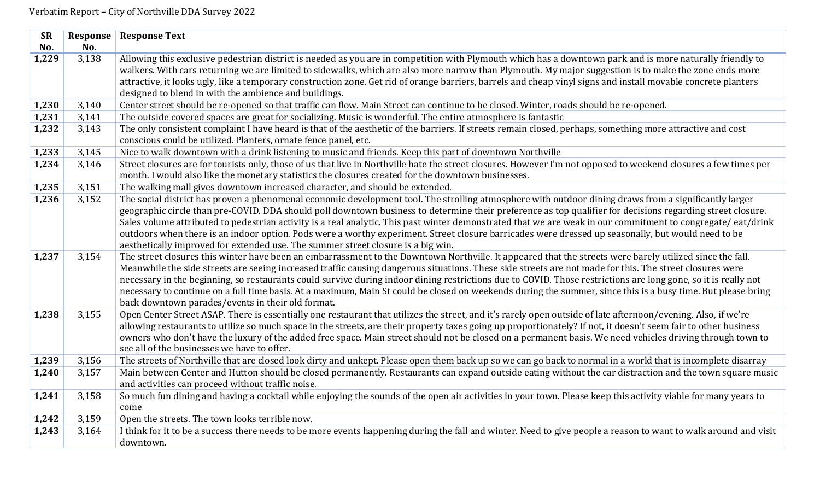| <b>SR</b> | <b>Response</b> | <b>Response Text</b>                                                                                                                                                                                     |
|-----------|-----------------|----------------------------------------------------------------------------------------------------------------------------------------------------------------------------------------------------------|
| No.       | No.             |                                                                                                                                                                                                          |
| 1,229     | 3,138           | Allowing this exclusive pedestrian district is needed as you are in competition with Plymouth which has a downtown park and is more naturally friendly to                                                |
|           |                 | walkers. With cars returning we are limited to sidewalks, which are also more narrow than Plymouth. My major suggestion is to make the zone ends more                                                    |
|           |                 | attractive, it looks ugly, like a temporary construction zone. Get rid of orange barriers, barrels and cheap vinyl signs and install movable concrete planters                                           |
|           |                 | designed to blend in with the ambience and buildings.                                                                                                                                                    |
| 1,230     | 3,140           | Center street should be re-opened so that traffic can flow. Main Street can continue to be closed. Winter, roads should be re-opened.                                                                    |
| 1,231     | 3,141           | The outside covered spaces are great for socializing. Music is wonderful. The entire atmosphere is fantastic                                                                                             |
| 1,232     | 3,143           | The only consistent complaint I have heard is that of the aesthetic of the barriers. If streets remain closed, perhaps, something more attractive and cost                                               |
|           |                 | conscious could be utilized. Planters, ornate fence panel, etc.                                                                                                                                          |
| 1,233     | 3,145           | Nice to walk downtown with a drink listening to music and friends. Keep this part of downtown Northville                                                                                                 |
| 1,234     | 3,146           | Street closures are for tourists only, those of us that live in Northville hate the street closures. However I'm not opposed to weekend closures a few times per                                         |
|           |                 | month. I would also like the monetary statistics the closures created for the downtown businesses.                                                                                                       |
| 1,235     | 3,151           | The walking mall gives downtown increased character, and should be extended.                                                                                                                             |
| 1,236     | 3,152           | The social district has proven a phenomenal economic development tool. The strolling atmosphere with outdoor dining draws from a significantly larger                                                    |
|           |                 | geographic circle than pre-COVID. DDA should poll downtown business to determine their preference as top qualifier for decisions regarding street closure.                                               |
|           |                 | Sales volume attributed to pedestrian activity is a real analytic. This past winter demonstrated that we are weak in our commitment to congregate/eat/drink                                              |
|           |                 | outdoors when there is an indoor option. Pods were a worthy experiment. Street closure barricades were dressed up seasonally, but would need to be                                                       |
|           |                 | aesthetically improved for extended use. The summer street closure is a big win.                                                                                                                         |
| 1,237     | 3,154           | The street closures this winter have been an embarrassment to the Downtown Northville. It appeared that the streets were barely utilized since the fall.                                                 |
|           |                 | Meanwhile the side streets are seeing increased traffic causing dangerous situations. These side streets are not made for this. The street closures were                                                 |
|           |                 | necessary in the beginning, so restaurants could survive during indoor dining restrictions due to COVID. Those restrictions are long gone, so it is really not                                           |
|           |                 | necessary to continue on a full time basis. At a maximum, Main St could be closed on weekends during the summer, since this is a busy time. But please bring                                             |
|           |                 | back downtown parades/events in their old format.                                                                                                                                                        |
| 1,238     | 3,155           | Open Center Street ASAP. There is essentially one restaurant that utilizes the street, and it's rarely open outside of late afternoon/evening. Also, if we're                                            |
|           |                 | allowing restaurants to utilize so much space in the streets, are their property taxes going up proportionately? If not, it doesn't seem fair to other business                                          |
|           |                 | owners who don't have the luxury of the added free space. Main street should not be closed on a permanent basis. We need vehicles driving through town to<br>see all of the businesses we have to offer. |
| 1,239     | 3,156           | The streets of Northville that are closed look dirty and unkept. Please open them back up so we can go back to normal in a world that is incomplete disarray                                             |
| 1,240     | 3,157           | Main between Center and Hutton should be closed permanently. Restaurants can expand outside eating without the car distraction and the town square music                                                 |
|           |                 | and activities can proceed without traffic noise.                                                                                                                                                        |
| 1,241     | 3,158           | So much fun dining and having a cocktail while enjoying the sounds of the open air activities in your town. Please keep this activity viable for many years to                                           |
|           |                 | come                                                                                                                                                                                                     |
| 1,242     | 3,159           | Open the streets. The town looks terrible now.                                                                                                                                                           |
| 1,243     | 3,164           | I think for it to be a success there needs to be more events happening during the fall and winter. Need to give people a reason to want to walk around and visit                                         |
|           |                 | downtown.                                                                                                                                                                                                |
|           |                 |                                                                                                                                                                                                          |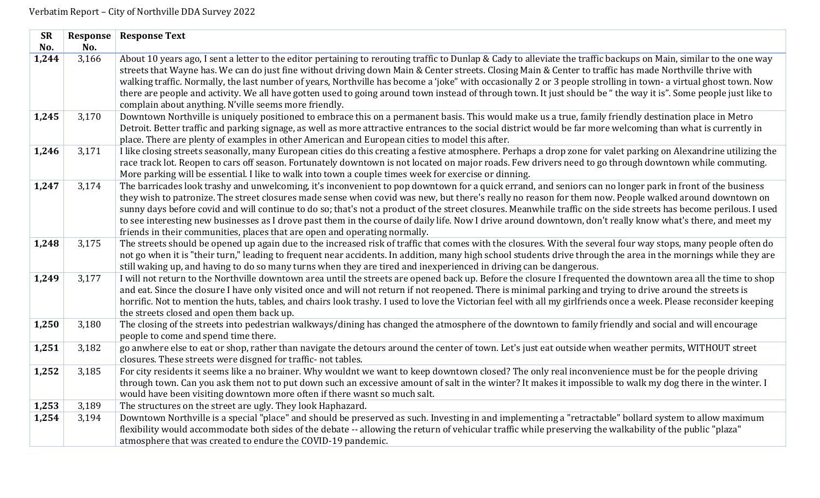| <b>SR</b> | Response | <b>Response Text</b>                                                                                                                                                                                                                                                                                                                                                                                                                                                                                                                                                                                                                                                                                                                    |
|-----------|----------|-----------------------------------------------------------------------------------------------------------------------------------------------------------------------------------------------------------------------------------------------------------------------------------------------------------------------------------------------------------------------------------------------------------------------------------------------------------------------------------------------------------------------------------------------------------------------------------------------------------------------------------------------------------------------------------------------------------------------------------------|
| No.       | No.      |                                                                                                                                                                                                                                                                                                                                                                                                                                                                                                                                                                                                                                                                                                                                         |
| 1,244     | 3,166    | About 10 years ago, I sent a letter to the editor pertaining to rerouting traffic to Dunlap & Cady to alleviate the traffic backups on Main, similar to the one way<br>streets that Wayne has. We can do just fine without driving down Main & Center streets. Closing Main & Center to traffic has made Northville thrive with<br>walking traffic. Normally, the last number of years, Northville has become a 'joke" with occasionally 2 or 3 people strolling in town- a virtual ghost town. Now<br>there are people and activity. We all have gotten used to going around town instead of through town. It just should be "the way it is". Some people just like to<br>complain about anything. N'ville seems more friendly.        |
| 1,245     | 3,170    | Downtown Northville is uniquely positioned to embrace this on a permanent basis. This would make us a true, family friendly destination place in Metro<br>Detroit. Better traffic and parking signage, as well as more attractive entrances to the social district would be far more welcoming than what is currently in<br>place. There are plenty of examples in other American and European cities to model this after.                                                                                                                                                                                                                                                                                                              |
| 1,246     | 3,171    | I like closing streets seasonally, many European cities do this creating a festive atmosphere. Perhaps a drop zone for valet parking on Alexandrine utilizing the<br>race track lot. Reopen to cars off season. Fortunately downtown is not located on major roads. Few drivers need to go through downtown while commuting.<br>More parking will be essential. I like to walk into town a couple times week for exercise or dinning.                                                                                                                                                                                                                                                                                                   |
| 1,247     | 3,174    | The barricades look trashy and unwelcoming, it's inconvenient to pop downtown for a quick errand, and seniors can no longer park in front of the business<br>they wish to patronize. The street closures made sense when covid was new, but there's really no reason for them now. People walked around downtown on<br>sunny days before covid and will continue to do so; that's not a product of the street closures. Meanwhile traffic on the side streets has become perilous. I used<br>to see interesting new businesses as I drove past them in the course of daily life. Now I drive around downtown, don't really know what's there, and meet my<br>friends in their communities, places that are open and operating normally. |
| 1,248     | 3,175    | The streets should be opened up again due to the increased risk of traffic that comes with the closures. With the several four way stops, many people often do<br>not go when it is "their turn," leading to frequent near accidents. In addition, many high school students drive through the area in the mornings while they are<br>still waking up, and having to do so many turns when they are tired and inexperienced in driving can be dangerous.                                                                                                                                                                                                                                                                                |
| 1,249     | 3,177    | I will not return to the Northville downtown area until the streets are opened back up. Before the closure I frequented the downtown area all the time to shop<br>and eat. Since the closure I have only visited once and will not return if not reopened. There is minimal parking and trying to drive around the streets is<br>horrific. Not to mention the huts, tables, and chairs look trashy. I used to love the Victorian feel with all my girlfriends once a week. Please reconsider keeping<br>the streets closed and open them back up.                                                                                                                                                                                       |
| 1,250     | 3,180    | The closing of the streets into pedestrian walkways/dining has changed the atmosphere of the downtown to family friendly and social and will encourage<br>people to come and spend time there.                                                                                                                                                                                                                                                                                                                                                                                                                                                                                                                                          |
| 1,251     | 3,182    | go anwhere else to eat or shop, rather than navigate the detours around the center of town. Let's just eat outside when weather permits, WITHOUT street<br>closures. These streets were disgned for traffic- not tables.                                                                                                                                                                                                                                                                                                                                                                                                                                                                                                                |
| 1,252     | 3,185    | For city residents it seems like a no brainer. Why wouldnt we want to keep downtown closed? The only real inconvenience must be for the people driving<br>through town. Can you ask them not to put down such an excessive amount of salt in the winter? It makes it impossible to walk my dog there in the winter. I<br>would have been visiting downtown more often if there wasnt so much salt.                                                                                                                                                                                                                                                                                                                                      |
| 1,253     | 3,189    | The structures on the street are ugly. They look Haphazard.                                                                                                                                                                                                                                                                                                                                                                                                                                                                                                                                                                                                                                                                             |
| 1,254     | 3,194    | Downtown Northville is a special "place" and should be preserved as such. Investing in and implementing a "retractable" bollard system to allow maximum<br>flexibility would accommodate both sides of the debate -- allowing the return of vehicular traffic while preserving the walkability of the public "plaza"<br>atmosphere that was created to endure the COVID-19 pandemic.                                                                                                                                                                                                                                                                                                                                                    |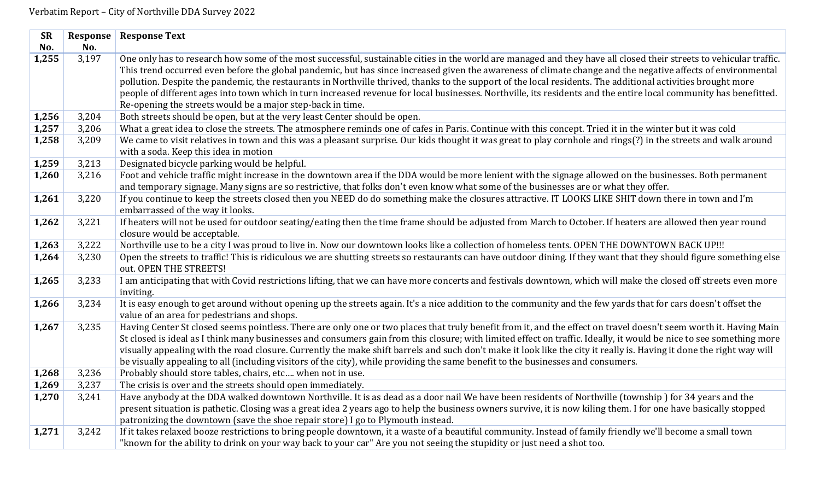| <b>SR</b><br>No. | Response<br>No. | <b>Response Text</b>                                                                                                                                                                                                                                                                                                                                                                                                                                                                                                                                                                                                                                                                                                                  |
|------------------|-----------------|---------------------------------------------------------------------------------------------------------------------------------------------------------------------------------------------------------------------------------------------------------------------------------------------------------------------------------------------------------------------------------------------------------------------------------------------------------------------------------------------------------------------------------------------------------------------------------------------------------------------------------------------------------------------------------------------------------------------------------------|
| 1,255            | 3,197           | One only has to research how some of the most successful, sustainable cities in the world are managed and they have all closed their streets to vehicular traffic.<br>This trend occurred even before the global pandemic, but has since increased given the awareness of climate change and the negative affects of environmental<br>pollution. Despite the pandemic, the restaurants in Northville thrived, thanks to the support of the local residents. The additional activities brought more<br>people of different ages into town which in turn increased revenue for local businesses. Northville, its residents and the entire local community has benefitted.<br>Re-opening the streets would be a major step-back in time. |
| 1,256            | 3,204           | Both streets should be open, but at the very least Center should be open.                                                                                                                                                                                                                                                                                                                                                                                                                                                                                                                                                                                                                                                             |
| 1,257            | 3,206           | What a great idea to close the streets. The atmosphere reminds one of cafes in Paris. Continue with this concept. Tried it in the winter but it was cold                                                                                                                                                                                                                                                                                                                                                                                                                                                                                                                                                                              |
| 1,258            | 3,209           | We came to visit relatives in town and this was a pleasant surprise. Our kids thought it was great to play cornhole and rings(?) in the streets and walk around<br>with a soda. Keep this idea in motion                                                                                                                                                                                                                                                                                                                                                                                                                                                                                                                              |
| 1,259            | 3,213           | Designated bicycle parking would be helpful.                                                                                                                                                                                                                                                                                                                                                                                                                                                                                                                                                                                                                                                                                          |
| 1,260            | 3,216           | Foot and vehicle traffic might increase in the downtown area if the DDA would be more lenient with the signage allowed on the businesses. Both permanent<br>and temporary signage. Many signs are so restrictive, that folks don't even know what some of the businesses are or what they offer.                                                                                                                                                                                                                                                                                                                                                                                                                                      |
| 1,261            | 3,220           | If you continue to keep the streets closed then you NEED do do something make the closures attractive. IT LOOKS LIKE SHIT down there in town and I'm<br>embarrassed of the way it looks.                                                                                                                                                                                                                                                                                                                                                                                                                                                                                                                                              |
| 1,262            | 3,221           | If heaters will not be used for outdoor seating/eating then the time frame should be adjusted from March to October. If heaters are allowed then year round<br>closure would be acceptable.                                                                                                                                                                                                                                                                                                                                                                                                                                                                                                                                           |
| 1,263            | 3,222           | Northville use to be a city I was proud to live in. Now our downtown looks like a collection of homeless tents. OPEN THE DOWNTOWN BACK UP!!!                                                                                                                                                                                                                                                                                                                                                                                                                                                                                                                                                                                          |
| 1,264            | 3,230           | Open the streets to traffic! This is ridiculous we are shutting streets so restaurants can have outdoor dining. If they want that they should figure something else<br>out. OPEN THE STREETS!                                                                                                                                                                                                                                                                                                                                                                                                                                                                                                                                         |
| 1,265            | 3,233           | I am anticipating that with Covid restrictions lifting, that we can have more concerts and festivals downtown, which will make the closed off streets even more<br>inviting.                                                                                                                                                                                                                                                                                                                                                                                                                                                                                                                                                          |
| 1,266            | 3,234           | It is easy enough to get around without opening up the streets again. It's a nice addition to the community and the few yards that for cars doesn't offset the<br>value of an area for pedestrians and shops.                                                                                                                                                                                                                                                                                                                                                                                                                                                                                                                         |
| 1,267            | 3,235           | Having Center St closed seems pointless. There are only one or two places that truly benefit from it, and the effect on travel doesn't seem worth it. Having Main<br>St closed is ideal as I think many businesses and consumers gain from this closure; with limited effect on traffic. Ideally, it would be nice to see something more<br>visually appealing with the road closure. Currently the make shift barrels and such don't make it look like the city it really is. Having it done the right way will<br>be visually appealing to all (including visitors of the city), while providing the same benefit to the businesses and consumers.                                                                                  |
| 1,268            | 3,236           | Probably should store tables, chairs, etc when not in use.                                                                                                                                                                                                                                                                                                                                                                                                                                                                                                                                                                                                                                                                            |
| 1,269            | 3,237           | The crisis is over and the streets should open immediately.                                                                                                                                                                                                                                                                                                                                                                                                                                                                                                                                                                                                                                                                           |
| 1,270            | 3,241           | Have anybody at the DDA walked downtown Northville. It is as dead as a door nail We have been residents of Northville (township) for 34 years and the                                                                                                                                                                                                                                                                                                                                                                                                                                                                                                                                                                                 |
|                  |                 | present situation is pathetic. Closing was a great idea 2 years ago to help the business owners survive, it is now kiling them. I for one have basically stopped<br>patronizing the downtown (save the shoe repair store) I go to Plymouth instead.                                                                                                                                                                                                                                                                                                                                                                                                                                                                                   |
| 1,271            | 3,242           | If it takes relaxed booze restrictions to bring people downtown, it a waste of a beautiful community. Instead of family friendly we'll become a small town<br>"known for the ability to drink on your way back to your car" Are you not seeing the stupidity or just need a shot too.                                                                                                                                                                                                                                                                                                                                                                                                                                                 |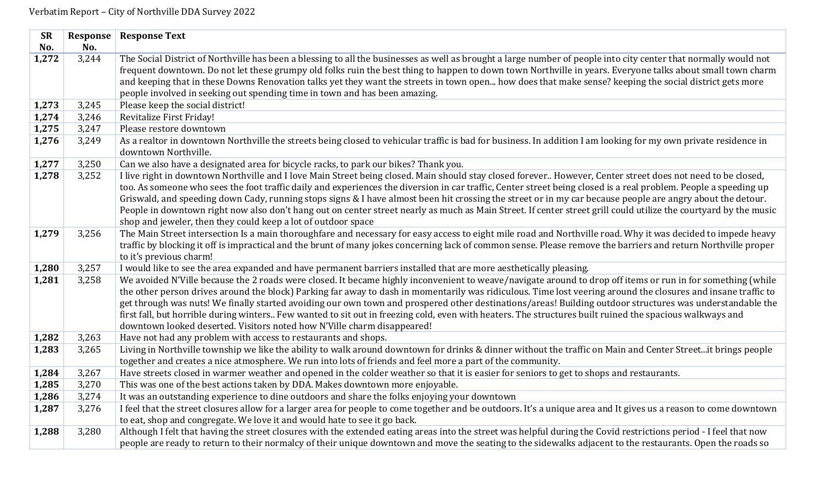| <b>SR</b> | Response | <b>Response Text</b>                                                                                                                                              |
|-----------|----------|-------------------------------------------------------------------------------------------------------------------------------------------------------------------|
| No.       | No.      |                                                                                                                                                                   |
| 1,272     | 3,244    | The Social District of Northville has been a blessing to all the businesses as well as brought a large number of people into city center that normally would not  |
|           |          | frequent downtown. Do not let these grumpy old folks ruin the best thing to happen to down town Northville in years. Everyone talks about small town charm        |
|           |          | and keeping that in these Downs Renovation talks yet they want the streets in town open how does that make sense? keeping the social district gets more           |
|           |          | people involved in seeking out spending time in town and has been amazing.                                                                                        |
| 1,273     | 3,245    | Please keep the social district!                                                                                                                                  |
| 1,274     | 3,246    | Revitalize First Friday!                                                                                                                                          |
| 1,275     | 3,247    | Please restore downtown                                                                                                                                           |
| 1,276     | 3,249    | As a realtor in downtown Northville the streets being closed to vehicular traffic is bad for business. In addition I am looking for my own private residence in   |
|           |          | downtown Northville.                                                                                                                                              |
| 1,277     | 3,250    | Can we also have a designated area for bicycle racks, to park our bikes? Thank you.                                                                               |
| 1,278     | 3,252    | I live right in downtown Northville and I love Main Street being closed. Main should stay closed forever However, Center street does not need to be closed,       |
|           |          | too. As someone who sees the foot traffic daily and experiences the diversion in car traffic, Center street being closed is a real problem. People a speeding up  |
|           |          | Griswald, and speeding down Cady, running stops signs & I have almost been hit crossing the street or in my car because people are angry about the detour.        |
|           |          | People in downtown right now also don't hang out on center street nearly as much as Main Street. If center street grill could utilize the courtyard by the music  |
|           |          | shop and jeweler, then they could keep a lot of outdoor space                                                                                                     |
| 1,279     | 3,256    | The Main Street intersection Is a main thoroughfare and necessary for easy access to eight mile road and Northville road. Why it was decided to impede heavy      |
|           |          | traffic by blocking it off is impractical and the brunt of many jokes concerning lack of common sense. Please remove the barriers and return Northville proper    |
|           |          | to it's previous charm!                                                                                                                                           |
| 1,280     | 3,257    | I would like to see the area expanded and have permanent barriers installed that are more aesthetically pleasing.                                                 |
| 1,281     | 3,258    | We avoided N'Ville because the 2 roads were closed. It became highly inconvenient to weave/navigate around to drop off items or run in for something (while       |
|           |          | the other person drives around the block) Parking far away to dash in momentarily was ridiculous. Time lost veering around the closures and insane traffic to     |
|           |          | get through was nuts! We finally started avoiding our own town and prospered other destinations/areas! Building outdoor structures was understandable the         |
|           |          | first fall, but horrible during winters Few wanted to sit out in freezing cold, even with heaters. The structures built ruined the spacious walkways and          |
|           |          | downtown looked deserted. Visitors noted how N'Ville charm disappeared!                                                                                           |
| 1,282     | 3,263    | Have not had any problem with access to restaurants and shops.                                                                                                    |
| 1,283     | 3,265    | Living in Northville township we like the ability to walk around downtown for drinks & dinner without the traffic on Main and Center Streetit brings people       |
|           |          | together and creates a nice atmosphere. We run into lots of friends and feel more a part of the community.                                                        |
| 1,284     | 3,267    | Have streets closed in warmer weather and opened in the colder weather so that it is easier for seniors to get to shops and restaurants.                          |
| 1,285     | 3,270    | This was one of the best actions taken by DDA. Makes downtown more enjoyable.                                                                                     |
| 1,286     | 3,274    | It was an outstanding experience to dine outdoors and share the folks enjoying your downtown                                                                      |
| 1,287     | 3,276    | I feel that the street closures allow for a larger area for people to come together and be outdoors. It's a unique area and It gives us a reason to come downtown |
|           |          | to eat, shop and congregate. We love it and would hate to see it go back.                                                                                         |
| 1,288     | 3,280    | Although I felt that having the street closures with the extended eating areas into the street was helpful during the Covid restrictions period - I feel that now |
|           |          | people are ready to return to their normalcy of their unique downtown and move the seating to the sidewalks adjacent to the restaurants. Open the roads so        |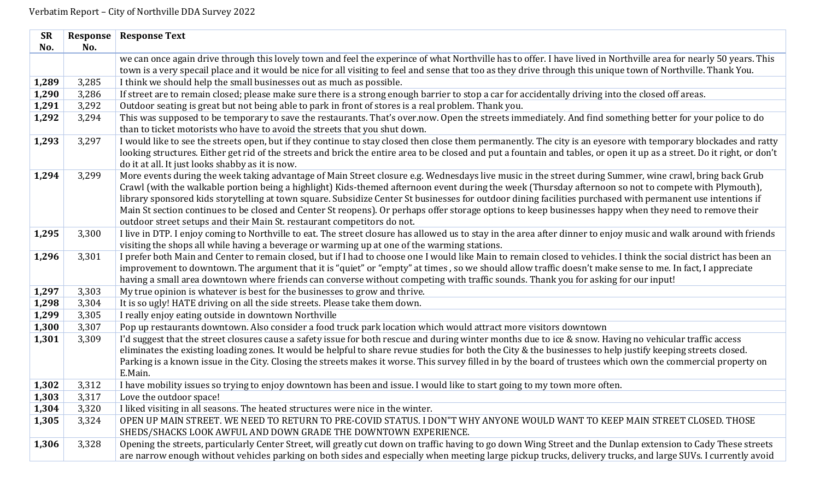| <b>SR</b> | Response | <b>Response Text</b>                                                                                                                                                                                                                                                                                                          |
|-----------|----------|-------------------------------------------------------------------------------------------------------------------------------------------------------------------------------------------------------------------------------------------------------------------------------------------------------------------------------|
| No.       | No.      |                                                                                                                                                                                                                                                                                                                               |
|           |          | we can once again drive through this lovely town and feel the experince of what Northville has to offer. I have lived in Northville area for nearly 50 years. This                                                                                                                                                            |
|           |          | town is a very specail place and it would be nice for all visiting to feel and sense that too as they drive through this unique town of Northville. Thank You.                                                                                                                                                                |
| 1,289     | 3,285    | I think we should help the small businesses out as much as possible.                                                                                                                                                                                                                                                          |
| 1,290     | 3,286    | If street are to remain closed; please make sure there is a strong enough barrier to stop a car for accidentally driving into the closed off areas.                                                                                                                                                                           |
| 1,291     | 3,292    | Outdoor seating is great but not being able to park in front of stores is a real problem. Thank you.                                                                                                                                                                                                                          |
| 1,292     | 3,294    | This was supposed to be temporary to save the restaurants. That's over now. Open the streets immediately. And find something better for your police to do                                                                                                                                                                     |
|           |          | than to ticket motorists who have to avoid the streets that you shut down.                                                                                                                                                                                                                                                    |
| 1,293     | 3,297    | I would like to see the streets open, but if they continue to stay closed then close them permanently. The city is an eyesore with temporary blockades and ratty                                                                                                                                                              |
|           |          | looking structures. Either get rid of the streets and brick the entire area to be closed and put a fountain and tables, or open it up as a street. Do it right, or don't                                                                                                                                                      |
|           |          | do it at all. It just looks shabby as it is now.                                                                                                                                                                                                                                                                              |
| 1,294     | 3,299    | More events during the week taking advantage of Main Street closure e.g. Wednesdays live music in the street during Summer, wine crawl, bring back Grub                                                                                                                                                                       |
|           |          | Crawl (with the walkable portion being a highlight) Kids-themed afternoon event during the week (Thursday afternoon so not to compete with Plymouth),                                                                                                                                                                         |
|           |          | library sponsored kids storytelling at town square. Subsidize Center St businesses for outdoor dining facilities purchased with permanent use intentions if                                                                                                                                                                   |
|           |          | Main St section continues to be closed and Center St reopens). Or perhaps offer storage options to keep businesses happy when they need to remove their                                                                                                                                                                       |
|           |          | outdoor street setups and their Main St. restaurant competitors do not.                                                                                                                                                                                                                                                       |
| 1,295     | 3,300    | I live in DTP. I enjoy coming to Northville to eat. The street closure has allowed us to stay in the area after dinner to enjoy music and walk around with friends                                                                                                                                                            |
|           |          | visiting the shops all while having a beverage or warming up at one of the warming stations.                                                                                                                                                                                                                                  |
| 1,296     | 3,301    | I prefer both Main and Center to remain closed, but if I had to choose one I would like Main to remain closed to vehicles. I think the social district has been an                                                                                                                                                            |
|           |          | improvement to downtown. The argument that it is "quiet" or "empty" at times, so we should allow traffic doesn't make sense to me. In fact, I appreciate                                                                                                                                                                      |
|           |          | having a small area downtown where friends can converse without competing with traffic sounds. Thank you for asking for our input!                                                                                                                                                                                            |
| 1,297     | 3,303    | My true opinion is whatever is best for the businesses to grow and thrive.                                                                                                                                                                                                                                                    |
| 1,298     | 3,304    | It is so ugly! HATE driving on all the side streets. Please take them down.                                                                                                                                                                                                                                                   |
| 1,299     | 3,305    | I really enjoy eating outside in downtown Northville                                                                                                                                                                                                                                                                          |
| 1,300     | 3,307    | Pop up restaurants downtown. Also consider a food truck park location which would attract more visitors downtown                                                                                                                                                                                                              |
| 1,301     | 3,309    | I'd suggest that the street closures cause a safety issue for both rescue and during winter months due to ice & snow. Having no vehicular traffic access                                                                                                                                                                      |
|           |          | eliminates the existing loading zones. It would be helpful to share revue studies for both the City & the businesses to help justify keeping streets closed.<br>Parking is a known issue in the City. Closing the streets makes it worse. This survey filled in by the board of trustees which own the commercial property on |
|           |          | E.Main.                                                                                                                                                                                                                                                                                                                       |
| 1,302     | 3,312    | I have mobility issues so trying to enjoy downtown has been and issue. I would like to start going to my town more often.                                                                                                                                                                                                     |
| 1,303     | 3,317    | Love the outdoor space!                                                                                                                                                                                                                                                                                                       |
| 1,304     | 3,320    | I liked visiting in all seasons. The heated structures were nice in the winter.                                                                                                                                                                                                                                               |
| 1,305     | 3,324    | OPEN UP MAIN STREET. WE NEED TO RETURN TO PRE-COVID STATUS. I DON"T WHY ANYONE WOULD WANT TO KEEP MAIN STREET CLOSED. THOSE                                                                                                                                                                                                   |
|           |          | SHEDS/SHACKS LOOK AWFUL AND DOWN GRADE THE DOWNTOWN EXPERIENCE.                                                                                                                                                                                                                                                               |
| 1,306     | 3,328    | Opening the streets, particularly Center Street, will greatly cut down on traffic having to go down Wing Street and the Dunlap extension to Cady These streets                                                                                                                                                                |
|           |          | are narrow enough without vehicles parking on both sides and especially when meeting large pickup trucks, delivery trucks, and large SUVs. I currently avoid                                                                                                                                                                  |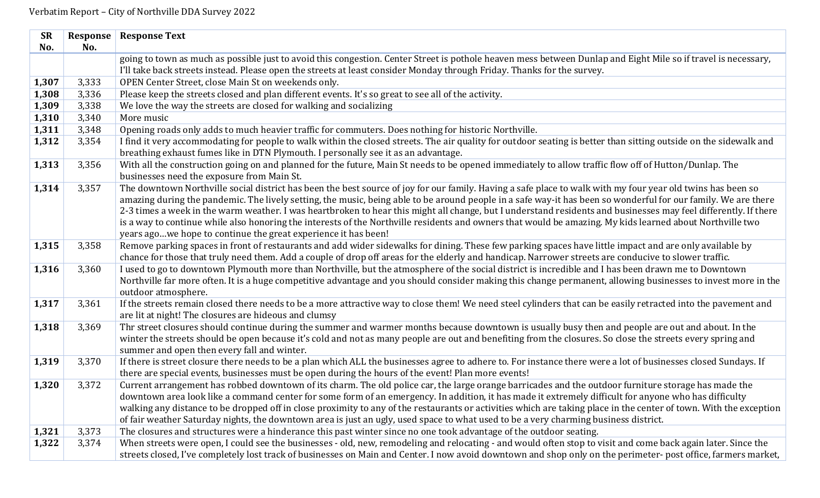| <b>SR</b> | Response | <b>Response Text</b>                                                                                                                                                                                                                                                                                                                                                                                                                                                                                                                                                                                                                                                                                                            |
|-----------|----------|---------------------------------------------------------------------------------------------------------------------------------------------------------------------------------------------------------------------------------------------------------------------------------------------------------------------------------------------------------------------------------------------------------------------------------------------------------------------------------------------------------------------------------------------------------------------------------------------------------------------------------------------------------------------------------------------------------------------------------|
| No.       | No.      |                                                                                                                                                                                                                                                                                                                                                                                                                                                                                                                                                                                                                                                                                                                                 |
|           |          | going to town as much as possible just to avoid this congestion. Center Street is pothole heaven mess between Dunlap and Eight Mile so if travel is necessary,                                                                                                                                                                                                                                                                                                                                                                                                                                                                                                                                                                  |
|           |          | I'll take back streets instead. Please open the streets at least consider Monday through Friday. Thanks for the survey.                                                                                                                                                                                                                                                                                                                                                                                                                                                                                                                                                                                                         |
| 1,307     | 3,333    | OPEN Center Street, close Main St on weekends only.                                                                                                                                                                                                                                                                                                                                                                                                                                                                                                                                                                                                                                                                             |
| 1,308     | 3,336    | Please keep the streets closed and plan different events. It's so great to see all of the activity.                                                                                                                                                                                                                                                                                                                                                                                                                                                                                                                                                                                                                             |
| 1,309     | 3,338    | We love the way the streets are closed for walking and socializing                                                                                                                                                                                                                                                                                                                                                                                                                                                                                                                                                                                                                                                              |
| 1,310     | 3,340    | More music                                                                                                                                                                                                                                                                                                                                                                                                                                                                                                                                                                                                                                                                                                                      |
| 1,311     | 3,348    | Opening roads only adds to much heavier traffic for commuters. Does nothing for historic Northville.                                                                                                                                                                                                                                                                                                                                                                                                                                                                                                                                                                                                                            |
| 1,312     | 3,354    | I find it very accommodating for people to walk within the closed streets. The air quality for outdoor seating is better than sitting outside on the sidewalk and<br>breathing exhaust fumes like in DTN Plymouth. I personally see it as an advantage.                                                                                                                                                                                                                                                                                                                                                                                                                                                                         |
| 1,313     | 3,356    | With all the construction going on and planned for the future, Main St needs to be opened immediately to allow traffic flow off of Hutton/Dunlap. The<br>businesses need the exposure from Main St.                                                                                                                                                                                                                                                                                                                                                                                                                                                                                                                             |
| 1,314     | 3,357    | The downtown Northville social district has been the best source of joy for our family. Having a safe place to walk with my four year old twins has been so<br>amazing during the pandemic. The lively setting, the music, being able to be around people in a safe way-it has been so wonderful for our family. We are there<br>2-3 times a week in the warm weather. I was heartbroken to hear this might all change, but I understand residents and businesses may feel differently. If there<br>is a way to continue while also honoring the interests of the Northville residents and owners that would be amazing. My kids learned about Northville two<br>years agowe hope to continue the great experience it has been! |
| 1,315     | 3,358    | Remove parking spaces in front of restaurants and add wider sidewalks for dining. These few parking spaces have little impact and are only available by<br>chance for those that truly need them. Add a couple of drop off areas for the elderly and handicap. Narrower streets are conducive to slower traffic.                                                                                                                                                                                                                                                                                                                                                                                                                |
| 1,316     | 3,360    | I used to go to downtown Plymouth more than Northville, but the atmosphere of the social district is incredible and I has been drawn me to Downtown<br>Northville far more often. It is a huge competitive advantage and you should consider making this change permanent, allowing businesses to invest more in the<br>outdoor atmosphere.                                                                                                                                                                                                                                                                                                                                                                                     |
| 1,317     | 3,361    | If the streets remain closed there needs to be a more attractive way to close them! We need steel cylinders that can be easily retracted into the pavement and<br>are lit at night! The closures are hideous and clumsy                                                                                                                                                                                                                                                                                                                                                                                                                                                                                                         |
| 1,318     | 3,369    | Thr street closures should continue during the summer and warmer months because downtown is usually busy then and people are out and about. In the<br>winter the streets should be open because it's cold and not as many people are out and benefiting from the closures. So close the streets every spring and<br>summer and open then every fall and winter.                                                                                                                                                                                                                                                                                                                                                                 |
| 1,319     | 3,370    | If there is street closure there needs to be a plan which ALL the businesses agree to adhere to. For instance there were a lot of businesses closed Sundays. If<br>there are special events, businesses must be open during the hours of the event! Plan more events!                                                                                                                                                                                                                                                                                                                                                                                                                                                           |
| 1,320     | 3,372    | Current arrangement has robbed downtown of its charm. The old police car, the large orange barricades and the outdoor furniture storage has made the<br>downtown area look like a command center for some form of an emergency. In addition, it has made it extremely difficult for anyone who has difficulty<br>walking any distance to be dropped off in close proximity to any of the restaurants or activities which are taking place in the center of town. With the exception<br>of fair weather Saturday nights, the downtown area is just an ugly, used space to what used to be a very charming business district.                                                                                                     |
| 1,321     | 3,373    | The closures and structures were a hinderance this past winter since no one took advantage of the outdoor seating.                                                                                                                                                                                                                                                                                                                                                                                                                                                                                                                                                                                                              |
| 1,322     | 3,374    | When streets were open, I could see the businesses - old, new, remodeling and relocating - and would often stop to visit and come back again later. Since the                                                                                                                                                                                                                                                                                                                                                                                                                                                                                                                                                                   |
|           |          | streets closed, I've completely lost track of businesses on Main and Center. I now avoid downtown and shop only on the perimeter- post office, farmers market,                                                                                                                                                                                                                                                                                                                                                                                                                                                                                                                                                                  |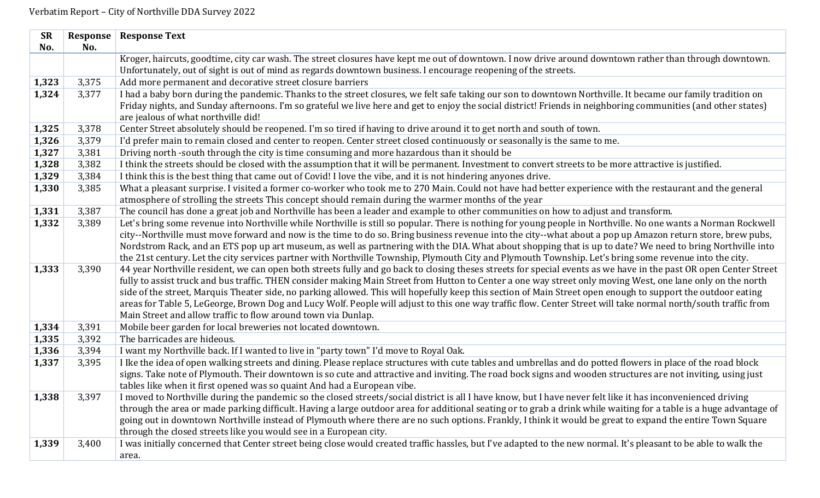| <b>SR</b> | Response | <b>Response Text</b>                                                                                                                                                                                                            |
|-----------|----------|---------------------------------------------------------------------------------------------------------------------------------------------------------------------------------------------------------------------------------|
| No.       | No.      |                                                                                                                                                                                                                                 |
|           |          | Kroger, haircuts, goodtime, city car wash. The street closures have kept me out of downtown. I now drive around downtown rather than through downtown.                                                                          |
|           |          | Unfortunately, out of sight is out of mind as regards downtown business. I encourage reopening of the streets.                                                                                                                  |
| 1,323     | 3,375    | Add more permanent and decorative street closure barriers                                                                                                                                                                       |
| 1,324     | 3,377    | I had a baby born during the pandemic. Thanks to the street closures, we felt safe taking our son to downtown Northville. It became our family tradition on                                                                     |
|           |          | Friday nights, and Sunday afternoons. I'm so grateful we live here and get to enjoy the social district! Friends in neighboring communities (and other states)                                                                  |
|           |          | are jealous of what northville did!                                                                                                                                                                                             |
| 1,325     | 3,378    | Center Street absolutely should be reopened. I'm so tired if having to drive around it to get north and south of town.                                                                                                          |
| 1,326     | 3,379    | I'd prefer main to remain closed and center to reopen. Center street closed continuously or seasonally is the same to me.                                                                                                       |
| 1,327     | 3,381    | Driving north -south through the city is time consuming and more hazardous than it should be                                                                                                                                    |
| 1,328     | 3,382    | I think the streets should be closed with the assumption that it will be permanent. Investment to convert streets to be more attractive is justified.                                                                           |
| 1,329     | 3,384    | I think this is the best thing that came out of Covid! I love the vibe, and it is not hindering anyones drive.                                                                                                                  |
| 1,330     | 3,385    | What a pleasant surprise. I visited a former co-worker who took me to 270 Main. Could not have had better experience with the restaurant and the general                                                                        |
|           |          | atmosphere of strolling the streets This concept should remain during the warmer months of the year                                                                                                                             |
| 1,331     | 3,387    | The council has done a great job and Northville has been a leader and example to other communities on how to adjust and transform.                                                                                              |
| 1,332     | 3,389    | Let's bring some revenue into Northville while Northville is still so popular. There is nothing for young people in Northville. No one wants a Norman Rockwell                                                                  |
|           |          | city--Northville must move forward and now is the time to do so. Bring business revenue into the city--what about a pop up Amazon return store, brew pubs,                                                                      |
|           |          | Nordstrom Rack, and an ETS pop up art museum, as well as partnering with the DIA. What about shopping that is up to date? We need to bring Northville into                                                                      |
|           |          | the 21st century. Let the city services partner with Northville Township, Plymouth City and Plymouth Township. Let's bring some revenue into the city.                                                                          |
| 1,333     | 3,390    | 44 year Northville resident, we can open both streets fully and go back to closing theses streets for special events as we have in the past OR open Center Street                                                               |
|           |          | fully to assist truck and bus traffic. THEN consider making Main Street from Hutton to Center a one way street only moving West, one lane only on the north                                                                     |
|           |          | side of the street, Marquis Theater side, no parking allowed. This will hopefully keep this section of Main Street open enough to support the outdoor eating                                                                    |
|           |          | areas for Table 5, LeGeorge, Brown Dog and Lucy Wolf. People will adjust to this one way traffic flow. Center Street will take normal north/south traffic from<br>Main Street and allow traffic to flow around town via Dunlap. |
| 1,334     | 3,391    | Mobile beer garden for local breweries not located downtown.                                                                                                                                                                    |
| 1,335     | 3,392    | The barricades are hideous.                                                                                                                                                                                                     |
| 1,336     | 3,394    | I want my Northville back. If I wanted to live in "party town" I'd move to Royal Oak.                                                                                                                                           |
| 1,337     | 3,395    | I lke the idea of open walking streets and dining. Please replace structures with cute tables and umbrellas and do potted flowers in place of the road block                                                                    |
|           |          | signs. Take note of Plymouth. Their downtown is so cute and attractive and inviting. The road bock signs and wooden structures are not inviting, using just                                                                     |
|           |          | tables like when it first opened was so quaint And had a European vibe.                                                                                                                                                         |
| 1,338     | 3,397    | I moved to Northville during the pandemic so the closed streets/social district is all I have know, but I have never felt like it has inconvenienced driving                                                                    |
|           |          | through the area or made parking difficult. Having a large outdoor area for additional seating or to grab a drink while waiting for a table is a huge advantage of                                                              |
|           |          | going out in downtown Northville instead of Plymouth where there are no such options. Frankly, I think it would be great to expand the entire Town Square                                                                       |
|           |          | through the closed streets like you would see in a European city.                                                                                                                                                               |
| 1,339     | 3,400    | I was initially concerned that Center street being close would created traffic hassles, but I've adapted to the new normal. It's pleasant to be able to walk the                                                                |
|           |          | area.                                                                                                                                                                                                                           |
|           |          |                                                                                                                                                                                                                                 |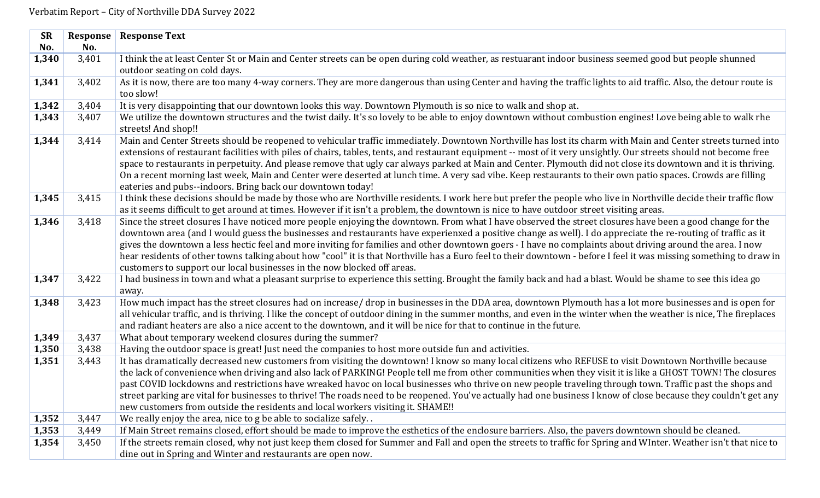| <b>SR</b> | Response | <b>Response Text</b>                                                                                                                                               |
|-----------|----------|--------------------------------------------------------------------------------------------------------------------------------------------------------------------|
| No.       | No.      |                                                                                                                                                                    |
| 1,340     | 3,401    | I think the at least Center St or Main and Center streets can be open during cold weather, as restuarant indoor business seemed good but people shunned            |
|           |          | outdoor seating on cold days.                                                                                                                                      |
| 1,341     | 3,402    | As it is now, there are too many 4-way corners. They are more dangerous than using Center and having the traffic lights to aid traffic. Also, the detour route is  |
|           |          | too slow!                                                                                                                                                          |
| 1,342     | 3,404    | It is very disappointing that our downtown looks this way. Downtown Plymouth is so nice to walk and shop at.                                                       |
| 1,343     | 3,407    | We utilize the downtown structures and the twist daily. It's so lovely to be able to enjoy downtown without combustion engines! Love being able to walk rhe        |
|           |          | streets! And shop!!                                                                                                                                                |
| 1,344     | 3,414    | Main and Center Streets should be reopened to vehicular traffic immediately. Downtown Northville has lost its charm with Main and Center streets turned into       |
|           |          | extensions of restaurant facilities with piles of chairs, tables, tents, and restaurant equipment -- most of it very unsightly. Our streets should not become free |
|           |          | space to restaurants in perpetuity. And please remove that ugly car always parked at Main and Center. Plymouth did not close its downtown and it is thriving.      |
|           |          | On a recent morning last week, Main and Center were deserted at lunch time. A very sad vibe. Keep restaurants to their own patio spaces. Crowds are filling        |
|           |          | eateries and pubs--indoors. Bring back our downtown today!                                                                                                         |
| 1,345     | 3,415    | I think these decisions should be made by those who are Northville residents. I work here but prefer the people who live in Northville decide their traffic flow   |
|           |          | as it seems difficult to get around at times. However if it isn't a problem, the downtown is nice to have outdoor street visiting areas.                           |
| 1,346     | 3,418    | Since the street closures I have noticed more people enjoying the downtown. From what I have observed the street closures have been a good change for the          |
|           |          | downtown area (and I would guess the businesses and restaurants have experienxed a positive change as well). I do appreciate the re-routing of traffic as it       |
|           |          | gives the downtown a less hectic feel and more inviting for families and other downtown goers - I have no complaints about driving around the area. I now          |
|           |          | hear residents of other towns talking about how "cool" it is that Northville has a Euro feel to their downtown - before I feel it was missing something to draw in |
|           |          | customers to support our local businesses in the now blocked off areas.                                                                                            |
| 1,347     | 3,422    | I had business in town and what a pleasant surprise to experience this setting. Brought the family back and had a blast. Would be shame to see this idea go        |
|           | 3,423    | away.<br>How much impact has the street closures had on increase/drop in businesses in the DDA area, downtown Plymouth has a lot more businesses and is open for   |
| 1,348     |          | all vehicular traffic, and is thriving. I like the concept of outdoor dining in the summer months, and even in the winter when the weather is nice, The fireplaces |
|           |          | and radiant heaters are also a nice accent to the downtown, and it will be nice for that to continue in the future.                                                |
| 1,349     | 3,437    | What about temporary weekend closures during the summer?                                                                                                           |
| 1,350     | 3,438    | Having the outdoor space is great! Just need the companies to host more outside fun and activities.                                                                |
| 1,351     | 3,443    | It has dramatically decreased new customers from visiting the downtown! I know so many local citizens who REFUSE to visit Downtown Northville because              |
|           |          | the lack of convenience when driving and also lack of PARKING! People tell me from other communities when they visit it is like a GHOST TOWN! The closures         |
|           |          | past COVID lockdowns and restrictions have wreaked havoc on local businesses who thrive on new people traveling through town. Traffic past the shops and           |
|           |          | street parking are vital for businesses to thrive! The roads need to be reopened. You've actually had one business I know of close because they couldn't get any   |
|           |          | new customers from outside the residents and local workers visiting it. SHAME!!                                                                                    |
| 1,352     | 3,447    | We really enjoy the area, nice to g be able to socialize safely                                                                                                    |
| 1,353     | 3,449    | If Main Street remains closed, effort should be made to improve the esthetics of the enclosure barriers. Also, the pavers downtown should be cleaned.              |
| 1,354     | 3,450    | If the streets remain closed, why not just keep them closed for Summer and Fall and open the streets to traffic for Spring and WInter. Weather isn't that nice to  |
|           |          | dine out in Spring and Winter and restaurants are open now.                                                                                                        |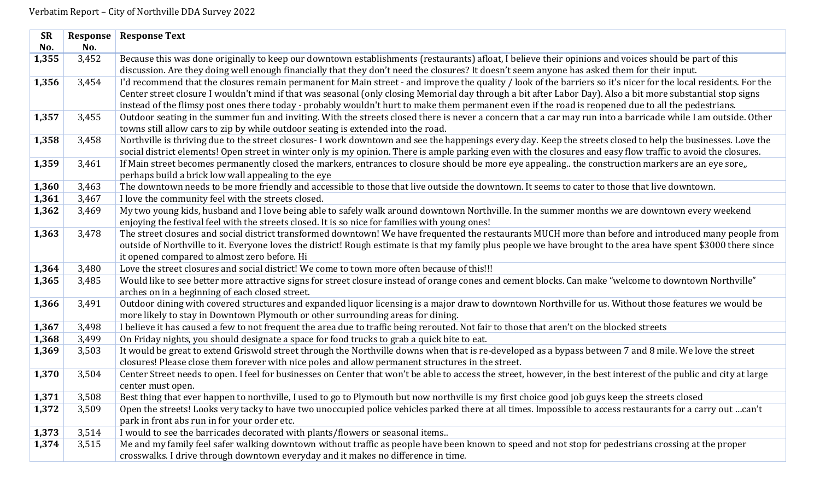| <b>SR</b> | Response | <b>Response Text</b>                                                                                                                                                |
|-----------|----------|---------------------------------------------------------------------------------------------------------------------------------------------------------------------|
| No.       | No.      |                                                                                                                                                                     |
| 1,355     | 3,452    | Because this was done originally to keep our downtown establishments (restaurants) afloat, I believe their opinions and voices should be part of this               |
|           |          | discussion. Are they doing well enough financially that they don't need the closures? It doesn't seem anyone has asked them for their input.                        |
| 1,356     | 3,454    | I'd recommend that the closures remain permanent for Main street - and improve the quality / look of the barriers so it's nicer for the local residents. For the    |
|           |          | Center street closure I wouldn't mind if that was seasonal (only closing Memorial day through a bit after Labor Day). Also a bit more substantial stop signs        |
|           |          | instead of the flimsy post ones there today - probably wouldn't hurt to make them permanent even if the road is reopened due to all the pedestrians.                |
| 1,357     | 3,455    | Outdoor seating in the summer fun and inviting. With the streets closed there is never a concern that a car may run into a barricade while I am outside. Other      |
|           |          | towns still allow cars to zip by while outdoor seating is extended into the road.                                                                                   |
| 1,358     | 3,458    | Northville is thriving due to the street closures- I work downtown and see the happenings every day. Keep the streets closed to help the businesses. Love the       |
|           |          | social district elements! Open street in winter only is my opinion. There is ample parking even with the closures and easy flow traffic to avoid the closures.      |
| 1,359     | 3,461    | If Main street becomes permanently closed the markers, entrances to closure should be more eye appealing the construction markers are an eye sore,,                 |
|           |          | perhaps build a brick low wall appealing to the eye                                                                                                                 |
| 1,360     | 3,463    | The downtown needs to be more friendly and accessible to those that live outside the downtown. It seems to cater to those that live downtown.                       |
| 1,361     | 3,467    | I love the community feel with the streets closed.                                                                                                                  |
| 1,362     | 3,469    | My two young kids, husband and I love being able to safely walk around downtown Northville. In the summer months we are downtown every weekend                      |
|           |          | enjoying the festival feel with the streets closed. It is so nice for families with young ones!                                                                     |
| 1,363     | 3,478    | The street closures and social district transformed downtown! We have frequented the restaurants MUCH more than before and introduced many people from              |
|           |          | outside of Northville to it. Everyone loves the district! Rough estimate is that my family plus people we have brought to the area have spent \$3000 there since    |
|           |          | it opened compared to almost zero before. Hi                                                                                                                        |
| 1,364     | 3,480    | Love the street closures and social district! We come to town more often because of this!!!                                                                         |
| 1,365     | 3,485    | Would like to see better more attractive signs for street closure instead of orange cones and cement blocks. Can make "welcome to downtown Northville"              |
|           |          | arches on in a beginning of each closed street.                                                                                                                     |
| 1,366     | 3,491    | Outdoor dining with covered structures and expanded liquor licensing is a major draw to downtown Northville for us. Without those features we would be              |
|           |          | more likely to stay in Downtown Plymouth or other surrounding areas for dining.                                                                                     |
| 1,367     | 3,498    | I believe it has caused a few to not frequent the area due to traffic being rerouted. Not fair to those that aren't on the blocked streets                          |
| 1,368     | 3,499    | On Friday nights, you should designate a space for food trucks to grab a quick bite to eat.                                                                         |
| 1,369     | 3,503    | It would be great to extend Griswold street through the Northville downs when that is re-developed as a bypass between 7 and 8 mile. We love the street             |
|           |          | closures! Please close them forever with nice poles and allow permanent structures in the street.                                                                   |
| 1,370     | 3,504    | Center Street needs to open. I feel for businesses on Center that won't be able to access the street, however, in the best interest of the public and city at large |
|           |          | center must open.                                                                                                                                                   |
| 1,371     | 3,508    | Best thing that ever happen to northville, I used to go to Plymouth but now northville is my first choice good job guys keep the streets closed                     |
| 1,372     | 3,509    | Open the streets! Looks very tacky to have two unoccupied police vehicles parked there at all times. Impossible to access restaurants for a carry out can't         |
|           |          | park in front abs run in for your order etc.                                                                                                                        |
| 1,373     | 3,514    | I would to see the barricades decorated with plants/flowers or seasonal items                                                                                       |
| 1,374     | 3,515    | Me and my family feel safer walking downtown without traffic as people have been known to speed and not stop for pedestrians crossing at the proper                 |
|           |          | crosswalks. I drive through downtown everyday and it makes no difference in time.                                                                                   |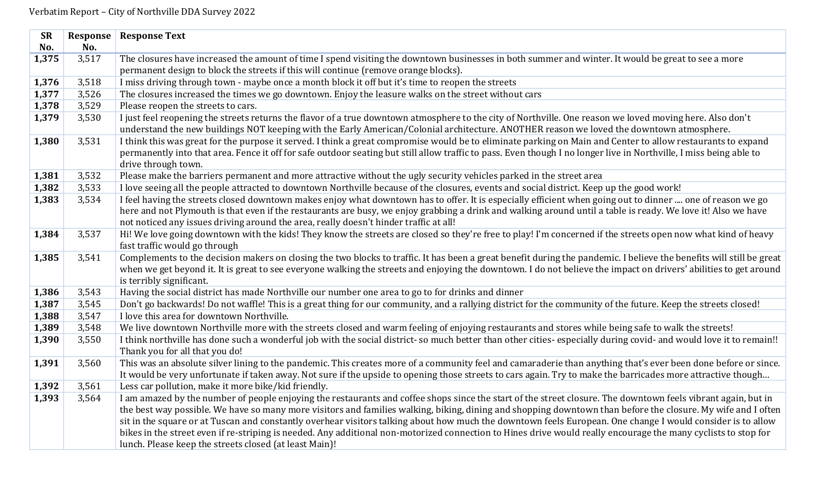| <b>SR</b> | Response | <b>Response Text</b>                                                                                                                                                                                                                                                                                                        |
|-----------|----------|-----------------------------------------------------------------------------------------------------------------------------------------------------------------------------------------------------------------------------------------------------------------------------------------------------------------------------|
| No.       | No.      |                                                                                                                                                                                                                                                                                                                             |
| 1,375     | 3,517    | The closures have increased the amount of time I spend visiting the downtown businesses in both summer and winter. It would be great to see a more                                                                                                                                                                          |
|           |          | permanent design to block the streets if this will continue (remove orange blocks).                                                                                                                                                                                                                                         |
| 1,376     | 3,518    | I miss driving through town - maybe once a month block it off but it's time to reopen the streets                                                                                                                                                                                                                           |
| 1,377     | 3,526    | The closures increased the times we go downtown. Enjoy the leasure walks on the street without cars                                                                                                                                                                                                                         |
| 1,378     | 3,529    | Please reopen the streets to cars.                                                                                                                                                                                                                                                                                          |
| 1,379     | 3,530    | I just feel reopening the streets returns the flavor of a true downtown atmosphere to the city of Northville. One reason we loved moving here. Also don't<br>understand the new buildings NOT keeping with the Early American/Colonial architecture. ANOTHER reason we loved the downtown atmosphere.                       |
| 1,380     | 3,531    | I think this was great for the purpose it served. I think a great compromise would be to eliminate parking on Main and Center to allow restaurants to expand                                                                                                                                                                |
|           |          | permanently into that area. Fence it off for safe outdoor seating but still allow traffic to pass. Even though I no longer live in Northville, I miss being able to                                                                                                                                                         |
|           |          | drive through town.                                                                                                                                                                                                                                                                                                         |
| 1,381     | 3,532    | Please make the barriers permanent and more attractive without the ugly security vehicles parked in the street area                                                                                                                                                                                                         |
| 1,382     | 3,533    | I love seeing all the people attracted to downtown Northville because of the closures, events and social district. Keep up the good work!                                                                                                                                                                                   |
| 1,383     | 3,534    | I feel having the streets closed downtown makes enjoy what downtown has to offer. It is especially efficient when going out to dinner  one of reason we go                                                                                                                                                                  |
|           |          | here and not Plymouth is that even if the restaurants are busy, we enjoy grabbing a drink and walking around until a table is ready. We love it! Also we have                                                                                                                                                               |
|           |          | not noticed any issues driving around the area, really doesn't hinder traffic at all!                                                                                                                                                                                                                                       |
| 1,384     | 3,537    | Hi! We love going downtown with the kids! They know the streets are closed so they're free to play! I'm concerned if the streets open now what kind of heavy                                                                                                                                                                |
|           |          | fast traffic would go through                                                                                                                                                                                                                                                                                               |
| 1,385     | 3,541    | Complements to the decision makers on closing the two blocks to traffic. It has been a great benefit during the pandemic. I believe the benefits will still be great                                                                                                                                                        |
|           |          | when we get beyond it. It is great to see everyone walking the streets and enjoying the downtown. I do not believe the impact on drivers' abilities to get around                                                                                                                                                           |
|           |          | is terribly significant.                                                                                                                                                                                                                                                                                                    |
| 1,386     | 3,543    | Having the social district has made Northville our number one area to go to for drinks and dinner                                                                                                                                                                                                                           |
| 1,387     | 3,545    | Don't go backwards! Do not waffle! This is a great thing for our community, and a rallying district for the community of the future. Keep the streets closed!                                                                                                                                                               |
| 1,388     | 3,547    | I love this area for downtown Northville.                                                                                                                                                                                                                                                                                   |
| 1,389     | 3,548    | We live downtown Northville more with the streets closed and warm feeling of enjoying restaurants and stores while being safe to walk the streets!                                                                                                                                                                          |
| 1,390     | 3,550    | I think northville has done such a wonderful job with the social district-so much better than other cities-especially during covid- and would love it to remain!!                                                                                                                                                           |
|           |          | Thank you for all that you do!                                                                                                                                                                                                                                                                                              |
| 1,391     | 3,560    | This was an absolute silver lining to the pandemic. This creates more of a community feel and camaraderie than anything that's ever been done before or since.                                                                                                                                                              |
|           |          | It would be very unfortunate if taken away. Not sure if the upside to opening those streets to cars again. Try to make the barricades more attractive though                                                                                                                                                                |
| 1,392     | 3,561    | Less car pollution, make it more bike/kid friendly.                                                                                                                                                                                                                                                                         |
| 1,393     | 3,564    | I am amazed by the number of people enjoying the restaurants and coffee shops since the start of the street closure. The downtown feels vibrant again, but in                                                                                                                                                               |
|           |          | the best way possible. We have so many more visitors and families walking, biking, dining and shopping downtown than before the closure. My wife and I often<br>sit in the square or at Tuscan and constantly overhear visitors talking about how much the downtown feels European. One change I would consider is to allow |
|           |          | bikes in the street even if re-striping is needed. Any additional non-motorized connection to Hines drive would really encourage the many cyclists to stop for                                                                                                                                                              |
|           |          | lunch. Please keep the streets closed (at least Main)!                                                                                                                                                                                                                                                                      |
|           |          |                                                                                                                                                                                                                                                                                                                             |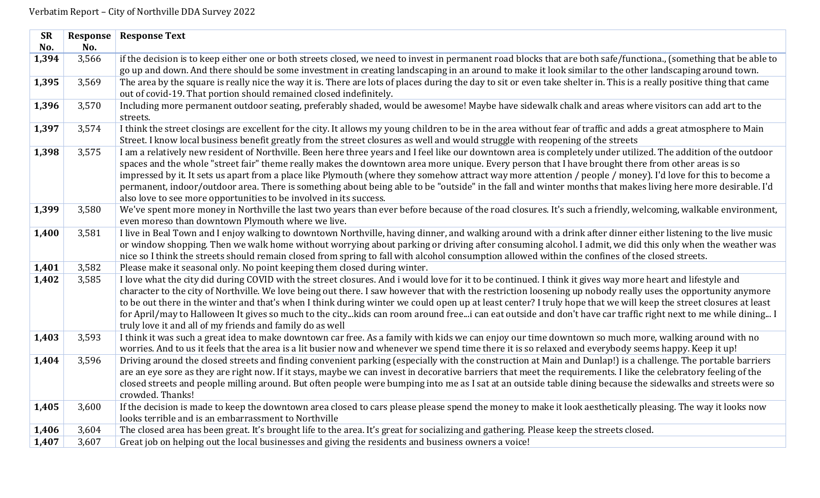| <b>SR</b> | <b>Response</b> | <b>Response Text</b>                                                                                                                                                              |
|-----------|-----------------|-----------------------------------------------------------------------------------------------------------------------------------------------------------------------------------|
| No.       | No.             |                                                                                                                                                                                   |
| 1,394     | 3,566           | if the decision is to keep either one or both streets closed, we need to invest in permanent road blocks that are both safe/functiona., (something that be able to                |
|           |                 | go up and down. And there should be some investment in creating landscaping in an around to make it look similar to the other landscaping around town.                            |
| 1,395     | 3,569           | The area by the square is really nice the way it is. There are lots of places during the day to sit or even take shelter in. This is a really positive thing that came            |
|           |                 | out of covid-19. That portion should remained closed indefinitely.                                                                                                                |
| 1,396     | 3,570           | Including more permanent outdoor seating, preferably shaded, would be awesome! Maybe have sidewalk chalk and areas where visitors can add art to the                              |
|           |                 | streets.                                                                                                                                                                          |
| 1,397     | 3,574           | I think the street closings are excellent for the city. It allows my young children to be in the area without fear of traffic and adds a great atmosphere to Main                 |
|           |                 | Street. I know local business benefit greatly from the street closures as well and would struggle with reopening of the streets                                                   |
| 1,398     | 3,575           | I am a relatively new resident of Northville. Been here three years and I feel like our downtown area is completely under utilized. The addition of the outdoor                   |
|           |                 | spaces and the whole "street fair" theme really makes the downtown area more unique. Every person that I have brought there from other areas is so                                |
|           |                 | impressed by it. It sets us apart from a place like Plymouth (where they somehow attract way more attention / people / money). I'd love for this to become a                      |
|           |                 | permanent, indoor/outdoor area. There is something about being able to be "outside" in the fall and winter months that makes living here more desirable. I'd                      |
|           |                 | also love to see more opportunities to be involved in its success.                                                                                                                |
| 1,399     | 3,580           | We've spent more money in Northville the last two years than ever before because of the road closures. It's such a friendly, welcoming, walkable environment,                     |
|           |                 | even moreso than downtown Plymouth where we live.                                                                                                                                 |
| 1,400     | 3,581           | I live in Beal Town and I enjoy walking to downtown Northville, having dinner, and walking around with a drink after dinner either listening to the live music                    |
|           |                 | or window shopping. Then we walk home without worrying about parking or driving after consuming alcohol. I admit, we did this only when the weather was                           |
|           |                 | nice so I think the streets should remain closed from spring to fall with alcohol consumption allowed within the confines of the closed streets.                                  |
| 1,401     | 3,582           | Please make it seasonal only. No point keeping them closed during winter.                                                                                                         |
| 1,402     | 3,585           | I love what the city did during COVID with the street closures. And i would love for it to be continued. I think it gives way more heart and lifestyle and                        |
|           |                 | character to the city of Northville. We love being out there. I saw however that with the restriction loosening up nobody really uses the opportunity anymore                     |
|           |                 | to be out there in the winter and that's when I think during winter we could open up at least center? I truly hope that we will keep the street closures at least                 |
|           |                 | for April/may to Halloween It gives so much to the citykids can room around freei can eat outside and don't have car traffic right next to me while dining I                      |
|           |                 | truly love it and all of my friends and family do as well                                                                                                                         |
| 1,403     | 3,593           | I think it was such a great idea to make downtown car free. As a family with kids we can enjoy our time downtown so much more, walking around with no                             |
|           |                 | worries. And to us it feels that the area is a lit busier now and whenever we spend time there it is so relaxed and everybody seems happy. Keep it up!                            |
| 1,404     | 3,596           | Driving around the closed streets and finding convenient parking (especially with the construction at Main and Dunlap!) is a challenge. The portable barriers                     |
|           |                 | are an eye sore as they are right now. If it stays, maybe we can invest in decorative barriers that meet the requirements. I like the celebratory feeling of the                  |
|           |                 | closed streets and people milling around. But often people were bumping into me as I sat at an outside table dining because the sidewalks and streets were so<br>crowded. Thanks! |
| 1,405     | 3,600           | If the decision is made to keep the downtown area closed to cars please please spend the money to make it look aesthetically pleasing. The way it looks now                       |
|           |                 | looks terrible and is an embarrassment to Northville                                                                                                                              |
| 1,406     | 3,604           | The closed area has been great. It's brought life to the area. It's great for socializing and gathering. Please keep the streets closed.                                          |
|           |                 |                                                                                                                                                                                   |
| 1,407     | 3,607           | Great job on helping out the local businesses and giving the residents and business owners a voice!                                                                               |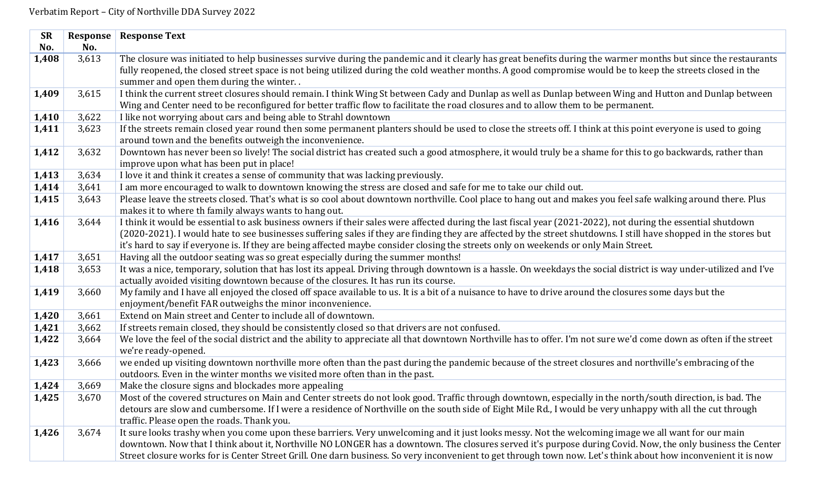| <b>SR</b> | Response | <b>Response Text</b>                                                                                                                                                                                                                                    |
|-----------|----------|---------------------------------------------------------------------------------------------------------------------------------------------------------------------------------------------------------------------------------------------------------|
| No.       | No.      |                                                                                                                                                                                                                                                         |
| 1,408     | 3,613    | The closure was initiated to help businesses survive during the pandemic and it clearly has great benefits during the warmer months but since the restaurants                                                                                           |
|           |          | fully reopened, the closed street space is not being utilized during the cold weather months. A good compromise would be to keep the streets closed in the                                                                                              |
|           |          | summer and open them during the winter                                                                                                                                                                                                                  |
| 1,409     | 3,615    | I think the current street closures should remain. I think Wing St between Cady and Dunlap as well as Dunlap between Wing and Hutton and Dunlap between                                                                                                 |
|           |          | Wing and Center need to be reconfigured for better traffic flow to facilitate the road closures and to allow them to be permanent.                                                                                                                      |
| 1,410     | 3,622    | I like not worrying about cars and being able to Strahl downtown                                                                                                                                                                                        |
| 1,411     | 3,623    | If the streets remain closed year round then some permanent planters should be used to close the streets off. I think at this point everyone is used to going                                                                                           |
|           |          | around town and the benefits outweigh the inconvenience.                                                                                                                                                                                                |
| 1,412     | 3,632    | Downtown has never been so lively! The social district has created such a good atmosphere, it would truly be a shame for this to go backwards, rather than                                                                                              |
|           |          | improve upon what has been put in place!                                                                                                                                                                                                                |
| 1,413     | 3,634    | I love it and think it creates a sense of community that was lacking previously.                                                                                                                                                                        |
| 1,414     | 3,641    | I am more encouraged to walk to downtown knowing the stress are closed and safe for me to take our child out.                                                                                                                                           |
| 1,415     | 3,643    | Please leave the streets closed. That's what is so cool about downtown northville. Cool place to hang out and makes you feel safe walking around there. Plus                                                                                            |
|           |          | makes it to where th family always wants to hang out.                                                                                                                                                                                                   |
| 1,416     | 3,644    | I think it would be essential to ask business owners if their sales were affected during the last fiscal year (2021-2022), not during the essential shutdown                                                                                            |
|           |          | (2020-2021). I would hate to see businesses suffering sales if they are finding they are affected by the street shutdowns. I still have shopped in the stores but                                                                                       |
|           |          | it's hard to say if everyone is. If they are being affected maybe consider closing the streets only on weekends or only Main Street.                                                                                                                    |
| 1,417     | 3,651    | Having all the outdoor seating was so great especially during the summer months!                                                                                                                                                                        |
| 1,418     | 3,653    | It was a nice, temporary, solution that has lost its appeal. Driving through downtown is a hassle. On weekdays the social district is way under-utilized and I've<br>actually avoided visiting downtown because of the closures. It has run its course. |
| 1,419     | 3,660    | My family and I have all enjoyed the closed off space available to us. It is a bit of a nuisance to have to drive around the closures some days but the                                                                                                 |
|           |          | enjoyment/benefit FAR outweighs the minor inconvenience.                                                                                                                                                                                                |
| 1,420     | 3,661    | Extend on Main street and Center to include all of downtown.                                                                                                                                                                                            |
| 1,421     | 3,662    | If streets remain closed, they should be consistently closed so that drivers are not confused.                                                                                                                                                          |
| 1,422     | 3,664    | We love the feel of the social district and the ability to appreciate all that downtown Northville has to offer. I'm not sure we'd come down as often if the street                                                                                     |
|           |          | we're ready-opened.                                                                                                                                                                                                                                     |
| 1,423     | 3,666    | we ended up visiting downtown northville more often than the past during the pandemic because of the street closures and northville's embracing of the                                                                                                  |
|           |          | outdoors. Even in the winter months we visited more often than in the past.                                                                                                                                                                             |
| 1,424     | 3,669    | Make the closure signs and blockades more appealing                                                                                                                                                                                                     |
| 1,425     | 3,670    | Most of the covered structures on Main and Center streets do not look good. Traffic through downtown, especially in the north/south direction, is bad. The                                                                                              |
|           |          | detours are slow and cumbersome. If I were a residence of Northville on the south side of Eight Mile Rd., I would be very unhappy with all the cut through                                                                                              |
|           |          | traffic. Please open the roads. Thank you.                                                                                                                                                                                                              |
| 1,426     | 3,674    | It sure looks trashy when you come upon these barriers. Very unwelcoming and it just looks messy. Not the welcoming image we all want for our main                                                                                                      |
|           |          | downtown. Now that I think about it, Northville NO LONGER has a downtown. The closures served it's purpose during Covid. Now, the only business the Center                                                                                              |
|           |          | Street closure works for is Center Street Grill. One darn business. So very inconvenient to get through town now. Let's think about how inconvenient it is now                                                                                          |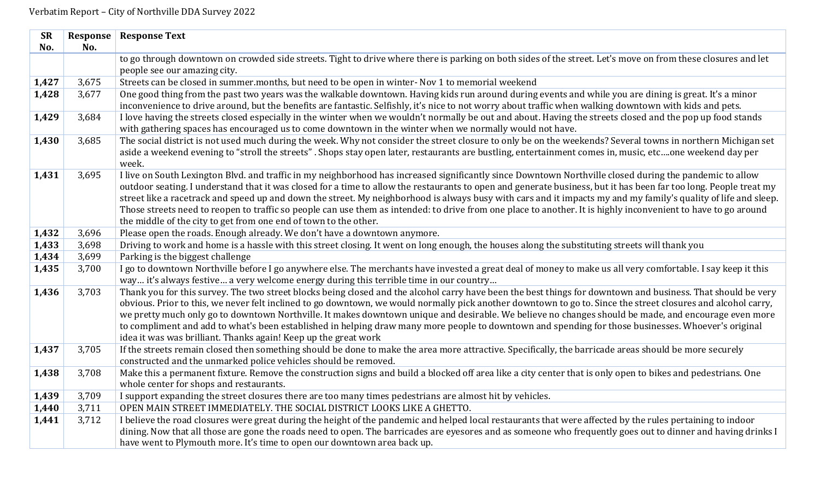| <b>SR</b><br>No. | Response<br>No. | <b>Response Text</b>                                                                                                                                                                                                                                                                                                                                                                                                                                                                                                                                                                                                                                                                                                                   |
|------------------|-----------------|----------------------------------------------------------------------------------------------------------------------------------------------------------------------------------------------------------------------------------------------------------------------------------------------------------------------------------------------------------------------------------------------------------------------------------------------------------------------------------------------------------------------------------------------------------------------------------------------------------------------------------------------------------------------------------------------------------------------------------------|
|                  |                 | to go through downtown on crowded side streets. Tight to drive where there is parking on both sides of the street. Let's move on from these closures and let<br>people see our amazing city.                                                                                                                                                                                                                                                                                                                                                                                                                                                                                                                                           |
| 1,427            | 3,675           | Streets can be closed in summer.months, but need to be open in winter- Nov 1 to memorial weekend                                                                                                                                                                                                                                                                                                                                                                                                                                                                                                                                                                                                                                       |
| 1,428            | 3,677           | One good thing from the past two years was the walkable downtown. Having kids run around during events and while you are dining is great. It's a minor<br>inconvenience to drive around, but the benefits are fantastic. Selfishly, it's nice to not worry about traffic when walking downtown with kids and pets.                                                                                                                                                                                                                                                                                                                                                                                                                     |
| 1,429            | 3,684           | I love having the streets closed especially in the winter when we wouldn't normally be out and about. Having the streets closed and the pop up food stands<br>with gathering spaces has encouraged us to come downtown in the winter when we normally would not have.                                                                                                                                                                                                                                                                                                                                                                                                                                                                  |
| 1,430            | 3,685           | The social district is not used much during the week. Why not consider the street closure to only be on the weekends? Several towns in northern Michigan set<br>aside a weekend evening to "stroll the streets". Shops stay open later, restaurants are bustling, entertainment comes in, music, etcone weekend day per<br>week.                                                                                                                                                                                                                                                                                                                                                                                                       |
| 1,431            | 3,695           | I live on South Lexington Blvd. and traffic in my neighborhood has increased significantly since Downtown Northville closed during the pandemic to allow<br>outdoor seating. I understand that it was closed for a time to allow the restaurants to open and generate business, but it has been far too long. People treat my<br>street like a racetrack and speed up and down the street. My neighborhood is always busy with cars and it impacts my and my family's quality of life and sleep.<br>Those streets need to reopen to traffic so people can use them as intended: to drive from one place to another. It is highly inconvenient to have to go around<br>the middle of the city to get from one end of town to the other. |
| 1,432            | 3,696           | Please open the roads. Enough already. We don't have a downtown anymore.                                                                                                                                                                                                                                                                                                                                                                                                                                                                                                                                                                                                                                                               |
| 1,433            | 3,698           | Driving to work and home is a hassle with this street closing. It went on long enough, the houses along the substituting streets will thank you                                                                                                                                                                                                                                                                                                                                                                                                                                                                                                                                                                                        |
| 1,434            | 3,699           | Parking is the biggest challenge                                                                                                                                                                                                                                                                                                                                                                                                                                                                                                                                                                                                                                                                                                       |
| 1,435            | 3,700           | I go to downtown Northville before I go anywhere else. The merchants have invested a great deal of money to make us all very comfortable. I say keep it this<br>way it's always festive a very welcome energy during this terrible time in our country                                                                                                                                                                                                                                                                                                                                                                                                                                                                                 |
| 1,436            | 3,703           | Thank you for this survey. The two street blocks being closed and the alcohol carry have been the best things for downtown and business. That should be very<br>obvious. Prior to this, we never felt inclined to go downtown, we would normally pick another downtown to go to. Since the street closures and alcohol carry,<br>we pretty much only go to downtown Northville. It makes downtown unique and desirable. We believe no changes should be made, and encourage even more<br>to compliment and add to what's been established in helping draw many more people to downtown and spending for those businesses. Whoever's original<br>idea it was was brilliant. Thanks again! Keep up the great work                        |
| 1,437            | 3,705           | If the streets remain closed then something should be done to make the area more attractive. Specifically, the barricade areas should be more securely<br>constructed and the unmarked police vehicles should be removed.                                                                                                                                                                                                                                                                                                                                                                                                                                                                                                              |
| 1,438            | 3,708           | Make this a permanent fixture. Remove the construction signs and build a blocked off area like a city center that is only open to bikes and pedestrians. One<br>whole center for shops and restaurants.                                                                                                                                                                                                                                                                                                                                                                                                                                                                                                                                |
| 1,439            | 3,709           | I support expanding the street closures there are too many times pedestrians are almost hit by vehicles.                                                                                                                                                                                                                                                                                                                                                                                                                                                                                                                                                                                                                               |
| 1,440            | 3,711           | OPEN MAIN STREET IMMEDIATELY. THE SOCIAL DISTRICT LOOKS LIKE A GHETTO.                                                                                                                                                                                                                                                                                                                                                                                                                                                                                                                                                                                                                                                                 |
| 1,441            | 3,712           | I believe the road closures were great during the height of the pandemic and helped local restaurants that were affected by the rules pertaining to indoor                                                                                                                                                                                                                                                                                                                                                                                                                                                                                                                                                                             |
|                  |                 | dining. Now that all those are gone the roads need to open. The barricades are eyesores and as someone who frequently goes out to dinner and having drinks I                                                                                                                                                                                                                                                                                                                                                                                                                                                                                                                                                                           |
|                  |                 | have went to Plymouth more. It's time to open our downtown area back up.                                                                                                                                                                                                                                                                                                                                                                                                                                                                                                                                                                                                                                                               |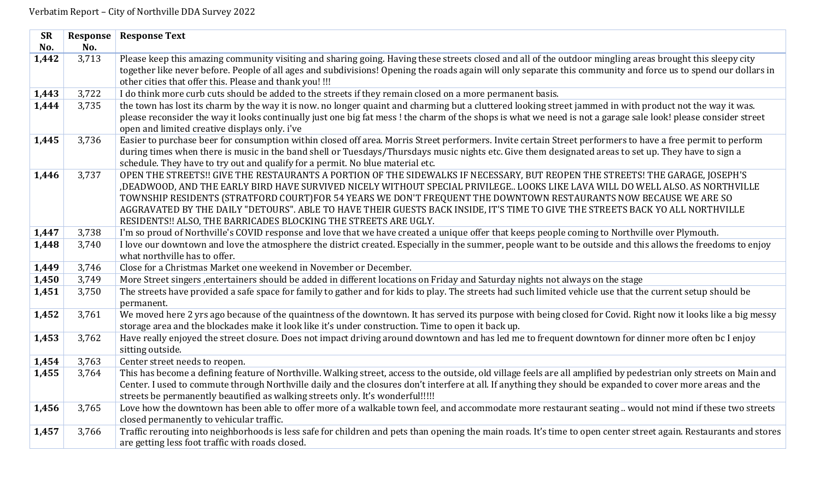| <b>SR</b> | Response | <b>Response Text</b>                                                                                                                                                                                                                                                                                                        |
|-----------|----------|-----------------------------------------------------------------------------------------------------------------------------------------------------------------------------------------------------------------------------------------------------------------------------------------------------------------------------|
| No.       | No.      |                                                                                                                                                                                                                                                                                                                             |
| 1,442     | 3,713    | Please keep this amazing community visiting and sharing going. Having these streets closed and all of the outdoor mingling areas brought this sleepy city                                                                                                                                                                   |
|           |          | together like never before. People of all ages and subdivisions! Opening the roads again will only separate this community and force us to spend our dollars in                                                                                                                                                             |
|           |          | other cities that offer this. Please and thank you! !!!                                                                                                                                                                                                                                                                     |
| 1,443     | 3,722    | I do think more curb cuts should be added to the streets if they remain closed on a more permanent basis.                                                                                                                                                                                                                   |
| 1,444     | 3,735    | the town has lost its charm by the way it is now. no longer quaint and charming but a cluttered looking street jammed in with product not the way it was.<br>please reconsider the way it looks continually just one big fat mess! the charm of the shops is what we need is not a garage sale look! please consider street |
|           |          | open and limited creative displays only. i've                                                                                                                                                                                                                                                                               |
| 1,445     | 3,736    | Easier to purchase beer for consumption within closed off area. Morris Street performers. Invite certain Street performers to have a free permit to perform                                                                                                                                                                 |
|           |          | during times when there is music in the band shell or Tuesdays/Thursdays music nights etc. Give them designated areas to set up. They have to sign a                                                                                                                                                                        |
|           |          | schedule. They have to try out and qualify for a permit. No blue material etc.                                                                                                                                                                                                                                              |
| 1,446     | 3,737    | OPEN THE STREETS!! GIVE THE RESTAURANTS A PORTION OF THE SIDEWALKS IF NECESSARY, BUT REOPEN THE STREETS! THE GARAGE, JOSEPH'S                                                                                                                                                                                               |
|           |          | , DEADWOOD, AND THE EARLY BIRD HAVE SURVIVED NICELY WITHOUT SPECIAL PRIVILEGE LOOKS LIKE LAVA WILL DO WELL ALSO. AS NORTHVILLE                                                                                                                                                                                              |
|           |          | TOWNSHIP RESIDENTS (STRATFORD COURT)FOR 54 YEARS WE DON'T FREQUENT THE DOWNTOWN RESTAURANTS NOW BECAUSE WE ARE SO                                                                                                                                                                                                           |
|           |          | AGGRAVATED BY THE DAILY "DETOURS". ABLE TO HAVE THEIR GUESTS BACK INSIDE, IT'S TIME TO GIVE THE STREETS BACK YO ALL NORTHVILLE                                                                                                                                                                                              |
|           |          | RESIDENTS !! ALSO, THE BARRICADES BLOCKING THE STREETS ARE UGLY.                                                                                                                                                                                                                                                            |
| 1,447     | 3,738    | I'm so proud of Northville's COVID response and love that we have created a unique offer that keeps people coming to Northville over Plymouth.                                                                                                                                                                              |
| 1,448     | 3,740    | I love our downtown and love the atmosphere the district created. Especially in the summer, people want to be outside and this allows the freedoms to enjoy                                                                                                                                                                 |
|           |          | what northville has to offer.                                                                                                                                                                                                                                                                                               |
| 1,449     | 3,746    | Close for a Christmas Market one weekend in November or December.                                                                                                                                                                                                                                                           |
| 1,450     | 3,749    | More Street singers , entertainers should be added in different locations on Friday and Saturday nights not always on the stage                                                                                                                                                                                             |
| 1,451     | 3,750    | The streets have provided a safe space for family to gather and for kids to play. The streets had such limited vehicle use that the current setup should be                                                                                                                                                                 |
|           |          | permanent.                                                                                                                                                                                                                                                                                                                  |
| 1,452     | 3,761    | We moved here 2 yrs ago because of the quaintness of the downtown. It has served its purpose with being closed for Covid. Right now it looks like a big messy<br>storage area and the blockades make it look like it's under construction. Time to open it back up.                                                         |
| 1,453     | 3,762    | Have really enjoyed the street closure. Does not impact driving around downtown and has led me to frequent downtown for dinner more often bc I enjoy                                                                                                                                                                        |
|           |          | sitting outside.                                                                                                                                                                                                                                                                                                            |
| 1,454     | 3,763    | Center street needs to reopen.                                                                                                                                                                                                                                                                                              |
| 1,455     | 3,764    | This has become a defining feature of Northville. Walking street, access to the outside, old village feels are all amplified by pedestrian only streets on Main and                                                                                                                                                         |
|           |          | Center. I used to commute through Northville daily and the closures don't interfere at all. If anything they should be expanded to cover more areas and the                                                                                                                                                                 |
|           |          | streets be permanently beautified as walking streets only. It's wonderful!!!!!                                                                                                                                                                                                                                              |
| 1,456     | 3,765    | Love how the downtown has been able to offer more of a walkable town feel, and accommodate more restaurant seating  would not mind if these two streets                                                                                                                                                                     |
|           |          | closed permanently to vehicular traffic.                                                                                                                                                                                                                                                                                    |
| 1,457     | 3,766    | Traffic rerouting into neighborhoods is less safe for children and pets than opening the main roads. It's time to open center street again. Restaurants and stores                                                                                                                                                          |
|           |          | are getting less foot traffic with roads closed.                                                                                                                                                                                                                                                                            |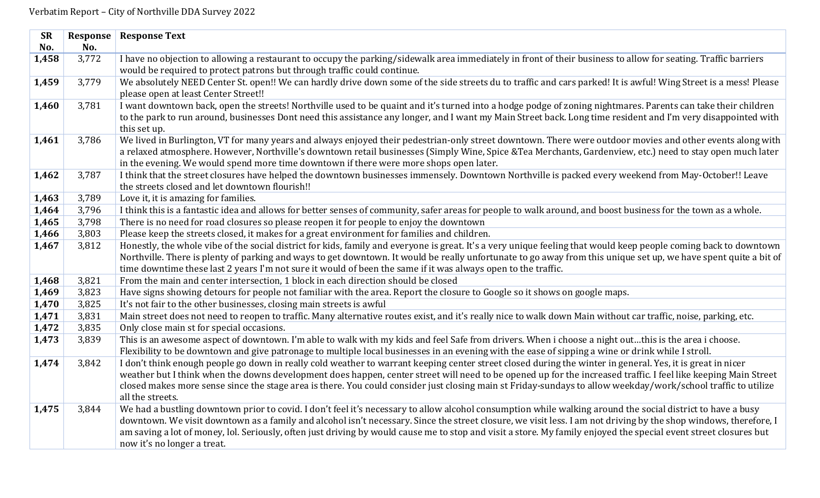| <b>SR</b> | Response | <b>Response Text</b>                                                                                                                                              |
|-----------|----------|-------------------------------------------------------------------------------------------------------------------------------------------------------------------|
| No.       | No.      |                                                                                                                                                                   |
| 1,458     | 3,772    | I have no objection to allowing a restaurant to occupy the parking/sidewalk area immediately in front of their business to allow for seating. Traffic barriers    |
|           |          | would be required to protect patrons but through traffic could continue.                                                                                          |
| 1,459     | 3,779    | We absolutely NEED Center St. open!! We can hardly drive down some of the side streets du to traffic and cars parked! It is awful! Wing Street is a mess! Please  |
|           |          | please open at least Center Street!!                                                                                                                              |
| 1,460     | 3,781    | I want downtown back, open the streets! Northville used to be quaint and it's turned into a hodge podge of zoning nightmares. Parents can take their children     |
|           |          | to the park to run around, businesses Dont need this assistance any longer, and I want my Main Street back. Long time resident and I'm very disappointed with     |
|           |          | this set up.                                                                                                                                                      |
| 1,461     | 3,786    | We lived in Burlington, VT for many years and always enjoyed their pedestrian-only street downtown. There were outdoor movies and other events along with         |
|           |          | a relaxed atmosphere. However, Northville's downtown retail businesses (Simply Wine, Spice &Tea Merchants, Gardenview, etc.) need to stay open much later         |
|           |          | in the evening. We would spend more time downtown if there were more shops open later.                                                                            |
| 1,462     | 3,787    | I think that the street closures have helped the downtown businesses immensely. Downtown Northville is packed every weekend from May-October!! Leave              |
|           |          | the streets closed and let downtown flourish!!                                                                                                                    |
| 1,463     | 3,789    | Love it, it is amazing for families.                                                                                                                              |
| 1,464     | 3,796    | I think this is a fantastic idea and allows for better senses of community, safer areas for people to walk around, and boost business for the town as a whole.    |
| 1,465     | 3,798    | There is no need for road closures so please reopen it for people to enjoy the downtown                                                                           |
| 1,466     | 3,803    | Please keep the streets closed, it makes for a great environment for families and children.                                                                       |
| 1,467     | 3,812    | Honestly, the whole vibe of the social district for kids, family and everyone is great. It's a very unique feeling that would keep people coming back to downtown |
|           |          | Northville. There is plenty of parking and ways to get downtown. It would be really unfortunate to go away from this unique set up, we have spent quite a bit of  |
|           |          | time downtime these last 2 years I'm not sure it would of been the same if it was always open to the traffic.                                                     |
| 1,468     | 3,821    | From the main and center intersection, 1 block in each direction should be closed                                                                                 |
| 1,469     | 3,823    | Have signs showing detours for people not familiar with the area. Report the closure to Google so it shows on google maps.                                        |
| 1,470     | 3,825    | It's not fair to the other businesses, closing main streets is awful                                                                                              |
| 1,471     | 3,831    | Main street does not need to reopen to traffic. Many alternative routes exist, and it's really nice to walk down Main without car traffic, noise, parking, etc.   |
| 1,472     | 3,835    | Only close main st for special occasions.                                                                                                                         |
| 1,473     | 3,839    | This is an awesome aspect of downtown. I'm able to walk with my kids and feel Safe from drivers. When i choose a night outthis is the area i choose.              |
|           |          | Flexibility to be downtown and give patronage to multiple local businesses in an evening with the ease of sipping a wine or drink while I stroll.                 |
| 1,474     | 3,842    | I don't think enough people go down in really cold weather to warrant keeping center street closed during the winter in general. Yes, it is great in nicer        |
|           |          | weather but I think when the downs development does happen, center street will need to be opened up for the increased traffic. I feel like keeping Main Street    |
|           |          | closed makes more sense since the stage area is there. You could consider just closing main st Friday-sundays to allow weekday/work/school traffic to utilize     |
|           |          | all the streets.                                                                                                                                                  |
| 1,475     | 3,844    | We had a bustling downtown prior to covid. I don't feel it's necessary to allow alcohol consumption while walking around the social district to have a busy       |
|           |          | downtown. We visit downtown as a family and alcohol isn't necessary. Since the street closure, we visit less. I am not driving by the shop windows, therefore, I  |
|           |          | am saving a lot of money, lol. Seriously, often just driving by would cause me to stop and visit a store. My family enjoyed the special event street closures but |
|           |          | now it's no longer a treat.                                                                                                                                       |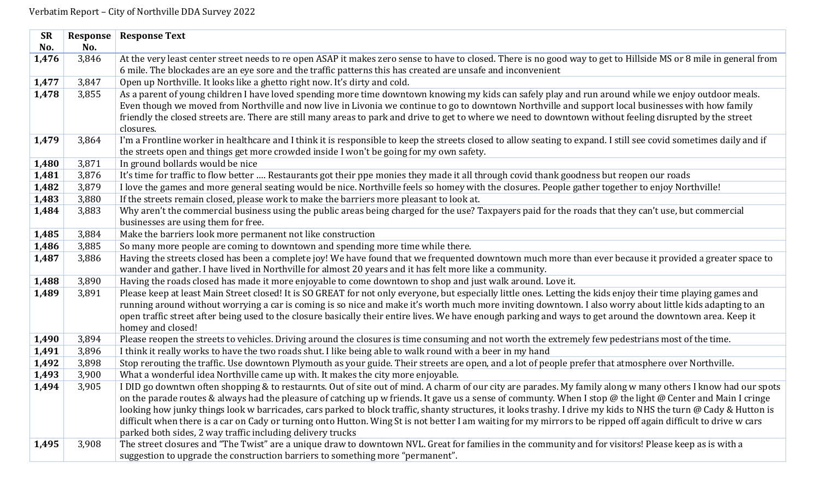| <b>SR</b> | Response | <b>Response Text</b>                                                                                                                                                            |
|-----------|----------|---------------------------------------------------------------------------------------------------------------------------------------------------------------------------------|
| No.       | No.      |                                                                                                                                                                                 |
| 1,476     | 3,846    | At the very least center street needs to re open ASAP it makes zero sense to have to closed. There is no good way to get to Hillside MS or 8 mile in general from               |
|           |          | 6 mile. The blockades are an eye sore and the traffic patterns this has created are unsafe and inconvenient                                                                     |
| 1,477     | 3,847    | Open up Northville. It looks like a ghetto right now. It's dirty and cold.                                                                                                      |
| 1,478     | 3,855    | As a parent of young children I have loved spending more time downtown knowing my kids can safely play and run around while we enjoy outdoor meals.                             |
|           |          | Even though we moved from Northville and now live in Livonia we continue to go to downtown Northville and support local businesses with how family                              |
|           |          | friendly the closed streets are. There are still many areas to park and drive to get to where we need to downtown without feeling disrupted by the street                       |
|           |          | closures.                                                                                                                                                                       |
| 1,479     | 3,864    | I'm a Frontline worker in healthcare and I think it is responsible to keep the streets closed to allow seating to expand. I still see covid sometimes daily and if              |
|           |          | the streets open and things get more crowded inside I won't be going for my own safety.                                                                                         |
| 1,480     | 3,871    | In ground bollards would be nice                                                                                                                                                |
| 1,481     | 3,876    | It's time for traffic to flow better  Restaurants got their ppe monies they made it all through covid thank goodness but reopen our roads                                       |
| 1,482     | 3,879    | I love the games and more general seating would be nice. Northville feels so homey with the closures. People gather together to enjoy Northville!                               |
| 1,483     | 3,880    | If the streets remain closed, please work to make the barriers more pleasant to look at.                                                                                        |
| 1,484     | 3,883    | Why aren't the commercial business using the public areas being charged for the use? Taxpayers paid for the roads that they can't use, but commercial                           |
|           |          | businesses are using them for free.                                                                                                                                             |
| 1,485     | 3,884    | Make the barriers look more permanent not like construction                                                                                                                     |
| 1,486     | 3,885    | So many more people are coming to downtown and spending more time while there.                                                                                                  |
| 1,487     | 3,886    | Having the streets closed has been a complete joy! We have found that we frequented downtown much more than ever because it provided a greater space to                         |
|           |          | wander and gather. I have lived in Northville for almost 20 years and it has felt more like a community.                                                                        |
| 1,488     | 3,890    | Having the roads closed has made it more enjoyable to come downtown to shop and just walk around. Love it.                                                                      |
| 1,489     | 3,891    | Please keep at least Main Street closed! It is SO GREAT for not only everyone, but especially little ones. Letting the kids enjoy their time playing games and                  |
|           |          | running around without worrying a car is coming is so nice and make it's worth much more inviting downtown. I also worry about little kids adapting to an                       |
|           |          | open traffic street after being used to the closure basically their entire lives. We have enough parking and ways to get around the downtown area. Keep it<br>homey and closed! |
| 1,490     | 3,894    | Please reopen the streets to vehicles. Driving around the closures is time consuming and not worth the extremely few pedestrians most of the time.                              |
| 1,491     | 3,896    | I think it really works to have the two roads shut. I like being able to walk round with a beer in my hand                                                                      |
| 1,492     | 3,898    | Stop rerouting the traffic. Use downtown Plymouth as your guide. Their streets are open, and a lot of people prefer that atmosphere over Northville.                            |
| 1,493     | 3,900    | What a wonderful idea Northville came up with. It makes the city more enjoyable.                                                                                                |
| 1,494     | 3,905    | I DID go downtwn often shopping & to restaurnts. Out of site out of mind. A charm of our city are parades. My family along w many others I know had our spots                   |
|           |          | on the parade routes & always had the pleasure of catching up w friends. It gave us a sense of communty. When I stop @ the light @ Center and Main I cringe                     |
|           |          | looking how junky things look w barricades, cars parked to block traffic, shanty structures, it looks trashy. I drive my kids to NHS the turn @ Cady & Hutton is                |
|           |          | difficult when there is a car on Cady or turning onto Hutton. Wing St is not better I am waiting for my mirrors to be ripped off again difficult to drive w cars                |
|           |          | parked both sides, 2 way traffic including delivery trucks                                                                                                                      |
| 1,495     | 3,908    | The street closures and "The Twist" are a unique draw to downtown NVL. Great for families in the community and for visitors! Please keep as is with a                           |
|           |          | suggestion to upgrade the construction barriers to something more "permanent".                                                                                                  |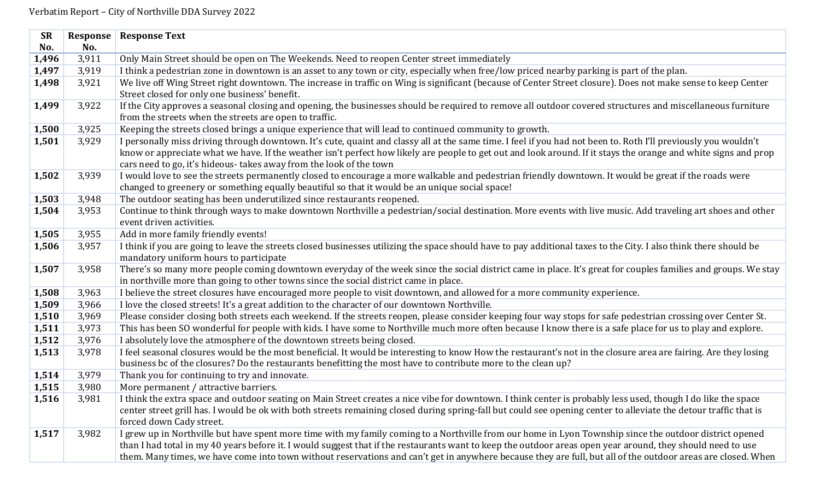| <b>SR</b> | Response | <b>Response Text</b>                                                                                                                                              |
|-----------|----------|-------------------------------------------------------------------------------------------------------------------------------------------------------------------|
| No.       | No.      |                                                                                                                                                                   |
| 1,496     | 3,911    | Only Main Street should be open on The Weekends. Need to reopen Center street immediately                                                                         |
| 1,497     | 3,919    | I think a pedestrian zone in downtown is an asset to any town or city, especially when free/low priced nearby parking is part of the plan.                        |
| 1,498     | 3,921    | We live off Wing Street right downtown. The increase in traffic on Wing is significant (because of Center Street closure). Does not make sense to keep Center     |
|           |          | Street closed for only one business' benefit.                                                                                                                     |
| 1,499     | 3,922    | If the City approves a seasonal closing and opening, the businesses should be required to remove all outdoor covered structures and miscellaneous furniture       |
|           |          | from the streets when the streets are open to traffic.                                                                                                            |
| 1,500     | 3,925    | Keeping the streets closed brings a unique experience that will lead to continued community to growth.                                                            |
| 1,501     | 3,929    | I personally miss driving through downtown. It's cute, quaint and classy all at the same time. I feel if you had not been to. Roth I'll previously you wouldn't   |
|           |          | know or appreciate what we have. If the weather isn't perfect how likely are people to get out and look around. If it stays the orange and white signs and prop   |
|           |          | cars need to go, it's hideous-takes away from the look of the town                                                                                                |
| 1,502     | 3,939    | I would love to see the streets permanently closed to encourage a more walkable and pedestrian friendly downtown. It would be great if the roads were             |
|           |          | changed to greenery or something equally beautiful so that it would be an unique social space!                                                                    |
| 1,503     | 3,948    | The outdoor seating has been underutilized since restaurants reopened.                                                                                            |
| 1,504     | 3,953    | Continue to think through ways to make downtown Northville a pedestrian/social destination. More events with live music. Add traveling art shoes and other        |
|           |          | event driven activities.                                                                                                                                          |
| 1,505     | 3,955    | Add in more family friendly events!                                                                                                                               |
| 1,506     | 3,957    | I think if you are going to leave the streets closed businesses utilizing the space should have to pay additional taxes to the City. I also think there should be |
|           |          | mandatory uniform hours to participate                                                                                                                            |
| 1,507     | 3,958    | There's so many more people coming downtown everyday of the week since the social district came in place. It's great for couples families and groups. We stay     |
|           |          | in northville more than going to other towns since the social district came in place.                                                                             |
| 1,508     | 3,963    | I believe the street closures have encouraged more people to visit downtown, and allowed for a more community experience.                                         |
| 1,509     | 3,966    | I love the closed streets! It's a great addition to the character of our downtown Northville.                                                                     |
| 1,510     | 3,969    | Please consider closing both streets each weekend. If the streets reopen, please consider keeping four way stops for safe pedestrian crossing over Center St.     |
| 1,511     | 3,973    | This has been SO wonderful for people with kids. I have some to Northville much more often because I know there is a safe place for us to play and explore.       |
| 1,512     | 3,976    | I absolutely love the atmosphere of the downtown streets being closed.                                                                                            |
| 1,513     | 3,978    | I feel seasonal closures would be the most beneficial. It would be interesting to know How the restaurant's not in the closure area are fairing. Are they losing  |
|           |          | business bc of the closures? Do the restaurants benefitting the most have to contribute more to the clean up?                                                     |
| 1,514     | 3,979    | Thank you for continuing to try and innovate.                                                                                                                     |
| 1,515     | 3,980    | More permanent / attractive barriers.                                                                                                                             |
| 1,516     | 3,981    | I think the extra space and outdoor seating on Main Street creates a nice vibe for downtown. I think center is probably less used, though I do like the space     |
|           |          | center street grill has. I would be ok with both streets remaining closed during spring-fall but could see opening center to alleviate the detour traffic that is |
|           |          | forced down Cady street.                                                                                                                                          |
| 1,517     | 3,982    | I grew up in Northville but have spent more time with my family coming to a Northville from our home in Lyon Township since the outdoor district opened           |
|           |          | than I had total in my 40 years before it. I would suggest that if the restaurants want to keep the outdoor areas open year around, they should need to use       |
|           |          | them. Many times, we have come into town without reservations and can't get in anywhere because they are full, but all of the outdoor areas are closed. When      |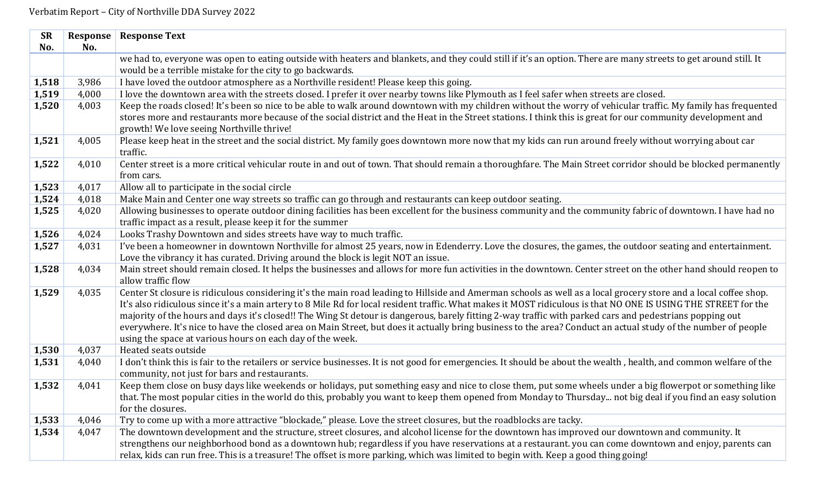| <b>SR</b> | Response | <b>Response Text</b>                                                                                                                                                |
|-----------|----------|---------------------------------------------------------------------------------------------------------------------------------------------------------------------|
| No.       | No.      |                                                                                                                                                                     |
|           |          | we had to, everyone was open to eating outside with heaters and blankets, and they could still if it's an option. There are many streets to get around still. It    |
|           |          | would be a terrible mistake for the city to go backwards.                                                                                                           |
| 1,518     | 3,986    | I have loved the outdoor atmosphere as a Northville resident! Please keep this going.                                                                               |
| 1,519     | 4,000    | I love the downtown area with the streets closed. I prefer it over nearby towns like Plymouth as I feel safer when streets are closed.                              |
| 1,520     | 4,003    | Keep the roads closed! It's been so nice to be able to walk around downtown with my children without the worry of vehicular traffic. My family has frequented       |
|           |          | stores more and restaurants more because of the social district and the Heat in the Street stations. I think this is great for our community development and        |
|           |          | growth! We love seeing Northville thrive!                                                                                                                           |
| 1,521     | 4,005    | Please keep heat in the street and the social district. My family goes downtown more now that my kids can run around freely without worrying about car              |
|           |          | traffic.                                                                                                                                                            |
| 1,522     | 4,010    | Center street is a more critical vehicular route in and out of town. That should remain a thoroughfare. The Main Street corridor should be blocked permanently      |
|           |          | from cars.                                                                                                                                                          |
| 1,523     | 4,017    | Allow all to participate in the social circle                                                                                                                       |
| 1,524     | 4,018    | Make Main and Center one way streets so traffic can go through and restaurants can keep outdoor seating.                                                            |
| 1,525     | 4,020    | Allowing businesses to operate outdoor dining facilities has been excellent for the business community and the community fabric of downtown. I have had no          |
|           |          | traffic impact as a result, please keep it for the summer                                                                                                           |
| 1,526     | 4,024    | Looks Trashy Downtown and sides streets have way to much traffic.                                                                                                   |
| 1,527     | 4,031    | I've been a homeowner in downtown Northville for almost 25 years, now in Edenderry. Love the closures, the games, the outdoor seating and entertainment.            |
|           |          | Love the vibrancy it has curated. Driving around the block is legit NOT an issue.                                                                                   |
| 1,528     | 4,034    | Main street should remain closed. It helps the businesses and allows for more fun activities in the downtown. Center street on the other hand should reopen to      |
|           |          | allow traffic flow                                                                                                                                                  |
| 1,529     | 4,035    | Center St closure is ridiculous considering it's the main road leading to Hillside and Amerman schools as well as a local grocery store and a local coffee shop.    |
|           |          | It's also ridiculous since it's a main artery to 8 Mile Rd for local resident traffic. What makes it MOST ridiculous is that NO ONE IS USING THE STREET for the     |
|           |          | majority of the hours and days it's closed!! The Wing St detour is dangerous, barely fitting 2-way traffic with parked cars and pedestrians popping out             |
|           |          | everywhere. It's nice to have the closed area on Main Street, but does it actually bring business to the area? Conduct an actual study of the number of people      |
|           |          | using the space at various hours on each day of the week.                                                                                                           |
| 1,530     | 4,037    | Heated seats outside                                                                                                                                                |
| 1,531     | 4,040    | I don't think this is fair to the retailers or service businesses. It is not good for emergencies. It should be about the wealth, health, and common welfare of the |
|           |          | community, not just for bars and restaurants.                                                                                                                       |
| 1,532     | 4,041    | Keep them close on busy days like weekends or holidays, put something easy and nice to close them, put some wheels under a big flowerpot or something like          |
|           |          | that. The most popular cities in the world do this, probably you want to keep them opened from Monday to Thursday not big deal if you find an easy solution         |
|           |          | for the closures.                                                                                                                                                   |
| 1,533     | 4,046    | Try to come up with a more attractive "blockade," please. Love the street closures, but the roadblocks are tacky.                                                   |
| 1,534     | 4,047    | The downtown development and the structure, street closures, and alcohol license for the downtown has improved our downtown and community. It                       |
|           |          | strengthens our neighborhood bond as a downtown hub; regardless if you have reservations at a restaurant. you can come downtown and enjoy, parents can              |
|           |          | relax, kids can run free. This is a treasure! The offset is more parking, which was limited to begin with. Keep a good thing going!                                 |